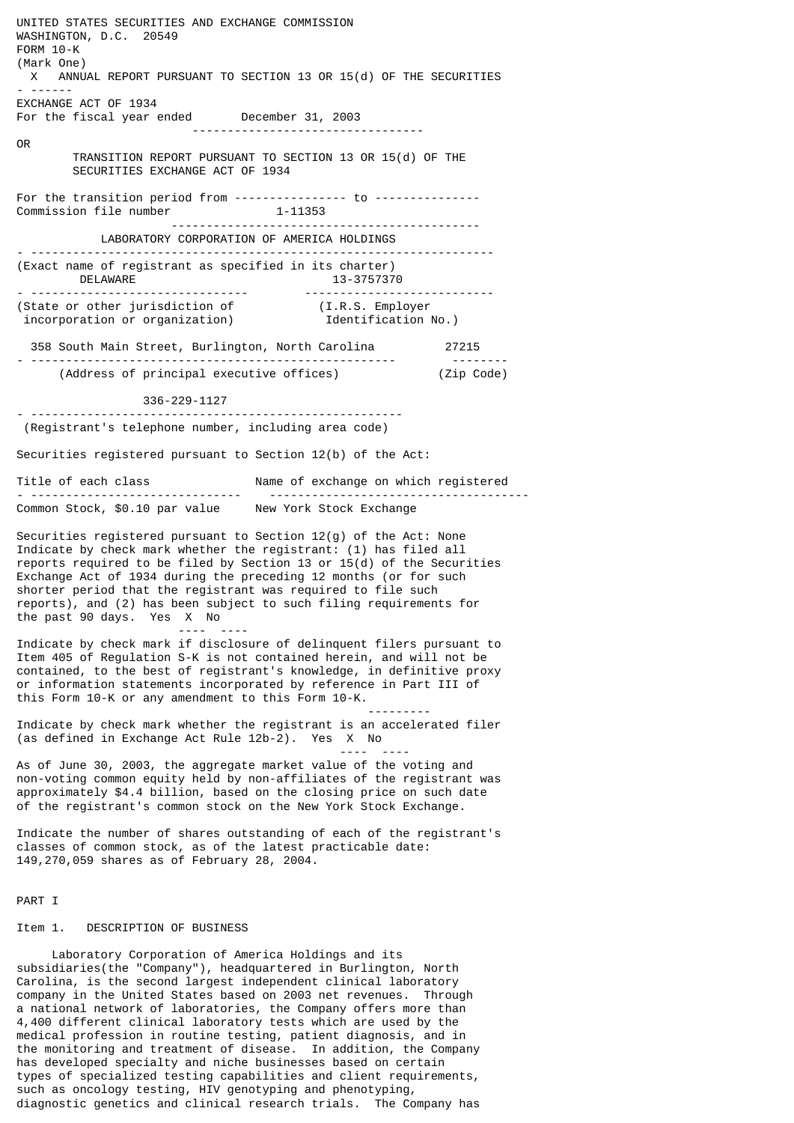UNITED STATES SECURITIES AND EXCHANGE COMMISSION WASHINGTON, D.C. 20549 FORM 10-K (Mark One) X ANNUAL REPORT PURSUANT TO SECTION 13 OR 15(d) OF THE SECURITIES - ------ EXCHANGE ACT OF 1934 For the fiscal year ended December 31, 2003 --------------------------------- OR TRANSITION REPORT PURSUANT TO SECTION 13 OR 15(d) OF THE SECURITIES EXCHANGE ACT OF 1934 For the transition period from ---------------- to --------------- Commission file number 1-11353 -------------------------------------------- LABORATORY CORPORATION OF AMERICA HOLDINGS - ------------------------------------------------------------------ (Exact name of registrant as specified in its charter) DELAWARE 13-3757370 - ------------------------------- --------------------------- (State or other jurisdiction of (I.R.S. Employer incorporation or organization) Identification No.) 358 South Main Street, Burlington, North Carolina 27215 - ---------------------------------------------------- -------- (Address of principal executive offices) 336-229-1127 - ----------------------------------------------------- (Registrant's telephone number, including area code) Securities registered pursuant to Section 12(b) of the Act: Title of each class Name of exchange on which registered - ------------------------------ ------------------------------------- Common Stock, \$0.10 par value Securities registered pursuant to Section 12(g) of the Act: None Indicate by check mark whether the registrant: (1) has filed all reports required to be filed by Section 13 or  $15(d)$  of the Securities Exchange Act of 1934 during the preceding 12 months (or for such shorter period that the registrant was required to file such reports), and (2) has been subject to such filing requirements for the past 90 days. Yes X No ---- ---- Indicate by check mark if disclosure of delinquent filers pursuant to Item 405 of Regulation S-K is not contained herein, and will not be contained, to the best of registrant's knowledge, in definitive proxy or information statements incorporated by reference in Part III of this Form 10-K or any amendment to this Form 10-K. --------- Indicate by check mark whether the registrant is an accelerated filer (as defined in Exchange Act Rule 12b-2). Yes X No ---- ---- As of June 30, 2003, the aggregate market value of the voting and non-voting common equity held by non-affiliates of the registrant was approximately \$4.4 billion, based on the closing price on such date of the registrant's common stock on the New York Stock Exchange. Indicate the number of shares outstanding of each of the registrant's classes of common stock, as of the latest practicable date: 149,270,059 shares as of February 28, 2004. PART I Item 1. DESCRIPTION OF BUSINESS Laboratory Corporation of America Holdings and its

subsidiaries(the "Company"), headquartered in Burlington, North Carolina, is the second largest independent clinical laboratory company in the United States based on 2003 net revenues. Through a national network of laboratories, the Company offers more than 4,400 different clinical laboratory tests which are used by the medical profession in routine testing, patient diagnosis, and in the monitoring and treatment of disease. In addition, the Company has developed specialty and niche businesses based on certain types of specialized testing capabilities and client requirements, such as oncology testing, HIV genotyping and phenotyping, diagnostic genetics and clinical research trials. The Company has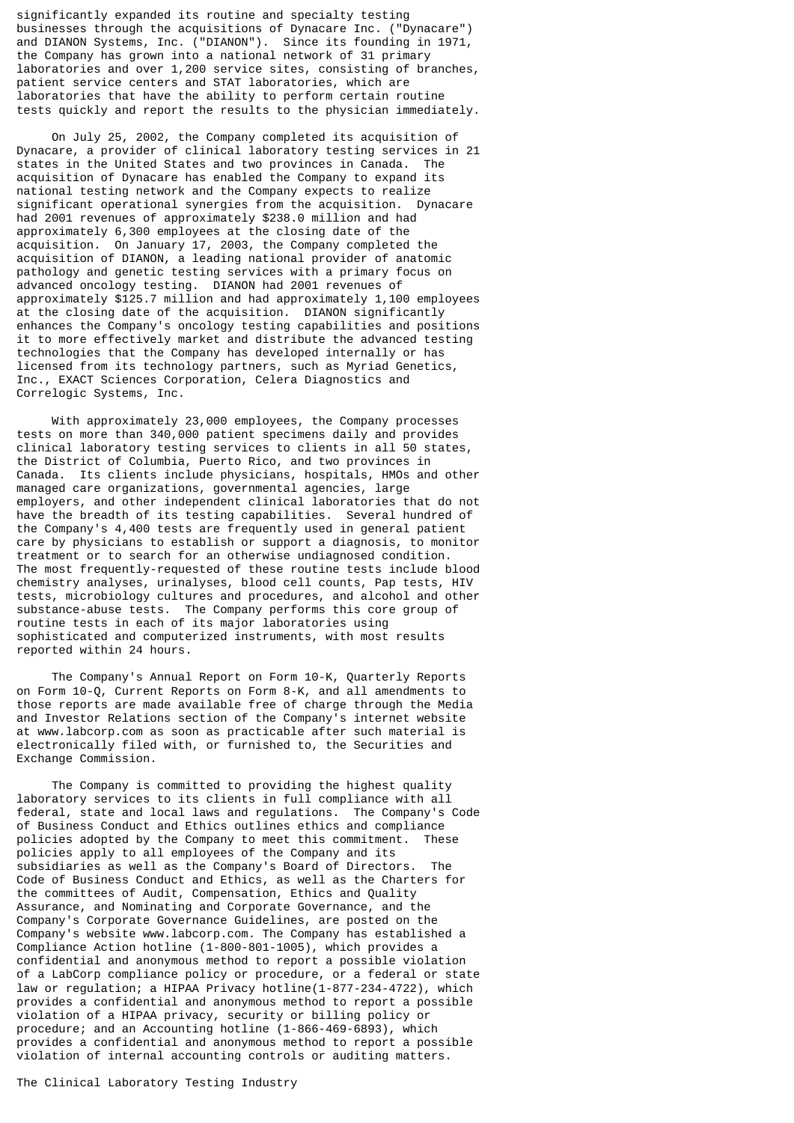significantly expanded its routine and specialty testing businesses through the acquisitions of Dynacare Inc. ("Dynacare") and DIANON Systems, Inc. ("DIANON"). Since its founding in 1971, the Company has grown into a national network of 31 primary laboratories and over 1,200 service sites, consisting of branches, patient service centers and STAT laboratories, which are laboratories that have the ability to perform certain routine tests quickly and report the results to the physician immediately.

 On July 25, 2002, the Company completed its acquisition of Dynacare, a provider of clinical laboratory testing services in 21 states in the United States and two provinces in Canada. The acquisition of Dynacare has enabled the Company to expand its national testing network and the Company expects to realize significant operational synergies from the acquisition. Dynacare had 2001 revenues of approximately \$238.0 million and had approximately 6,300 employees at the closing date of the acquisition. On January 17, 2003, the Company completed the acquisition of DIANON, a leading national provider of anatomic pathology and genetic testing services with a primary focus on advanced oncology testing. DIANON had 2001 revenues of approximately \$125.7 million and had approximately 1,100 employees at the closing date of the acquisition. DIANON significantly enhances the Company's oncology testing capabilities and positions it to more effectively market and distribute the advanced testing technologies that the Company has developed internally or has licensed from its technology partners, such as Myriad Genetics, Inc., EXACT Sciences Corporation, Celera Diagnostics and Correlogic Systems, Inc.

 With approximately 23,000 employees, the Company processes tests on more than 340,000 patient specimens daily and provides clinical laboratory testing services to clients in all 50 states, the District of Columbia, Puerto Rico, and two provinces in Canada. Its clients include physicians, hospitals, HMOs and other managed care organizations, governmental agencies, large employers, and other independent clinical laboratories that do not have the breadth of its testing capabilities. Several hundred of the Company's 4,400 tests are frequently used in general patient care by physicians to establish or support a diagnosis, to monitor treatment or to search for an otherwise undiagnosed condition. The most frequently-requested of these routine tests include blood chemistry analyses, urinalyses, blood cell counts, Pap tests, HIV tests, microbiology cultures and procedures, and alcohol and other substance-abuse tests. The Company performs this core group of routine tests in each of its major laboratories using sophisticated and computerized instruments, with most results reported within 24 hours.

 The Company's Annual Report on Form 10-K, Quarterly Reports on Form 10-Q, Current Reports on Form 8-K, and all amendments to those reports are made available free of charge through the Media and Investor Relations section of the Company's internet website at www.labcorp.com as soon as practicable after such material is electronically filed with, or furnished to, the Securities and Exchange Commission.

 The Company is committed to providing the highest quality laboratory services to its clients in full compliance with all federal, state and local laws and regulations. The Company's Code of Business Conduct and Ethics outlines ethics and compliance policies adopted by the Company to meet this commitment. These policies apply to all employees of the Company and its subsidiaries as well as the Company's Board of Directors. The Code of Business Conduct and Ethics, as well as the Charters for the committees of Audit, Compensation, Ethics and Quality Assurance, and Nominating and Corporate Governance, and the Company's Corporate Governance Guidelines, are posted on the Company's website www.labcorp.com. The Company has established a Compliance Action hotline (1-800-801-1005), which provides a confidential and anonymous method to report a possible violation of a LabCorp compliance policy or procedure, or a federal or state law or regulation; a HIPAA Privacy hotline(1-877-234-4722), which provides a confidential and anonymous method to report a possible violation of a HIPAA privacy, security or billing policy or procedure; and an Accounting hotline (1-866-469-6893), which provides a confidential and anonymous method to report a possible violation of internal accounting controls or auditing matters.

# The Clinical Laboratory Testing Industry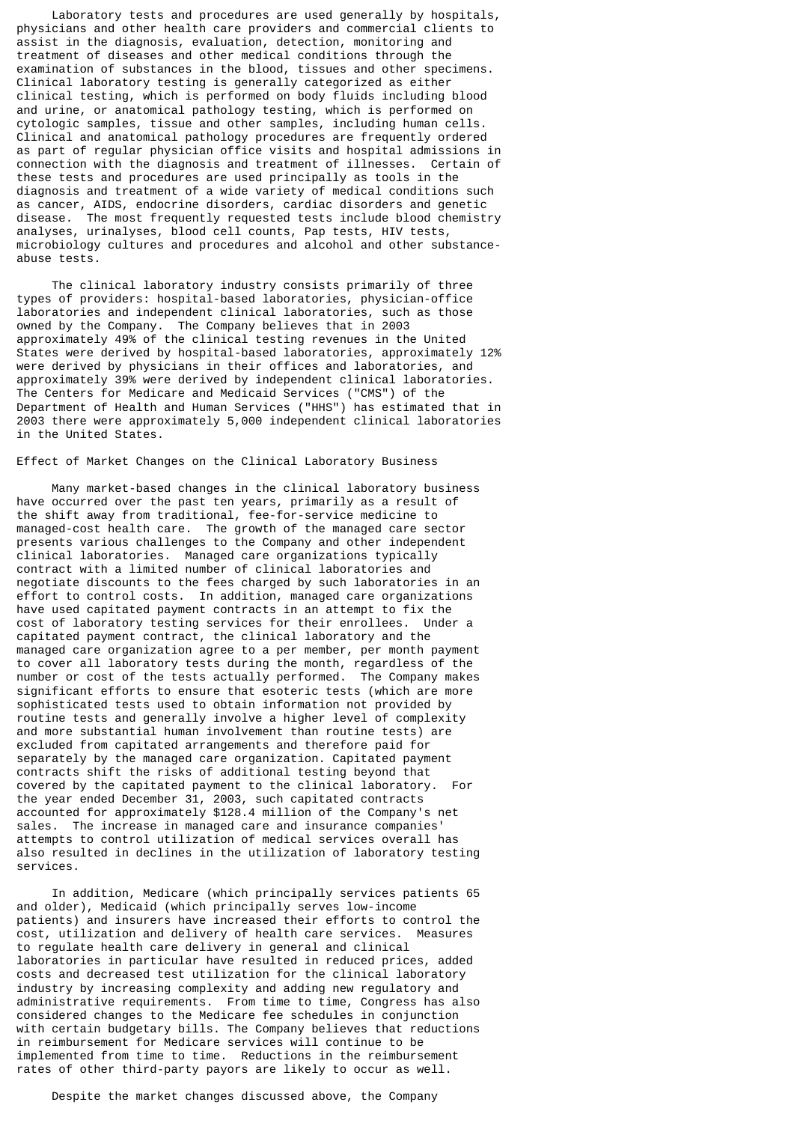Laboratory tests and procedures are used generally by hospitals, physicians and other health care providers and commercial clients to assist in the diagnosis, evaluation, detection, monitoring and treatment of diseases and other medical conditions through the examination of substances in the blood, tissues and other specimens. Clinical laboratory testing is generally categorized as either clinical testing, which is performed on body fluids including blood and urine, or anatomical pathology testing, which is performed on cytologic samples, tissue and other samples, including human cells. Clinical and anatomical pathology procedures are frequently ordered as part of regular physician office visits and hospital admissions in connection with the diagnosis and treatment of illnesses. Certain of these tests and procedures are used principally as tools in the diagnosis and treatment of a wide variety of medical conditions such as cancer, AIDS, endocrine disorders, cardiac disorders and genetic disease. The most frequently requested tests include blood chemistry analyses, urinalyses, blood cell counts, Pap tests, HIV tests, microbiology cultures and procedures and alcohol and other substanceabuse tests.

 The clinical laboratory industry consists primarily of three types of providers: hospital-based laboratories, physician-office laboratories and independent clinical laboratories, such as those owned by the Company. The Company believes that in 2003 approximately 49% of the clinical testing revenues in the United States were derived by hospital-based laboratories, approximately 12% were derived by physicians in their offices and laboratories, and approximately 39% were derived by independent clinical laboratories. The Centers for Medicare and Medicaid Services ("CMS") of the Department of Health and Human Services ("HHS") has estimated that in 2003 there were approximately 5,000 independent clinical laboratories in the United States.

# Effect of Market Changes on the Clinical Laboratory Business

 Many market-based changes in the clinical laboratory business have occurred over the past ten years, primarily as a result of the shift away from traditional, fee-for-service medicine to managed-cost health care. The growth of the managed care sector presents various challenges to the Company and other independent clinical laboratories. Managed care organizations typically contract with a limited number of clinical laboratories and negotiate discounts to the fees charged by such laboratories in an effort to control costs. In addition, managed care organizations have used capitated payment contracts in an attempt to fix the cost of laboratory testing services for their enrollees. Under a capitated payment contract, the clinical laboratory and the managed care organization agree to a per member, per month payment to cover all laboratory tests during the month, regardless of the number or cost of the tests actually performed. The Company makes significant efforts to ensure that esoteric tests (which are more sophisticated tests used to obtain information not provided by routine tests and generally involve a higher level of complexity and more substantial human involvement than routine tests) are excluded from capitated arrangements and therefore paid for separately by the managed care organization. Capitated payment contracts shift the risks of additional testing beyond that covered by the capitated payment to the clinical laboratory. For the year ended December 31, 2003, such capitated contracts accounted for approximately \$128.4 million of the Company's net sales. The increase in managed care and insurance companies' attempts to control utilization of medical services overall has also resulted in declines in the utilization of laboratory testing services.

 In addition, Medicare (which principally services patients 65 and older), Medicaid (which principally serves low-income patients) and insurers have increased their efforts to control the cost, utilization and delivery of health care services. Measures to regulate health care delivery in general and clinical laboratories in particular have resulted in reduced prices, added costs and decreased test utilization for the clinical laboratory industry by increasing complexity and adding new regulatory and administrative requirements. From time to time, Congress has also considered changes to the Medicare fee schedules in conjunction with certain budgetary bills. The Company believes that reductions in reimbursement for Medicare services will continue to be implemented from time to time. Reductions in the reimbursement rates of other third-party payors are likely to occur as well.

Despite the market changes discussed above, the Company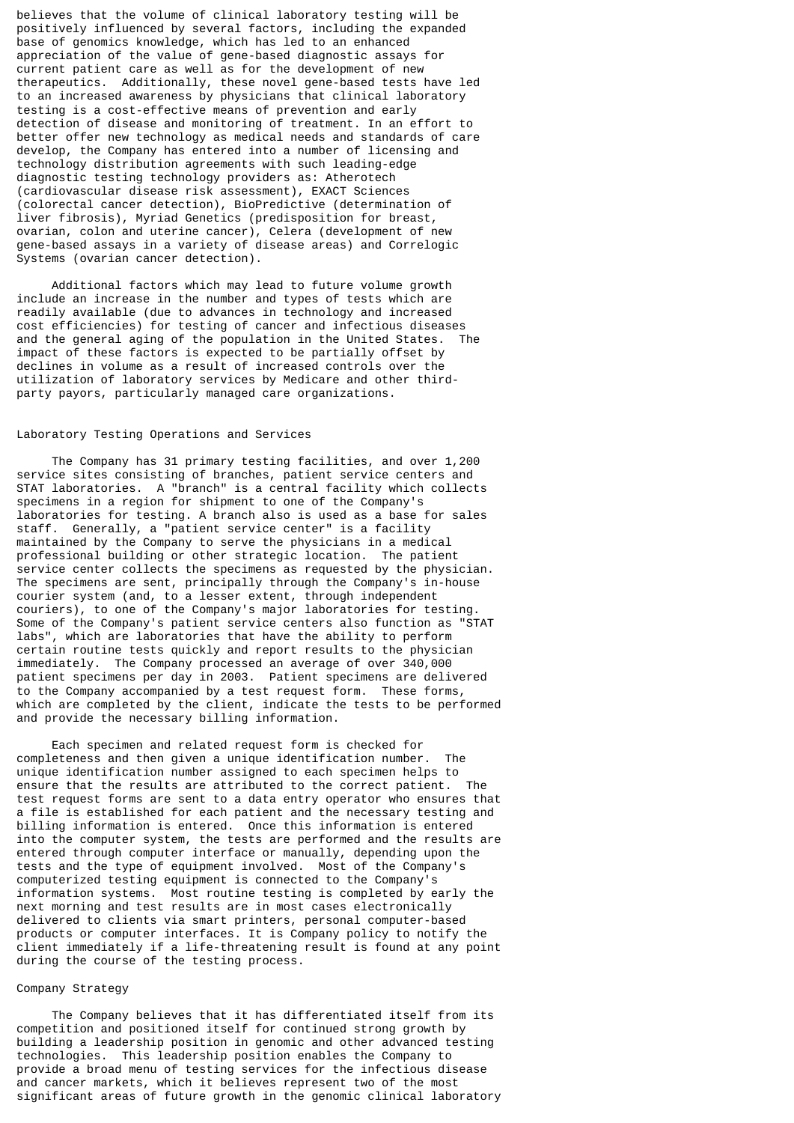believes that the volume of clinical laboratory testing will be positively influenced by several factors, including the expanded base of genomics knowledge, which has led to an enhanced appreciation of the value of gene-based diagnostic assays for current patient care as well as for the development of new therapeutics. Additionally, these novel gene-based tests have led to an increased awareness by physicians that clinical laboratory testing is a cost-effective means of prevention and early detection of disease and monitoring of treatment. In an effort to better offer new technology as medical needs and standards of care develop, the Company has entered into a number of licensing and technology distribution agreements with such leading-edge diagnostic testing technology providers as: Atherotech (cardiovascular disease risk assessment), EXACT Sciences (colorectal cancer detection), BioPredictive (determination of liver fibrosis), Myriad Genetics (predisposition for breast, ovarian, colon and uterine cancer), Celera (development of new gene-based assays in a variety of disease areas) and Correlogic Systems (ovarian cancer detection).

 Additional factors which may lead to future volume growth include an increase in the number and types of tests which are readily available (due to advances in technology and increased cost efficiencies) for testing of cancer and infectious diseases and the general aging of the population in the United States. The impact of these factors is expected to be partially offset by declines in volume as a result of increased controls over the utilization of laboratory services by Medicare and other thirdparty payors, particularly managed care organizations.

# Laboratory Testing Operations and Services

 The Company has 31 primary testing facilities, and over 1,200 service sites consisting of branches, patient service centers and STAT laboratories. A "branch" is a central facility which collects specimens in a region for shipment to one of the Company's laboratories for testing. A branch also is used as a base for sales staff. Generally, a "patient service center" is a facility maintained by the Company to serve the physicians in a medical professional building or other strategic location. The patient service center collects the specimens as requested by the physician. The specimens are sent, principally through the Company's in-house courier system (and, to a lesser extent, through independent couriers), to one of the Company's major laboratories for testing. Some of the Company's patient service centers also function as "STAT labs", which are laboratories that have the ability to perform certain routine tests quickly and report results to the physician immediately. The Company processed an average of over 340,000 patient specimens per day in 2003. Patient specimens are delivered to the Company accompanied by a test request form. These forms, which are completed by the client, indicate the tests to be performed and provide the necessary billing information.

 Each specimen and related request form is checked for completeness and then given a unique identification number. The unique identification number assigned to each specimen helps to ensure that the results are attributed to the correct patient. The test request forms are sent to a data entry operator who ensures that a file is established for each patient and the necessary testing and billing information is entered. Once this information is entered into the computer system, the tests are performed and the results are entered through computer interface or manually, depending upon the tests and the type of equipment involved. Most of the Company's computerized testing equipment is connected to the Company's information systems. Most routine testing is completed by early the next morning and test results are in most cases electronically delivered to clients via smart printers, personal computer-based products or computer interfaces. It is Company policy to notify the client immediately if a life-threatening result is found at any point during the course of the testing process.

# Company Strategy

 The Company believes that it has differentiated itself from its competition and positioned itself for continued strong growth by building a leadership position in genomic and other advanced testing technologies. This leadership position enables the Company to provide a broad menu of testing services for the infectious disease and cancer markets, which it believes represent two of the most significant areas of future growth in the genomic clinical laboratory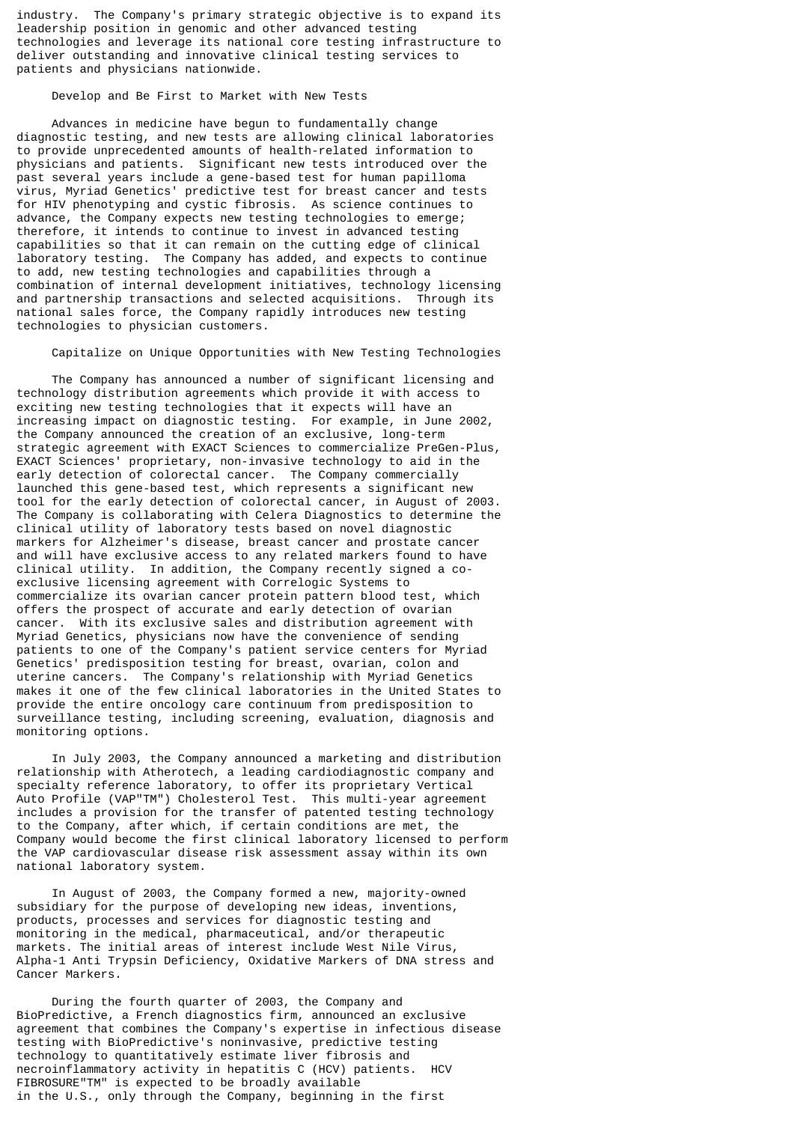industry. The Company's primary strategic objective is to expand its leadership position in genomic and other advanced testing technologies and leverage its national core testing infrastructure to deliver outstanding and innovative clinical testing services to patients and physicians nationwide.

### Develop and Be First to Market with New Tests

 Advances in medicine have begun to fundamentally change diagnostic testing, and new tests are allowing clinical laboratories to provide unprecedented amounts of health-related information to physicians and patients. Significant new tests introduced over the past several years include a gene-based test for human papilloma virus, Myriad Genetics' predictive test for breast cancer and tests for HIV phenotyping and cystic fibrosis. As science continues to advance, the Company expects new testing technologies to emerge; therefore, it intends to continue to invest in advanced testing capabilities so that it can remain on the cutting edge of clinical laboratory testing. The Company has added, and expects to continue to add, new testing technologies and capabilities through a combination of internal development initiatives, technology licensing and partnership transactions and selected acquisitions. Through its national sales force, the Company rapidly introduces new testing technologies to physician customers.

Capitalize on Unique Opportunities with New Testing Technologies

 The Company has announced a number of significant licensing and technology distribution agreements which provide it with access to exciting new testing technologies that it expects will have an increasing impact on diagnostic testing. For example, in June 2002, the Company announced the creation of an exclusive, long-term strategic agreement with EXACT Sciences to commercialize PreGen-Plus, EXACT Sciences' proprietary, non-invasive technology to aid in the early detection of colorectal cancer. The Company commercially launched this gene-based test, which represents a significant new tool for the early detection of colorectal cancer, in August of 2003. The Company is collaborating with Celera Diagnostics to determine the clinical utility of laboratory tests based on novel diagnostic markers for Alzheimer's disease, breast cancer and prostate cancer and will have exclusive access to any related markers found to have clinical utility. In addition, the Company recently signed a coexclusive licensing agreement with Correlogic Systems to commercialize its ovarian cancer protein pattern blood test, which offers the prospect of accurate and early detection of ovarian cancer. With its exclusive sales and distribution agreement with Myriad Genetics, physicians now have the convenience of sending patients to one of the Company's patient service centers for Myriad Genetics' predisposition testing for breast, ovarian, colon and uterine cancers. The Company's relationship with Myriad Genetics makes it one of the few clinical laboratories in the United States to provide the entire oncology care continuum from predisposition to surveillance testing, including screening, evaluation, diagnosis and monitoring options.

 In July 2003, the Company announced a marketing and distribution relationship with Atherotech, a leading cardiodiagnostic company and specialty reference laboratory, to offer its proprietary Vertical Auto Profile (VAP"TM") Cholesterol Test. This multi-year agreement includes a provision for the transfer of patented testing technology to the Company, after which, if certain conditions are met, the Company would become the first clinical laboratory licensed to perform the VAP cardiovascular disease risk assessment assay within its own national laboratory system.

 In August of 2003, the Company formed a new, majority-owned subsidiary for the purpose of developing new ideas, inventions, products, processes and services for diagnostic testing and monitoring in the medical, pharmaceutical, and/or therapeutic markets. The initial areas of interest include West Nile Virus, Alpha-1 Anti Trypsin Deficiency, Oxidative Markers of DNA stress and Cancer Markers.

 During the fourth quarter of 2003, the Company and BioPredictive, a French diagnostics firm, announced an exclusive agreement that combines the Company's expertise in infectious disease testing with BioPredictive's noninvasive, predictive testing technology to quantitatively estimate liver fibrosis and necroinflammatory activity in hepatitis C (HCV) patients. HCV FIBROSURE"TM" is expected to be broadly available in the U.S., only through the Company, beginning in the first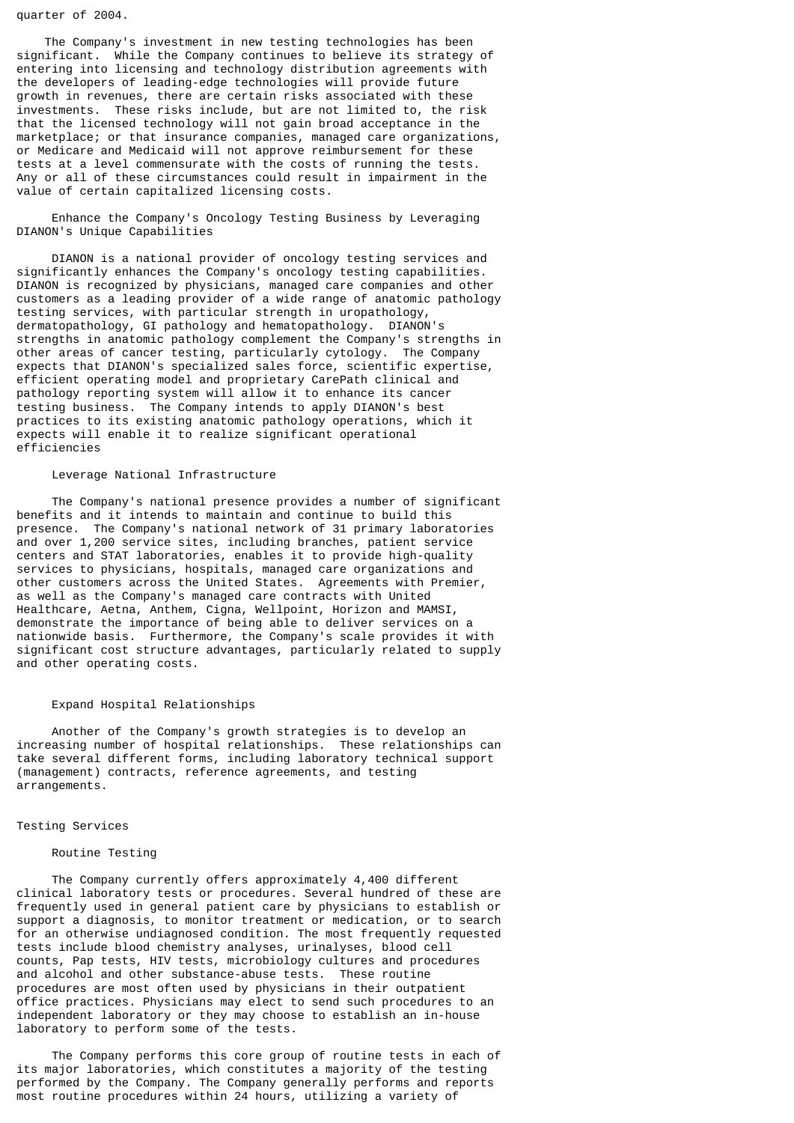quarter of 2004.

 The Company's investment in new testing technologies has been significant. While the Company continues to believe its strategy of entering into licensing and technology distribution agreements with the developers of leading-edge technologies will provide future growth in revenues, there are certain risks associated with these investments. These risks include, but are not limited to, the risk that the licensed technology will not gain broad acceptance in the marketplace; or that insurance companies, managed care organizations, or Medicare and Medicaid will not approve reimbursement for these tests at a level commensurate with the costs of running the tests. Any or all of these circumstances could result in impairment in the value of certain capitalized licensing costs.

 Enhance the Company's Oncology Testing Business by Leveraging DIANON's Unique Capabilities

 DIANON is a national provider of oncology testing services and significantly enhances the Company's oncology testing capabilities. DIANON is recognized by physicians, managed care companies and other customers as a leading provider of a wide range of anatomic pathology testing services, with particular strength in uropathology, dermatopathology, GI pathology and hematopathology. DIANON's strengths in anatomic pathology complement the Company's strengths in other areas of cancer testing, particularly cytology. The Company expects that DIANON's specialized sales force, scientific expertise, efficient operating model and proprietary CarePath clinical and pathology reporting system will allow it to enhance its cancer testing business. The Company intends to apply DIANON's best practices to its existing anatomic pathology operations, which it expects will enable it to realize significant operational efficiencies

## Leverage National Infrastructure

 The Company's national presence provides a number of significant benefits and it intends to maintain and continue to build this presence. The Company's national network of 31 primary laboratories and over 1,200 service sites, including branches, patient service centers and STAT laboratories, enables it to provide high-quality services to physicians, hospitals, managed care organizations and other customers across the United States. Agreements with Premier, as well as the Company's managed care contracts with United Healthcare, Aetna, Anthem, Cigna, Wellpoint, Horizon and MAMSI, demonstrate the importance of being able to deliver services on a nationwide basis. Furthermore, the Company's scale provides it with significant cost structure advantages, particularly related to supply and other operating costs.

#### Expand Hospital Relationships

 Another of the Company's growth strategies is to develop an increasing number of hospital relationships. These relationships can take several different forms, including laboratory technical support (management) contracts, reference agreements, and testing arrangements.

Testing Services

### Routine Testing

 The Company currently offers approximately 4,400 different clinical laboratory tests or procedures. Several hundred of these are frequently used in general patient care by physicians to establish or support a diagnosis, to monitor treatment or medication, or to search for an otherwise undiagnosed condition. The most frequently requested tests include blood chemistry analyses, urinalyses, blood cell counts, Pap tests, HIV tests, microbiology cultures and procedures and alcohol and other substance-abuse tests. These routine procedures are most often used by physicians in their outpatient office practices. Physicians may elect to send such procedures to an independent laboratory or they may choose to establish an in-house laboratory to perform some of the tests.

 The Company performs this core group of routine tests in each of its major laboratories, which constitutes a majority of the testing performed by the Company. The Company generally performs and reports most routine procedures within 24 hours, utilizing a variety of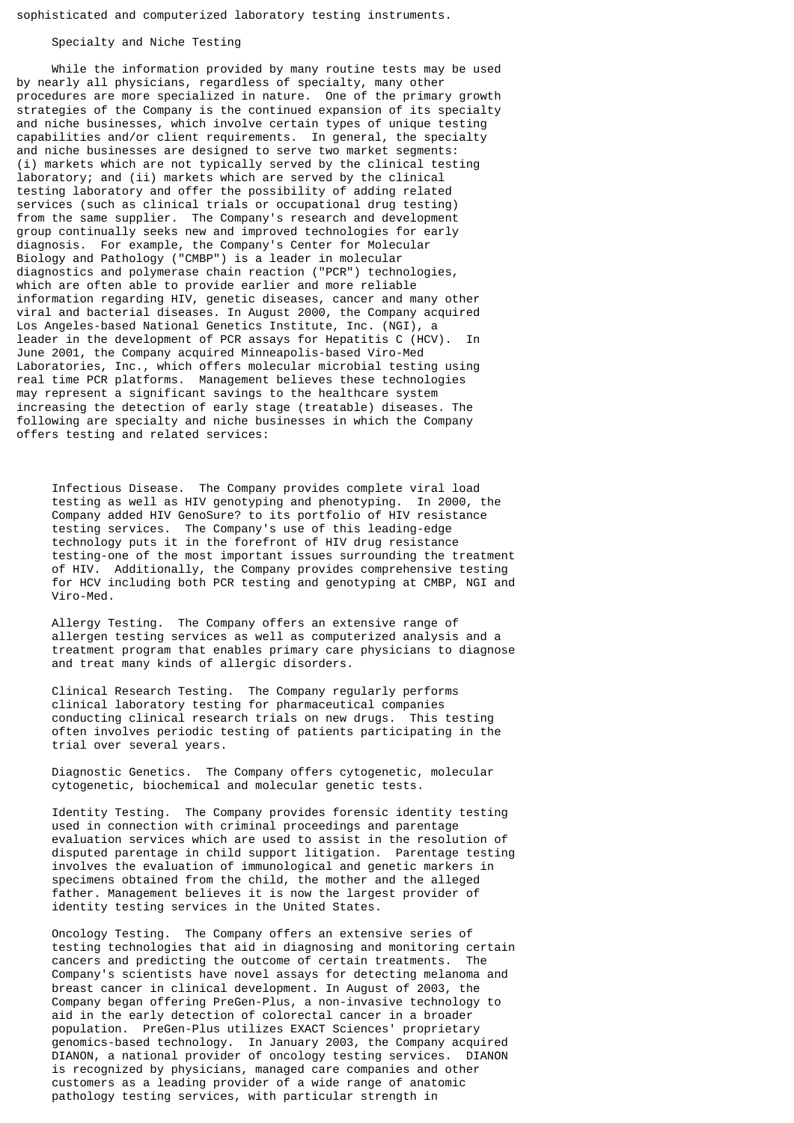sophisticated and computerized laboratory testing instruments.

### Specialty and Niche Testing

 While the information provided by many routine tests may be used by nearly all physicians, regardless of specialty, many other procedures are more specialized in nature. One of the primary growth strategies of the Company is the continued expansion of its specialty and niche businesses, which involve certain types of unique testing capabilities and/or client requirements. In general, the specialty and niche businesses are designed to serve two market segments: (i) markets which are not typically served by the clinical testing laboratory; and (ii) markets which are served by the clinical testing laboratory and offer the possibility of adding related services (such as clinical trials or occupational drug testing) from the same supplier. The Company's research and development group continually seeks new and improved technologies for early diagnosis. For example, the Company's Center for Molecular Biology and Pathology ("CMBP") is a leader in molecular diagnostics and polymerase chain reaction ("PCR") technologies, which are often able to provide earlier and more reliable information regarding HIV, genetic diseases, cancer and many other viral and bacterial diseases. In August 2000, the Company acquired Los Angeles-based National Genetics Institute, Inc. (NGI), a leader in the development of PCR assays for Hepatitis C (HCV). In June 2001, the Company acquired Minneapolis-based Viro-Med Laboratories, Inc., which offers molecular microbial testing using real time PCR platforms. Management believes these technologies may represent a significant savings to the healthcare system increasing the detection of early stage (treatable) diseases. The following are specialty and niche businesses in which the Company offers testing and related services:

 Infectious Disease. The Company provides complete viral load testing as well as HIV genotyping and phenotyping. In 2000, the Company added HIV GenoSure? to its portfolio of HIV resistance testing services. The Company's use of this leading-edge technology puts it in the forefront of HIV drug resistance testing-one of the most important issues surrounding the treatment of HIV. Additionally, the Company provides comprehensive testing for HCV including both PCR testing and genotyping at CMBP, NGI and Viro-Med.

 Allergy Testing. The Company offers an extensive range of allergen testing services as well as computerized analysis and a treatment program that enables primary care physicians to diagnose and treat many kinds of allergic disorders.

 Clinical Research Testing. The Company regularly performs clinical laboratory testing for pharmaceutical companies conducting clinical research trials on new drugs. This testing often involves periodic testing of patients participating in the trial over several years.

 Diagnostic Genetics. The Company offers cytogenetic, molecular cytogenetic, biochemical and molecular genetic tests.

 Identity Testing. The Company provides forensic identity testing used in connection with criminal proceedings and parentage evaluation services which are used to assist in the resolution of disputed parentage in child support litigation. Parentage testing involves the evaluation of immunological and genetic markers in specimens obtained from the child, the mother and the alleged father. Management believes it is now the largest provider of identity testing services in the United States.

 Oncology Testing. The Company offers an extensive series of testing technologies that aid in diagnosing and monitoring certain cancers and predicting the outcome of certain treatments. The Company's scientists have novel assays for detecting melanoma and breast cancer in clinical development. In August of 2003, the Company began offering PreGen-Plus, a non-invasive technology to aid in the early detection of colorectal cancer in a broader population. PreGen-Plus utilizes EXACT Sciences' proprietary genomics-based technology. In January 2003, the Company acquired DIANON, a national provider of oncology testing services. DIANON is recognized by physicians, managed care companies and other customers as a leading provider of a wide range of anatomic pathology testing services, with particular strength in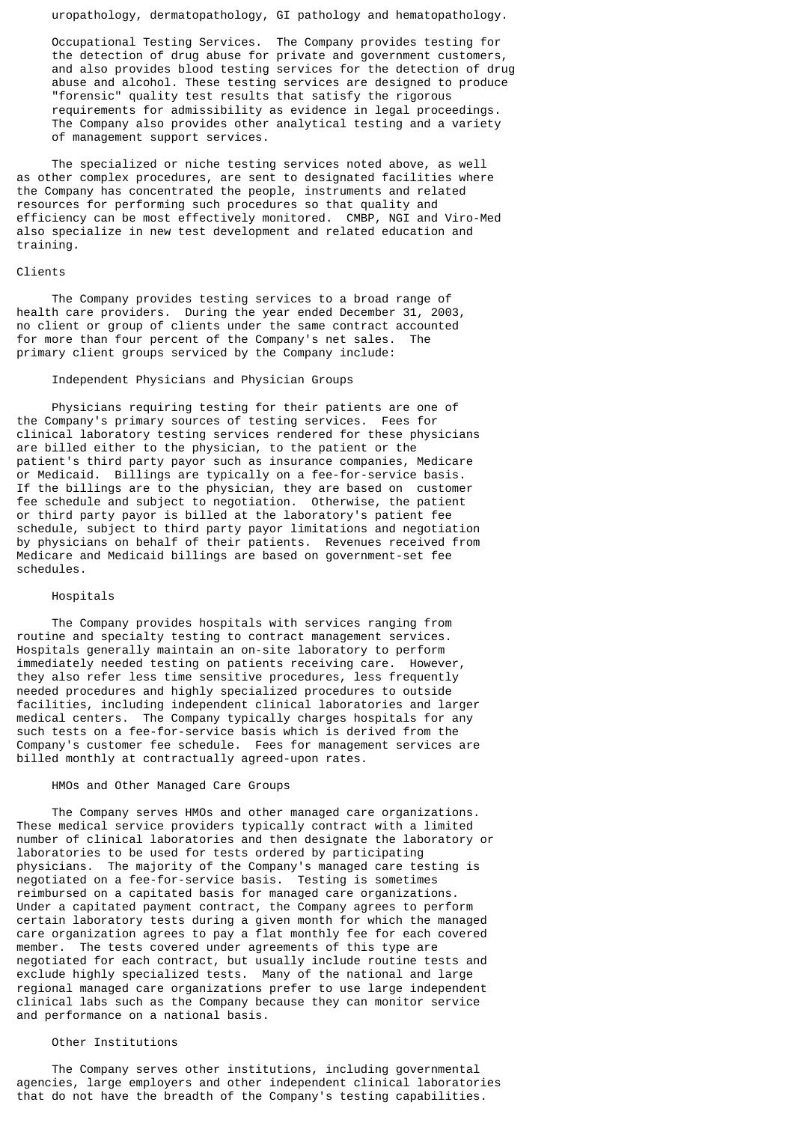uropathology, dermatopathology, GI pathology and hematopathology.

 Occupational Testing Services. The Company provides testing for the detection of drug abuse for private and government customers, and also provides blood testing services for the detection of drug abuse and alcohol. These testing services are designed to produce "forensic" quality test results that satisfy the rigorous requirements for admissibility as evidence in legal proceedings. The Company also provides other analytical testing and a variety of management support services.

 The specialized or niche testing services noted above, as well as other complex procedures, are sent to designated facilities where the Company has concentrated the people, instruments and related resources for performing such procedures so that quality and efficiency can be most effectively monitored. CMBP, NGI and Viro-Med also specialize in new test development and related education and training.

#### Clients

 The Company provides testing services to a broad range of health care providers. During the year ended December 31, 2003, no client or group of clients under the same contract accounted for more than four percent of the Company's net sales. The primary client groups serviced by the Company include:

# Independent Physicians and Physician Groups

 Physicians requiring testing for their patients are one of the Company's primary sources of testing services. Fees for clinical laboratory testing services rendered for these physicians are billed either to the physician, to the patient or the patient's third party payor such as insurance companies, Medicare or Medicaid. Billings are typically on a fee-for-service basis. If the billings are to the physician, they are based on customer fee schedule and subject to negotiation. Otherwise, the patient or third party payor is billed at the laboratory's patient fee schedule, subject to third party payor limitations and negotiation by physicians on behalf of their patients. Revenues received from Medicare and Medicaid billings are based on government-set fee schedules.

### Hospitals

 The Company provides hospitals with services ranging from routine and specialty testing to contract management services. Hospitals generally maintain an on-site laboratory to perform immediately needed testing on patients receiving care. However, they also refer less time sensitive procedures, less frequently needed procedures and highly specialized procedures to outside facilities, including independent clinical laboratories and larger medical centers. The Company typically charges hospitals for any such tests on a fee-for-service basis which is derived from the Company's customer fee schedule. Fees for management services are billed monthly at contractually agreed-upon rates.

#### HMOs and Other Managed Care Groups

 The Company serves HMOs and other managed care organizations. These medical service providers typically contract with a limited number of clinical laboratories and then designate the laboratory or laboratories to be used for tests ordered by participating physicians. The majority of the Company's managed care testing is negotiated on a fee-for-service basis. Testing is sometimes reimbursed on a capitated basis for managed care organizations. Under a capitated payment contract, the Company agrees to perform certain laboratory tests during a given month for which the managed care organization agrees to pay a flat monthly fee for each covered member. The tests covered under agreements of this type are negotiated for each contract, but usually include routine tests and exclude highly specialized tests. Many of the national and large regional managed care organizations prefer to use large independent clinical labs such as the Company because they can monitor service and performance on a national basis.

#### Other Institutions

 The Company serves other institutions, including governmental agencies, large employers and other independent clinical laboratories that do not have the breadth of the Company's testing capabilities.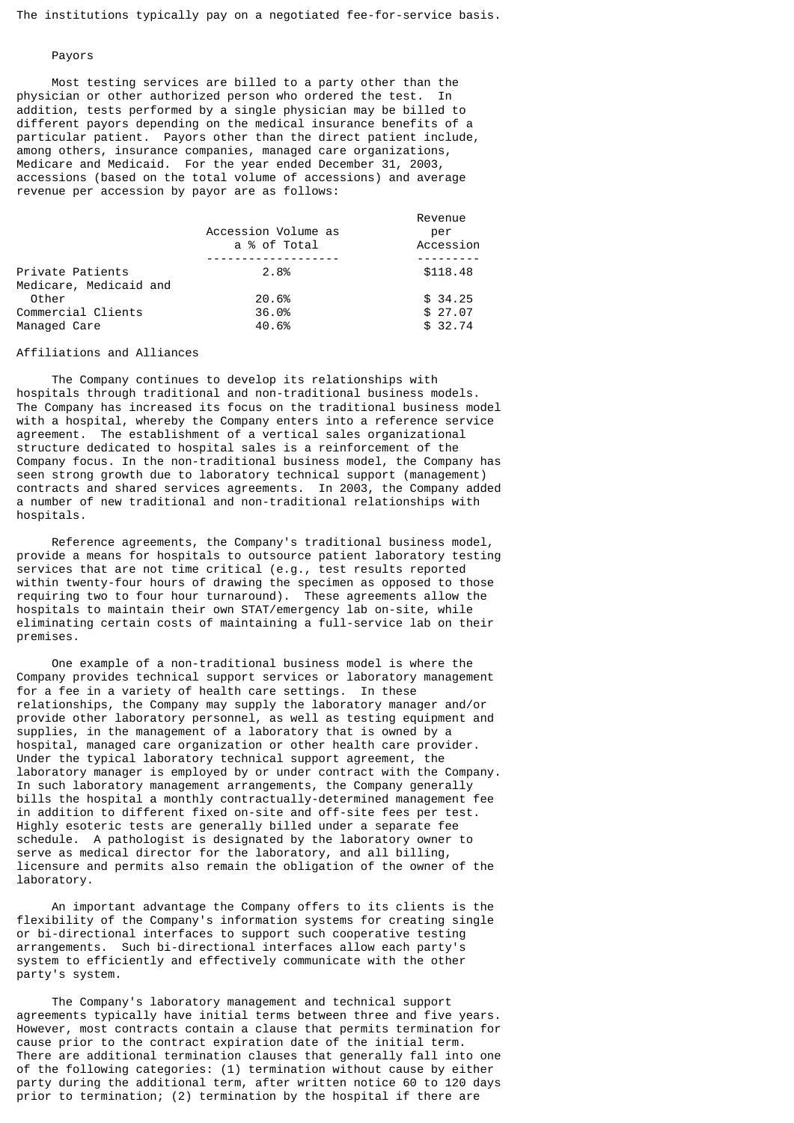#### The institutions typically pay on a negotiated fee-for-service basis.

# Payors

 Most testing services are billed to a party other than the physician or other authorized person who ordered the test. In addition, tests performed by a single physician may be billed to different payors depending on the medical insurance benefits of a particular patient. Payors other than the direct patient include, among others, insurance companies, managed care organizations, Medicare and Medicaid. For the year ended December 31, 2003, accessions (based on the total volume of accessions) and average revenue per accession by payor are as follows:

|                        | Accession Volume as<br>a % of Total | Revenue<br>per<br>Accession |
|------------------------|-------------------------------------|-----------------------------|
|                        |                                     |                             |
| Private Patients       | 2.8%                                | \$118.48                    |
| Medicare, Medicaid and |                                     |                             |
| Other                  | 20.6%                               | \$34.25                     |
| Commercial Clients     | 36.0%                               | \$27.07                     |
| Managed Care           | 40.6%                               | \$32.74                     |

#### Affiliations and Alliances

 The Company continues to develop its relationships with hospitals through traditional and non-traditional business models. The Company has increased its focus on the traditional business model with a hospital, whereby the Company enters into a reference service agreement. The establishment of a vertical sales organizational structure dedicated to hospital sales is a reinforcement of the Company focus. In the non-traditional business model, the Company has seen strong growth due to laboratory technical support (management) contracts and shared services agreements. In 2003, the Company added a number of new traditional and non-traditional relationships with hospitals.

 Reference agreements, the Company's traditional business model, provide a means for hospitals to outsource patient laboratory testing services that are not time critical (e.g., test results reported within twenty-four hours of drawing the specimen as opposed to those requiring two to four hour turnaround). These agreements allow the hospitals to maintain their own STAT/emergency lab on-site, while eliminating certain costs of maintaining a full-service lab on their premises.

 One example of a non-traditional business model is where the Company provides technical support services or laboratory management for a fee in a variety of health care settings. In these relationships, the Company may supply the laboratory manager and/or provide other laboratory personnel, as well as testing equipment and supplies, in the management of a laboratory that is owned by a hospital, managed care organization or other health care provider. Under the typical laboratory technical support agreement, the laboratory manager is employed by or under contract with the Company. In such laboratory management arrangements, the Company generally bills the hospital a monthly contractually-determined management fee in addition to different fixed on-site and off-site fees per test. Highly esoteric tests are generally billed under a separate fee schedule. A pathologist is designated by the laboratory owner to serve as medical director for the laboratory, and all billing, licensure and permits also remain the obligation of the owner of the laboratory.

 An important advantage the Company offers to its clients is the flexibility of the Company's information systems for creating single or bi-directional interfaces to support such cooperative testing arrangements. Such bi-directional interfaces allow each party's system to efficiently and effectively communicate with the other party's system.

 The Company's laboratory management and technical support agreements typically have initial terms between three and five years. However, most contracts contain a clause that permits termination for cause prior to the contract expiration date of the initial term. There are additional termination clauses that generally fall into one of the following categories: (1) termination without cause by either party during the additional term, after written notice 60 to 120 days prior to termination; (2) termination by the hospital if there are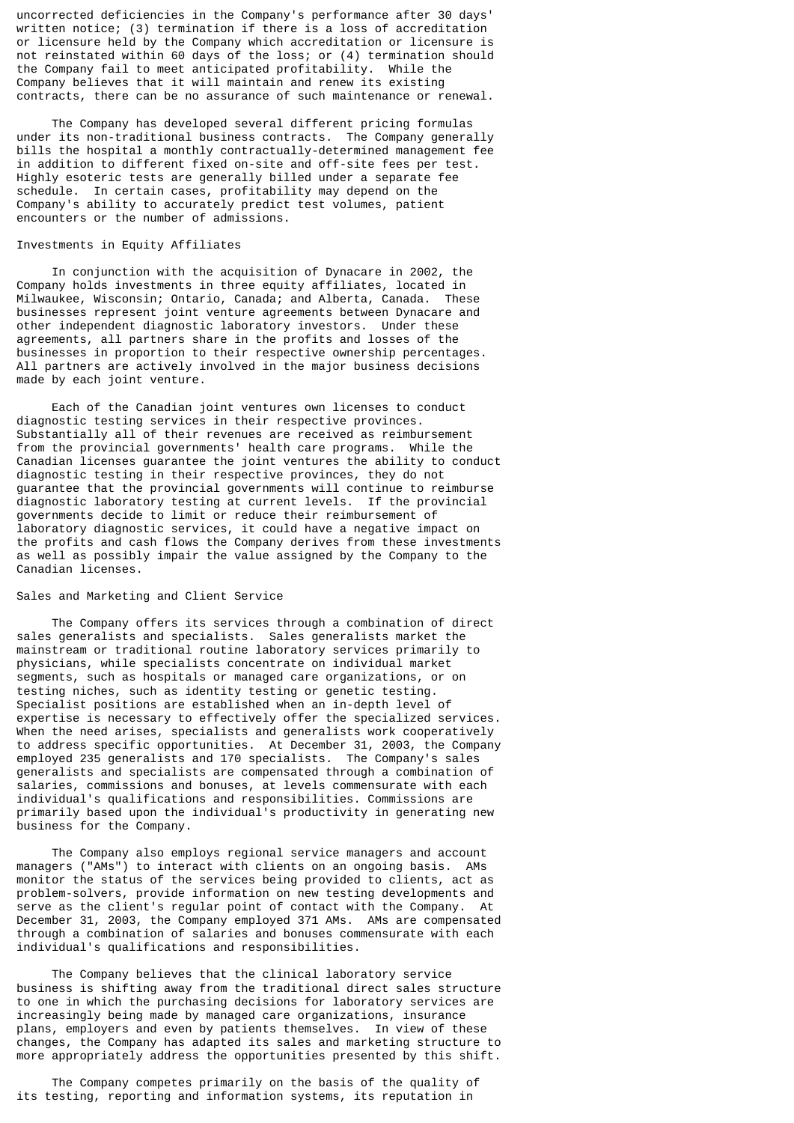uncorrected deficiencies in the Company's performance after 30 days' written notice; (3) termination if there is a loss of accreditation or licensure held by the Company which accreditation or licensure is not reinstated within 60 days of the loss; or (4) termination should the Company fail to meet anticipated profitability. While the Company believes that it will maintain and renew its existing contracts, there can be no assurance of such maintenance or renewal.

 The Company has developed several different pricing formulas under its non-traditional business contracts. The Company generally bills the hospital a monthly contractually-determined management fee in addition to different fixed on-site and off-site fees per test. Highly esoteric tests are generally billed under a separate fee schedule. In certain cases, profitability may depend on the Company's ability to accurately predict test volumes, patient encounters or the number of admissions.

### Investments in Equity Affiliates

 In conjunction with the acquisition of Dynacare in 2002, the Company holds investments in three equity affiliates, located in Milwaukee, Wisconsin; Ontario, Canada; and Alberta, Canada. These businesses represent joint venture agreements between Dynacare and other independent diagnostic laboratory investors. Under these agreements, all partners share in the profits and losses of the businesses in proportion to their respective ownership percentages. All partners are actively involved in the major business decisions made by each joint venture.

 Each of the Canadian joint ventures own licenses to conduct diagnostic testing services in their respective provinces. Substantially all of their revenues are received as reimbursement from the provincial governments' health care programs. While the Canadian licenses guarantee the joint ventures the ability to conduct diagnostic testing in their respective provinces, they do not guarantee that the provincial governments will continue to reimburse diagnostic laboratory testing at current levels. If the provincial governments decide to limit or reduce their reimbursement of laboratory diagnostic services, it could have a negative impact on the profits and cash flows the Company derives from these investments as well as possibly impair the value assigned by the Company to the Canadian licenses.

#### Sales and Marketing and Client Service

 The Company offers its services through a combination of direct sales generalists and specialists. Sales generalists market the mainstream or traditional routine laboratory services primarily to physicians, while specialists concentrate on individual market segments, such as hospitals or managed care organizations, or on testing niches, such as identity testing or genetic testing. Specialist positions are established when an in-depth level of expertise is necessary to effectively offer the specialized services. When the need arises, specialists and generalists work cooperatively to address specific opportunities. At December 31, 2003, the Company employed 235 generalists and 170 specialists. The Company's sales generalists and specialists are compensated through a combination of salaries, commissions and bonuses, at levels commensurate with each individual's qualifications and responsibilities. Commissions are primarily based upon the individual's productivity in generating new business for the Company.

 The Company also employs regional service managers and account managers ("AMs") to interact with clients on an ongoing basis. AMs monitor the status of the services being provided to clients, act as problem-solvers, provide information on new testing developments and serve as the client's regular point of contact with the Company. At December 31, 2003, the Company employed 371 AMs. AMs are compensated through a combination of salaries and bonuses commensurate with each individual's qualifications and responsibilities.

 The Company believes that the clinical laboratory service business is shifting away from the traditional direct sales structure to one in which the purchasing decisions for laboratory services are increasingly being made by managed care organizations, insurance plans, employers and even by patients themselves. In view of these changes, the Company has adapted its sales and marketing structure to more appropriately address the opportunities presented by this shift.

 The Company competes primarily on the basis of the quality of its testing, reporting and information systems, its reputation in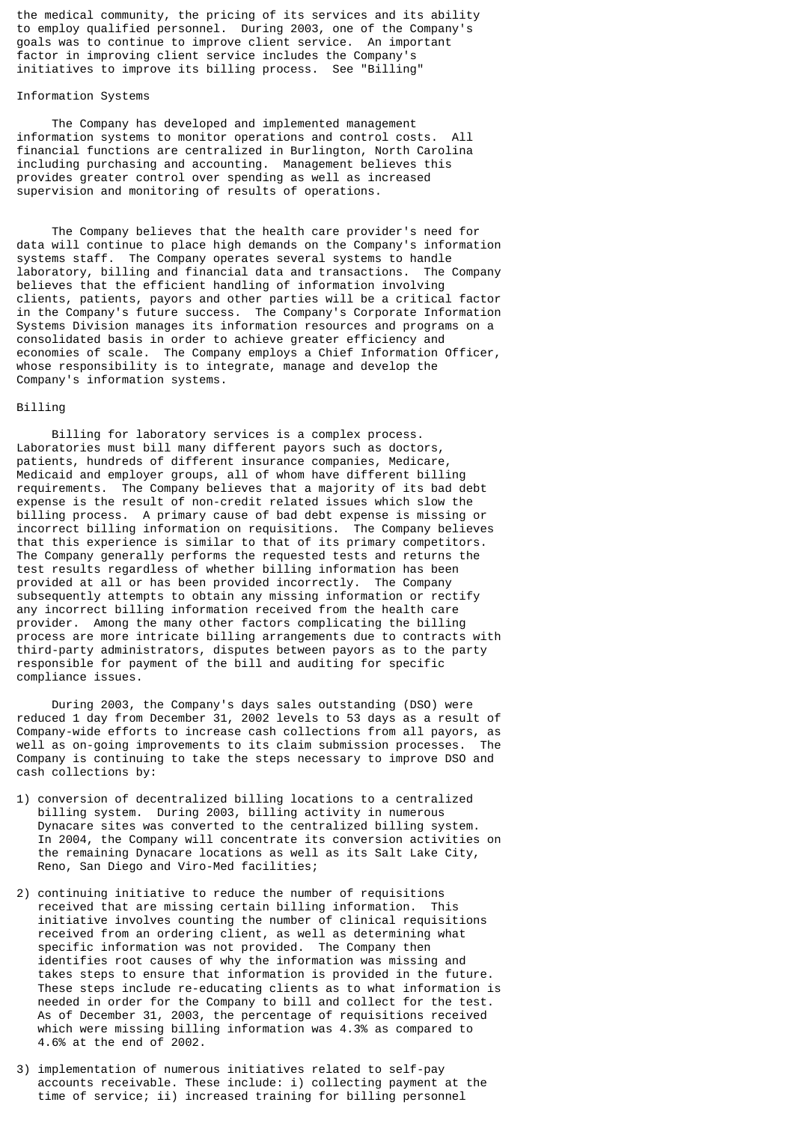the medical community, the pricing of its services and its ability to employ qualified personnel. During 2003, one of the Company's goals was to continue to improve client service. An important factor in improving client service includes the Company's initiatives to improve its billing process. See "Billing"

# Information Systems

 The Company has developed and implemented management information systems to monitor operations and control costs. All financial functions are centralized in Burlington, North Carolina including purchasing and accounting. Management believes this provides greater control over spending as well as increased supervision and monitoring of results of operations.

 The Company believes that the health care provider's need for data will continue to place high demands on the Company's information systems staff. The Company operates several systems to handle laboratory, billing and financial data and transactions. The Company believes that the efficient handling of information involving clients, patients, payors and other parties will be a critical factor in the Company's future success. The Company's Corporate Information Systems Division manages its information resources and programs on a consolidated basis in order to achieve greater efficiency and economies of scale. The Company employs a Chief Information Officer, whose responsibility is to integrate, manage and develop the Company's information systems.

#### Billing

 Billing for laboratory services is a complex process. Laboratories must bill many different payors such as doctors, patients, hundreds of different insurance companies, Medicare, Medicaid and employer groups, all of whom have different billing requirements. The Company believes that a majority of its bad debt expense is the result of non-credit related issues which slow the billing process. A primary cause of bad debt expense is missing or incorrect billing information on requisitions. The Company believes that this experience is similar to that of its primary competitors. The Company generally performs the requested tests and returns the test results regardless of whether billing information has been provided at all or has been provided incorrectly. The Company subsequently attempts to obtain any missing information or rectify any incorrect billing information received from the health care provider. Among the many other factors complicating the billing process are more intricate billing arrangements due to contracts with third-party administrators, disputes between payors as to the party responsible for payment of the bill and auditing for specific compliance issues.

 During 2003, the Company's days sales outstanding (DSO) were reduced 1 day from December 31, 2002 levels to 53 days as a result of Company-wide efforts to increase cash collections from all payors, as well as on-going improvements to its claim submission processes. The Company is continuing to take the steps necessary to improve DSO and cash collections by:

- 1) conversion of decentralized billing locations to a centralized billing system. During 2003, billing activity in numerous Dynacare sites was converted to the centralized billing system. In 2004, the Company will concentrate its conversion activities on the remaining Dynacare locations as well as its Salt Lake City, Reno, San Diego and Viro-Med facilities;
- 2) continuing initiative to reduce the number of requisitions received that are missing certain billing information. This initiative involves counting the number of clinical requisitions received from an ordering client, as well as determining what specific information was not provided. The Company then identifies root causes of why the information was missing and takes steps to ensure that information is provided in the future. These steps include re-educating clients as to what information is needed in order for the Company to bill and collect for the test. As of December 31, 2003, the percentage of requisitions received which were missing billing information was 4.3% as compared to 4.6% at the end of 2002.
- 3) implementation of numerous initiatives related to self-pay accounts receivable. These include: i) collecting payment at the time of service; ii) increased training for billing personnel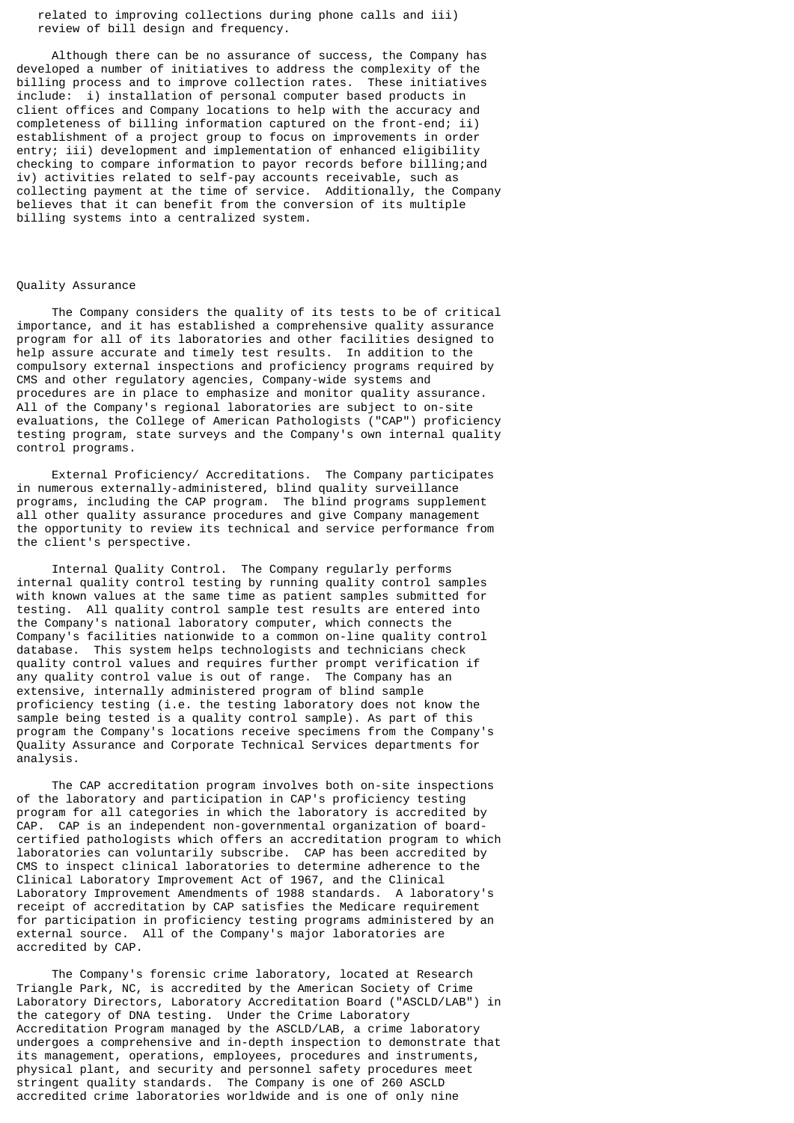related to improving collections during phone calls and iii) review of bill design and frequency.

 Although there can be no assurance of success, the Company has developed a number of initiatives to address the complexity of the billing process and to improve collection rates. These initiatives include: i) installation of personal computer based products in client offices and Company locations to help with the accuracy and completeness of billing information captured on the front-end; ii) establishment of a project group to focus on improvements in order entry; iii) development and implementation of enhanced eligibility checking to compare information to payor records before billing;and iv) activities related to self-pay accounts receivable, such as collecting payment at the time of service. Additionally, the Company believes that it can benefit from the conversion of its multiple billing systems into a centralized system.

# Quality Assurance

 The Company considers the quality of its tests to be of critical importance, and it has established a comprehensive quality assurance program for all of its laboratories and other facilities designed to help assure accurate and timely test results. In addition to the compulsory external inspections and proficiency programs required by CMS and other regulatory agencies, Company-wide systems and procedures are in place to emphasize and monitor quality assurance. All of the Company's regional laboratories are subject to on-site evaluations, the College of American Pathologists ("CAP") proficiency testing program, state surveys and the Company's own internal quality control programs.

 External Proficiency/ Accreditations. The Company participates in numerous externally-administered, blind quality surveillance programs, including the CAP program. The blind programs supplement all other quality assurance procedures and give Company management the opportunity to review its technical and service performance from the client's perspective.

 Internal Quality Control. The Company regularly performs internal quality control testing by running quality control samples with known values at the same time as patient samples submitted for testing. All quality control sample test results are entered into the Company's national laboratory computer, which connects the Company's facilities nationwide to a common on-line quality control database. This system helps technologists and technicians check quality control values and requires further prompt verification if any quality control value is out of range. The Company has an extensive, internally administered program of blind sample proficiency testing (i.e. the testing laboratory does not know the sample being tested is a quality control sample). As part of this program the Company's locations receive specimens from the Company's Quality Assurance and Corporate Technical Services departments for analysis.

 The CAP accreditation program involves both on-site inspections of the laboratory and participation in CAP's proficiency testing program for all categories in which the laboratory is accredited by CAP. CAP is an independent non-governmental organization of boardcertified pathologists which offers an accreditation program to which laboratories can voluntarily subscribe. CAP has been accredited by CMS to inspect clinical laboratories to determine adherence to the Clinical Laboratory Improvement Act of 1967, and the Clinical Laboratory Improvement Amendments of 1988 standards. A laboratory's receipt of accreditation by CAP satisfies the Medicare requirement for participation in proficiency testing programs administered by an external source. All of the Company's major laboratories are accredited by CAP.

 The Company's forensic crime laboratory, located at Research Triangle Park, NC, is accredited by the American Society of Crime Laboratory Directors, Laboratory Accreditation Board ("ASCLD/LAB") in the category of DNA testing. Under the Crime Laboratory Accreditation Program managed by the ASCLD/LAB, a crime laboratory undergoes a comprehensive and in-depth inspection to demonstrate that its management, operations, employees, procedures and instruments, physical plant, and security and personnel safety procedures meet stringent quality standards. The Company is one of 260 ASCLD accredited crime laboratories worldwide and is one of only nine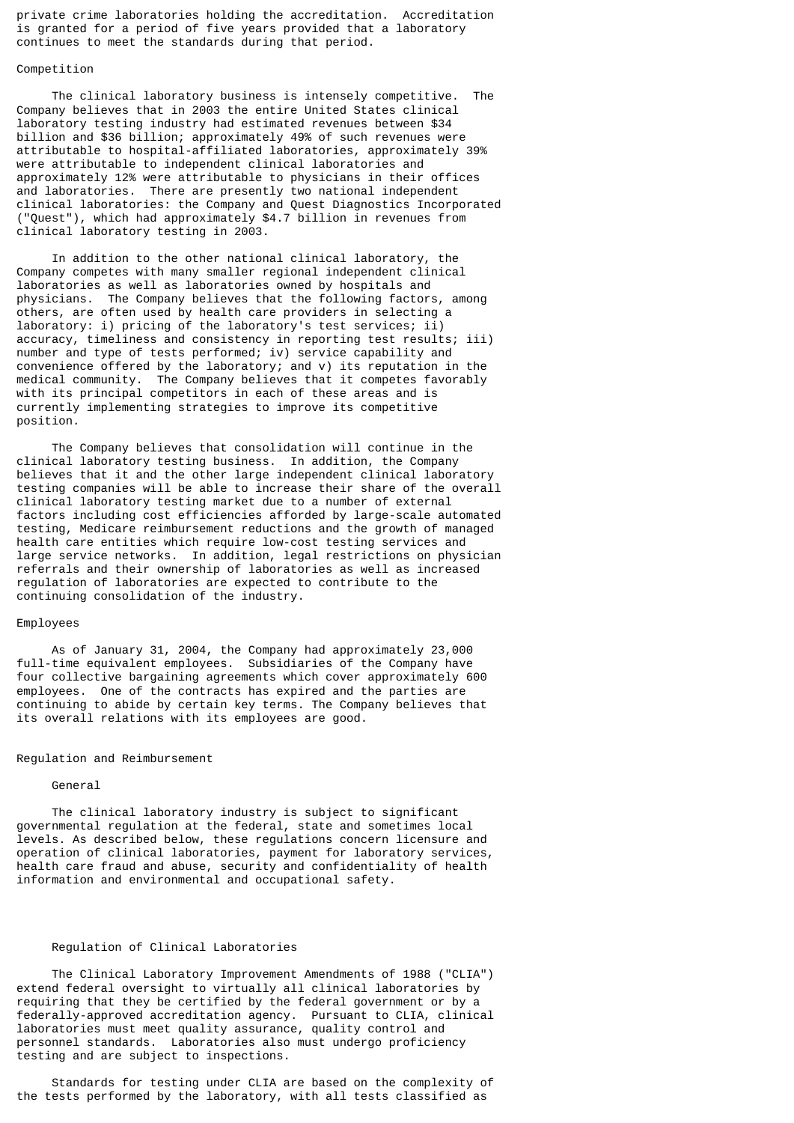private crime laboratories holding the accreditation. Accreditation is granted for a period of five years provided that a laboratory continues to meet the standards during that period.

### Competition

 The clinical laboratory business is intensely competitive. The Company believes that in 2003 the entire United States clinical laboratory testing industry had estimated revenues between \$34 billion and \$36 billion; approximately 49% of such revenues were attributable to hospital-affiliated laboratories, approximately 39% were attributable to independent clinical laboratories and approximately 12% were attributable to physicians in their offices and laboratories. There are presently two national independent clinical laboratories: the Company and Quest Diagnostics Incorporated ("Quest"), which had approximately \$4.7 billion in revenues from clinical laboratory testing in 2003.

 In addition to the other national clinical laboratory, the Company competes with many smaller regional independent clinical laboratories as well as laboratories owned by hospitals and physicians. The Company believes that the following factors, among others, are often used by health care providers in selecting a laboratory: i) pricing of the laboratory's test services; ii) accuracy, timeliness and consistency in reporting test results; iii) number and type of tests performed; iv) service capability and convenience offered by the laboratory; and v) its reputation in the medical community. The Company believes that it competes favorably with its principal competitors in each of these areas and is currently implementing strategies to improve its competitive position.

 The Company believes that consolidation will continue in the clinical laboratory testing business. In addition, the Company believes that it and the other large independent clinical laboratory testing companies will be able to increase their share of the overall clinical laboratory testing market due to a number of external factors including cost efficiencies afforded by large-scale automated testing, Medicare reimbursement reductions and the growth of managed health care entities which require low-cost testing services and large service networks. In addition, legal restrictions on physician referrals and their ownership of laboratories as well as increased regulation of laboratories are expected to contribute to the continuing consolidation of the industry.

# Employees

 As of January 31, 2004, the Company had approximately 23,000 full-time equivalent employees. Subsidiaries of the Company have four collective bargaining agreements which cover approximately 600 employees. One of the contracts has expired and the parties are continuing to abide by certain key terms. The Company believes that its overall relations with its employees are good.

#### Regulation and Reimbursement

#### General

 The clinical laboratory industry is subject to significant governmental regulation at the federal, state and sometimes local levels. As described below, these regulations concern licensure and operation of clinical laboratories, payment for laboratory services, health care fraud and abuse, security and confidentiality of health information and environmental and occupational safety.

# Regulation of Clinical Laboratories

 The Clinical Laboratory Improvement Amendments of 1988 ("CLIA") extend federal oversight to virtually all clinical laboratories by requiring that they be certified by the federal government or by a federally-approved accreditation agency. Pursuant to CLIA, clinical laboratories must meet quality assurance, quality control and personnel standards. Laboratories also must undergo proficiency testing and are subject to inspections.

 Standards for testing under CLIA are based on the complexity of the tests performed by the laboratory, with all tests classified as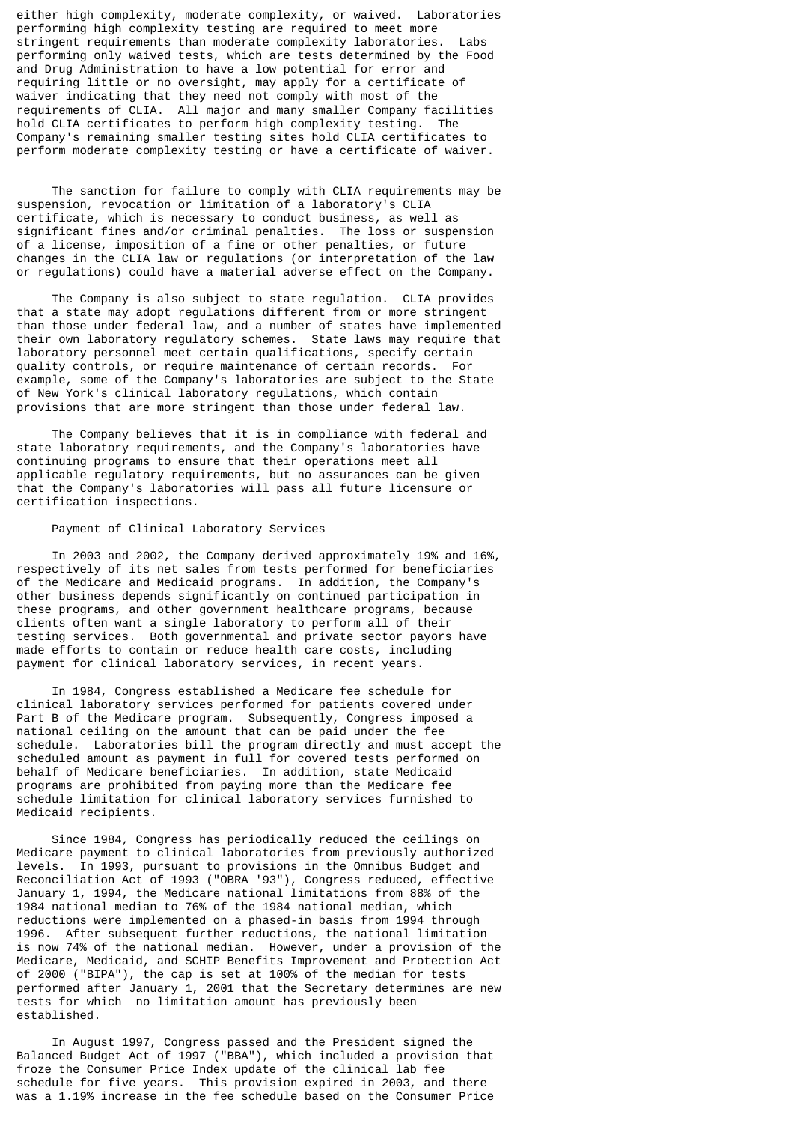either high complexity, moderate complexity, or waived. Laboratories performing high complexity testing are required to meet more stringent requirements than moderate complexity laboratories. Labs performing only waived tests, which are tests determined by the Food and Drug Administration to have a low potential for error and requiring little or no oversight, may apply for a certificate of waiver indicating that they need not comply with most of the requirements of CLIA. All major and many smaller Company facilities hold CLIA certificates to perform high complexity testing. The Company's remaining smaller testing sites hold CLIA certificates to perform moderate complexity testing or have a certificate of waiver.

 The sanction for failure to comply with CLIA requirements may be suspension, revocation or limitation of a laboratory's CLIA certificate, which is necessary to conduct business, as well as significant fines and/or criminal penalties. The loss or suspension of a license, imposition of a fine or other penalties, or future changes in the CLIA law or regulations (or interpretation of the law or regulations) could have a material adverse effect on the Company.

 The Company is also subject to state regulation. CLIA provides that a state may adopt regulations different from or more stringent than those under federal law, and a number of states have implemented their own laboratory regulatory schemes. State laws may require that laboratory personnel meet certain qualifications, specify certain quality controls, or require maintenance of certain records. For example, some of the Company's laboratories are subject to the State of New York's clinical laboratory regulations, which contain provisions that are more stringent than those under federal law.

 The Company believes that it is in compliance with federal and state laboratory requirements, and the Company's laboratories have continuing programs to ensure that their operations meet all applicable regulatory requirements, but no assurances can be given that the Company's laboratories will pass all future licensure or certification inspections.

### Payment of Clinical Laboratory Services

 In 2003 and 2002, the Company derived approximately 19% and 16%, respectively of its net sales from tests performed for beneficiaries of the Medicare and Medicaid programs. In addition, the Company's other business depends significantly on continued participation in these programs, and other government healthcare programs, because clients often want a single laboratory to perform all of their testing services. Both governmental and private sector payors have made efforts to contain or reduce health care costs, including payment for clinical laboratory services, in recent years.

 In 1984, Congress established a Medicare fee schedule for clinical laboratory services performed for patients covered under Part B of the Medicare program. Subsequently, Congress imposed a national ceiling on the amount that can be paid under the fee schedule. Laboratories bill the program directly and must accept the scheduled amount as payment in full for covered tests performed on behalf of Medicare beneficiaries. In addition, state Medicaid programs are prohibited from paying more than the Medicare fee schedule limitation for clinical laboratory services furnished to Medicaid recipients.

 Since 1984, Congress has periodically reduced the ceilings on Medicare payment to clinical laboratories from previously authorized levels. In 1993, pursuant to provisions in the Omnibus Budget and Reconciliation Act of 1993 ("OBRA '93"), Congress reduced, effective January 1, 1994, the Medicare national limitations from 88% of the 1984 national median to 76% of the 1984 national median, which reductions were implemented on a phased-in basis from 1994 through 1996. After subsequent further reductions, the national limitation is now 74% of the national median. However, under a provision of the Medicare, Medicaid, and SCHIP Benefits Improvement and Protection Act of 2000 ("BIPA"), the cap is set at 100% of the median for tests performed after January 1, 2001 that the Secretary determines are new tests for which no limitation amount has previously been established.

 In August 1997, Congress passed and the President signed the Balanced Budget Act of 1997 ("BBA"), which included a provision that froze the Consumer Price Index update of the clinical lab fee schedule for five years. This provision expired in 2003, and there was a 1.19% increase in the fee schedule based on the Consumer Price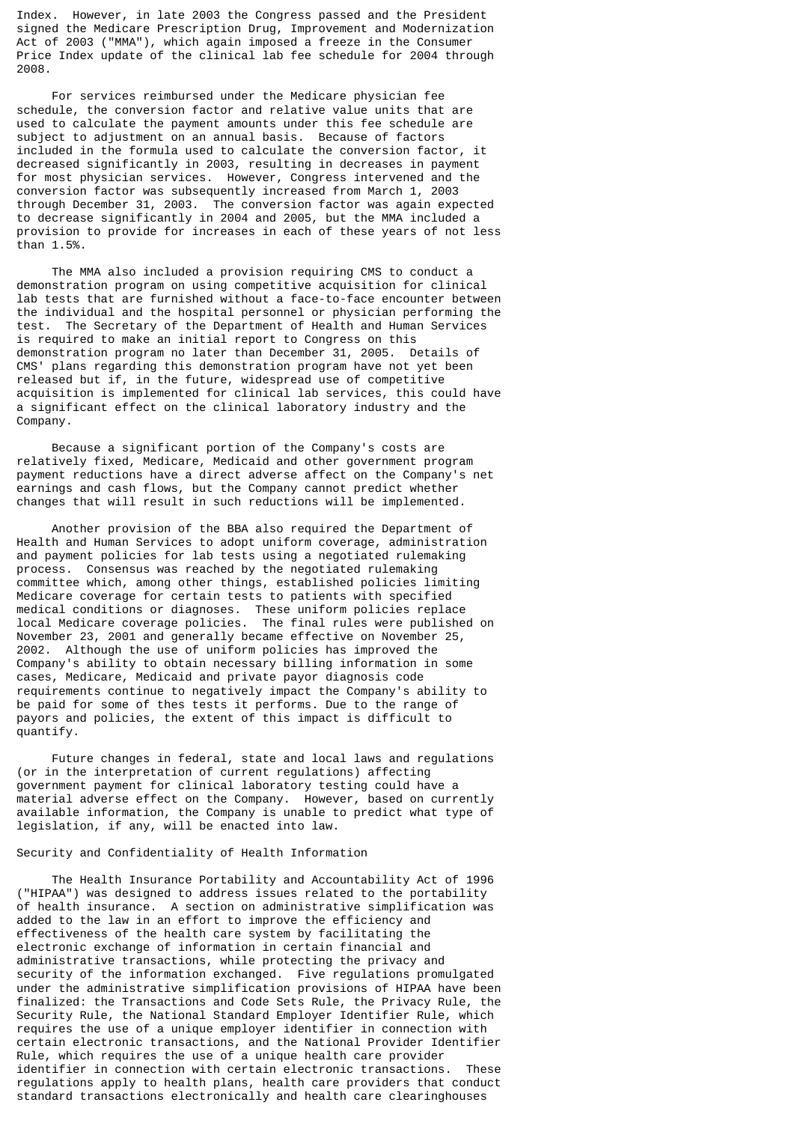Index. However, in late 2003 the Congress passed and the President signed the Medicare Prescription Drug, Improvement and Modernization Act of 2003 ("MMA"), which again imposed a freeze in the Consumer Price Index update of the clinical lab fee schedule for 2004 through 2008.

 For services reimbursed under the Medicare physician fee schedule, the conversion factor and relative value units that are used to calculate the payment amounts under this fee schedule are subject to adjustment on an annual basis. Because of factors included in the formula used to calculate the conversion factor, it decreased significantly in 2003, resulting in decreases in payment for most physician services. However, Congress intervened and the conversion factor was subsequently increased from March 1, 2003 through December 31, 2003. The conversion factor was again expected to decrease significantly in 2004 and 2005, but the MMA included a provision to provide for increases in each of these years of not less than 1.5%.

 The MMA also included a provision requiring CMS to conduct a demonstration program on using competitive acquisition for clinical lab tests that are furnished without a face-to-face encounter between the individual and the hospital personnel or physician performing the test. The Secretary of the Department of Health and Human Services is required to make an initial report to Congress on this demonstration program no later than December 31, 2005. Details of CMS' plans regarding this demonstration program have not yet been released but if, in the future, widespread use of competitive acquisition is implemented for clinical lab services, this could have a significant effect on the clinical laboratory industry and the Company.

 Because a significant portion of the Company's costs are relatively fixed, Medicare, Medicaid and other government program payment reductions have a direct adverse affect on the Company's net earnings and cash flows, but the Company cannot predict whether changes that will result in such reductions will be implemented.

 Another provision of the BBA also required the Department of Health and Human Services to adopt uniform coverage, administration and payment policies for lab tests using a negotiated rulemaking process. Consensus was reached by the negotiated rulemaking committee which, among other things, established policies limiting Medicare coverage for certain tests to patients with specified medical conditions or diagnoses. These uniform policies replace local Medicare coverage policies. The final rules were published on November 23, 2001 and generally became effective on November 25, 2002. Although the use of uniform policies has improved the Company's ability to obtain necessary billing information in some cases, Medicare, Medicaid and private payor diagnosis code requirements continue to negatively impact the Company's ability to be paid for some of thes tests it performs. Due to the range of payors and policies, the extent of this impact is difficult to quantify.

 Future changes in federal, state and local laws and regulations (or in the interpretation of current regulations) affecting government payment for clinical laboratory testing could have a material adverse effect on the Company. However, based on currently available information, the Company is unable to predict what type of legislation, if any, will be enacted into law.

### Security and Confidentiality of Health Information

 The Health Insurance Portability and Accountability Act of 1996 ("HIPAA") was designed to address issues related to the portability of health insurance. A section on administrative simplification was added to the law in an effort to improve the efficiency and effectiveness of the health care system by facilitating the electronic exchange of information in certain financial and administrative transactions, while protecting the privacy and security of the information exchanged. Five regulations promulgated under the administrative simplification provisions of HIPAA have been finalized: the Transactions and Code Sets Rule, the Privacy Rule, the Security Rule, the National Standard Employer Identifier Rule, which requires the use of a unique employer identifier in connection with certain electronic transactions, and the National Provider Identifier Rule, which requires the use of a unique health care provider identifier in connection with certain electronic transactions. regulations apply to health plans, health care providers that conduct standard transactions electronically and health care clearinghouses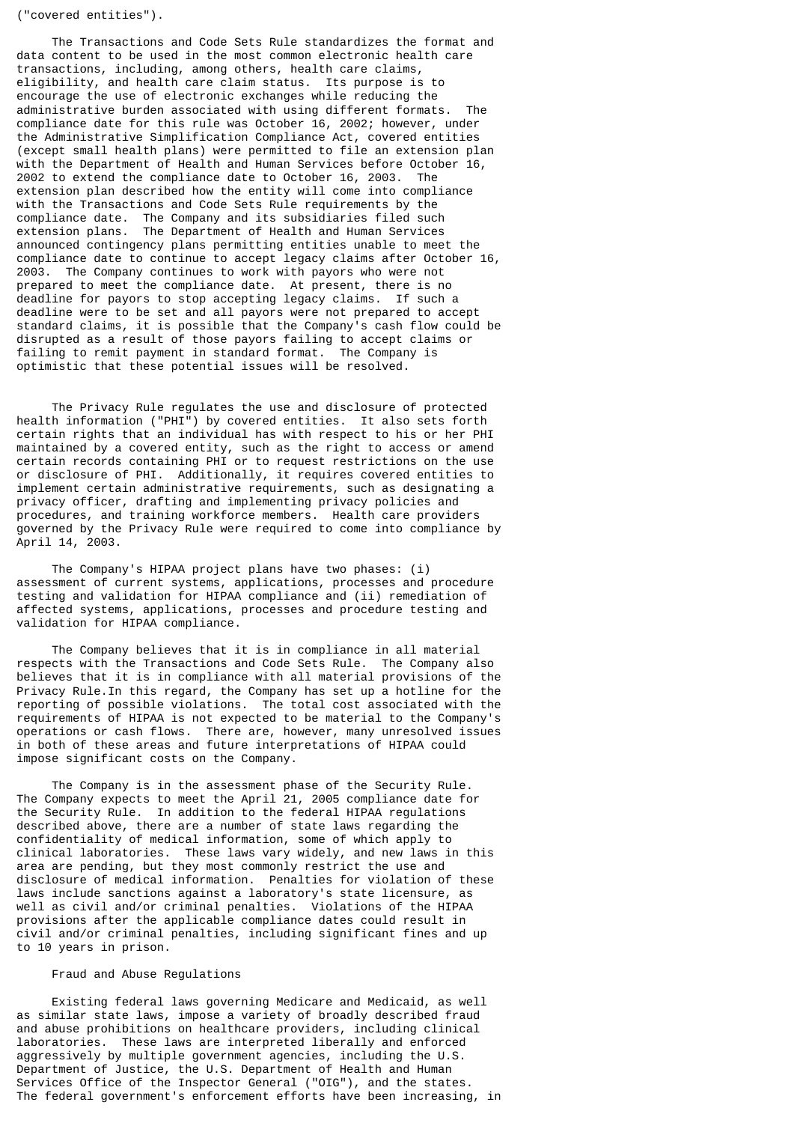## ("covered entities").

 The Transactions and Code Sets Rule standardizes the format and data content to be used in the most common electronic health care transactions, including, among others, health care claims, eligibility, and health care claim status. Its purpose is to encourage the use of electronic exchanges while reducing the administrative burden associated with using different formats. The compliance date for this rule was October 16, 2002; however, under the Administrative Simplification Compliance Act, covered entities (except small health plans) were permitted to file an extension plan with the Department of Health and Human Services before October 16, 2002 to extend the compliance date to October 16, 2003. The extension plan described how the entity will come into compliance with the Transactions and Code Sets Rule requirements by the compliance date. The Company and its subsidiaries filed such extension plans. The Department of Health and Human Services announced contingency plans permitting entities unable to meet the compliance date to continue to accept legacy claims after October 16, 2003. The Company continues to work with payors who were not prepared to meet the compliance date. At present, there is no deadline for payors to stop accepting legacy claims. If such a deadline were to be set and all payors were not prepared to accept standard claims, it is possible that the Company's cash flow could be disrupted as a result of those payors failing to accept claims or failing to remit payment in standard format. The Company is optimistic that these potential issues will be resolved.

 The Privacy Rule regulates the use and disclosure of protected health information ("PHI") by covered entities. It also sets forth certain rights that an individual has with respect to his or her PHI maintained by a covered entity, such as the right to access or amend certain records containing PHI or to request restrictions on the use or disclosure of PHI. Additionally, it requires covered entities to implement certain administrative requirements, such as designating a privacy officer, drafting and implementing privacy policies and procedures, and training workforce members. Health care providers governed by the Privacy Rule were required to come into compliance by April 14, 2003.

 The Company's HIPAA project plans have two phases: (i) assessment of current systems, applications, processes and procedure testing and validation for HIPAA compliance and (ii) remediation of affected systems, applications, processes and procedure testing and validation for HIPAA compliance.

 The Company believes that it is in compliance in all material respects with the Transactions and Code Sets Rule. The Company also believes that it is in compliance with all material provisions of the Privacy Rule.In this regard, the Company has set up a hotline for the reporting of possible violations. The total cost associated with the requirements of HIPAA is not expected to be material to the Company's operations or cash flows. There are, however, many unresolved issues in both of these areas and future interpretations of HIPAA could impose significant costs on the Company.

 The Company is in the assessment phase of the Security Rule. The Company expects to meet the April 21, 2005 compliance date for the Security Rule. In addition to the federal HIPAA regulations described above, there are a number of state laws regarding the confidentiality of medical information, some of which apply to clinical laboratories. These laws vary widely, and new laws in this area are pending, but they most commonly restrict the use and disclosure of medical information. Penalties for violation of these laws include sanctions against a laboratory's state licensure, as well as civil and/or criminal penalties. Violations of the HIPAA provisions after the applicable compliance dates could result in civil and/or criminal penalties, including significant fines and up to 10 years in prison.

## Fraud and Abuse Regulations

 Existing federal laws governing Medicare and Medicaid, as well as similar state laws, impose a variety of broadly described fraud and abuse prohibitions on healthcare providers, including clinical laboratories. These laws are interpreted liberally and enforced aggressively by multiple government agencies, including the U.S. Department of Justice, the U.S. Department of Health and Human Services Office of the Inspector General ("OIG"), and the states. The federal government's enforcement efforts have been increasing, in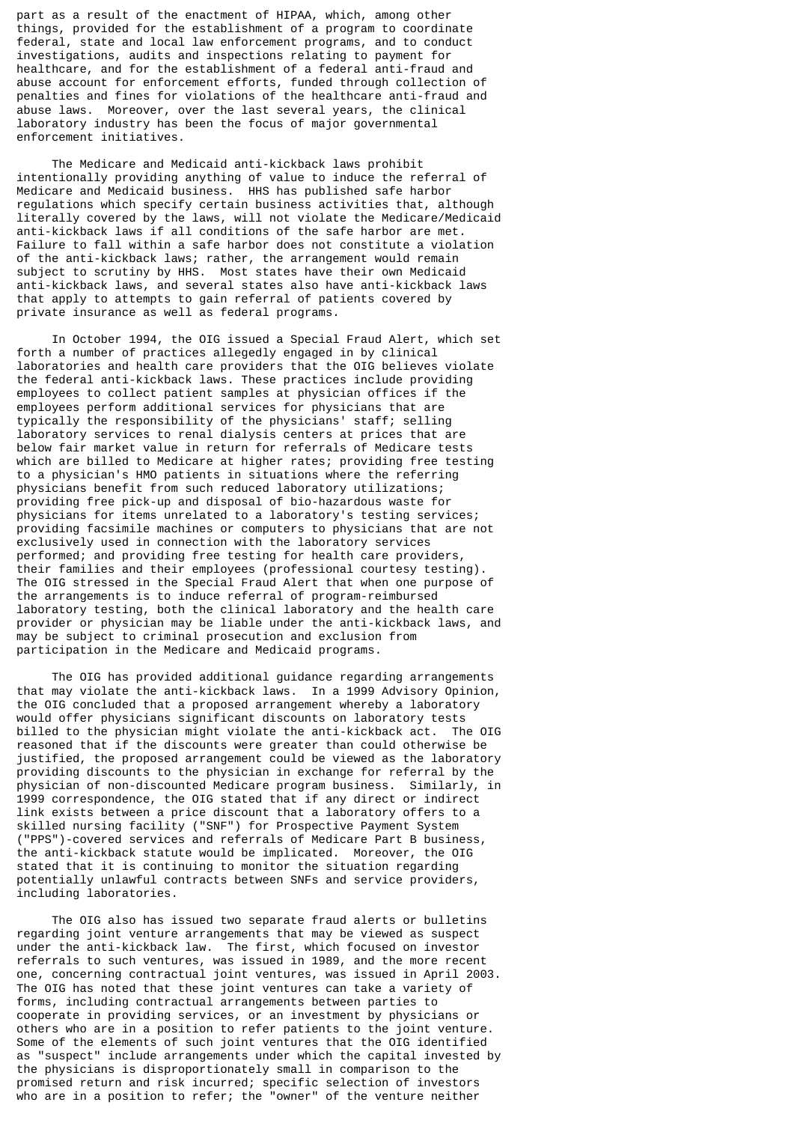part as a result of the enactment of HIPAA, which, among other things, provided for the establishment of a program to coordinate federal, state and local law enforcement programs, and to conduct investigations, audits and inspections relating to payment for healthcare, and for the establishment of a federal anti-fraud and abuse account for enforcement efforts, funded through collection of penalties and fines for violations of the healthcare anti-fraud and abuse laws. Moreover, over the last several years, the clinical laboratory industry has been the focus of major governmental enforcement initiatives.

 The Medicare and Medicaid anti-kickback laws prohibit intentionally providing anything of value to induce the referral of Medicare and Medicaid business. HHS has published safe harbor regulations which specify certain business activities that, although literally covered by the laws, will not violate the Medicare/Medicaid anti-kickback laws if all conditions of the safe harbor are met. Failure to fall within a safe harbor does not constitute a violation of the anti-kickback laws; rather, the arrangement would remain subject to scrutiny by HHS. Most states have their own Medicaid anti-kickback laws, and several states also have anti-kickback laws that apply to attempts to gain referral of patients covered by private insurance as well as federal programs.

 In October 1994, the OIG issued a Special Fraud Alert, which set forth a number of practices allegedly engaged in by clinical laboratories and health care providers that the OIG believes violate the federal anti-kickback laws. These practices include providing employees to collect patient samples at physician offices if the employees perform additional services for physicians that are typically the responsibility of the physicians' staff; selling laboratory services to renal dialysis centers at prices that are below fair market value in return for referrals of Medicare tests which are billed to Medicare at higher rates; providing free testing to a physician's HMO patients in situations where the referring physicians benefit from such reduced laboratory utilizations; providing free pick-up and disposal of bio-hazardous waste for physicians for items unrelated to a laboratory's testing services; providing facsimile machines or computers to physicians that are not exclusively used in connection with the laboratory services performed; and providing free testing for health care providers, their families and their employees (professional courtesy testing). The OIG stressed in the Special Fraud Alert that when one purpose of the arrangements is to induce referral of program-reimbursed laboratory testing, both the clinical laboratory and the health care provider or physician may be liable under the anti-kickback laws, and may be subject to criminal prosecution and exclusion from participation in the Medicare and Medicaid programs.

 The OIG has provided additional guidance regarding arrangements that may violate the anti-kickback laws. In a 1999 Advisory Opinion, the OIG concluded that a proposed arrangement whereby a laboratory would offer physicians significant discounts on laboratory tests billed to the physician might violate the anti-kickback act. The OIG reasoned that if the discounts were greater than could otherwise be justified, the proposed arrangement could be viewed as the laboratory providing discounts to the physician in exchange for referral by the physician of non-discounted Medicare program business. Similarly, in 1999 correspondence, the OIG stated that if any direct or indirect link exists between a price discount that a laboratory offers to a skilled nursing facility ("SNF") for Prospective Payment System ("PPS")-covered services and referrals of Medicare Part B business, the anti-kickback statute would be implicated. Moreover, the OIG stated that it is continuing to monitor the situation regarding potentially unlawful contracts between SNFs and service providers, including laboratories.

 The OIG also has issued two separate fraud alerts or bulletins regarding joint venture arrangements that may be viewed as suspect under the anti-kickback law. The first, which focused on investor referrals to such ventures, was issued in 1989, and the more recent one, concerning contractual joint ventures, was issued in April 2003. The OIG has noted that these joint ventures can take a variety of forms, including contractual arrangements between parties to cooperate in providing services, or an investment by physicians or others who are in a position to refer patients to the joint venture. Some of the elements of such joint ventures that the OIG identified as "suspect" include arrangements under which the capital invested by the physicians is disproportionately small in comparison to the promised return and risk incurred; specific selection of investors who are in a position to refer; the "owner" of the venture neither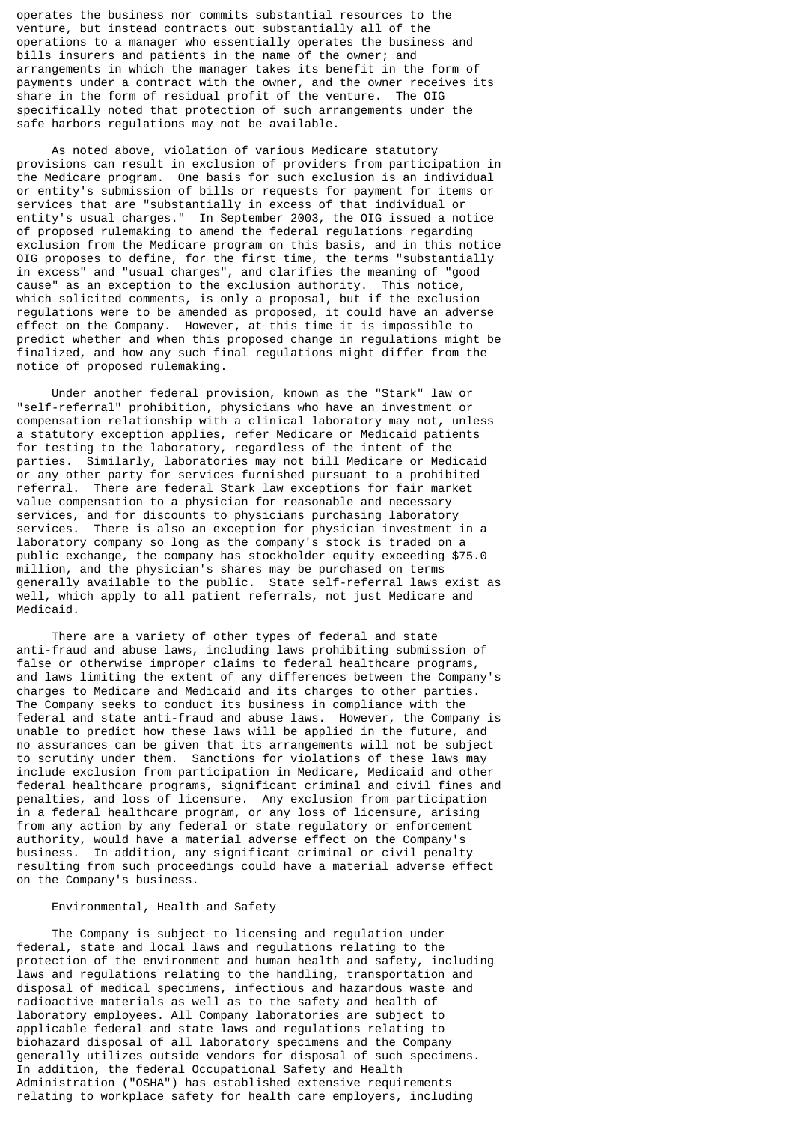operates the business nor commits substantial resources to the venture, but instead contracts out substantially all of the operations to a manager who essentially operates the business and bills insurers and patients in the name of the owner; and arrangements in which the manager takes its benefit in the form of payments under a contract with the owner, and the owner receives its share in the form of residual profit of the venture. The OIG specifically noted that protection of such arrangements under the safe harbors regulations may not be available.

 As noted above, violation of various Medicare statutory provisions can result in exclusion of providers from participation in the Medicare program. One basis for such exclusion is an individual or entity's submission of bills or requests for payment for items or services that are "substantially in excess of that individual or entity's usual charges." In September 2003, the OIG issued a notice of proposed rulemaking to amend the federal regulations regarding exclusion from the Medicare program on this basis, and in this notice OIG proposes to define, for the first time, the terms "substantially in excess" and "usual charges", and clarifies the meaning of "good cause" as an exception to the exclusion authority. This notice, which solicited comments, is only a proposal, but if the exclusion regulations were to be amended as proposed, it could have an adverse effect on the Company. However, at this time it is impossible to predict whether and when this proposed change in regulations might be finalized, and how any such final regulations might differ from the notice of proposed rulemaking.

 Under another federal provision, known as the "Stark" law or "self-referral" prohibition, physicians who have an investment or compensation relationship with a clinical laboratory may not, unless a statutory exception applies, refer Medicare or Medicaid patients for testing to the laboratory, regardless of the intent of the parties. Similarly, laboratories may not bill Medicare or Medicaid or any other party for services furnished pursuant to a prohibited referral. There are federal Stark law exceptions for fair market value compensation to a physician for reasonable and necessary services, and for discounts to physicians purchasing laboratory services. There is also an exception for physician investment in a laboratory company so long as the company's stock is traded on a public exchange, the company has stockholder equity exceeding \$75.0 million, and the physician's shares may be purchased on terms generally available to the public. State self-referral laws exist as well, which apply to all patient referrals, not just Medicare and Medicaid.

 There are a variety of other types of federal and state anti-fraud and abuse laws, including laws prohibiting submission of false or otherwise improper claims to federal healthcare programs, and laws limiting the extent of any differences between the Company's charges to Medicare and Medicaid and its charges to other parties. The Company seeks to conduct its business in compliance with the federal and state anti-fraud and abuse laws. However, the Company is unable to predict how these laws will be applied in the future, and no assurances can be given that its arrangements will not be subject to scrutiny under them. Sanctions for violations of these laws may include exclusion from participation in Medicare, Medicaid and other federal healthcare programs, significant criminal and civil fines and penalties, and loss of licensure. Any exclusion from participation in a federal healthcare program, or any loss of licensure, arising from any action by any federal or state regulatory or enforcement authority, would have a material adverse effect on the Company's business. In addition, any significant criminal or civil penalty resulting from such proceedings could have a material adverse effect on the Company's business.

#### Environmental, Health and Safety

 The Company is subject to licensing and regulation under federal, state and local laws and regulations relating to the protection of the environment and human health and safety, including laws and regulations relating to the handling, transportation and disposal of medical specimens, infectious and hazardous waste and radioactive materials as well as to the safety and health of laboratory employees. All Company laboratories are subject to applicable federal and state laws and regulations relating to biohazard disposal of all laboratory specimens and the Company generally utilizes outside vendors for disposal of such specimens. In addition, the federal Occupational Safety and Health Administration ("OSHA") has established extensive requirements relating to workplace safety for health care employers, including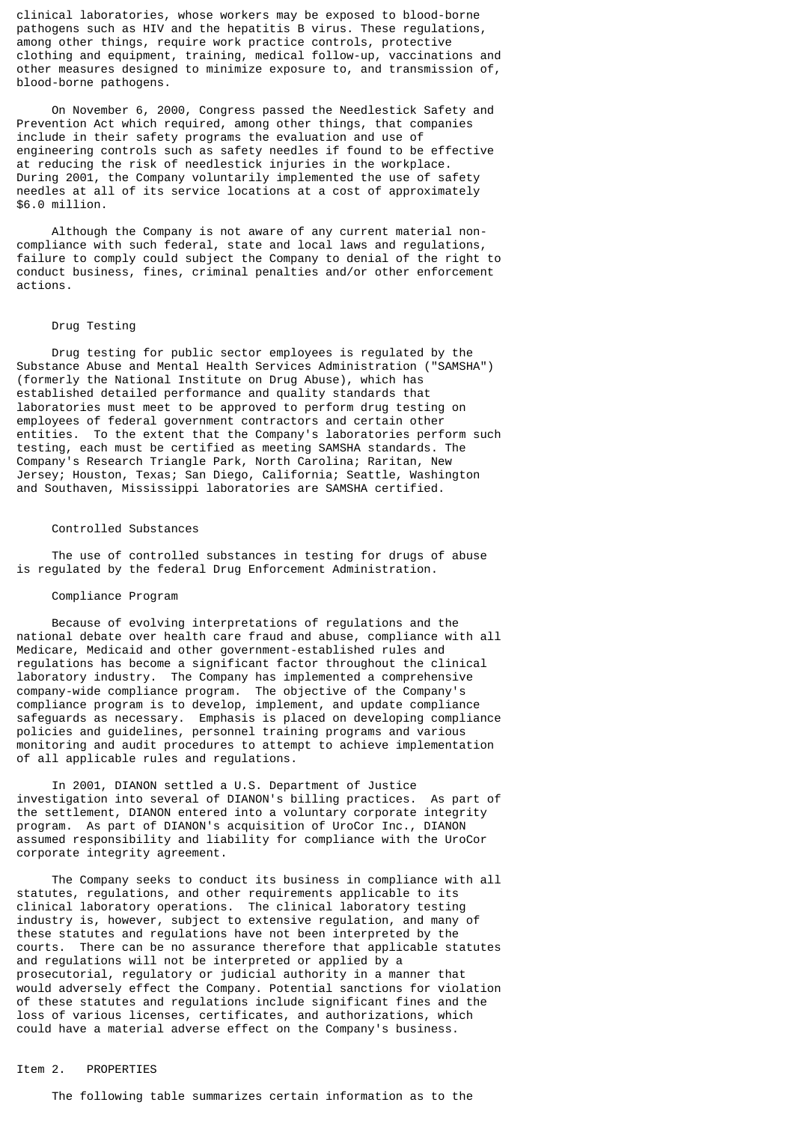clinical laboratories, whose workers may be exposed to blood-borne pathogens such as HIV and the hepatitis B virus. These regulations, among other things, require work practice controls, protective clothing and equipment, training, medical follow-up, vaccinations and other measures designed to minimize exposure to, and transmission of, blood-borne pathogens.

 On November 6, 2000, Congress passed the Needlestick Safety and Prevention Act which required, among other things, that companies include in their safety programs the evaluation and use of engineering controls such as safety needles if found to be effective at reducing the risk of needlestick injuries in the workplace. During 2001, the Company voluntarily implemented the use of safety needles at all of its service locations at a cost of approximately \$6.0 million.

 Although the Company is not aware of any current material noncompliance with such federal, state and local laws and regulations, failure to comply could subject the Company to denial of the right to conduct business, fines, criminal penalties and/or other enforcement actions.

## Drug Testing

 Drug testing for public sector employees is regulated by the Substance Abuse and Mental Health Services Administration ("SAMSHA") (formerly the National Institute on Drug Abuse), which has established detailed performance and quality standards that laboratories must meet to be approved to perform drug testing on employees of federal government contractors and certain other entities. To the extent that the Company's laboratories perform such testing, each must be certified as meeting SAMSHA standards. The Company's Research Triangle Park, North Carolina; Raritan, New Jersey; Houston, Texas; San Diego, California; Seattle, Washington and Southaven, Mississippi laboratories are SAMSHA certified.

### Controlled Substances

 The use of controlled substances in testing for drugs of abuse is regulated by the federal Drug Enforcement Administration.

# Compliance Program

 Because of evolving interpretations of regulations and the national debate over health care fraud and abuse, compliance with all Medicare, Medicaid and other government-established rules and regulations has become a significant factor throughout the clinical laboratory industry. The Company has implemented a comprehensive company-wide compliance program. The objective of the Company's compliance program is to develop, implement, and update compliance safeguards as necessary. Emphasis is placed on developing compliance policies and guidelines, personnel training programs and various monitoring and audit procedures to attempt to achieve implementation of all applicable rules and regulations.

 In 2001, DIANON settled a U.S. Department of Justice investigation into several of DIANON's billing practices. As part of the settlement, DIANON entered into a voluntary corporate integrity program. As part of DIANON's acquisition of UroCor Inc., DIANON assumed responsibility and liability for compliance with the UroCor corporate integrity agreement.

 The Company seeks to conduct its business in compliance with all statutes, regulations, and other requirements applicable to its clinical laboratory operations. The clinical laboratory testing industry is, however, subject to extensive regulation, and many of these statutes and regulations have not been interpreted by the courts. There can be no assurance therefore that applicable statutes and regulations will not be interpreted or applied by a prosecutorial, regulatory or judicial authority in a manner that would adversely effect the Company. Potential sanctions for violation of these statutes and regulations include significant fines and the loss of various licenses, certificates, and authorizations, which could have a material adverse effect on the Company's business.

#### Item 2. PROPERTIES

The following table summarizes certain information as to the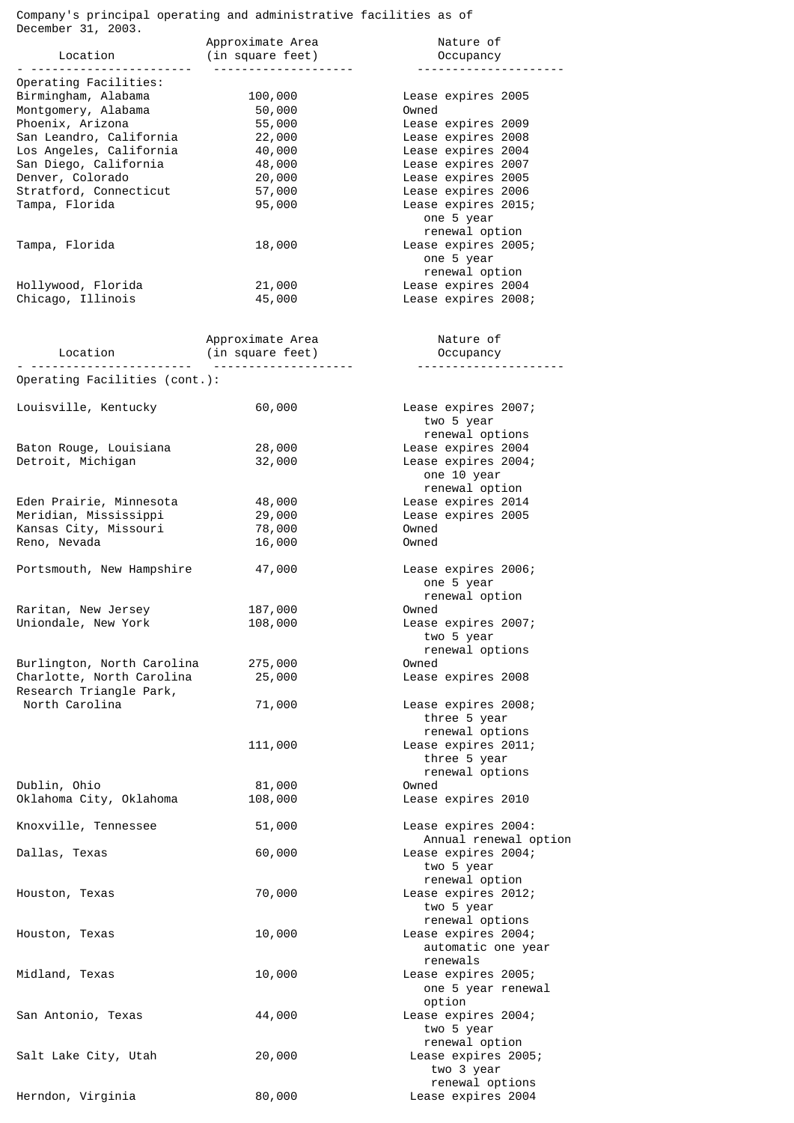Company's principal operating and administrative facilities as of December 31, 2003.

| DCCCMDCI JI, ZUVJ.                                   | Approximate Area             | Nature of                                                     |
|------------------------------------------------------|------------------------------|---------------------------------------------------------------|
| Location                                             | (in square feet)<br><u>.</u> | Occupancy<br>------------------                               |
| Operating Facilities:<br>Birmingham, Alabama         | 100,000                      | Lease expires 2005                                            |
| Montgomery, Alabama                                  | 50,000                       | Owned                                                         |
| Phoenix, Arizona<br>San Leandro, California          | 55,000                       | Lease expires 2009<br>Lease expires 2008                      |
| Los Angeles, California                              | 22,000<br>40,000             | Lease expires 2004                                            |
| San Diego, California                                | 48,000                       | Lease expires 2007                                            |
| Denver, Colorado                                     | 20,000                       | Lease expires 2005                                            |
| Stratford, Connecticut                               | 57,000                       | Lease expires 2006                                            |
| Tampa, Florida                                       | 95,000                       | Lease expires 2015;<br>one 5 year                             |
| Tampa, Florida                                       | 18,000                       | renewal option<br>Lease expires 2005;                         |
|                                                      |                              | one 5 year<br>renewal option                                  |
| Hollywood, Florida                                   | 21,000                       | Lease expires 2004                                            |
| Chicago, Illinois                                    | 45,000                       | Lease expires 2008;                                           |
|                                                      | Approximate Area             | Nature of                                                     |
| Location                                             | (in square feet)             | Occupancy                                                     |
| Operating Facilities (cont.):                        |                              |                                                               |
| Louisville, Kentucky                                 | 60,000                       | Lease expires 2007;<br>two 5 year                             |
| Baton Rouge, Louisiana                               | 28,000                       | renewal options<br>Lease expires 2004                         |
| Detroit, Michigan                                    | 32,000                       | Lease expires 2004;                                           |
|                                                      |                              | one 10 year                                                   |
|                                                      |                              | renewal option                                                |
| Eden Prairie, Minnesota<br>Meridian, Mississippi     | 48,000<br>29,000             | Lease expires 2014<br>Lease expires 2005                      |
| Kansas City, Missouri                                | 78,000                       | Owned                                                         |
| Reno, Nevada                                         | 16,000                       | Owned                                                         |
| Portsmouth, New Hampshire                            | 47,000                       | Lease expires 2006;<br>one 5 year<br>renewal option           |
| Raritan, New Jersey                                  | 187,000                      | Owned                                                         |
| Uniondale, New York                                  | 108,000                      | Lease expires 2007;<br>two 5 year<br>renewal options          |
| Burlington, North Carolina                           | 275,000                      | Owned                                                         |
| Charlotte, North Carolina<br>Research Triangle Park, | 25,000                       | Lease expires 2008                                            |
| North Carolina                                       | 71,000                       | Lease expires 2008;<br>three 5 year                           |
|                                                      |                              | renewal options                                               |
|                                                      | 111,000                      | Lease expires 2011;<br>three 5 year                           |
|                                                      |                              | renewal options                                               |
| Dublin, Ohio                                         | 81,000                       | Owned                                                         |
| Oklahoma City, Oklahoma                              | 108,000                      | Lease expires 2010                                            |
| Knoxville, Tennessee                                 | 51,000                       | Lease expires 2004:<br>Annual renewal option                  |
| Dallas, Texas                                        | 60,000                       | Lease expires 2004;<br>two 5 year                             |
| Houston, Texas                                       | 70,000                       | renewal option<br>Lease expires 2012;                         |
|                                                      |                              | two 5 year<br>renewal options                                 |
| Houston, Texas                                       | 10,000                       | Lease expires 2004;<br>automatic one year<br>renewals         |
| Midland, Texas                                       | 10,000                       | Lease expires 2005;<br>one 5 year renewal                     |
| San Antonio, Texas                                   | 44,000                       | option<br>Lease expires 2004;<br>two 5 year<br>renewal option |
| Salt Lake City, Utah                                 | 20,000                       | Lease expires 2005;<br>two 3 year<br>renewal options          |
| Herndon, Virginia                                    | 80,000                       | Lease expires 2004                                            |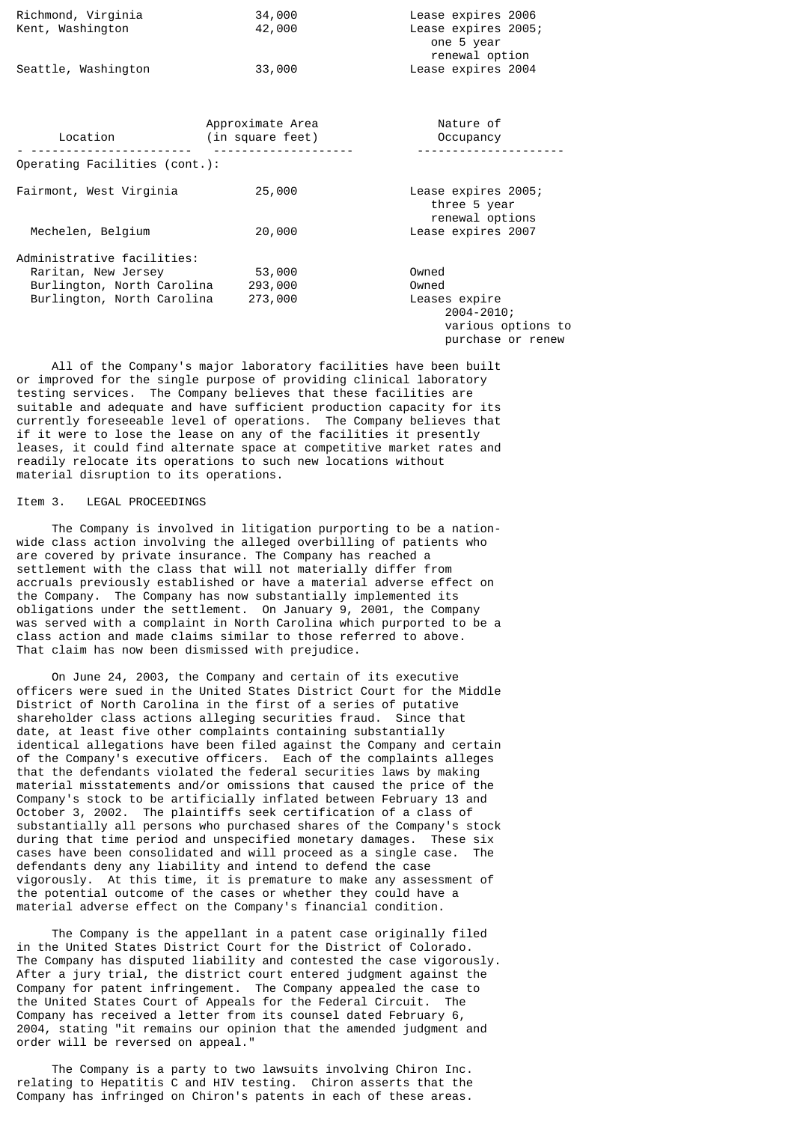| Richmond, Virginia<br>Kent, Washington | 34,000 | Lease expires 2006                                  |
|----------------------------------------|--------|-----------------------------------------------------|
|                                        | 42,000 | Lease expires 2005;<br>one 5 year<br>renewal option |
| Seattle, Washington                    | 33,000 | Lease expires 2004                                  |

| Location                      | Appl UXIMACC AT CU<br>(in square feet) | nucure or<br>Occupancy                                                      |
|-------------------------------|----------------------------------------|-----------------------------------------------------------------------------|
| Operating Facilities (cont.): |                                        |                                                                             |
| Fairmont, West Virginia       | 25,000                                 | Lease expires 2005;<br>three 5 year<br>renewal options                      |
| Mechelen, Belgium             | 20,000                                 | Lease expires 2007                                                          |
| Administrative facilities:    |                                        |                                                                             |
| Raritan, New Jersey           | 53,000                                 | Owned                                                                       |
| Burlington, North Carolina    | 293,000                                | Owned                                                                       |
| Burlington, North Carolina    | 273,000                                | Leases expire<br>$2004 - 2010$ ;<br>various options to<br>purchase or renew |

Approximate Area Nature of

 All of the Company's major laboratory facilities have been built or improved for the single purpose of providing clinical laboratory testing services. The Company believes that these facilities are suitable and adequate and have sufficient production capacity for its currently foreseeable level of operations. The Company believes that if it were to lose the lease on any of the facilities it presently leases, it could find alternate space at competitive market rates and readily relocate its operations to such new locations without material disruption to its operations.

# Item 3. LEGAL PROCEEDINGS

 The Company is involved in litigation purporting to be a nationwide class action involving the alleged overbilling of patients who are covered by private insurance. The Company has reached a settlement with the class that will not materially differ from accruals previously established or have a material adverse effect on the Company. The Company has now substantially implemented its obligations under the settlement. On January 9, 2001, the Company was served with a complaint in North Carolina which purported to be a class action and made claims similar to those referred to above. That claim has now been dismissed with prejudice.

 On June 24, 2003, the Company and certain of its executive officers were sued in the United States District Court for the Middle District of North Carolina in the first of a series of putative shareholder class actions alleging securities fraud. Since that date, at least five other complaints containing substantially identical allegations have been filed against the Company and certain of the Company's executive officers. Each of the complaints alleges that the defendants violated the federal securities laws by making material misstatements and/or omissions that caused the price of the Company's stock to be artificially inflated between February 13 and October 3, 2002. The plaintiffs seek certification of a class of substantially all persons who purchased shares of the Company's stock during that time period and unspecified monetary damages. These six cases have been consolidated and will proceed as a single case. The defendants deny any liability and intend to defend the case vigorously. At this time, it is premature to make any assessment of the potential outcome of the cases or whether they could have a material adverse effect on the Company's financial condition.

 The Company is the appellant in a patent case originally filed in the United States District Court for the District of Colorado. The Company has disputed liability and contested the case vigorously. After a jury trial, the district court entered judgment against the Company for patent infringement. The Company appealed the case to the United States Court of Appeals for the Federal Circuit. The Company has received a letter from its counsel dated February 6, 2004, stating "it remains our opinion that the amended judgment and order will be reversed on appeal."

 The Company is a party to two lawsuits involving Chiron Inc. relating to Hepatitis C and HIV testing. Chiron asserts that the Company has infringed on Chiron's patents in each of these areas.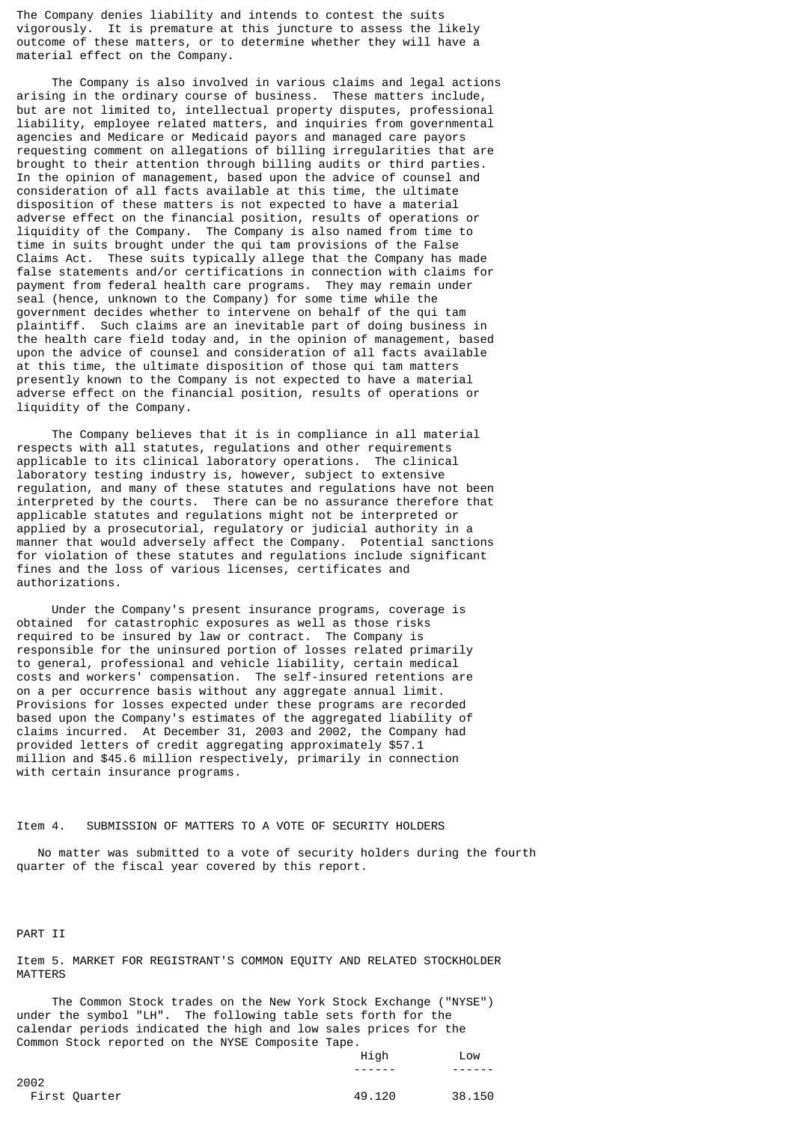The Company denies liability and intends to contest the suits vigorously. It is premature at this juncture to assess the likely outcome of these matters, or to determine whether they will have a material effect on the Company.

 The Company is also involved in various claims and legal actions arising in the ordinary course of business. These matters include, but are not limited to, intellectual property disputes, professional liability, employee related matters, and inquiries from governmental agencies and Medicare or Medicaid payors and managed care payors requesting comment on allegations of billing irregularities that are brought to their attention through billing audits or third parties. In the opinion of management, based upon the advice of counsel and consideration of all facts available at this time, the ultimate disposition of these matters is not expected to have a material adverse effect on the financial position, results of operations or liquidity of the Company. The Company is also named from time to time in suits brought under the qui tam provisions of the False Claims Act. These suits typically allege that the Company has made false statements and/or certifications in connection with claims for payment from federal health care programs. They may remain under seal (hence, unknown to the Company) for some time while the government decides whether to intervene on behalf of the qui tam plaintiff. Such claims are an inevitable part of doing business in the health care field today and, in the opinion of management, based upon the advice of counsel and consideration of all facts available at this time, the ultimate disposition of those qui tam matters presently known to the Company is not expected to have a material adverse effect on the financial position, results of operations or liquidity of the Company.

 The Company believes that it is in compliance in all material respects with all statutes, regulations and other requirements applicable to its clinical laboratory operations. The clinical laboratory testing industry is, however, subject to extensive regulation, and many of these statutes and regulations have not been interpreted by the courts. There can be no assurance therefore that applicable statutes and regulations might not be interpreted or applied by a prosecutorial, regulatory or judicial authority in a manner that would adversely affect the Company. Potential sanctions for violation of these statutes and regulations include significant fines and the loss of various licenses, certificates and authorizations.

 Under the Company's present insurance programs, coverage is obtained for catastrophic exposures as well as those risks required to be insured by law or contract. The Company is responsible for the uninsured portion of losses related primarily to general, professional and vehicle liability, certain medical costs and workers' compensation. The self-insured retentions are on a per occurrence basis without any aggregate annual limit. Provisions for losses expected under these programs are recorded based upon the Company's estimates of the aggregated liability of claims incurred. At December 31, 2003 and 2002, the Company had provided letters of credit aggregating approximately \$57.1 million and \$45.6 million respectively, primarily in connection with certain insurance programs.

# Item 4. SUBMISSION OF MATTERS TO A VOTE OF SECURITY HOLDERS

 No matter was submitted to a vote of security holders during the fourth quarter of the fiscal year covered by this report.

## PART II

2002

Item 5. MARKET FOR REGISTRANT'S COMMON EQUITY AND RELATED STOCKHOLDER **MATTERS** 

 The Common Stock trades on the New York Stock Exchange ("NYSE") under the symbol "LH". The following table sets forth for the calendar periods indicated the high and low sales prices for the Common Stock reported on the NYSE Composite Tape.

|        | Low    |  |
|--------|--------|--|
| ------ |        |  |
|        |        |  |
| 49.120 | 38.150 |  |
|        | High   |  |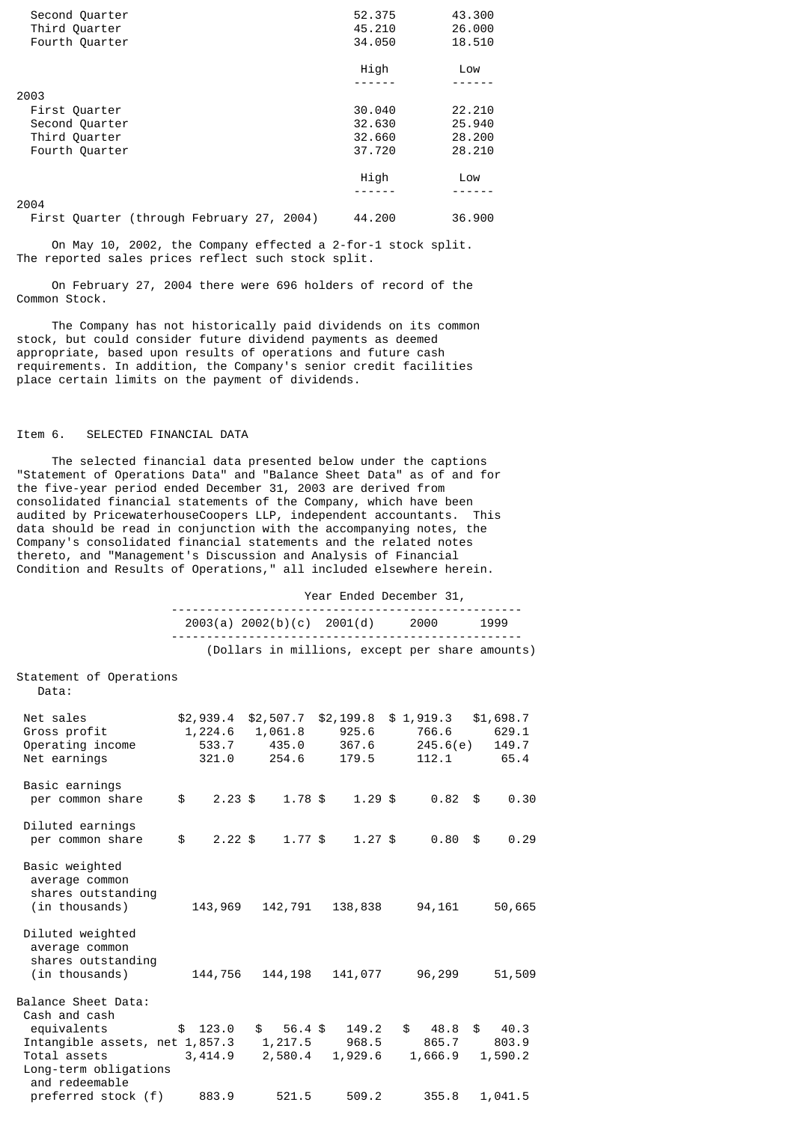| Second Quarter                            | 52.375 | 43.300 |
|-------------------------------------------|--------|--------|
| Third Quarter                             | 45.210 | 26,000 |
| Fourth Quarter                            | 34,050 | 18.510 |
|                                           | High   | Low    |
|                                           |        |        |
| 2003                                      |        |        |
| First Quarter                             | 30.040 | 22,210 |
| Second Quarter                            | 32.630 | 25.940 |
| Third Quarter                             | 32,660 | 28,200 |
| Fourth Quarter                            | 37.720 | 28,210 |
|                                           | High   | Low    |
|                                           |        |        |
| 2004                                      |        |        |
| First Quarter (through February 27, 2004) | 44.200 | 36,900 |

 On May 10, 2002, the Company effected a 2-for-1 stock split. The reported sales prices reflect such stock split.

 On February 27, 2004 there were 696 holders of record of the Common Stock.

 The Company has not historically paid dividends on its common stock, but could consider future dividend payments as deemed appropriate, based upon results of operations and future cash requirements. In addition, the Company's senior credit facilities place certain limits on the payment of dividends.

# Item 6. SELECTED FINANCIAL DATA

 The selected financial data presented below under the captions "Statement of Operations Data" and "Balance Sheet Data" as of and for the five-year period ended December 31, 2003 are derived from consolidated financial statements of the Company, which have been audited by PricewaterhouseCoopers LLP, independent accountants. This data should be read in conjunction with the accompanying notes, the Company's consolidated financial statements and the related notes thereto, and "Management's Discussion and Analysis of Financial Condition and Results of Operations," all included elsewhere herein.

|                                                                                                                                                                                                                                               |               |                                        |               | Year Ended December 31,                                                                                                         |            |
|-----------------------------------------------------------------------------------------------------------------------------------------------------------------------------------------------------------------------------------------------|---------------|----------------------------------------|---------------|---------------------------------------------------------------------------------------------------------------------------------|------------|
|                                                                                                                                                                                                                                               |               | 2003(a) 2002(b)(c) 2001(d)             |               | 2000 1999                                                                                                                       |            |
|                                                                                                                                                                                                                                               |               |                                        |               | (Dollars in millions, except per share amounts)                                                                                 |            |
| Statement of Operations<br>Data:                                                                                                                                                                                                              |               |                                        |               |                                                                                                                                 |            |
| Net sales<br>Gross profit<br>Operating income<br>Net earnings                                                                                                                                                                                 |               | 321.0 254.6                            | 179.5         | $$2,939.4$ $$2,507.7$ $$2,199.8$ $$1,919.3$ $$1,698.7$<br>1,224.6 1,061.8 925.6 766.6 629.1<br>533.7 435.0 367.6 245.6(e) 149.7 | 112.1 65.4 |
| Basic earnings<br>per common share                                                                                                                                                                                                            | $\mathbb{S}$  | $2.23$ \$<br>1.78 \$                   |               | $1.29$ \$ 0.82 \$                                                                                                               | 0.30       |
| Diluted earnings<br>per common share                                                                                                                                                                                                          | $\frac{1}{2}$ | $2.22 \text{ } \$$ 1.77 \ \$ 1.27 \ \$ |               | $0.80$ \$                                                                                                                       | 0.29       |
| Basic weighted<br>average common<br>shares outstanding<br>(in thousands)                                                                                                                                                                      |               | 143,969 142,791                        | 138,838       | 94,161                                                                                                                          | 50,665     |
| Diluted weighted<br>average common<br>shares outstanding<br>(in thousands)                                                                                                                                                                    |               | 144,756 144,198                        | 141,077       | 96,299                                                                                                                          | 51,509     |
| Balance Sheet Data:<br>Cash and cash<br>equivalents<br>Intangible assets, net 1,857.3    1,217.5    968.5    865.7    803.9<br>Total assets    3,414.9    2,580.4    1,929.6    1,666.9    1,590.2<br>Long-term obligations<br>and redeemable | \$123.0       |                                        | \$56.4\$149.2 | \$ 48.8                                                                                                                         | \$40.3     |
| preferred stock (f) 883.9                                                                                                                                                                                                                     |               | 521.5                                  | 509.2         | 355.8                                                                                                                           | 1,041.5    |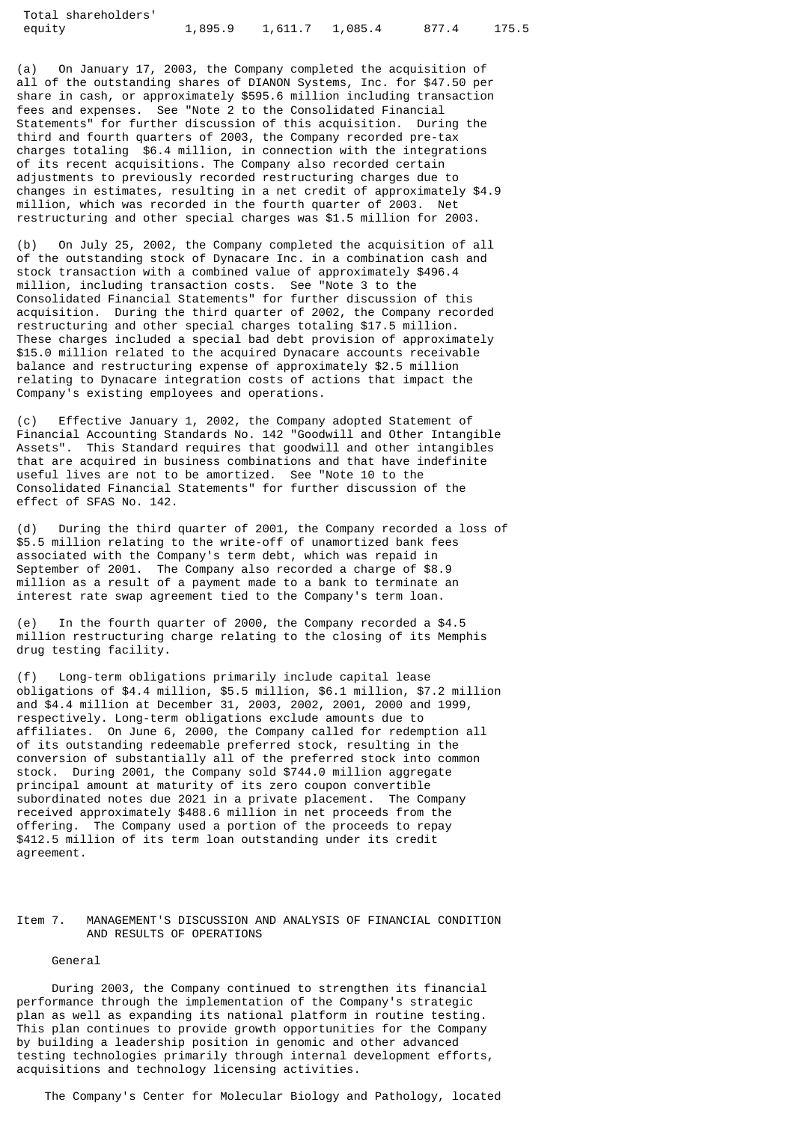(a) On January 17, 2003, the Company completed the acquisition of all of the outstanding shares of DIANON Systems, Inc. for \$47.50 per share in cash, or approximately \$595.6 million including transaction fees and expenses. See "Note 2 to the Consolidated Financial Statements" for further discussion of this acquisition. During the third and fourth quarters of 2003, the Company recorded pre-tax charges totaling \$6.4 million, in connection with the integrations of its recent acquisitions. The Company also recorded certain adjustments to previously recorded restructuring charges due to changes in estimates, resulting in a net credit of approximately \$4.9 million, which was recorded in the fourth quarter of 2003. Net restructuring and other special charges was \$1.5 million for 2003.

(b) On July 25, 2002, the Company completed the acquisition of all of the outstanding stock of Dynacare Inc. in a combination cash and stock transaction with a combined value of approximately \$496.4 million, including transaction costs. See "Note 3 to the Consolidated Financial Statements" for further discussion of this acquisition. During the third quarter of 2002, the Company recorded restructuring and other special charges totaling \$17.5 million. These charges included a special bad debt provision of approximately \$15.0 million related to the acquired Dynacare accounts receivable balance and restructuring expense of approximately \$2.5 million relating to Dynacare integration costs of actions that impact the Company's existing employees and operations.

(c) Effective January 1, 2002, the Company adopted Statement of Financial Accounting Standards No. 142 "Goodwill and Other Intangible Assets". This Standard requires that goodwill and other intangibles that are acquired in business combinations and that have indefinite useful lives are not to be amortized. See "Note 10 to the Consolidated Financial Statements" for further discussion of the effect of SFAS No. 142.

(d) During the third quarter of 2001, the Company recorded a loss of \$5.5 million relating to the write-off of unamortized bank fees associated with the Company's term debt, which was repaid in September of 2001. The Company also recorded a charge of \$8.9 million as a result of a payment made to a bank to terminate an interest rate swap agreement tied to the Company's term loan.

(e) In the fourth quarter of 2000, the Company recorded a \$4.5 million restructuring charge relating to the closing of its Memphis drug testing facility.

(f) Long-term obligations primarily include capital lease obligations of \$4.4 million, \$5.5 million, \$6.1 million, \$7.2 million and \$4.4 million at December 31, 2003, 2002, 2001, 2000 and 1999, respectively. Long-term obligations exclude amounts due to affiliates. On June 6, 2000, the Company called for redemption all of its outstanding redeemable preferred stock, resulting in the conversion of substantially all of the preferred stock into common stock. During 2001, the Company sold \$744.0 million aggregate principal amount at maturity of its zero coupon convertible subordinated notes due 2021 in a private placement. The Company received approximately \$488.6 million in net proceeds from the offering. The Company used a portion of the proceeds to repay \$412.5 million of its term loan outstanding under its credit agreement.

### Item 7. MANAGEMENT'S DISCUSSION AND ANALYSIS OF FINANCIAL CONDITION AND RESULTS OF OPERATIONS

#### General

 During 2003, the Company continued to strengthen its financial performance through the implementation of the Company's strategic plan as well as expanding its national platform in routine testing. This plan continues to provide growth opportunities for the Company by building a leadership position in genomic and other advanced testing technologies primarily through internal development efforts, acquisitions and technology licensing activities.

The Company's Center for Molecular Biology and Pathology, located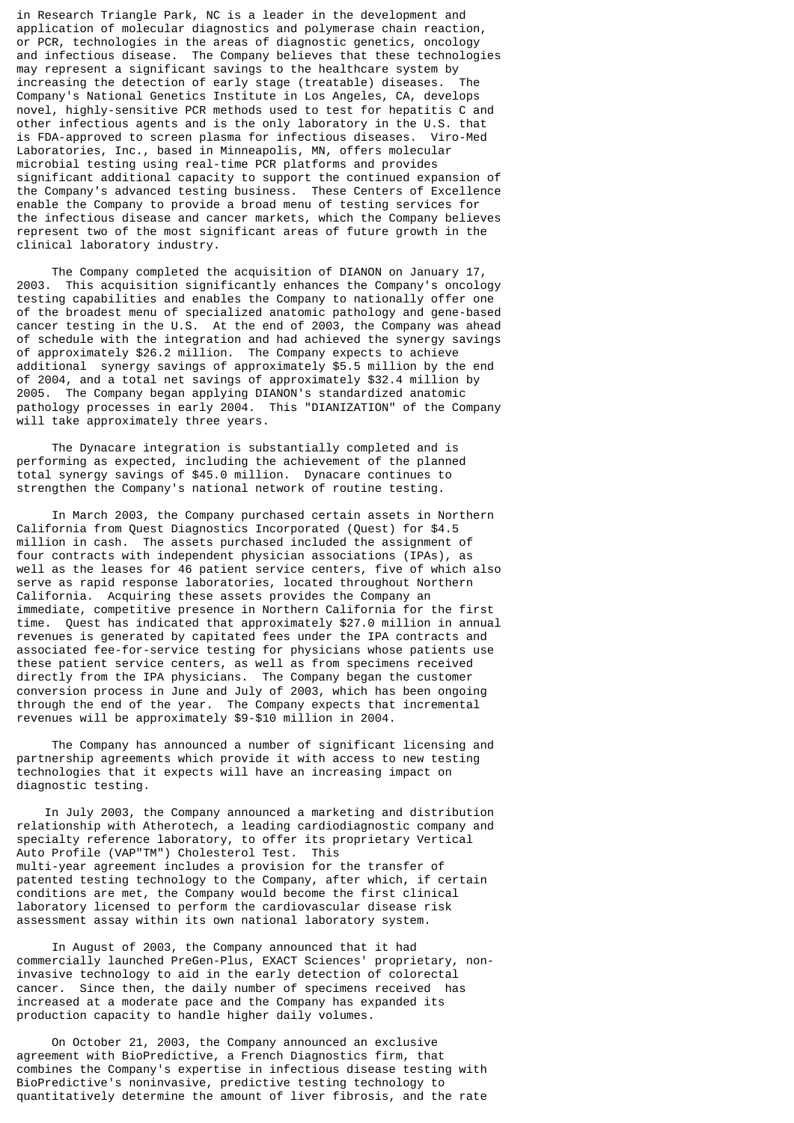in Research Triangle Park, NC is a leader in the development and application of molecular diagnostics and polymerase chain reaction, or PCR, technologies in the areas of diagnostic genetics, oncology and infectious disease. The Company believes that these technologies may represent a significant savings to the healthcare system by increasing the detection of early stage (treatable) diseases. The Company's National Genetics Institute in Los Angeles, CA, develops novel, highly-sensitive PCR methods used to test for hepatitis C and other infectious agents and is the only laboratory in the U.S. that is FDA-approved to screen plasma for infectious diseases. Viro-Med Laboratories, Inc., based in Minneapolis, MN, offers molecular microbial testing using real-time PCR platforms and provides significant additional capacity to support the continued expansion of the Company's advanced testing business. These Centers of Excellence enable the Company to provide a broad menu of testing services for the infectious disease and cancer markets, which the Company believes represent two of the most significant areas of future growth in the clinical laboratory industry.

The Company completed the acquisition of DIANON on January 17,<br>2003 This acquisition significantly enhances the Company's oncolo This acquisition significantly enhances the Company's oncology testing capabilities and enables the Company to nationally offer one of the broadest menu of specialized anatomic pathology and gene-based cancer testing in the U.S. At the end of 2003, the Company was ahead of schedule with the integration and had achieved the synergy savings of approximately \$26.2 million. The Company expects to achieve additional synergy savings of approximately \$5.5 million by the end of 2004, and a total net savings of approximately \$32.4 million by 2005. The Company began applying DIANON's standardized anatomic pathology processes in early 2004. This "DIANIZATION" of the Company will take approximately three years.

 The Dynacare integration is substantially completed and is performing as expected, including the achievement of the planned total synergy savings of \$45.0 million. Dynacare continues to strengthen the Company's national network of routine testing.

 In March 2003, the Company purchased certain assets in Northern California from Quest Diagnostics Incorporated (Quest) for \$4.5 million in cash. The assets purchased included the assignment of four contracts with independent physician associations (IPAs), as well as the leases for 46 patient service centers, five of which also serve as rapid response laboratories, located throughout Northern California. Acquiring these assets provides the Company an immediate, competitive presence in Northern California for the first time. Quest has indicated that approximately \$27.0 million in annual revenues is generated by capitated fees under the IPA contracts and associated fee-for-service testing for physicians whose patients use these patient service centers, as well as from specimens received directly from the IPA physicians. The Company began the customer conversion process in June and July of 2003, which has been ongoing through the end of the year. The Company expects that incremental revenues will be approximately \$9-\$10 million in 2004.

 The Company has announced a number of significant licensing and partnership agreements which provide it with access to new testing technologies that it expects will have an increasing impact on diagnostic testing.

 In July 2003, the Company announced a marketing and distribution relationship with Atherotech, a leading cardiodiagnostic company and specialty reference laboratory, to offer its proprietary Vertical Auto Profile (VAP"TM") Cholesterol Test. This multi-year agreement includes a provision for the transfer of patented testing technology to the Company, after which, if certain conditions are met, the Company would become the first clinical laboratory licensed to perform the cardiovascular disease risk assessment assay within its own national laboratory system.

 In August of 2003, the Company announced that it had commercially launched PreGen-Plus, EXACT Sciences' proprietary, noninvasive technology to aid in the early detection of colorectal cancer. Since then, the daily number of specimens received has increased at a moderate pace and the Company has expanded its production capacity to handle higher daily volumes.

 On October 21, 2003, the Company announced an exclusive agreement with BioPredictive, a French Diagnostics firm, that combines the Company's expertise in infectious disease testing with BioPredictive's noninvasive, predictive testing technology to quantitatively determine the amount of liver fibrosis, and the rate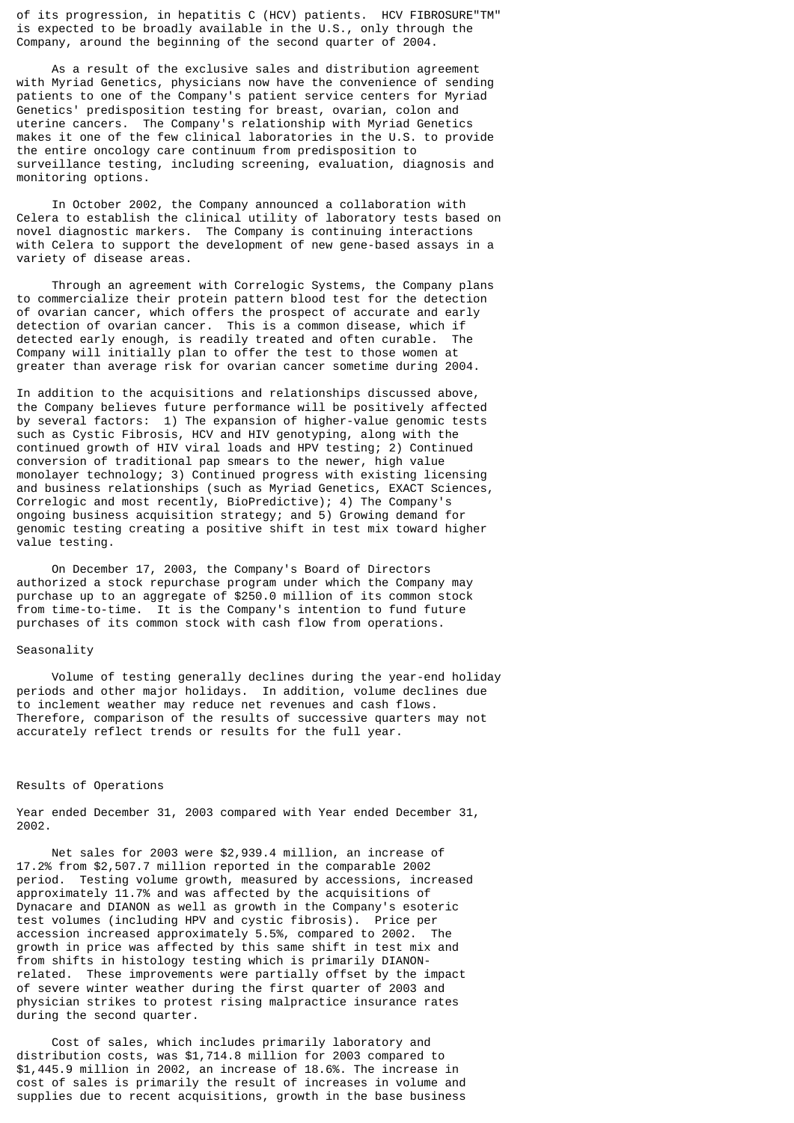of its progression, in hepatitis C (HCV) patients. HCV FIBROSURE"TM" is expected to be broadly available in the U.S., only through the Company, around the beginning of the second quarter of 2004.

 As a result of the exclusive sales and distribution agreement with Myriad Genetics, physicians now have the convenience of sending patients to one of the Company's patient service centers for Myriad Genetics' predisposition testing for breast, ovarian, colon and uterine cancers. The Company's relationship with Myriad Genetics makes it one of the few clinical laboratories in the U.S. to provide the entire oncology care continuum from predisposition to surveillance testing, including screening, evaluation, diagnosis and monitoring options.

 In October 2002, the Company announced a collaboration with Celera to establish the clinical utility of laboratory tests based on novel diagnostic markers. The Company is continuing interactions with Celera to support the development of new gene-based assays in a variety of disease areas.

 Through an agreement with Correlogic Systems, the Company plans to commercialize their protein pattern blood test for the detection of ovarian cancer, which offers the prospect of accurate and early detection of ovarian cancer. This is a common disease, which if detected early enough, is readily treated and often curable. The Company will initially plan to offer the test to those women at greater than average risk for ovarian cancer sometime during 2004.

In addition to the acquisitions and relationships discussed above, the Company believes future performance will be positively affected by several factors: 1) The expansion of higher-value genomic tests such as Cystic Fibrosis, HCV and HIV genotyping, along with the continued growth of HIV viral loads and HPV testing; 2) Continued conversion of traditional pap smears to the newer, high value monolayer technology; 3) Continued progress with existing licensing and business relationships (such as Myriad Genetics, EXACT Sciences, Correlogic and most recently, BioPredictive); 4) The Company's ongoing business acquisition strategy; and 5) Growing demand for genomic testing creating a positive shift in test mix toward higher value testing.

 On December 17, 2003, the Company's Board of Directors authorized a stock repurchase program under which the Company may purchase up to an aggregate of \$250.0 million of its common stock from time-to-time. It is the Company's intention to fund future purchases of its common stock with cash flow from operations.

#### Seasonality

 Volume of testing generally declines during the year-end holiday periods and other major holidays. In addition, volume declines due to inclement weather may reduce net revenues and cash flows. Therefore, comparison of the results of successive quarters may not accurately reflect trends or results for the full year.

#### Results of Operations

Year ended December 31, 2003 compared with Year ended December 31, 2002.

 Net sales for 2003 were \$2,939.4 million, an increase of 17.2% from \$2,507.7 million reported in the comparable 2002 period. Testing volume growth, measured by accessions, increased approximately 11.7% and was affected by the acquisitions of Dynacare and DIANON as well as growth in the Company's esoteric test volumes (including HPV and cystic fibrosis). Price per accession increased approximately 5.5%, compared to 2002. The growth in price was affected by this same shift in test mix and from shifts in histology testing which is primarily DIANONrelated. These improvements were partially offset by the impact of severe winter weather during the first quarter of 2003 and physician strikes to protest rising malpractice insurance rates during the second quarter.

 Cost of sales, which includes primarily laboratory and distribution costs, was \$1,714.8 million for 2003 compared to \$1,445.9 million in 2002, an increase of 18.6%. The increase in cost of sales is primarily the result of increases in volume and supplies due to recent acquisitions, growth in the base business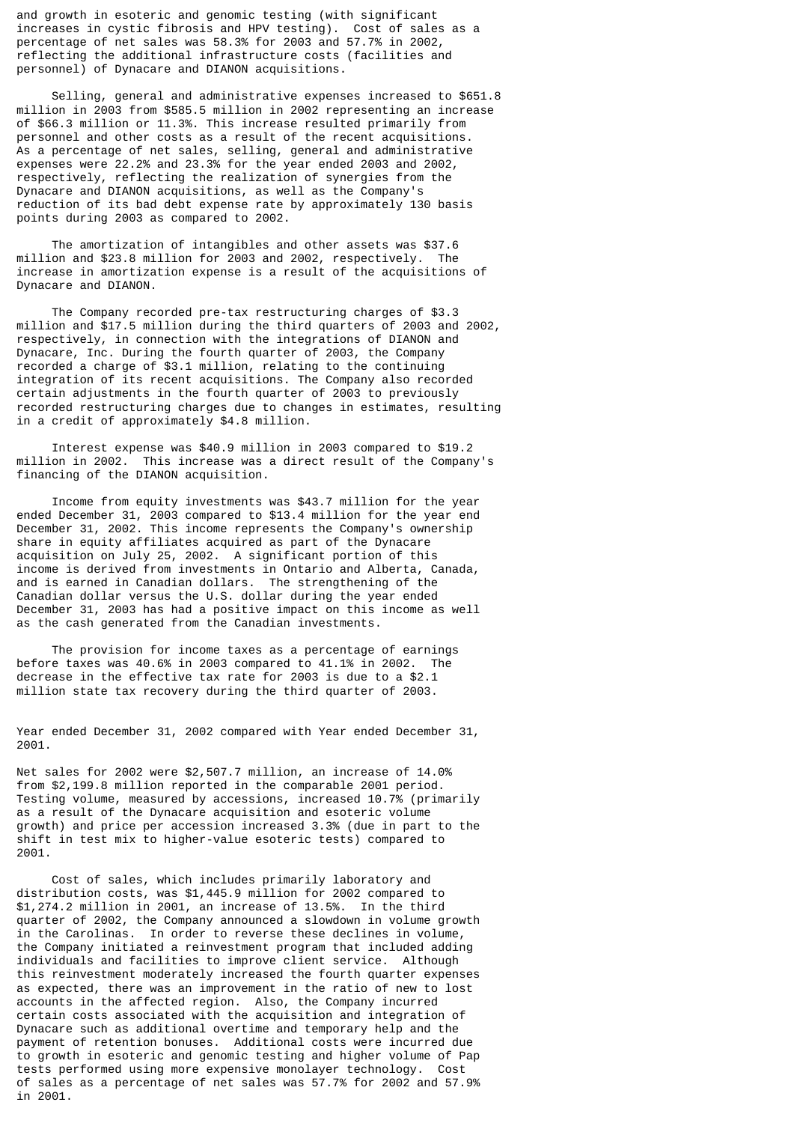and growth in esoteric and genomic testing (with significant increases in cystic fibrosis and HPV testing). Cost of sales as a percentage of net sales was 58.3% for 2003 and 57.7% in 2002, reflecting the additional infrastructure costs (facilities and personnel) of Dynacare and DIANON acquisitions.

 Selling, general and administrative expenses increased to \$651.8 million in 2003 from \$585.5 million in 2002 representing an increase of \$66.3 million or 11.3%. This increase resulted primarily from personnel and other costs as a result of the recent acquisitions. As a percentage of net sales, selling, general and administrative expenses were 22.2% and 23.3% for the year ended 2003 and 2002, respectively, reflecting the realization of synergies from the Dynacare and DIANON acquisitions, as well as the Company's reduction of its bad debt expense rate by approximately 130 basis points during 2003 as compared to 2002.

 The amortization of intangibles and other assets was \$37.6 million and \$23.8 million for 2003 and 2002, respectively. The increase in amortization expense is a result of the acquisitions of Dynacare and DIANON.

 The Company recorded pre-tax restructuring charges of \$3.3 million and \$17.5 million during the third quarters of 2003 and 2002, respectively, in connection with the integrations of DIANON and Dynacare, Inc. During the fourth quarter of 2003, the Company recorded a charge of \$3.1 million, relating to the continuing integration of its recent acquisitions. The Company also recorded certain adjustments in the fourth quarter of 2003 to previously recorded restructuring charges due to changes in estimates, resulting in a credit of approximately \$4.8 million.

 Interest expense was \$40.9 million in 2003 compared to \$19.2 million in 2002. This increase was a direct result of the Company's financing of the DIANON acquisition.

 Income from equity investments was \$43.7 million for the year ended December 31, 2003 compared to \$13.4 million for the year end December 31, 2002. This income represents the Company's ownership share in equity affiliates acquired as part of the Dynacare acquisition on July 25, 2002. A significant portion of this income is derived from investments in Ontario and Alberta, Canada, and is earned in Canadian dollars. The strengthening of the Canadian dollar versus the U.S. dollar during the year ended December 31, 2003 has had a positive impact on this income as well as the cash generated from the Canadian investments.

 The provision for income taxes as a percentage of earnings before taxes was 40.6% in 2003 compared to 41.1% in 2002. The decrease in the effective tax rate for 2003 is due to a \$2.1 million state tax recovery during the third quarter of 2003.

Year ended December 31, 2002 compared with Year ended December 31, 2001.

Net sales for 2002 were \$2,507.7 million, an increase of 14.0% from \$2,199.8 million reported in the comparable 2001 period. Testing volume, measured by accessions, increased 10.7% (primarily as a result of the Dynacare acquisition and esoteric volume growth) and price per accession increased 3.3% (due in part to the shift in test mix to higher-value esoteric tests) compared to 2001.

 Cost of sales, which includes primarily laboratory and distribution costs, was \$1,445.9 million for 2002 compared to \$1,274.2 million in 2001, an increase of 13.5%. In the third quarter of 2002, the Company announced a slowdown in volume growth in the Carolinas. In order to reverse these declines in volume, the Company initiated a reinvestment program that included adding individuals and facilities to improve client service. Although this reinvestment moderately increased the fourth quarter expenses as expected, there was an improvement in the ratio of new to lost accounts in the affected region. Also, the Company incurred certain costs associated with the acquisition and integration of Dynacare such as additional overtime and temporary help and the payment of retention bonuses. Additional costs were incurred due to growth in esoteric and genomic testing and higher volume of Pap tests performed using more expensive monolayer technology. Cost of sales as a percentage of net sales was 57.7% for 2002 and 57.9% in 2001.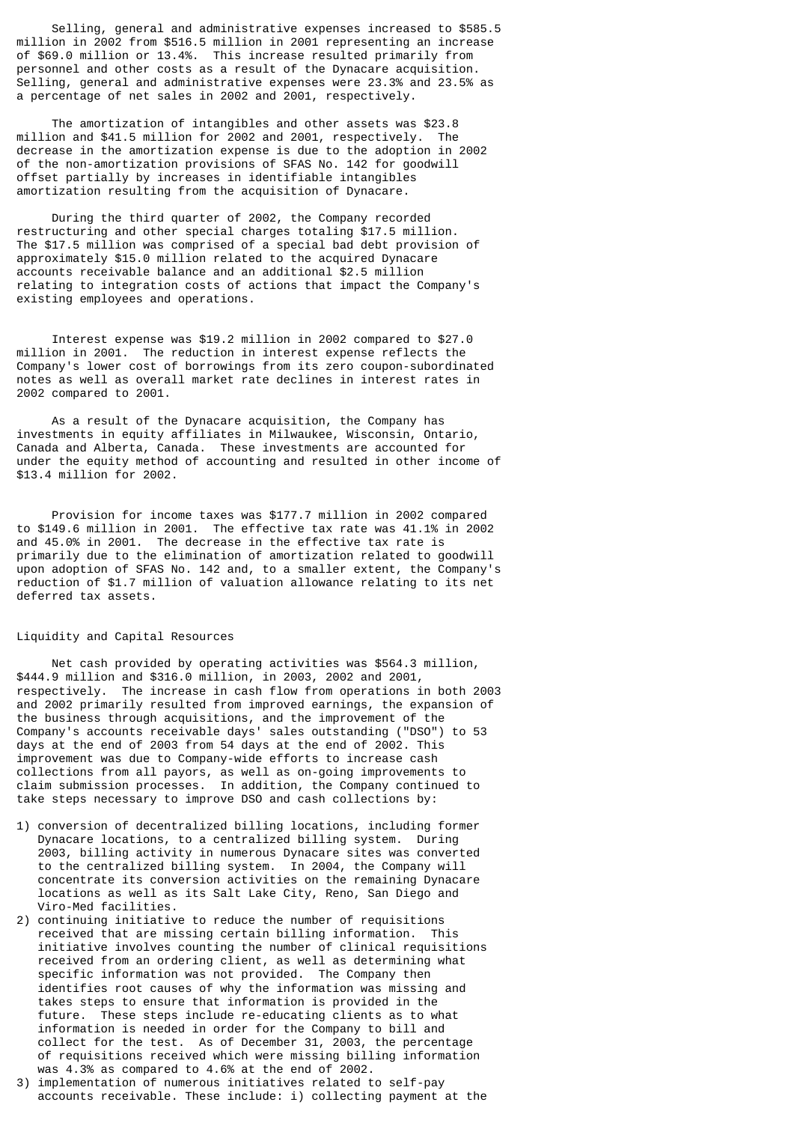Selling, general and administrative expenses increased to \$585.5 million in 2002 from \$516.5 million in 2001 representing an increase of \$69.0 million or 13.4%. This increase resulted primarily from personnel and other costs as a result of the Dynacare acquisition. Selling, general and administrative expenses were 23.3% and 23.5% as a percentage of net sales in 2002 and 2001, respectively.

 The amortization of intangibles and other assets was \$23.8 million and \$41.5 million for 2002 and 2001, respectively. The decrease in the amortization expense is due to the adoption in 2002 of the non-amortization provisions of SFAS No. 142 for goodwill offset partially by increases in identifiable intangibles amortization resulting from the acquisition of Dynacare.

 During the third quarter of 2002, the Company recorded restructuring and other special charges totaling \$17.5 million. The \$17.5 million was comprised of a special bad debt provision of approximately \$15.0 million related to the acquired Dynacare accounts receivable balance and an additional \$2.5 million relating to integration costs of actions that impact the Company's existing employees and operations.

 Interest expense was \$19.2 million in 2002 compared to \$27.0 million in 2001. The reduction in interest expense reflects the Company's lower cost of borrowings from its zero coupon-subordinated notes as well as overall market rate declines in interest rates in 2002 compared to 2001.

 As a result of the Dynacare acquisition, the Company has investments in equity affiliates in Milwaukee, Wisconsin, Ontario, Canada and Alberta, Canada. These investments are accounted for under the equity method of accounting and resulted in other income of \$13.4 million for 2002.

 Provision for income taxes was \$177.7 million in 2002 compared to \$149.6 million in 2001. The effective tax rate was 41.1% in 2002 and 45.0% in 2001. The decrease in the effective tax rate is primarily due to the elimination of amortization related to goodwill upon adoption of SFAS No. 142 and, to a smaller extent, the Company's reduction of \$1.7 million of valuation allowance relating to its net deferred tax assets.

### Liquidity and Capital Resources

 Net cash provided by operating activities was \$564.3 million, \$444.9 million and \$316.0 million, in 2003, 2002 and 2001, respectively. The increase in cash flow from operations in both 2003 and 2002 primarily resulted from improved earnings, the expansion of the business through acquisitions, and the improvement of the Company's accounts receivable days' sales outstanding ("DSO") to 53 days at the end of 2003 from 54 days at the end of 2002. This improvement was due to Company-wide efforts to increase cash collections from all payors, as well as on-going improvements to claim submission processes. In addition, the Company continued to take steps necessary to improve DSO and cash collections by:

- 1) conversion of decentralized billing locations, including former Dynacare locations, to a centralized billing system. During 2003, billing activity in numerous Dynacare sites was converted to the centralized billing system. In 2004, the Company will concentrate its conversion activities on the remaining Dynacare locations as well as its Salt Lake City, Reno, San Diego and Viro-Med facilities.
- 2) continuing initiative to reduce the number of requisitions received that are missing certain billing information. This initiative involves counting the number of clinical requisitions received from an ordering client, as well as determining what specific information was not provided. The Company then identifies root causes of why the information was missing and takes steps to ensure that information is provided in the future. These steps include re-educating clients as to what information is needed in order for the Company to bill and collect for the test. As of December 31, 2003, the percentage of requisitions received which were missing billing information was 4.3% as compared to 4.6% at the end of 2002.
- 3) implementation of numerous initiatives related to self-pay accounts receivable. These include: i) collecting payment at the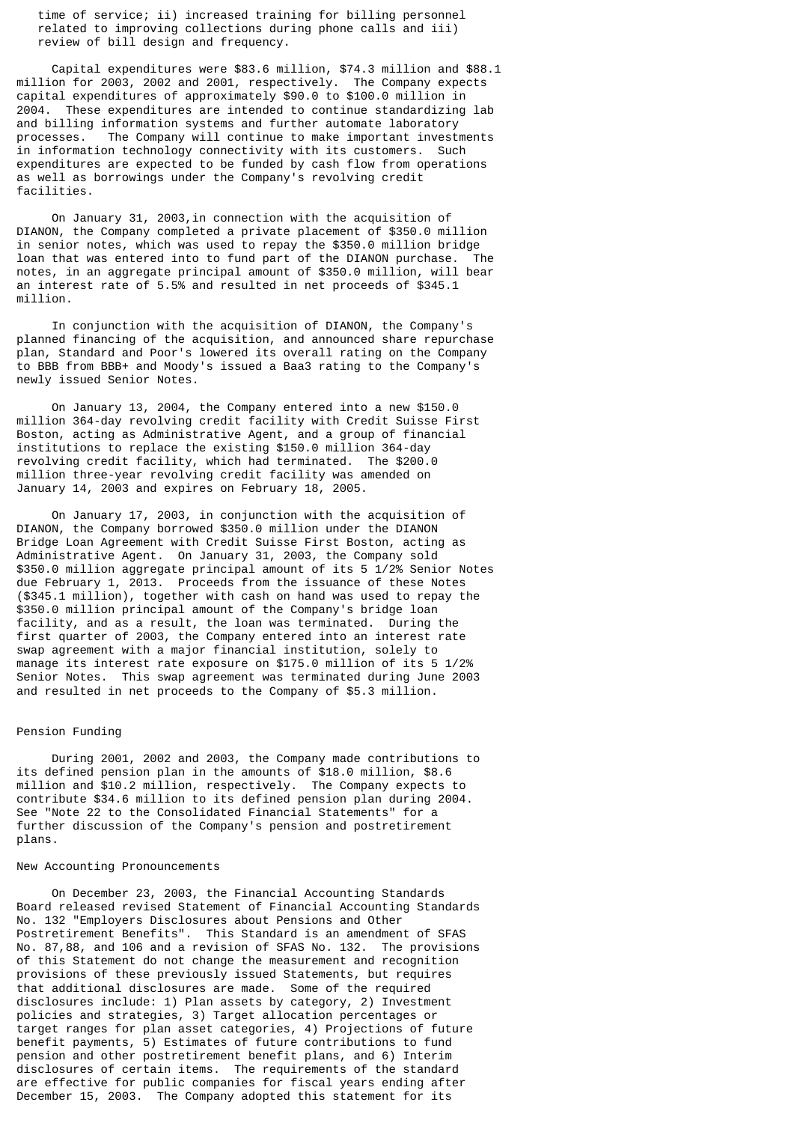time of service; ii) increased training for billing personnel related to improving collections during phone calls and iii) review of bill design and frequency.

 Capital expenditures were \$83.6 million, \$74.3 million and \$88.1 million for 2003, 2002 and 2001, respectively. The Company expects capital expenditures of approximately \$90.0 to \$100.0 million in 2004. These expenditures are intended to continue standardizing lab and billing information systems and further automate laboratory<br>processes. The Company will continue to make important investr The Company will continue to make important investments in information technology connectivity with its customers. Such expenditures are expected to be funded by cash flow from operations as well as borrowings under the Company's revolving credit facilities.

 On January 31, 2003,in connection with the acquisition of DIANON, the Company completed a private placement of \$350.0 million in senior notes, which was used to repay the \$350.0 million bridge loan that was entered into to fund part of the DIANON purchase. The notes, in an aggregate principal amount of \$350.0 million, will bear an interest rate of 5.5% and resulted in net proceeds of \$345.1 million.

 In conjunction with the acquisition of DIANON, the Company's planned financing of the acquisition, and announced share repurchase plan, Standard and Poor's lowered its overall rating on the Company to BBB from BBB+ and Moody's issued a Baa3 rating to the Company's newly issued Senior Notes.

 On January 13, 2004, the Company entered into a new \$150.0 million 364-day revolving credit facility with Credit Suisse First Boston, acting as Administrative Agent, and a group of financial institutions to replace the existing \$150.0 million 364-day revolving credit facility, which had terminated. The \$200.0 million three-year revolving credit facility was amended on January 14, 2003 and expires on February 18, 2005.

 On January 17, 2003, in conjunction with the acquisition of DIANON, the Company borrowed \$350.0 million under the DIANON Bridge Loan Agreement with Credit Suisse First Boston, acting as Administrative Agent. On January 31, 2003, the Company sold \$350.0 million aggregate principal amount of its 5 1/2% Senior Notes due February 1, 2013. Proceeds from the issuance of these Notes (\$345.1 million), together with cash on hand was used to repay the \$350.0 million principal amount of the Company's bridge loan facility, and as a result, the loan was terminated. During the first quarter of 2003, the Company entered into an interest rate swap agreement with a major financial institution, solely to manage its interest rate exposure on \$175.0 million of its 5 1/2% Senior Notes. This swap agreement was terminated during June 2003 and resulted in net proceeds to the Company of \$5.3 million.

# Pension Funding

 During 2001, 2002 and 2003, the Company made contributions to its defined pension plan in the amounts of \$18.0 million, \$8.6 million and \$10.2 million, respectively. The Company expects to contribute \$34.6 million to its defined pension plan during 2004. See "Note 22 to the Consolidated Financial Statements" for a further discussion of the Company's pension and postretirement plans.

### New Accounting Pronouncements

 On December 23, 2003, the Financial Accounting Standards Board released revised Statement of Financial Accounting Standards No. 132 "Employers Disclosures about Pensions and Other Postretirement Benefits". This Standard is an amendment of SFAS No. 87,88, and 106 and a revision of SFAS No. 132. The provisions of this Statement do not change the measurement and recognition provisions of these previously issued Statements, but requires that additional disclosures are made. Some of the required disclosures include: 1) Plan assets by category, 2) Investment policies and strategies, 3) Target allocation percentages or target ranges for plan asset categories, 4) Projections of future benefit payments, 5) Estimates of future contributions to fund pension and other postretirement benefit plans, and 6) Interim disclosures of certain items. The requirements of the standard are effective for public companies for fiscal years ending after December 15, 2003. The Company adopted this statement for its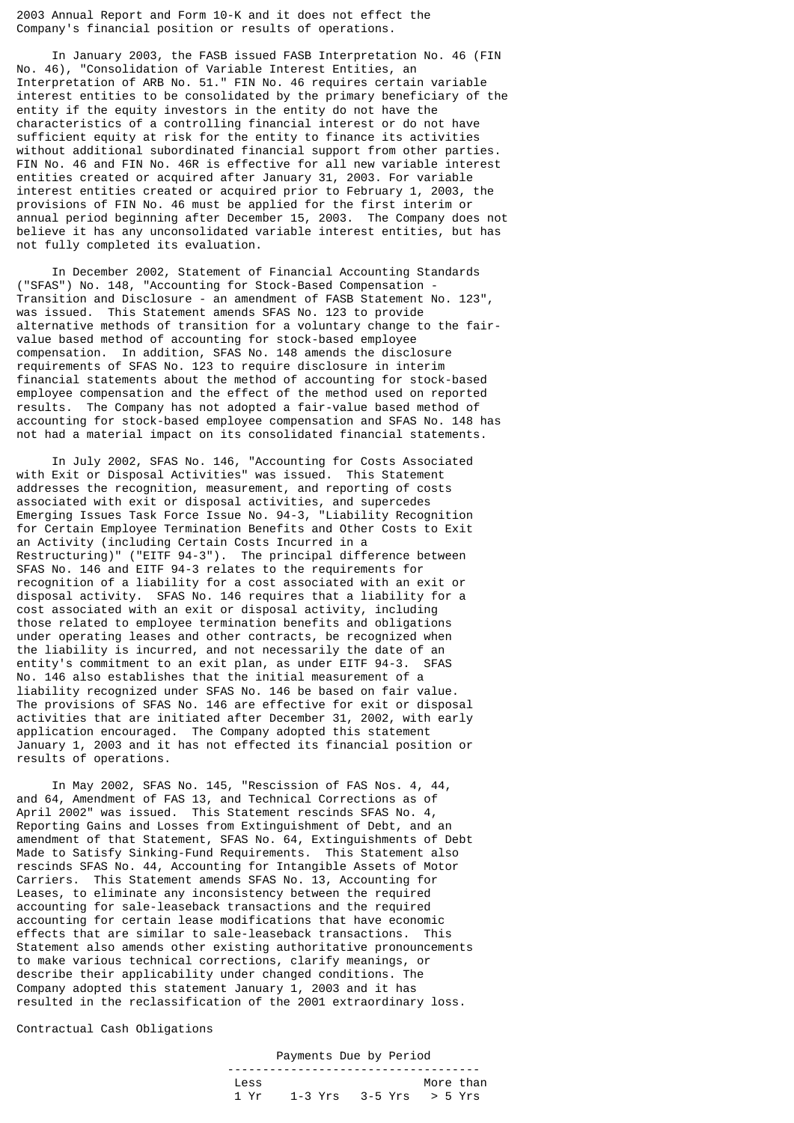2003 Annual Report and Form 10-K and it does not effect the Company's financial position or results of operations.

 In January 2003, the FASB issued FASB Interpretation No. 46 (FIN No. 46), "Consolidation of Variable Interest Entities, an Interpretation of ARB No. 51." FIN No. 46 requires certain variable interest entities to be consolidated by the primary beneficiary of the entity if the equity investors in the entity do not have the characteristics of a controlling financial interest or do not have sufficient equity at risk for the entity to finance its activities without additional subordinated financial support from other parties. FIN No. 46 and FIN No. 46R is effective for all new variable interest entities created or acquired after January 31, 2003. For variable interest entities created or acquired prior to February 1, 2003, the provisions of FIN No. 46 must be applied for the first interim or annual period beginning after December 15, 2003. The Company does not believe it has any unconsolidated variable interest entities, but has not fully completed its evaluation.

 In December 2002, Statement of Financial Accounting Standards ("SFAS") No. 148, "Accounting for Stock-Based Compensation - Transition and Disclosure - an amendment of FASB Statement No. 123", was issued. This Statement amends SFAS No. 123 to provide alternative methods of transition for a voluntary change to the fairvalue based method of accounting for stock-based employee compensation. In addition, SFAS No. 148 amends the disclosure requirements of SFAS No. 123 to require disclosure in interim financial statements about the method of accounting for stock-based employee compensation and the effect of the method used on reported results. The Company has not adopted a fair-value based method of accounting for stock-based employee compensation and SFAS No. 148 has not had a material impact on its consolidated financial statements.

 In July 2002, SFAS No. 146, "Accounting for Costs Associated with Exit or Disposal Activities" was issued. This Statement addresses the recognition, measurement, and reporting of costs associated with exit or disposal activities, and supercedes Emerging Issues Task Force Issue No. 94-3, "Liability Recognition for Certain Employee Termination Benefits and Other Costs to Exit an Activity (including Certain Costs Incurred in a Restructuring)" ("EITF 94-3"). The principal difference between SFAS No. 146 and EITF 94-3 relates to the requirements for recognition of a liability for a cost associated with an exit or disposal activity. SFAS No. 146 requires that a liability for a cost associated with an exit or disposal activity, including those related to employee termination benefits and obligations under operating leases and other contracts, be recognized when the liability is incurred, and not necessarily the date of an entity's commitment to an exit plan, as under EITF 94-3. SFAS No. 146 also establishes that the initial measurement of a liability recognized under SFAS No. 146 be based on fair value. The provisions of SFAS No. 146 are effective for exit or disposal activities that are initiated after December 31, 2002, with early application encouraged. The Company adopted this statement January 1, 2003 and it has not effected its financial position or results of operations.

 In May 2002, SFAS No. 145, "Rescission of FAS Nos. 4, 44, and 64, Amendment of FAS 13, and Technical Corrections as of April 2002" was issued. This Statement rescinds SFAS No. 4, Reporting Gains and Losses from Extinguishment of Debt, and an amendment of that Statement, SFAS No. 64, Extinguishments of Debt Made to Satisfy Sinking-Fund Requirements. This Statement also rescinds SFAS No. 44, Accounting for Intangible Assets of Motor Carriers. This Statement amends SFAS No. 13, Accounting for Leases, to eliminate any inconsistency between the required accounting for sale-leaseback transactions and the required accounting for certain lease modifications that have economic effects that are similar to sale-leaseback transactions. This Statement also amends other existing authoritative pronouncements to make various technical corrections, clarify meanings, or describe their applicability under changed conditions. The Company adopted this statement January 1, 2003 and it has resulted in the reclassification of the 2001 extraordinary loss.

Contractual Cash Obligations

Payments Due by Period

| Less |                                          | More than |
|------|------------------------------------------|-----------|
|      | $1 Yr$ $1 - 3 Yrs$ $3 - 5 Yrs$ $> 5 Yrs$ |           |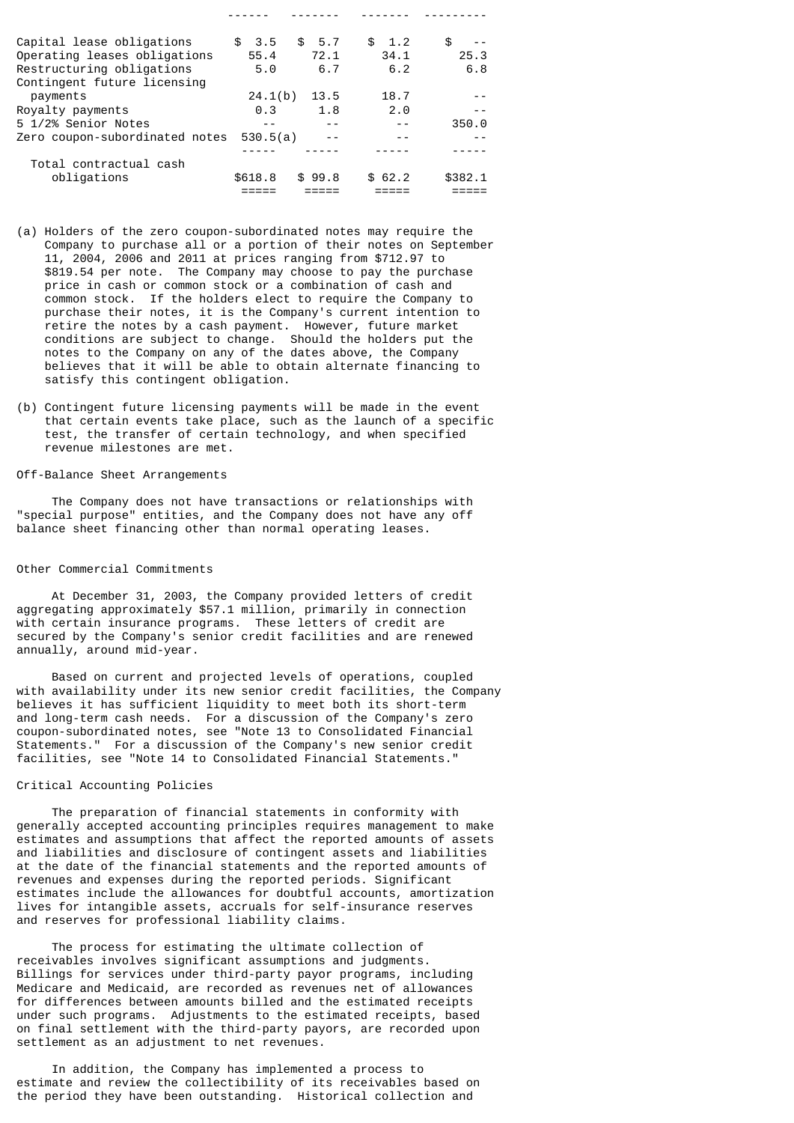| Capital lease obligations      | \$3.5    | \$5.7  | \$1.2  | \$      |
|--------------------------------|----------|--------|--------|---------|
| Operating leases obligations   | 55.4     | 72.1   | 34.1   | 25.3    |
| Restructuring obligations      | 5.0      | 6.7    | 6.2    | 6.8     |
| Contingent future licensing    |          |        |        |         |
| payments                       | 24.1(b)  | 13.5   | 18.7   |         |
| Royalty payments               | 0.3      | 1.8    | 2.0    |         |
| 5 1/2% Senior Notes            |          |        |        | 350.0   |
| Zero coupon-subordinated notes | 530.5(a) |        |        |         |
|                                |          |        |        |         |
| Total contractual cash         |          |        |        |         |
| obligations                    | \$618.8  | \$99.8 | \$62.2 | \$382.1 |
|                                |          |        |        |         |

- (a) Holders of the zero coupon-subordinated notes may require the Company to purchase all or a portion of their notes on September 11, 2004, 2006 and 2011 at prices ranging from \$712.97 to \$819.54 per note. The Company may choose to pay the purchase price in cash or common stock or a combination of cash and common stock. If the holders elect to require the Company to purchase their notes, it is the Company's current intention to retire the notes by a cash payment. However, future market conditions are subject to change. Should the holders put the notes to the Company on any of the dates above, the Company believes that it will be able to obtain alternate financing to satisfy this contingent obligation.
- (b) Contingent future licensing payments will be made in the event that certain events take place, such as the launch of a specific test, the transfer of certain technology, and when specified revenue milestones are met.

# Off-Balance Sheet Arrangements

 The Company does not have transactions or relationships with "special purpose" entities, and the Company does not have any off balance sheet financing other than normal operating leases.

#### Other Commercial Commitments

 At December 31, 2003, the Company provided letters of credit aggregating approximately \$57.1 million, primarily in connection with certain insurance programs. These letters of credit are secured by the Company's senior credit facilities and are renewed annually, around mid-year.

 Based on current and projected levels of operations, coupled with availability under its new senior credit facilities, the Company believes it has sufficient liquidity to meet both its short-term and long-term cash needs. For a discussion of the Company's zero coupon-subordinated notes, see "Note 13 to Consolidated Financial Statements." For a discussion of the Company's new senior credit facilities, see "Note 14 to Consolidated Financial Statements.'

#### Critical Accounting Policies

 The preparation of financial statements in conformity with generally accepted accounting principles requires management to make estimates and assumptions that affect the reported amounts of assets and liabilities and disclosure of contingent assets and liabilities at the date of the financial statements and the reported amounts of revenues and expenses during the reported periods. Significant estimates include the allowances for doubtful accounts, amortization lives for intangible assets, accruals for self-insurance reserves and reserves for professional liability claims.

 The process for estimating the ultimate collection of receivables involves significant assumptions and judgments. Billings for services under third-party payor programs, including Medicare and Medicaid, are recorded as revenues net of allowances for differences between amounts billed and the estimated receipts under such programs. Adjustments to the estimated receipts, based on final settlement with the third-party payors, are recorded upon settlement as an adjustment to net revenues.

 In addition, the Company has implemented a process to estimate and review the collectibility of its receivables based on the period they have been outstanding. Historical collection and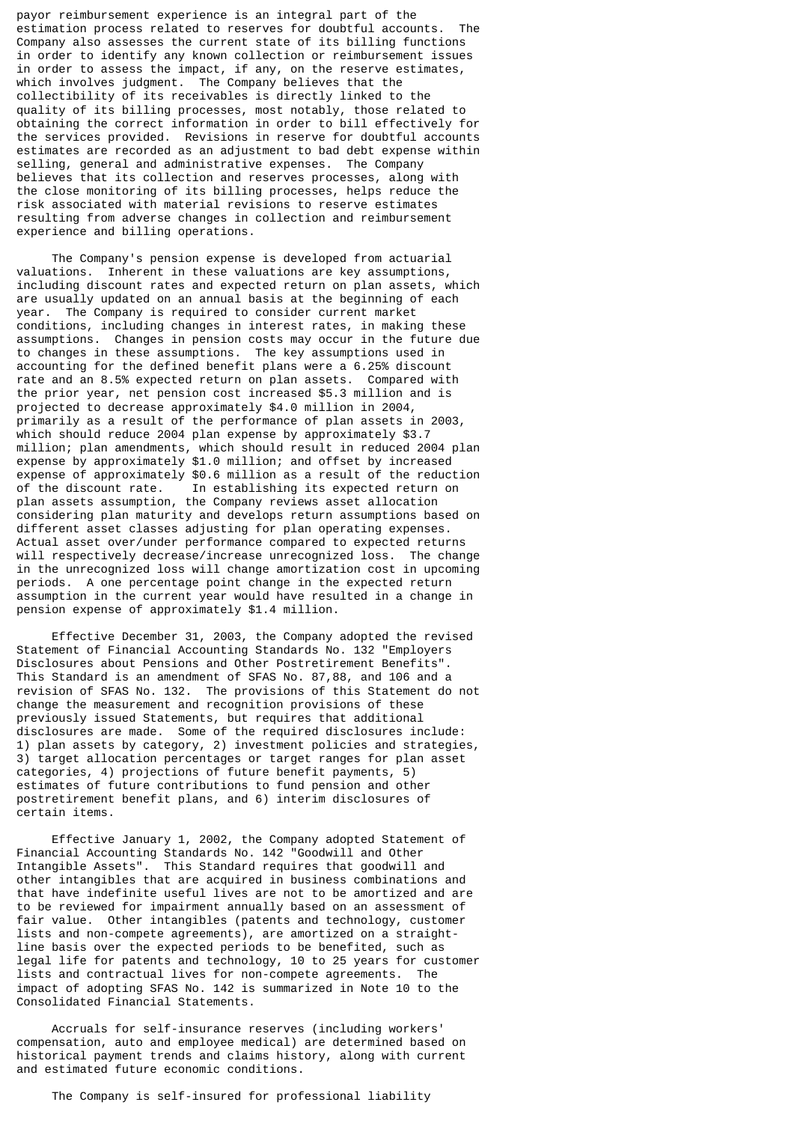payor reimbursement experience is an integral part of the estimation process related to reserves for doubtful accounts. The Company also assesses the current state of its billing functions in order to identify any known collection or reimbursement issues in order to assess the impact, if any, on the reserve estimates, which involves judgment. The Company believes that the collectibility of its receivables is directly linked to the quality of its billing processes, most notably, those related to obtaining the correct information in order to bill effectively for the services provided. Revisions in reserve for doubtful accounts estimates are recorded as an adjustment to bad debt expense within selling, general and administrative expenses. The Company believes that its collection and reserves processes, along with the close monitoring of its billing processes, helps reduce the risk associated with material revisions to reserve estimates resulting from adverse changes in collection and reimbursement experience and billing operations.

 The Company's pension expense is developed from actuarial valuations. Inherent in these valuations are key assumptions, including discount rates and expected return on plan assets, which are usually updated on an annual basis at the beginning of each year. The Company is required to consider current market conditions, including changes in interest rates, in making these assumptions. Changes in pension costs may occur in the future due to changes in these assumptions. The key assumptions used in accounting for the defined benefit plans were a 6.25% discount rate and an 8.5% expected return on plan assets. Compared with the prior year, net pension cost increased \$5.3 million and is projected to decrease approximately \$4.0 million in 2004, primarily as a result of the performance of plan assets in 2003, which should reduce 2004 plan expense by approximately \$3.7 million; plan amendments, which should result in reduced 2004 plan expense by approximately \$1.0 million; and offset by increased expense of approximately \$0.6 million as a result of the reduction of the discount rate. In establishing its expected return on plan assets assumption, the Company reviews asset allocation considering plan maturity and develops return assumptions based on different asset classes adjusting for plan operating expenses. Actual asset over/under performance compared to expected returns will respectively decrease/increase unrecognized loss. The change in the unrecognized loss will change amortization cost in upcoming periods. A one percentage point change in the expected return assumption in the current year would have resulted in a change in pension expense of approximately \$1.4 million.

 Effective December 31, 2003, the Company adopted the revised Statement of Financial Accounting Standards No. 132 "Employers Disclosures about Pensions and Other Postretirement Benefits". This Standard is an amendment of SFAS No. 87,88, and 106 and a revision of SFAS No. 132. The provisions of this Statement do not change the measurement and recognition provisions of these previously issued Statements, but requires that additional disclosures are made. Some of the required disclosures include: 1) plan assets by category, 2) investment policies and strategies, 3) target allocation percentages or target ranges for plan asset categories, 4) projections of future benefit payments, 5) estimates of future contributions to fund pension and other postretirement benefit plans, and 6) interim disclosures of certain items.

 Effective January 1, 2002, the Company adopted Statement of Financial Accounting Standards No. 142 "Goodwill and Other Intangible Assets". This Standard requires that goodwill and other intangibles that are acquired in business combinations and that have indefinite useful lives are not to be amortized and are to be reviewed for impairment annually based on an assessment of fair value. Other intangibles (patents and technology, customer lists and non-compete agreements), are amortized on a straightline basis over the expected periods to be benefited, such as legal life for patents and technology, 10 to 25 years for customer lists and contractual lives for non-compete agreements. The impact of adopting SFAS No. 142 is summarized in Note 10 to the Consolidated Financial Statements.

 Accruals for self-insurance reserves (including workers' compensation, auto and employee medical) are determined based on historical payment trends and claims history, along with current and estimated future economic conditions.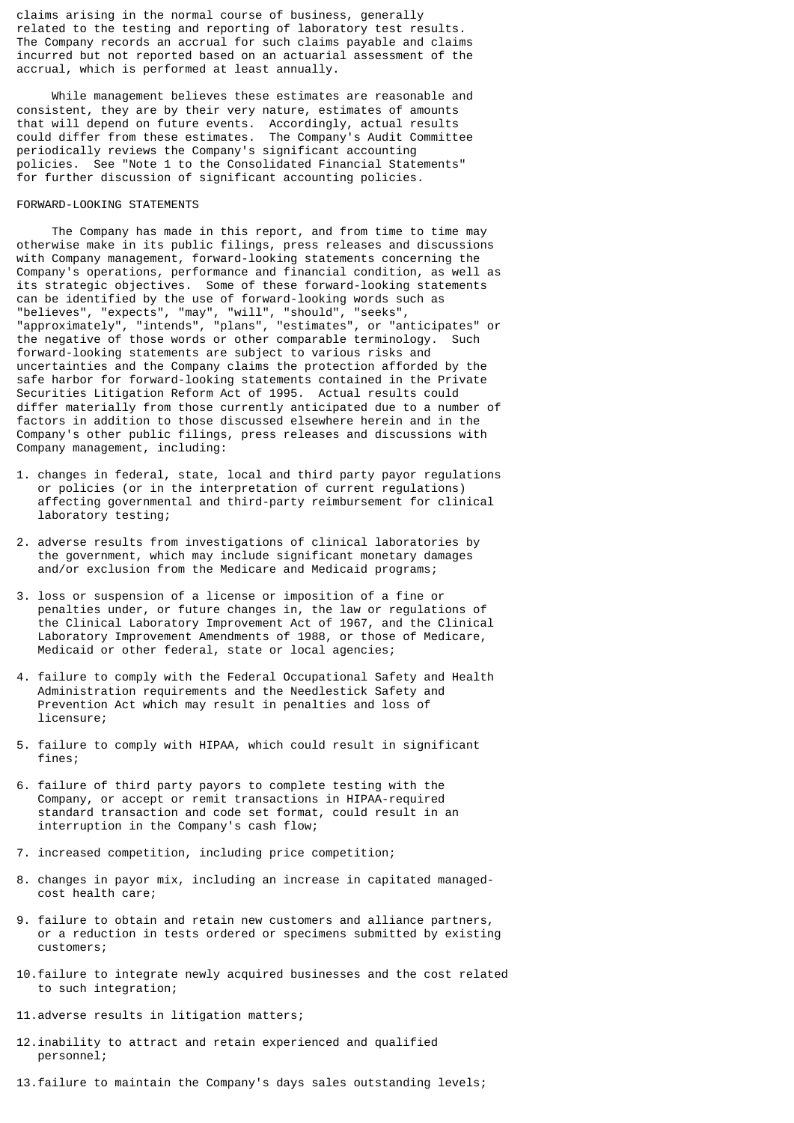claims arising in the normal course of business, generally related to the testing and reporting of laboratory test results. The Company records an accrual for such claims payable and claims incurred but not reported based on an actuarial assessment of the accrual, which is performed at least annually.

 While management believes these estimates are reasonable and consistent, they are by their very nature, estimates of amounts that will depend on future events. Accordingly, actual results could differ from these estimates. The Company's Audit Committee periodically reviews the Company's significant accounting policies. See "Note 1 to the Consolidated Financial Statements" for further discussion of significant accounting policies.

### FORWARD-LOOKING STATEMENTS

 The Company has made in this report, and from time to time may otherwise make in its public filings, press releases and discussions with Company management, forward-looking statements concerning the Company's operations, performance and financial condition, as well as its strategic objectives. Some of these forward-looking statements can be identified by the use of forward-looking words such as "believes", "expects", "may", "will", "should", "seeks", "approximately", "intends", "plans", "estimates", or "anticipates" or the negative of those words or other comparable terminology. Such forward-looking statements are subject to various risks and uncertainties and the Company claims the protection afforded by the safe harbor for forward-looking statements contained in the Private Securities Litigation Reform Act of 1995. Actual results could differ materially from those currently anticipated due to a number of factors in addition to those discussed elsewhere herein and in the Company's other public filings, press releases and discussions with Company management, including:

- 1. changes in federal, state, local and third party payor regulations or policies (or in the interpretation of current regulations) affecting governmental and third-party reimbursement for clinical laboratory testing;
- 2. adverse results from investigations of clinical laboratories by the government, which may include significant monetary damages and/or exclusion from the Medicare and Medicaid programs;
- 3. loss or suspension of a license or imposition of a fine or penalties under, or future changes in, the law or regulations of the Clinical Laboratory Improvement Act of 1967, and the Clinical Laboratory Improvement Amendments of 1988, or those of Medicare, Medicaid or other federal, state or local agencies;
- 4. failure to comply with the Federal Occupational Safety and Health Administration requirements and the Needlestick Safety and Prevention Act which may result in penalties and loss of licensure;
- 5. failure to comply with HIPAA, which could result in significant fines;
- 6. failure of third party payors to complete testing with the Company, or accept or remit transactions in HIPAA-required standard transaction and code set format, could result in an interruption in the Company's cash flow;
- 7. increased competition, including price competition;
- 8. changes in payor mix, including an increase in capitated managed cost health care;
- 9. failure to obtain and retain new customers and alliance partners, or a reduction in tests ordered or specimens submitted by existing customers;
- 10.failure to integrate newly acquired businesses and the cost related to such integration;
- 11.adverse results in litigation matters;
- 12.inability to attract and retain experienced and qualified personnel;
- 13.failure to maintain the Company's days sales outstanding levels;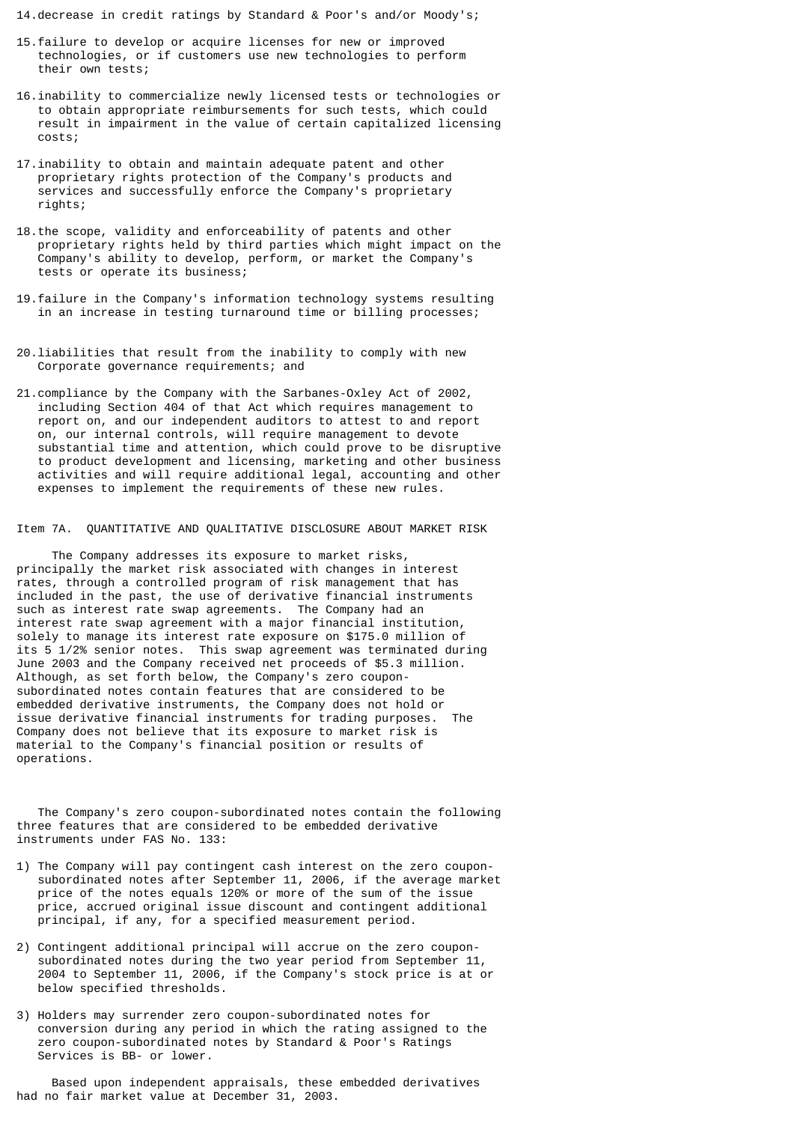14.decrease in credit ratings by Standard & Poor's and/or Moody's;

- 15.failure to develop or acquire licenses for new or improved technologies, or if customers use new technologies to perform their own tests;
- 16.inability to commercialize newly licensed tests or technologies or to obtain appropriate reimbursements for such tests, which could result in impairment in the value of certain capitalized licensing costs;
- 17.inability to obtain and maintain adequate patent and other proprietary rights protection of the Company's products and services and successfully enforce the Company's proprietary rights;
- 18.the scope, validity and enforceability of patents and other proprietary rights held by third parties which might impact on the Company's ability to develop, perform, or market the Company's tests or operate its business;
- 19.failure in the Company's information technology systems resulting in an increase in testing turnaround time or billing processes;
- 20.liabilities that result from the inability to comply with new Corporate governance requirements; and
- 21.compliance by the Company with the Sarbanes-Oxley Act of 2002, including Section 404 of that Act which requires management to report on, and our independent auditors to attest to and report on, our internal controls, will require management to devote substantial time and attention, which could prove to be disruptive to product development and licensing, marketing and other business activities and will require additional legal, accounting and other expenses to implement the requirements of these new rules.

Item 7A. QUANTITATIVE AND QUALITATIVE DISCLOSURE ABOUT MARKET RISK

 The Company addresses its exposure to market risks, principally the market risk associated with changes in interest rates, through a controlled program of risk management that has included in the past, the use of derivative financial instruments such as interest rate swap agreements. The Company had an interest rate swap agreement with a major financial institution, solely to manage its interest rate exposure on \$175.0 million of its 5 1/2% senior notes. This swap agreement was terminated during June 2003 and the Company received net proceeds of \$5.3 million. Although, as set forth below, the Company's zero couponsubordinated notes contain features that are considered to be embedded derivative instruments, the Company does not hold or issue derivative financial instruments for trading purposes. The Company does not believe that its exposure to market risk is material to the Company's financial position or results of operations.

 The Company's zero coupon-subordinated notes contain the following three features that are considered to be embedded derivative instruments under FAS No. 133:

- 1) The Company will pay contingent cash interest on the zero coupon subordinated notes after September 11, 2006, if the average market price of the notes equals 120% or more of the sum of the issue price, accrued original issue discount and contingent additional principal, if any, for a specified measurement period.
- 2) Contingent additional principal will accrue on the zero coupon subordinated notes during the two year period from September 11, 2004 to September 11, 2006, if the Company's stock price is at or below specified thresholds.
- 3) Holders may surrender zero coupon-subordinated notes for conversion during any period in which the rating assigned to the zero coupon-subordinated notes by Standard & Poor's Ratings Services is BB- or lower.

 Based upon independent appraisals, these embedded derivatives had no fair market value at December 31, 2003.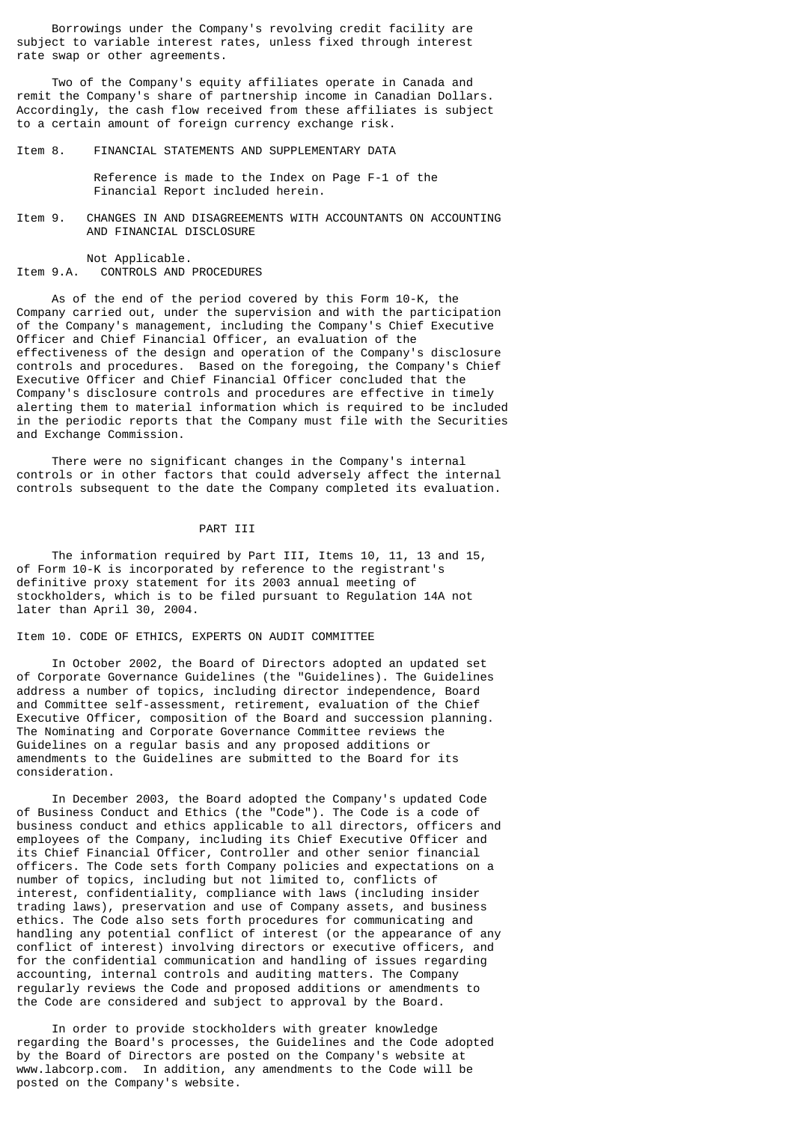Borrowings under the Company's revolving credit facility are subject to variable interest rates, unless fixed through interest rate swap or other agreements.

 Two of the Company's equity affiliates operate in Canada and remit the Company's share of partnership income in Canadian Dollars. Accordingly, the cash flow received from these affiliates is subject to a certain amount of foreign currency exchange risk.

Item 8. FINANCIAL STATEMENTS AND SUPPLEMENTARY DATA

 Reference is made to the Index on Page F-1 of the Financial Report included herein.

Item 9. CHANGES IN AND DISAGREEMENTS WITH ACCOUNTANTS ON ACCOUNTING AND FINANCIAL DISCLOSURE

 Not Applicable. Item 9.A. CONTROLS AND PROCEDURES

 As of the end of the period covered by this Form 10-K, the Company carried out, under the supervision and with the participation of the Company's management, including the Company's Chief Executive Officer and Chief Financial Officer, an evaluation of the effectiveness of the design and operation of the Company's disclosure controls and procedures. Based on the foregoing, the Company's Chief Executive Officer and Chief Financial Officer concluded that the Company's disclosure controls and procedures are effective in timely alerting them to material information which is required to be included in the periodic reports that the Company must file with the Securities and Exchange Commission.

 There were no significant changes in the Company's internal controls or in other factors that could adversely affect the internal controls subsequent to the date the Company completed its evaluation.

### PART III

 The information required by Part III, Items 10, 11, 13 and 15, of Form 10-K is incorporated by reference to the registrant's definitive proxy statement for its 2003 annual meeting of stockholders, which is to be filed pursuant to Regulation 14A not later than April 30, 2004.

Item 10. CODE OF ETHICS, EXPERTS ON AUDIT COMMITTEE

 In October 2002, the Board of Directors adopted an updated set of Corporate Governance Guidelines (the "Guidelines). The Guidelines address a number of topics, including director independence, Board and Committee self-assessment, retirement, evaluation of the Chief Executive Officer, composition of the Board and succession planning. The Nominating and Corporate Governance Committee reviews the Guidelines on a regular basis and any proposed additions or amendments to the Guidelines are submitted to the Board for its consideration.

 In December 2003, the Board adopted the Company's updated Code of Business Conduct and Ethics (the "Code"). The Code is a code of business conduct and ethics applicable to all directors, officers and employees of the Company, including its Chief Executive Officer and its Chief Financial Officer, Controller and other senior financial officers. The Code sets forth Company policies and expectations on a number of topics, including but not limited to, conflicts of interest, confidentiality, compliance with laws (including insider trading laws), preservation and use of Company assets, and business ethics. The Code also sets forth procedures for communicating and handling any potential conflict of interest (or the appearance of any conflict of interest) involving directors or executive officers, and for the confidential communication and handling of issues regarding accounting, internal controls and auditing matters. The Company regularly reviews the Code and proposed additions or amendments to the Code are considered and subject to approval by the Board.

 In order to provide stockholders with greater knowledge regarding the Board's processes, the Guidelines and the Code adopted by the Board of Directors are posted on the Company's website at www.labcorp.com. In addition, any amendments to the Code will be posted on the Company's website.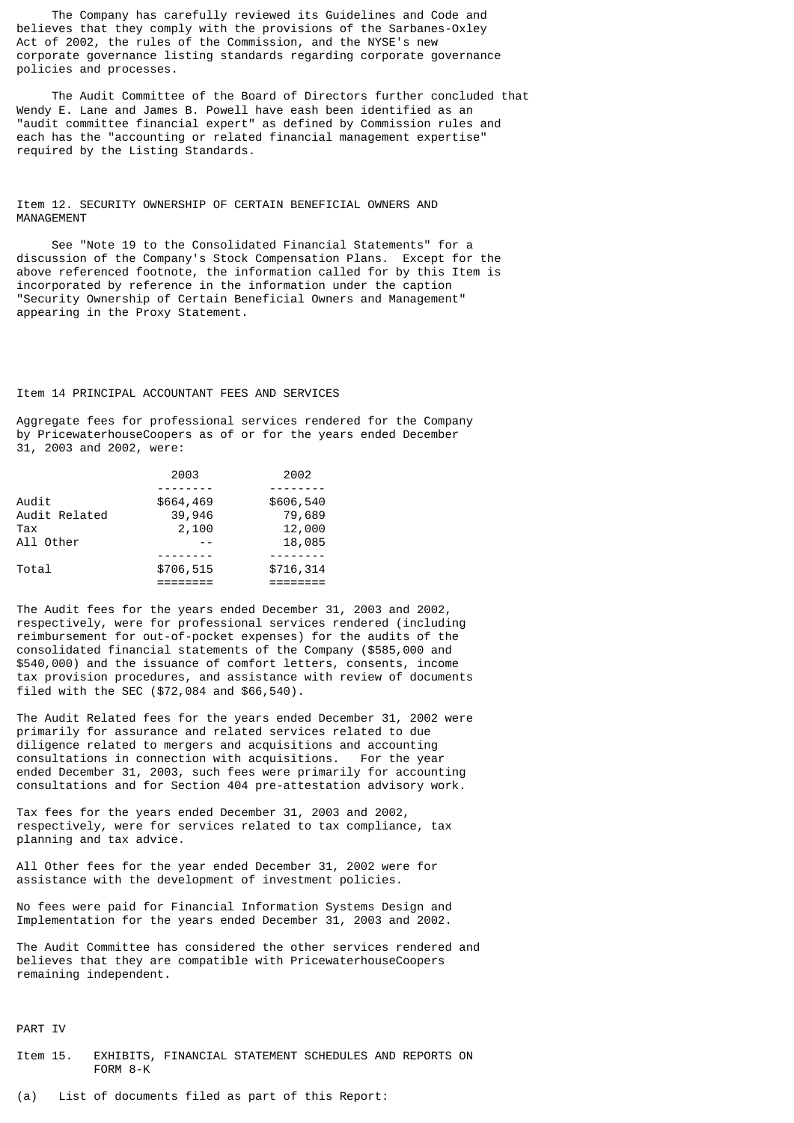The Company has carefully reviewed its Guidelines and Code and believes that they comply with the provisions of the Sarbanes-Oxley Act of 2002, the rules of the Commission, and the NYSE's new corporate governance listing standards regarding corporate governance policies and processes.

 The Audit Committee of the Board of Directors further concluded that Wendy E. Lane and James B. Powell have eash been identified as an "audit committee financial expert" as defined by Commission rules and each has the "accounting or related financial management expertise" required by the Listing Standards.

Item 12. SECURITY OWNERSHIP OF CERTAIN BENEFICIAL OWNERS AND MANAGEMENT

 See "Note 19 to the Consolidated Financial Statements" for a discussion of the Company's Stock Compensation Plans. Except for the above referenced footnote, the information called for by this Item is incorporated by reference in the information under the caption "Security Ownership of Certain Beneficial Owners and Management" appearing in the Proxy Statement.

#### Item 14 PRINCIPAL ACCOUNTANT FEES AND SERVICES

Aggregate fees for professional services rendered for the Company by PricewaterhouseCoopers as of or for the years ended December 31, 2003 and 2002, were:

|               | 2003      | 2002      |
|---------------|-----------|-----------|
|               |           |           |
| Audit         | \$664,469 | \$606,540 |
| Audit Related | 39,946    | 79,689    |
| Tax           | 2,100     | 12,000    |
| All Other     |           | 18,085    |
|               |           |           |
| Total         | \$706,515 | \$716,314 |
|               |           |           |

The Audit fees for the years ended December 31, 2003 and 2002, respectively, were for professional services rendered (including reimbursement for out-of-pocket expenses) for the audits of the consolidated financial statements of the Company (\$585,000 and \$540,000) and the issuance of comfort letters, consents, income tax provision procedures, and assistance with review of documents filed with the SEC (\$72,084 and \$66,540).

The Audit Related fees for the years ended December 31, 2002 were primarily for assurance and related services related to due diligence related to mergers and acquisitions and accounting consultations in connection with acquisitions. For the year ended December 31, 2003, such fees were primarily for accounting consultations and for Section 404 pre-attestation advisory work.

Tax fees for the years ended December 31, 2003 and 2002, respectively, were for services related to tax compliance, tax planning and tax advice.

All Other fees for the year ended December 31, 2002 were for assistance with the development of investment policies.

No fees were paid for Financial Information Systems Design and Implementation for the years ended December 31, 2003 and 2002.

The Audit Committee has considered the other services rendered and believes that they are compatible with PricewaterhouseCoopers remaining independent.

PART IV

- Item 15. EXHIBITS, FINANCIAL STATEMENT SCHEDULES AND REPORTS ON FORM 8-K
- (a) List of documents filed as part of this Report: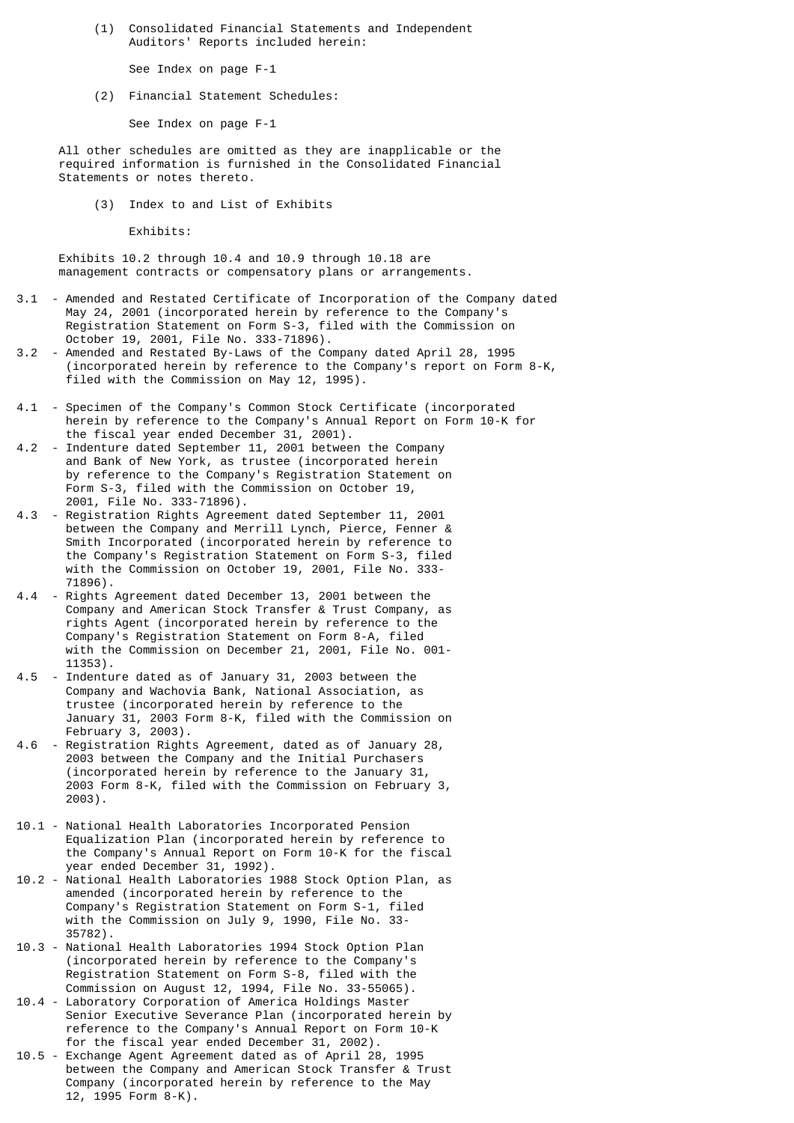(1) Consolidated Financial Statements and Independent Auditors' Reports included herein:

See Index on page F-1

(2) Financial Statement Schedules:

See Index on page F-1

 All other schedules are omitted as they are inapplicable or the required information is furnished in the Consolidated Financial Statements or notes thereto.

(3) Index to and List of Exhibits

Exhibits:

 Exhibits 10.2 through 10.4 and 10.9 through 10.18 are management contracts or compensatory plans or arrangements.

- 3.1 Amended and Restated Certificate of Incorporation of the Company dated May 24, 2001 (incorporated herein by reference to the Company's Registration Statement on Form S-3, filed with the Commission on October 19, 2001, File No. 333-71896).
- 3.2 Amended and Restated By-Laws of the Company dated April 28, 1995 (incorporated herein by reference to the Company's report on Form 8-K, filed with the Commission on May 12, 1995).
- 4.1 Specimen of the Company's Common Stock Certificate (incorporated herein by reference to the Company's Annual Report on Form 10-K for the fiscal year ended December 31, 2001).
- 4.2 Indenture dated September 11, 2001 between the Company and Bank of New York, as trustee (incorporated herein by reference to the Company's Registration Statement on Form S-3, filed with the Commission on October 19, 2001, File No. 333-71896).
- 4.3 Registration Rights Agreement dated September 11, 2001 between the Company and Merrill Lynch, Pierce, Fenner & Smith Incorporated (incorporated herein by reference to the Company's Registration Statement on Form S-3, filed with the Commission on October 19, 2001, File No. 333- 71896).
- 4.4 Rights Agreement dated December 13, 2001 between the Company and American Stock Transfer & Trust Company, as rights Agent (incorporated herein by reference to the Company's Registration Statement on Form 8-A, filed with the Commission on December 21, 2001, File No. 001- 11353).
- 4.5 Indenture dated as of January 31, 2003 between the Company and Wachovia Bank, National Association, as trustee (incorporated herein by reference to the January 31, 2003 Form 8-K, filed with the Commission on February 3, 2003).
- 4.6 Registration Rights Agreement, dated as of January 28, 2003 between the Company and the Initial Purchasers (incorporated herein by reference to the January 31, 2003 Form 8-K, filed with the Commission on February 3, 2003).
- 10.1 National Health Laboratories Incorporated Pension Equalization Plan (incorporated herein by reference to the Company's Annual Report on Form 10-K for the fiscal year ended December 31, 1992).
- 10.2 National Health Laboratories 1988 Stock Option Plan, as amended (incorporated herein by reference to the Company's Registration Statement on Form S-1, filed with the Commission on July 9, 1990, File No. 33- 35782).
- 10.3 National Health Laboratories 1994 Stock Option Plan (incorporated herein by reference to the Company's Registration Statement on Form S-8, filed with the Commission on August 12, 1994, File No. 33-55065).
- 10.4 Laboratory Corporation of America Holdings Master Senior Executive Severance Plan (incorporated herein by reference to the Company's Annual Report on Form 10-K for the fiscal year ended December 31, 2002).
- 10.5 Exchange Agent Agreement dated as of April 28, 1995 between the Company and American Stock Transfer & Trust Company (incorporated herein by reference to the May 12, 1995 Form 8-K).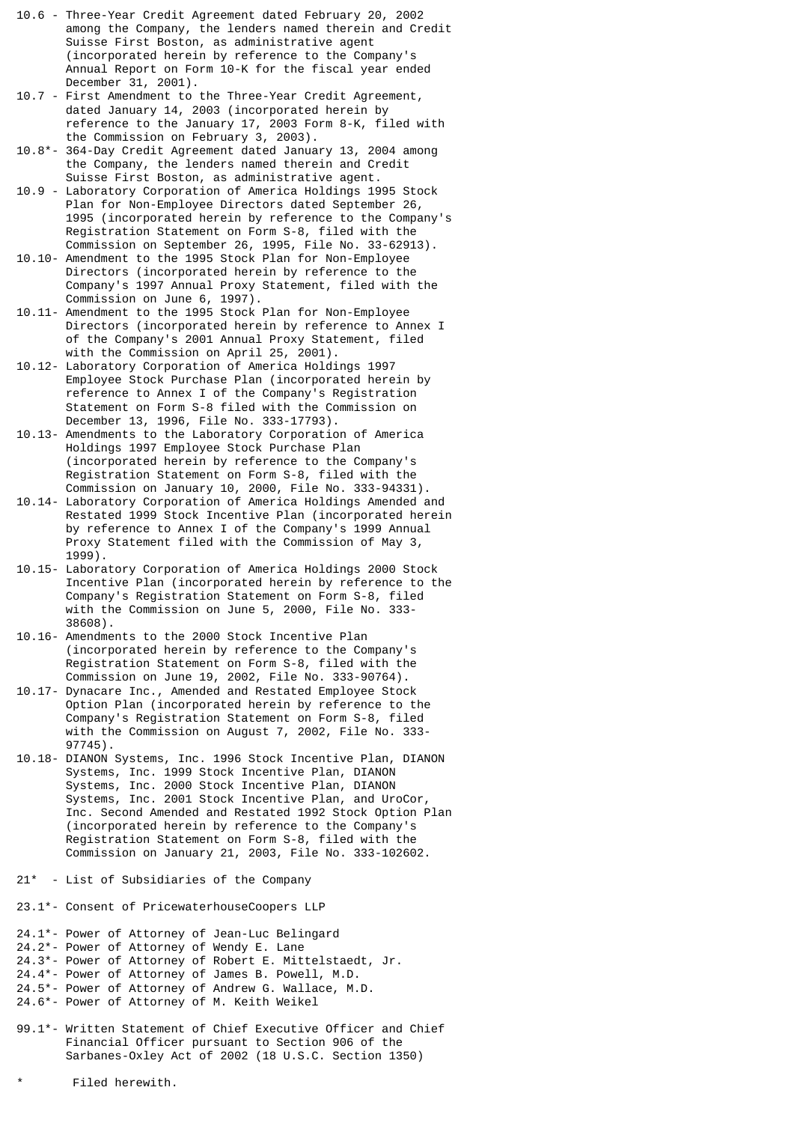- 10.6 Three-Year Credit Agreement dated February 20, 2002 among the Company, the lenders named therein and Credit Suisse First Boston, as administrative agent (incorporated herein by reference to the Company's Annual Report on Form 10-K for the fiscal year ended December 31, 2001).
- 10.7 First Amendment to the Three-Year Credit Agreement, dated January 14, 2003 (incorporated herein by reference to the January 17, 2003 Form 8-K, filed with the Commission on February 3, 2003).
- 10.8\*- 364-Day Credit Agreement dated January 13, 2004 among the Company, the lenders named therein and Credit Suisse First Boston, as administrative agent.
- 10.9 Laboratory Corporation of America Holdings 1995 Stock Plan for Non-Employee Directors dated September 26, 1995 (incorporated herein by reference to the Company's Registration Statement on Form S-8, filed with the Commission on September 26, 1995, File No. 33-62913).
- 10.10- Amendment to the 1995 Stock Plan for Non-Employee Directors (incorporated herein by reference to the Company's 1997 Annual Proxy Statement, filed with the Commission on June 6, 1997).
- 10.11- Amendment to the 1995 Stock Plan for Non-Employee Directors (incorporated herein by reference to Annex I of the Company's 2001 Annual Proxy Statement, filed with the Commission on April 25, 2001).
- 10.12- Laboratory Corporation of America Holdings 1997 Employee Stock Purchase Plan (incorporated herein by reference to Annex I of the Company's Registration Statement on Form S-8 filed with the Commission on December 13, 1996, File No. 333-17793).
- 10.13- Amendments to the Laboratory Corporation of America Holdings 1997 Employee Stock Purchase Plan (incorporated herein by reference to the Company's Registration Statement on Form S-8, filed with the Commission on January 10, 2000, File No. 333-94331).
- 10.14- Laboratory Corporation of America Holdings Amended and Restated 1999 Stock Incentive Plan (incorporated herein by reference to Annex I of the Company's 1999 Annual Proxy Statement filed with the Commission of May 3, 1999).
- 10.15- Laboratory Corporation of America Holdings 2000 Stock Incentive Plan (incorporated herein by reference to the Company's Registration Statement on Form S-8, filed with the Commission on June 5, 2000, File No. 333- 38608).
- 10.16- Amendments to the 2000 Stock Incentive Plan (incorporated herein by reference to the Company's Registration Statement on Form S-8, filed with the Commission on June 19, 2002, File No. 333-90764).
- 10.17- Dynacare Inc., Amended and Restated Employee Stock Option Plan (incorporated herein by reference to the Company's Registration Statement on Form S-8, filed with the Commission on August 7, 2002, File No. 333- 97745).
- 10.18- DIANON Systems, Inc. 1996 Stock Incentive Plan, DIANON Systems, Inc. 1999 Stock Incentive Plan, DIANON Systems, Inc. 2000 Stock Incentive Plan, DIANON Systems, Inc. 2001 Stock Incentive Plan, and UroCor, Inc. Second Amended and Restated 1992 Stock Option Plan (incorporated herein by reference to the Company's Registration Statement on Form S-8, filed with the Commission on January 21, 2003, File No. 333-102602.
- 21\* List of Subsidiaries of the Company
- 23.1\*- Consent of PricewaterhouseCoopers LLP

24.1\*- Power of Attorney of Jean-Luc Belingard 24.2\*- Power of Attorney of Wendy E. Lane 24.3\*- Power of Attorney of Robert E. Mittelstaedt, Jr. 24.4\*- Power of Attorney of James B. Powell, M.D. 24.5\*- Power of Attorney of Andrew G. Wallace, M.D. 24.6\*- Power of Attorney of M. Keith Weikel

99.1\*- Written Statement of Chief Executive Officer and Chief Financial Officer pursuant to Section 906 of the Sarbanes-Oxley Act of 2002 (18 U.S.C. Section 1350)

Filed herewith.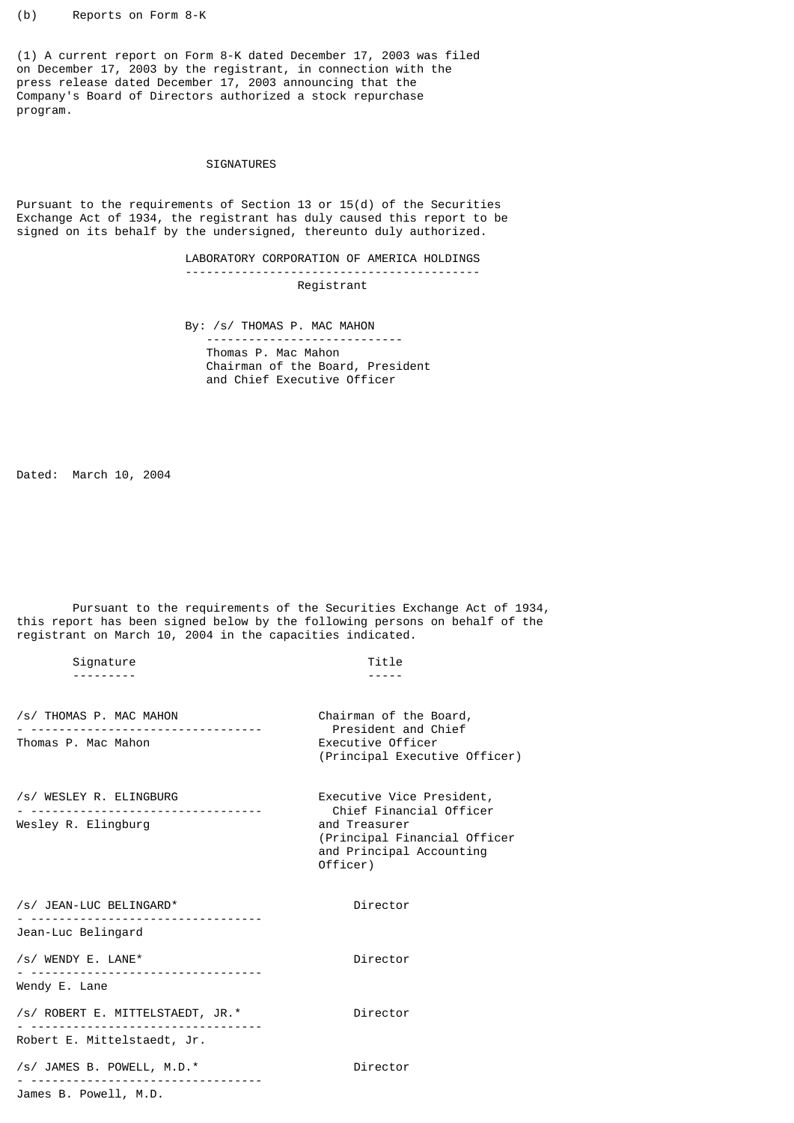(b) Reports on Form 8-K

(1) A current report on Form 8-K dated December 17, 2003 was filed on December 17, 2003 by the registrant, in connection with the press release dated December 17, 2003 announcing that the Company's Board of Directors authorized a stock repurchase program.

#### SIGNATURES

Pursuant to the requirements of Section 13 or 15(d) of the Securities Exchange Act of 1934, the registrant has duly caused this report to be signed on its behalf by the undersigned, thereunto duly authorized.

> LABORATORY CORPORATION OF AMERICA HOLDINGS ------------------------------------------ Registrant

 By: /s/ THOMAS P. MAC MAHON ---------------------------- Thomas P. Mac Mahon Chairman of the Board, President and Chief Executive Officer

Dated: March 10, 2004

Pursuant to the requirements of the Securities Exchange Act of 1934, this report has been signed below by the following persons on behalf of the registrant on March 10, 2004 in the capacities indicated.

Signature Title

| /s/ THOMAS P. MAC MAHON<br>Thomas P. Mac Mahon                 | Chairman of the Board,<br>President and Chief<br>Executive Officer<br>(Principal Executive Officer)                                           |
|----------------------------------------------------------------|-----------------------------------------------------------------------------------------------------------------------------------------------|
| /s/ WESLEY R. ELINGBURG<br>. <b>.</b> .<br>Wesley R. Elingburg | Executive Vice President,<br>Chief Financial Officer<br>and Treasurer<br>(Principal Financial Officer<br>and Principal Accounting<br>Officer) |
| /s/ JEAN-LUC BELINGARD*                                        | Director                                                                                                                                      |
| Jean-Luc Belingard                                             |                                                                                                                                               |
| /s/ WENDY E. LANE*                                             | Director                                                                                                                                      |
| Wendy E. Lane                                                  |                                                                                                                                               |
| /s/ ROBERT E. MITTELSTAEDT, JR.*                               | Director                                                                                                                                      |
| Robert E. Mittelstaedt, Jr.                                    |                                                                                                                                               |
| /s/ JAMES B. POWELL, M.D.*                                     | Director                                                                                                                                      |
| James B. Powell, M.D.                                          |                                                                                                                                               |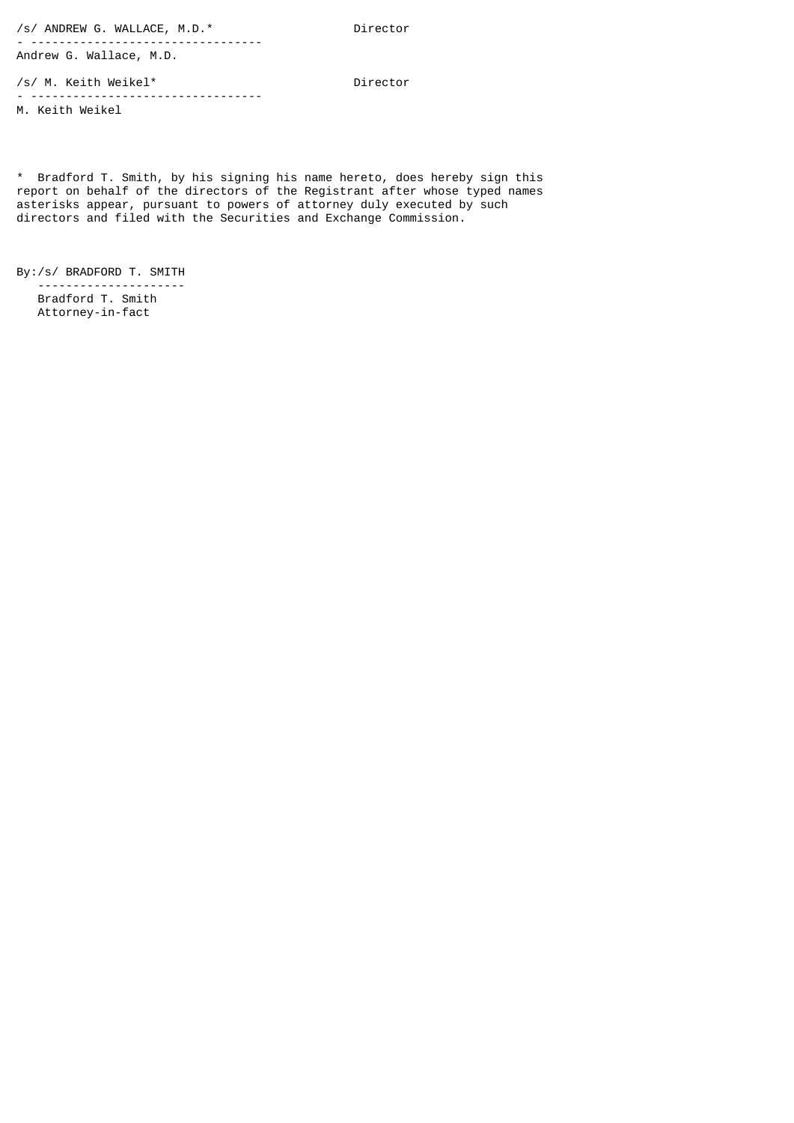/s/ ANDREW G. WALLACE, M.D.\* Director - --------------------------------- Andrew G. Wallace, M.D.

\* Bradford T. Smith, by his signing his name hereto, does hereby sign this report on behalf of the directors of the Registrant after whose typed names asterisks appear, pursuant to powers of attorney duly executed by such directors and filed with the Securities and Exchange Commission.

By:/s/ BRADFORD T. SMITH ---------------------

 Bradford T. Smith Attorney-in-fact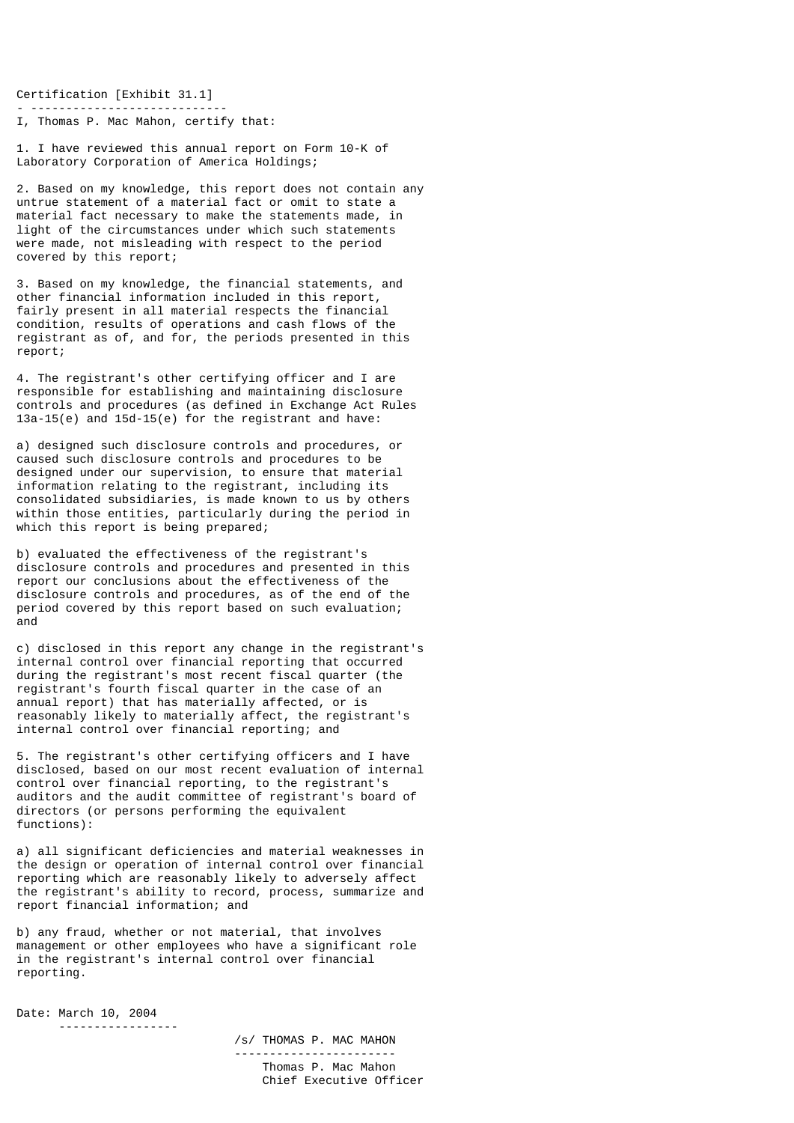Certification [Exhibit 31.1] - ----------------------------

I, Thomas P. Mac Mahon, certify that:

1. I have reviewed this annual report on Form 10-K of Laboratory Corporation of America Holdings;

2. Based on my knowledge, this report does not contain any untrue statement of a material fact or omit to state a material fact necessary to make the statements made, in light of the circumstances under which such statements were made, not misleading with respect to the period covered by this report;

3. Based on my knowledge, the financial statements, and other financial information included in this report, fairly present in all material respects the financial condition, results of operations and cash flows of the registrant as of, and for, the periods presented in this report;

4. The registrant's other certifying officer and I are responsible for establishing and maintaining disclosure controls and procedures (as defined in Exchange Act Rules 13a-15(e) and 15d-15(e) for the registrant and have:

a) designed such disclosure controls and procedures, or caused such disclosure controls and procedures to be designed under our supervision, to ensure that material information relating to the registrant, including its consolidated subsidiaries, is made known to us by others within those entities, particularly during the period in which this report is being prepared;

b) evaluated the effectiveness of the registrant's disclosure controls and procedures and presented in this report our conclusions about the effectiveness of the disclosure controls and procedures, as of the end of the period covered by this report based on such evaluation; and

c) disclosed in this report any change in the registrant's internal control over financial reporting that occurred during the registrant's most recent fiscal quarter (the registrant's fourth fiscal quarter in the case of an annual report) that has materially affected, or is reasonably likely to materially affect, the registrant's internal control over financial reporting; and

5. The registrant's other certifying officers and I have disclosed, based on our most recent evaluation of internal control over financial reporting, to the registrant's auditors and the audit committee of registrant's board of directors (or persons performing the equivalent functions):

a) all significant deficiencies and material weaknesses in the design or operation of internal control over financial reporting which are reasonably likely to adversely affect the registrant's ability to record, process, summarize and report financial information; and

b) any fraud, whether or not material, that involves management or other employees who have a significant role in the registrant's internal control over financial reporting.

Date: March 10, 2004 -----------------

> /s/ THOMAS P. MAC MAHON ----------------------- Thomas P. Mac Mahon Chief Executive Officer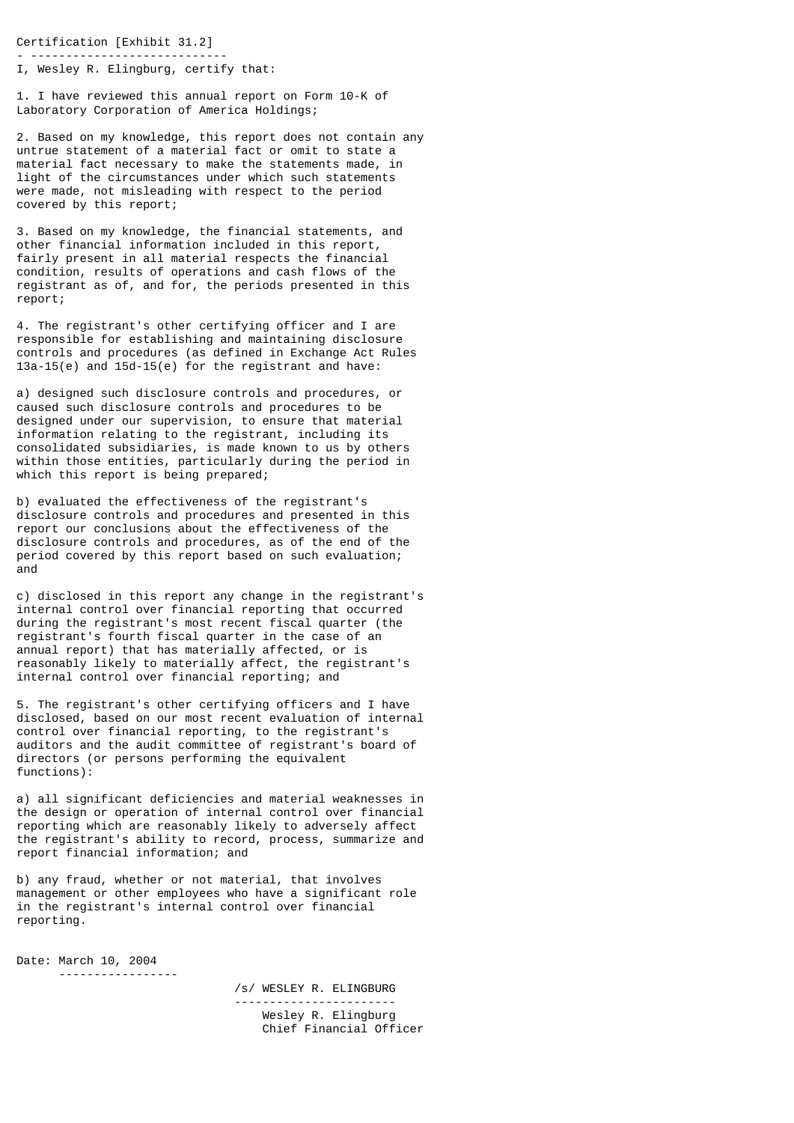Certification [Exhibit 31.2]

- ---------------------------- I, Wesley R. Elingburg, certify that:

1. I have reviewed this annual report on Form 10-K of Laboratory Corporation of America Holdings;

2. Based on my knowledge, this report does not contain any untrue statement of a material fact or omit to state a material fact necessary to make the statements made, in light of the circumstances under which such statements were made, not misleading with respect to the period covered by this report;

3. Based on my knowledge, the financial statements, and other financial information included in this report, fairly present in all material respects the financial condition, results of operations and cash flows of the registrant as of, and for, the periods presented in this report;

4. The registrant's other certifying officer and I are responsible for establishing and maintaining disclosure controls and procedures (as defined in Exchange Act Rules 13a-15(e) and 15d-15(e) for the registrant and have:

a) designed such disclosure controls and procedures, or caused such disclosure controls and procedures to be designed under our supervision, to ensure that material information relating to the registrant, including its consolidated subsidiaries, is made known to us by others within those entities, particularly during the period in which this report is being prepared;

b) evaluated the effectiveness of the registrant's disclosure controls and procedures and presented in this report our conclusions about the effectiveness of the disclosure controls and procedures, as of the end of the period covered by this report based on such evaluation; and

c) disclosed in this report any change in the registrant's internal control over financial reporting that occurred during the registrant's most recent fiscal quarter (the registrant's fourth fiscal quarter in the case of an annual report) that has materially affected, or is reasonably likely to materially affect, the registrant's internal control over financial reporting; and

5. The registrant's other certifying officers and I have disclosed, based on our most recent evaluation of internal control over financial reporting, to the registrant's auditors and the audit committee of registrant's board of directors (or persons performing the equivalent functions):

a) all significant deficiencies and material weaknesses in the design or operation of internal control over financial reporting which are reasonably likely to adversely affect the registrant's ability to record, process, summarize and report financial information; and

b) any fraud, whether or not material, that involves management or other employees who have a significant role in the registrant's internal control over financial reporting.

Date: March 10, 2004 -----------------

> /s/ WESLEY R. ELINGBURG ----------------------- Wesley R. Elingburg Chief Financial Officer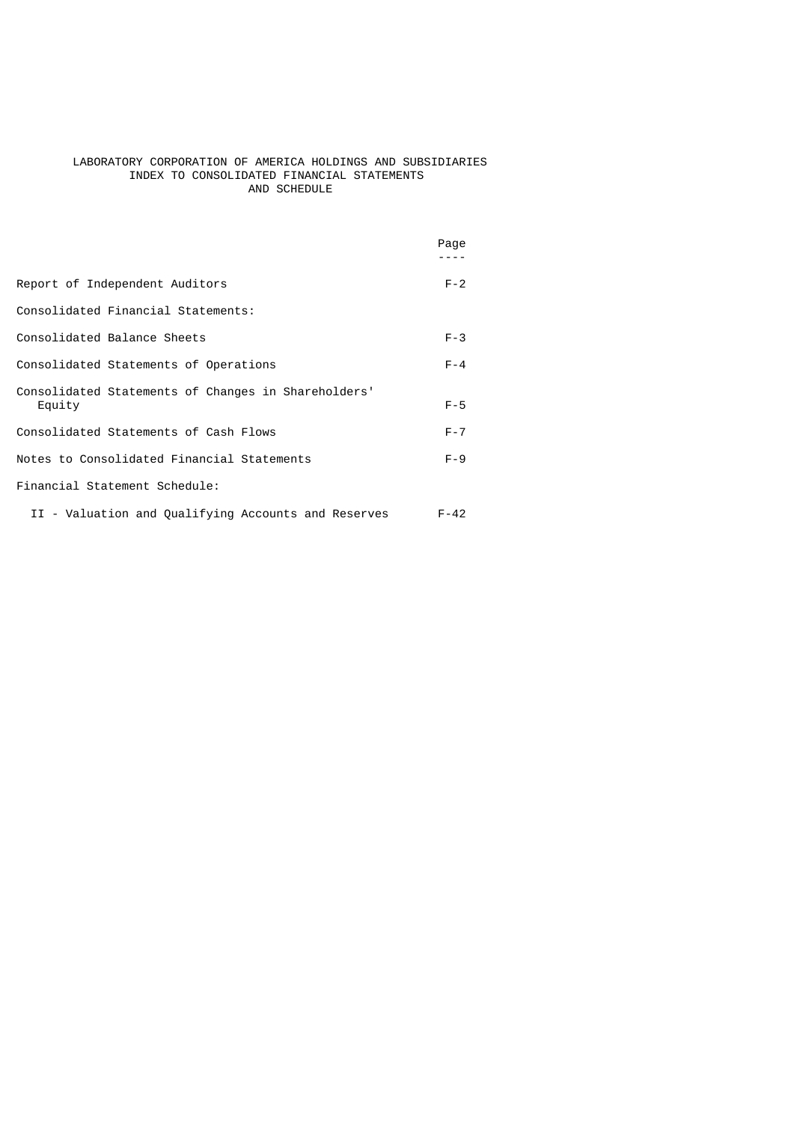### LABORATORY CORPORATION OF AMERICA HOLDINGS AND SUBSIDIARIES INDEX TO CONSOLIDATED FINANCIAL STATEMENTS AND SCHEDULE

|                                                               | Page    |
|---------------------------------------------------------------|---------|
| Report of Independent Auditors                                | $F - 2$ |
| Consolidated Financial Statements:                            |         |
| Consolidated Balance Sheets                                   | $F - 3$ |
| Consolidated Statements of Operations                         | $F - 4$ |
| Consolidated Statements of Changes in Shareholders'<br>Equity | $F - 5$ |
| Consolidated Statements of Cash Flows                         | $F - 7$ |
| Notes to Consolidated Financial Statements                    | $F - 9$ |
| Financial Statement Schedule:                                 |         |
| II - Valuation and Qualifying Accounts and Reserves           | F-42    |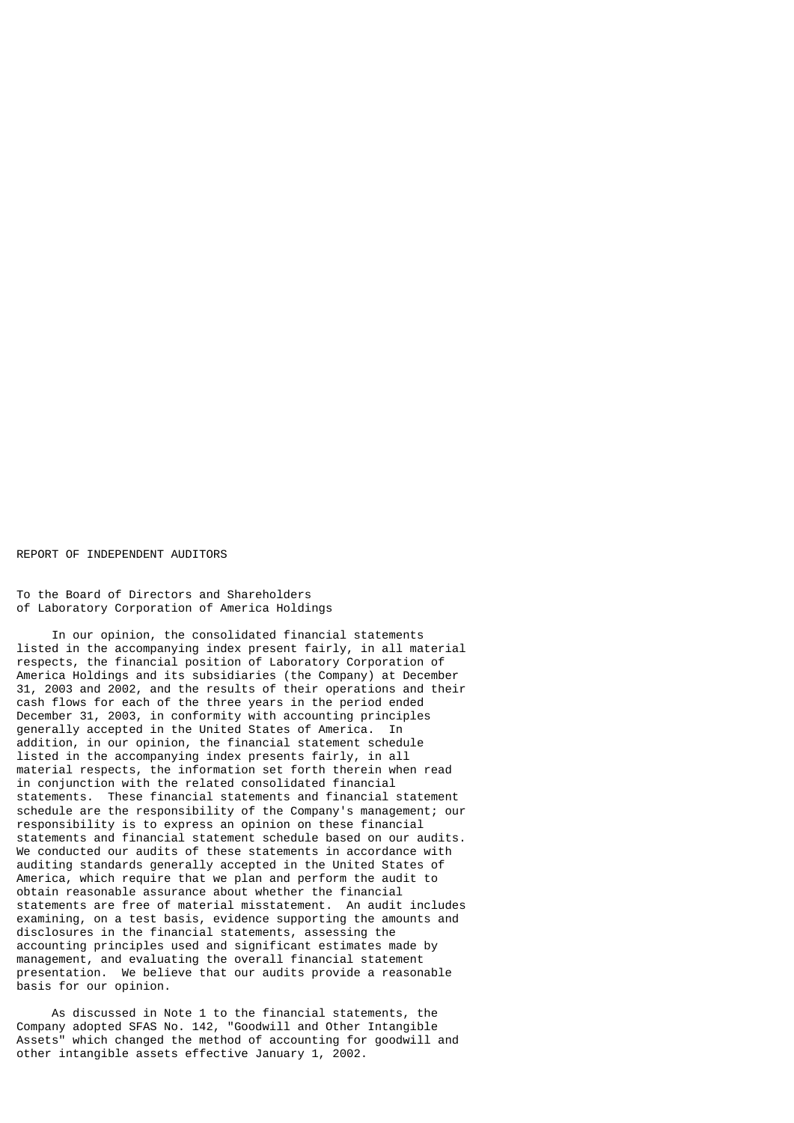REPORT OF INDEPENDENT AUDITORS

To the Board of Directors and Shareholders of Laboratory Corporation of America Holdings

 In our opinion, the consolidated financial statements listed in the accompanying index present fairly, in all material respects, the financial position of Laboratory Corporation of America Holdings and its subsidiaries (the Company) at December 31, 2003 and 2002, and the results of their operations and their cash flows for each of the three years in the period ended December 31, 2003, in conformity with accounting principles generally accepted in the United States of America. In addition, in our opinion, the financial statement schedule listed in the accompanying index presents fairly, in all material respects, the information set forth therein when read in conjunction with the related consolidated financial statements. These financial statements and financial statement schedule are the responsibility of the Company's management; our responsibility is to express an opinion on these financial statements and financial statement schedule based on our audits. We conducted our audits of these statements in accordance with auditing standards generally accepted in the United States of America, which require that we plan and perform the audit to obtain reasonable assurance about whether the financial statements are free of material misstatement. An audit includes examining, on a test basis, evidence supporting the amounts and disclosures in the financial statements, assessing the accounting principles used and significant estimates made by management, and evaluating the overall financial statement presentation. We believe that our audits provide a reasonable basis for our opinion.

 As discussed in Note 1 to the financial statements, the Company adopted SFAS No. 142, "Goodwill and Other Intangible Assets" which changed the method of accounting for goodwill and other intangible assets effective January 1, 2002.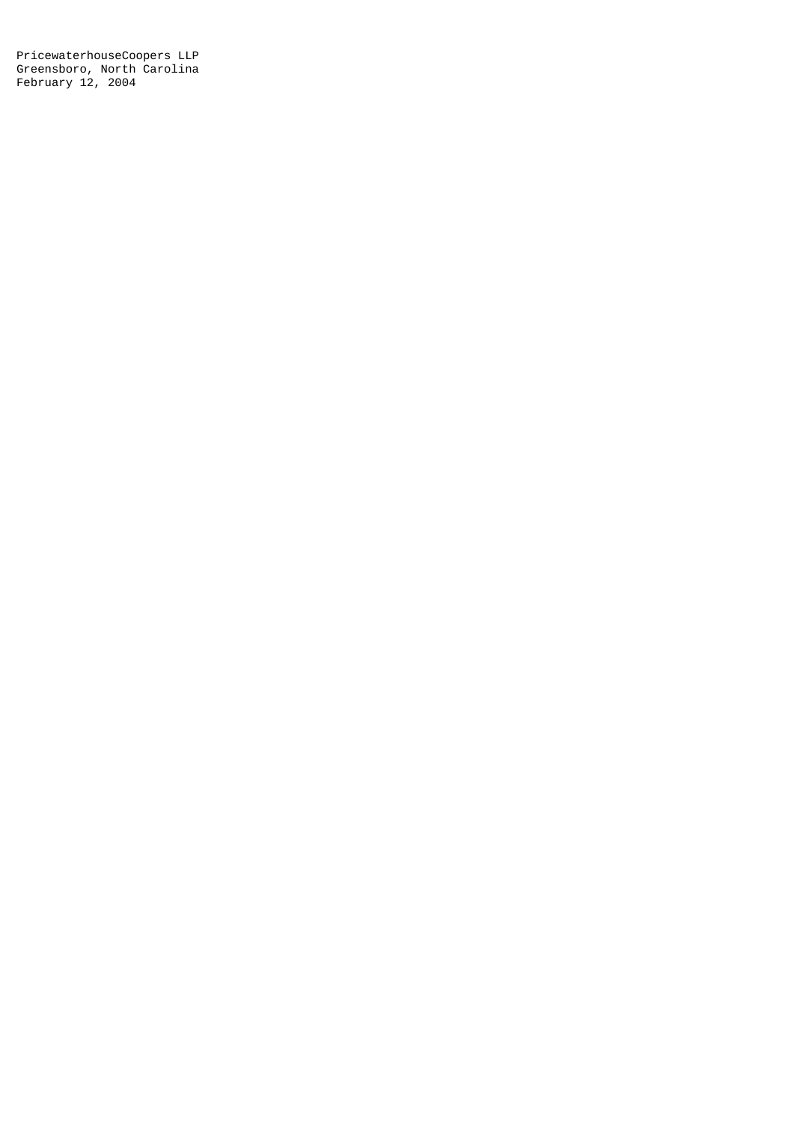PricewaterhouseCoopers LLP Greensboro, North Carolina February 12, 2004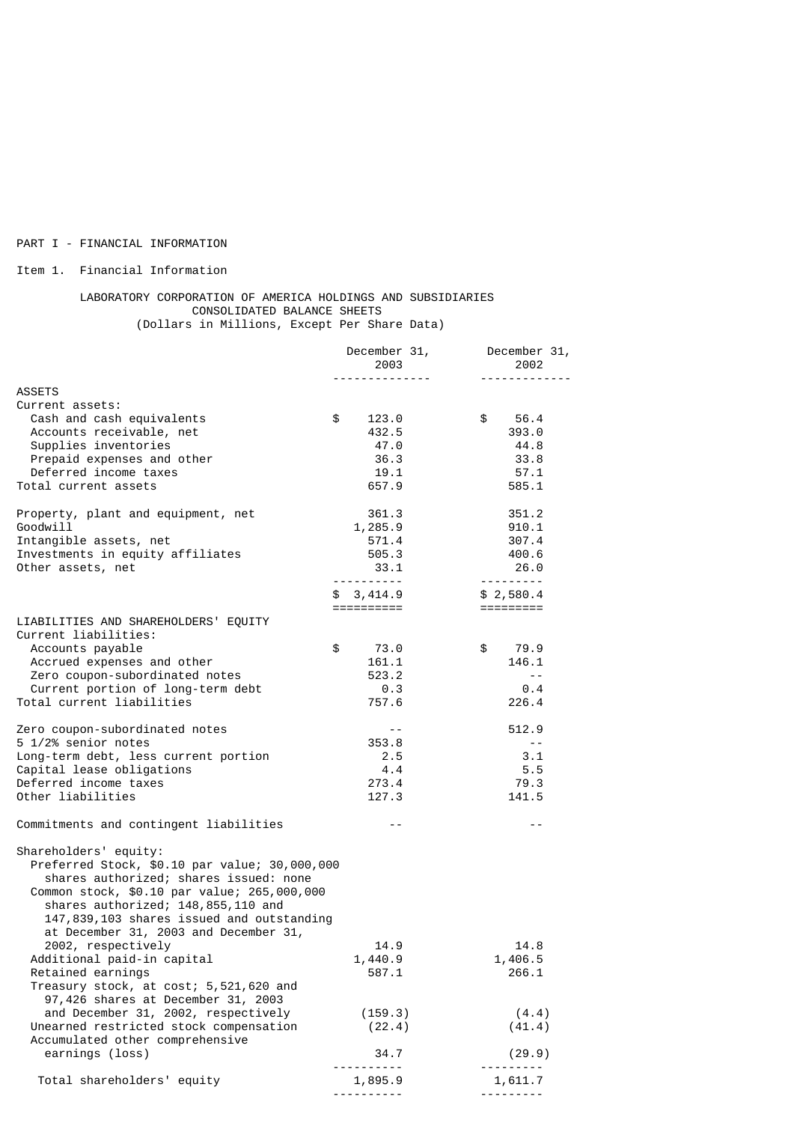# PART I - FINANCIAL INFORMATION

# Item 1. Financial Information

## LABORATORY CORPORATION OF AMERICA HOLDINGS AND SUBSIDIARIES CONSOLIDATED BALANCE SHEETS (Dollars in Millions, Except Per Share Data)

|                                                                                     | 2003               | December 31, December 31,<br>2002 |
|-------------------------------------------------------------------------------------|--------------------|-----------------------------------|
| <b>ASSETS</b>                                                                       | <u>.</u> .         |                                   |
| Current assets:                                                                     |                    |                                   |
| Cash and cash equivalents                                                           | \$<br>123.0        | $\mathfrak{S}$<br>56.4            |
| Accounts receivable, net                                                            | 432.5              | 393.0                             |
| Supplies inventories                                                                | 47.0               | 44.8                              |
| Prepaid expenses and other                                                          | 36.3               | 33.8                              |
| Deferred income taxes                                                               | 19.1               | 57.1                              |
| Total current assets                                                                | 657.9              | 585.1                             |
| Property, plant and equipment, net                                                  | 361.3              | 351.2                             |
| Goodwill                                                                            | 1,285.9            | 910.1                             |
| Intangible assets, net                                                              | 571.4              | 307.4                             |
| Investments in equity affiliates                                                    | 505.3              | 400.6                             |
| Other assets, net                                                                   | 33.1<br>---------- | 26.0<br><u> - - - - - - - -</u>   |
|                                                                                     | \$3,414.9          | \$2,580.4                         |
|                                                                                     | ==========         |                                   |
| LIABILITIES AND SHAREHOLDERS' EQUITY<br>Current liabilities:                        |                    |                                   |
| Accounts payable                                                                    | \$<br>73.0         | \$<br>79.9                        |
| Accrued expenses and other                                                          | 161.1              | 146.1                             |
| Zero coupon-subordinated notes                                                      | 523.2              | $\sim$ $\sim$                     |
| Current portion of long-term debt                                                   | 0.3                | 0.4                               |
| Total current liabilities                                                           | 757.6              | 226.4                             |
| Zero coupon-subordinated notes                                                      | $\sim$ $-$         | 512.9                             |
| 5 1/2% senior notes                                                                 | 353.8              | $\sim$ $\sim$                     |
| Long-term debt, less current portion                                                | 2.5                | 3.1                               |
| Capital lease obligations                                                           | 4.4                | 5.5                               |
| Deferred income taxes                                                               | 273.4              | 79.3                              |
| Other liabilities                                                                   | 127.3              | 141.5                             |
| Commitments and contingent liabilities                                              | $- -$              | $- -$                             |
| Shareholders' equity:                                                               |                    |                                   |
| Preferred Stock, \$0.10 par value; 30,000,000                                       |                    |                                   |
| shares authorized; shares issued: none                                              |                    |                                   |
| Common stock, \$0.10 par value; 265,000,000<br>shares authorized; 148, 855, 110 and |                    |                                   |
| 147,839,103 shares issued and outstanding                                           |                    |                                   |
| at December 31, 2003 and December 31,                                               |                    |                                   |
| 2002, respectively                                                                  | 14.9               | 14.8                              |
| Additional paid-in capital                                                          | 1,440.9            | 1,406.5                           |
| Retained earnings                                                                   | 587.1              | 266.1                             |
| Treasury stock, at cost; 5,521,620 and                                              |                    |                                   |
| 97,426 shares at December 31, 2003                                                  |                    |                                   |
| and December 31, 2002, respectively                                                 | (159.3)            | (4.4)                             |
| Unearned restricted stock compensation<br>Accumulated other comprehensive           | (22.4)             | (41.4)                            |
| earnings (loss)                                                                     | 34.7               | (29.9)                            |
|                                                                                     | .                  | ---------                         |
| Total shareholders' equity                                                          | 1,895.9            | 1,611.7<br>---------              |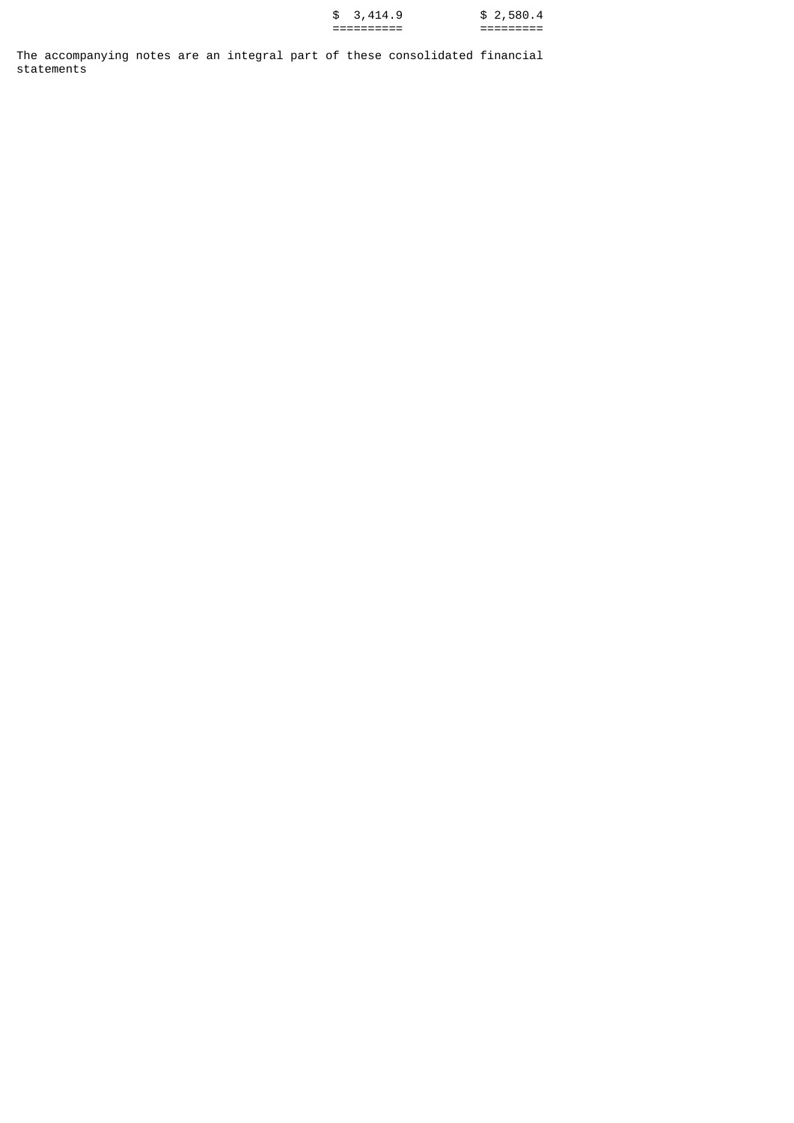The accompanying notes are an integral part of these consolidated financial statements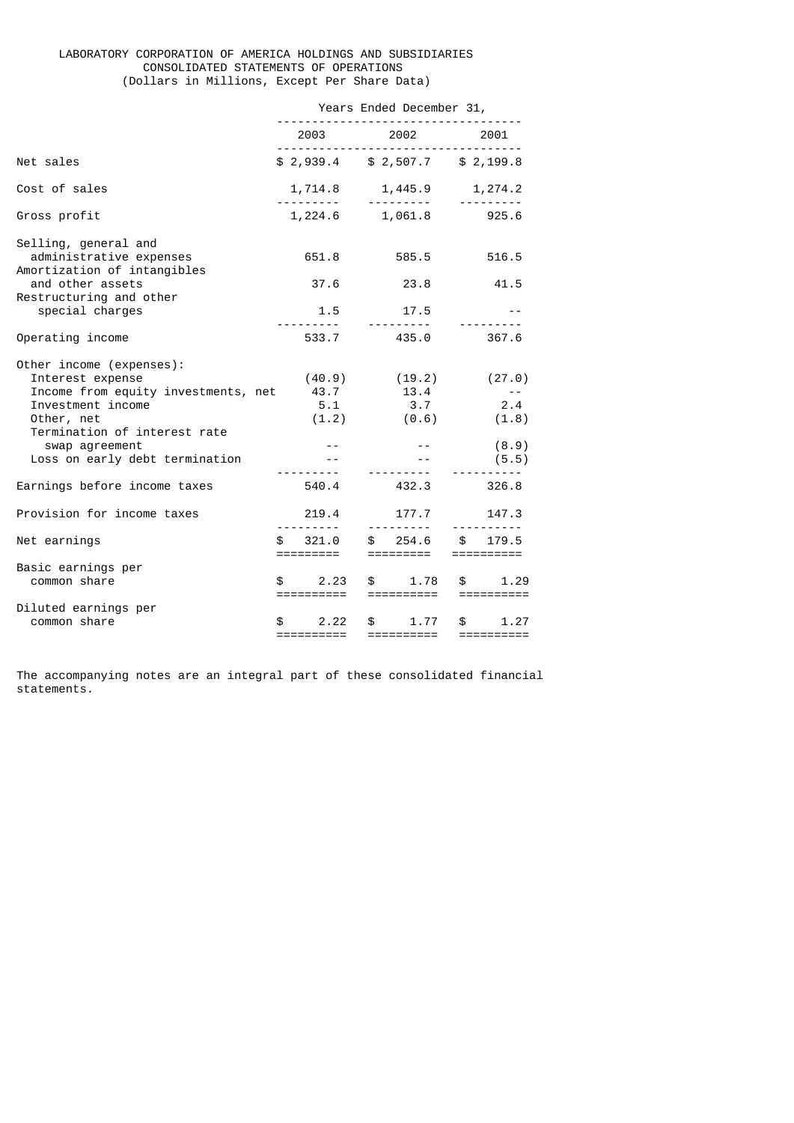## LABORATORY CORPORATION OF AMERICA HOLDINGS AND SUBSIDIARIES CONSOLIDATED STATEMENTS OF OPERATIONS (Dollars in Millions, Except Per Share Data)

|                                                                                                                                                                                                                 | Years Ended December 31,<br>. <u>.</u> . |       |                                                       |             |                            |            |
|-----------------------------------------------------------------------------------------------------------------------------------------------------------------------------------------------------------------|------------------------------------------|-------|-------------------------------------------------------|-------------|----------------------------|------------|
|                                                                                                                                                                                                                 |                                          |       | 2003 2002 2001                                        |             |                            |            |
| Net sales                                                                                                                                                                                                       |                                          |       | $$2,939.4$ $$2,507.7$ $$2,199.8$                      |             |                            |            |
| Cost of sales                                                                                                                                                                                                   |                                          |       | 1,714.8    1,445.9    1,274.2                         |             |                            |            |
| Gross profit                                                                                                                                                                                                    |                                          |       | 1,224.6 1,061.8                                       |             | 925.6                      |            |
| Selling, general and<br>administrative expenses<br>Amortization of intangibles                                                                                                                                  |                                          | 651.8 | 585.5                                                 |             | 516.5                      |            |
| and other assets<br>Restructuring and other                                                                                                                                                                     |                                          | 37.6  | 23.8                                                  |             | 41.5                       |            |
| special charges                                                                                                                                                                                                 |                                          |       | $1.5$ 17.5<br><u>.</u> .                              |             |                            |            |
| Operating income                                                                                                                                                                                                |                                          |       | 533.7 435.0                                           |             | 367.6                      |            |
| Other income (expenses):<br>Interest expense<br>Income from equity investments, net 43.7<br>Investment income<br>Other, net<br>Termination of interest rate<br>swap agreement<br>Loss on early debt termination |                                          | 5.1   | $(40.9)$ $(19.2)$ $(27.0)$<br>$(1.2)$ $(0.6)$ $(1.8)$ | 13.4<br>3.7 | 2.4<br>(8.9)<br>(5.5)      | $\sim$ $-$ |
| Earnings before income taxes                                                                                                                                                                                    | ----------                               |       | 540.4 432.3                                           |             | 326.8                      |            |
| Provision for income taxes                                                                                                                                                                                      |                                          | 219.4 | 177.7                                                 |             | 147.3                      |            |
| Net earnings                                                                                                                                                                                                    | \$321.0<br>=========                     |       | \$254.6<br>=========                                  |             | \$ 179.5                   |            |
| Basic earnings per<br>common share                                                                                                                                                                              | \$2.23                                   |       |                                                       |             | $\frac{1}{2}$ 1.78 \$ 1.29 |            |
| Diluted earnings per<br>common share                                                                                                                                                                            | \$<br>==========                         | 2.22  |                                                       |             | $$1.77$ \$ 1.27            |            |

The accompanying notes are an integral part of these consolidated financial statements.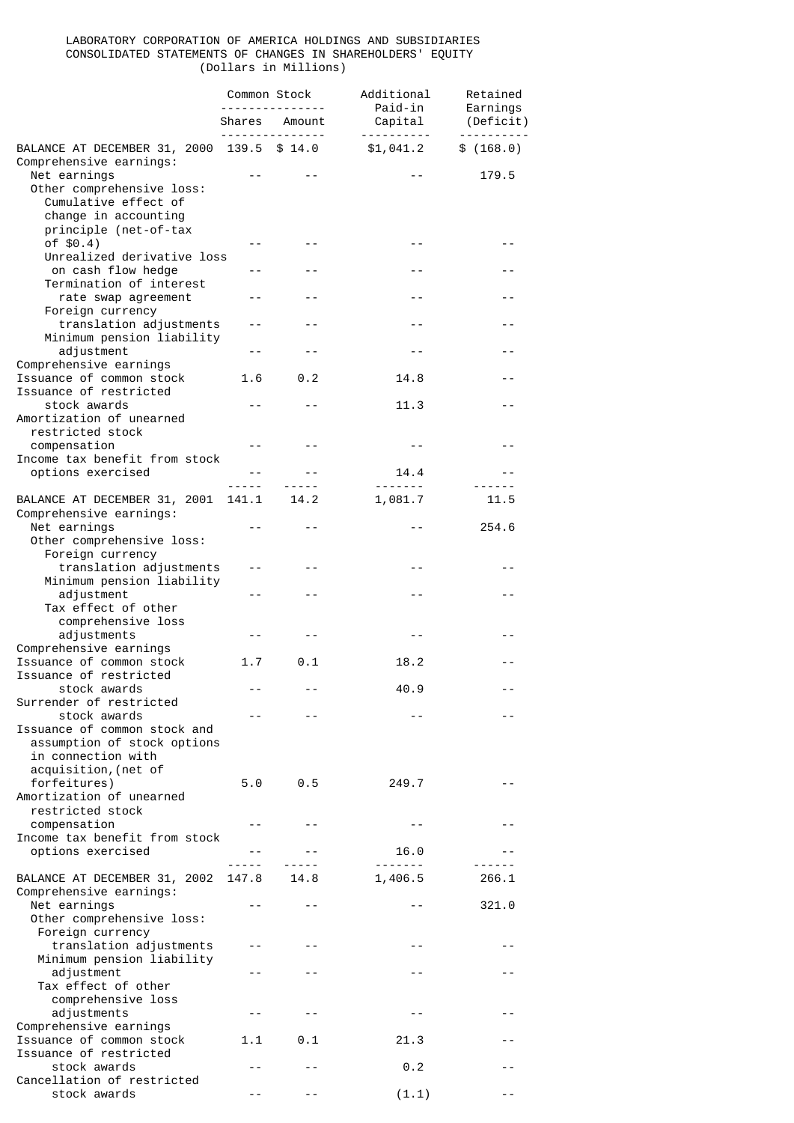### LABORATORY CORPORATION OF AMERICA HOLDINGS AND SUBSIDIARIES CONSOLIDATED STATEMENTS OF CHANGES IN SHAREHOLDERS' EQUITY (Dollars in Millions)

|                                                         | Common Stock | <u> - - - - - - - - - -</u> | Additional           | Retained                         |
|---------------------------------------------------------|--------------|-----------------------------|----------------------|----------------------------------|
|                                                         | Shares       | Amount<br><u>.</u>          | Paid-in<br>Capital   | Earnings<br>(Deficit)<br>------- |
| BALANCE AT DECEMBER 31, 2000<br>Comprehensive earnings: | 139.5        | \$14.0                      | \$1,041.2            | \$ (168.0)                       |
| Net earnings                                            |              |                             |                      | 179.5                            |
| Other comprehensive loss:<br>Cumulative effect of       |              |                             |                      |                                  |
| change in accounting                                    |              |                             |                      |                                  |
| principle (net-of-tax                                   |              |                             |                      |                                  |
| of $$0.4)$                                              |              | $ -$                        | $ -$                 | - -                              |
| Unrealized derivative loss                              |              |                             |                      |                                  |
| on cash flow hedge                                      |              |                             | $ -$                 |                                  |
| Termination of interest                                 |              |                             |                      |                                  |
| rate swap agreement<br>Foreign currency                 |              |                             | $ -$                 |                                  |
| translation adjustments                                 | - -          | - -                         | - -                  |                                  |
| Minimum pension liability                               |              |                             |                      |                                  |
| adjustment                                              | $ -$         |                             | $- -$                |                                  |
| Comprehensive earnings                                  |              |                             |                      |                                  |
| Issuance of common stock<br>Issuance of restricted      | 1.6          | 0.2                         | 14.8                 |                                  |
| stock awards                                            |              |                             | 11.3                 |                                  |
| Amortization of unearned                                |              |                             |                      |                                  |
| restricted stock                                        |              |                             |                      |                                  |
| compensation                                            |              |                             |                      |                                  |
| Income tax benefit from stock                           |              |                             |                      |                                  |
| options exercised                                       | $- - -$      |                             | 14.4<br>. <u>.</u> . |                                  |
| BALANCE AT DECEMBER 31, 2001                            | 141.1        | 14.2                        | 1,081.7              | 11.5                             |
| Comprehensive earnings:                                 |              |                             |                      |                                  |
| Net earnings                                            |              |                             |                      | 254.6                            |
| Other comprehensive loss:                               |              |                             |                      |                                  |
| Foreign currency<br>translation adjustments             |              |                             | $- -$                |                                  |
| Minimum pension liability                               |              |                             |                      |                                  |
| adjustment                                              |              |                             |                      |                                  |
| Tax effect of other                                     |              |                             |                      |                                  |
| comprehensive loss                                      |              |                             |                      |                                  |
| adjustments                                             |              |                             | $- -$                |                                  |
| Comprehensive earnings<br>Issuance of common stock      | 1.7          | 0.1                         | 18.2                 |                                  |
| Issuance of restricted                                  |              |                             |                      |                                  |
| stock awards                                            |              |                             | 40.9                 | - -                              |
| Surrender of restricted                                 |              |                             |                      |                                  |
| stock awards                                            |              |                             |                      |                                  |
| Issuance of common stock and                            |              |                             |                      |                                  |
| assumption of stock options<br>in connection with       |              |                             |                      |                                  |
| acquisition, (net of                                    |              |                             |                      |                                  |
| forfeitures)                                            | 5.0          | 0.5                         | 249.7                |                                  |
| Amortization of unearned                                |              |                             |                      |                                  |
| restricted stock                                        |              |                             |                      |                                  |
| compensation<br>Income tax benefit from stock           | $ -$         |                             |                      |                                  |
| options exercised                                       |              |                             | 16.0                 |                                  |
|                                                         |              | $  -$                       |                      |                                  |
| BALANCE AT DECEMBER 31, 2002                            | 147.8        | 14.8                        | 1,406.5              | 266.1                            |
| Comprehensive earnings:                                 |              |                             |                      |                                  |
| Net earnings<br>Other comprehensive loss:               |              |                             |                      | 321.0                            |
| Foreign currency                                        |              |                             |                      |                                  |
| translation adjustments                                 |              |                             |                      |                                  |
| Minimum pension liability                               |              |                             |                      |                                  |
| adjustment                                              | $-$          |                             |                      |                                  |
| Tax effect of other                                     |              |                             |                      |                                  |
| comprehensive loss<br>adjustments                       | $ -$         | $ -$                        | $- -$                |                                  |
| Comprehensive earnings                                  |              |                             |                      |                                  |
| Issuance of common stock                                | 1.1          | 0.1                         | 21.3                 |                                  |
| Issuance of restricted                                  |              |                             |                      |                                  |
| stock awards<br>Cancellation of restricted              |              | - -                         | 0.2                  |                                  |
| stock awards                                            |              |                             | (1.1)                |                                  |
|                                                         |              |                             |                      |                                  |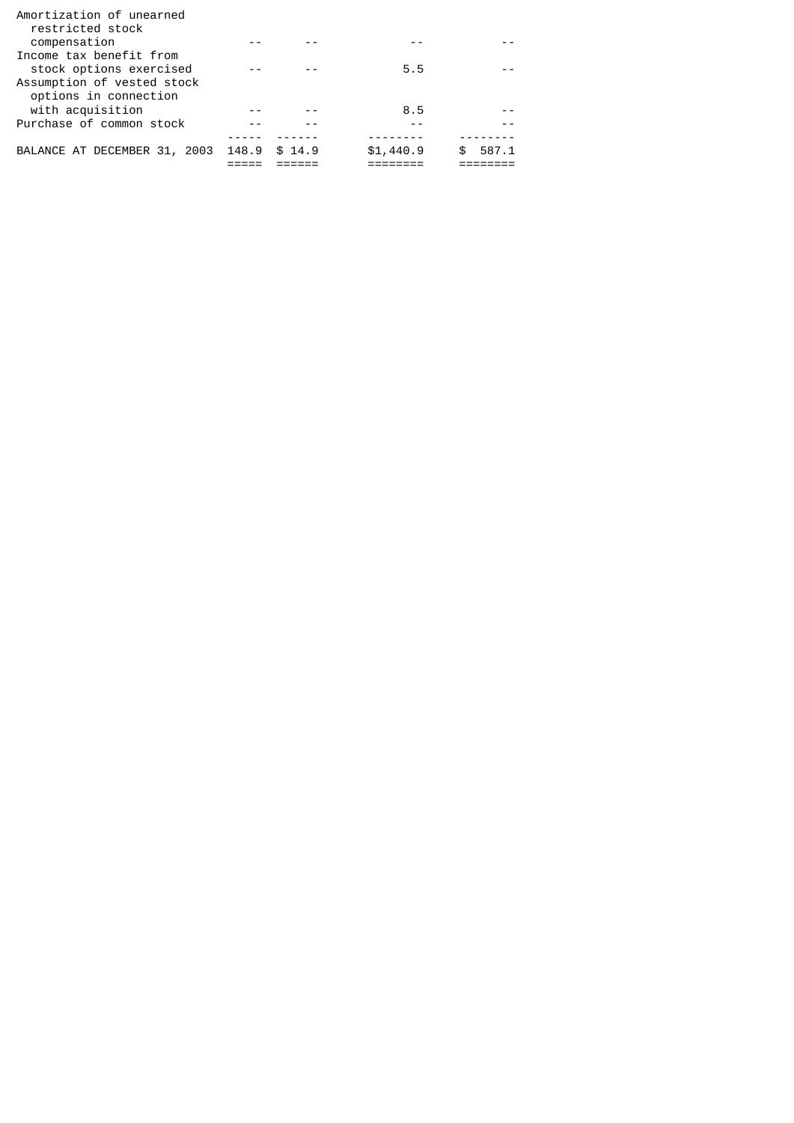| Amortization of unearned     |       |        |           |       |
|------------------------------|-------|--------|-----------|-------|
| restricted stock             |       |        |           |       |
| compensation                 |       |        |           |       |
| Income tax benefit from      |       |        |           |       |
| stock options exercised      |       |        | 5.5       |       |
| Assumption of vested stock   |       |        |           |       |
| options in connection        |       |        |           |       |
| with acquisition             |       |        | 8.5       |       |
| Purchase of common stock     |       |        |           |       |
|                              |       |        |           |       |
| BALANCE AT DECEMBER 31, 2003 | 148.9 | \$14.9 | \$1,440.9 | 587.1 |
|                              |       |        |           |       |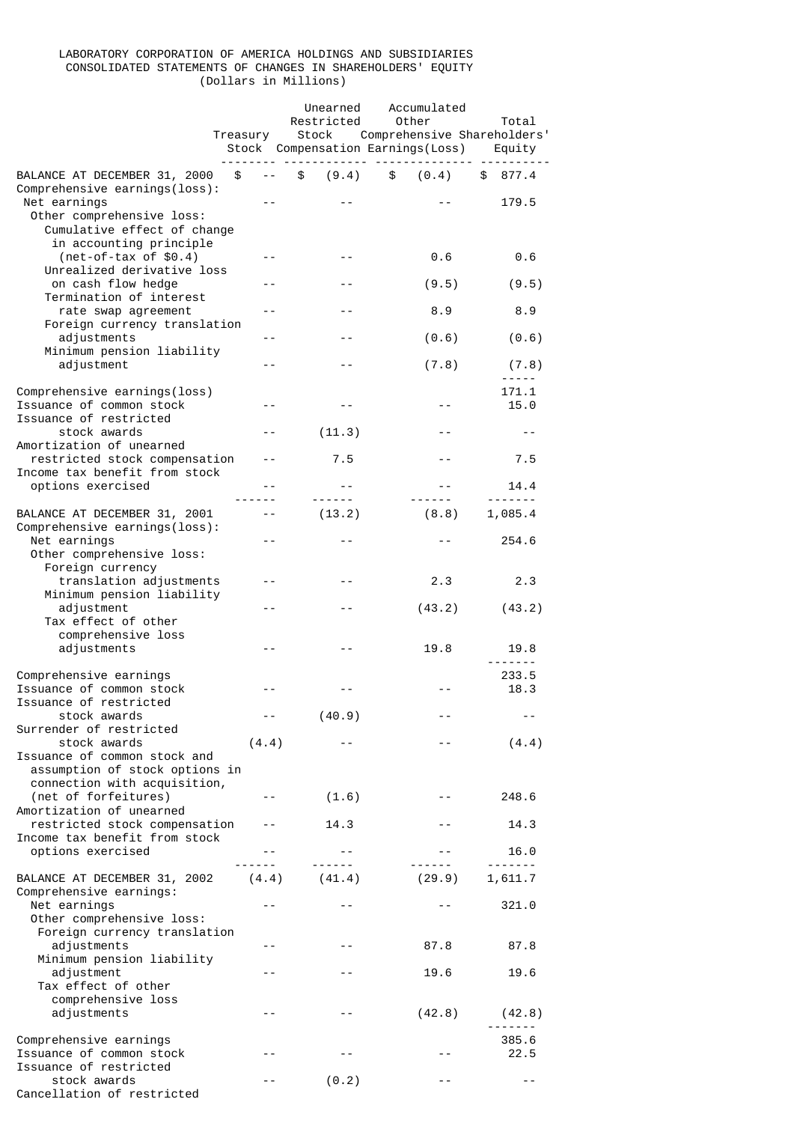### LABORATORY CORPORATION OF AMERICA HOLDINGS AND SUBSIDIARIES CONSOLIDATED STATEMENTS OF CHANGES IN SHAREHOLDERS' EQUITY (Dollars in Millions)

|                                                                                                | Treasury   | Unearned<br>Restricted<br>Stock | Accumulated<br>Other<br>Comprehensive Shareholders'<br>Stock Compensation Earnings(Loss) | Total<br>Equity  |
|------------------------------------------------------------------------------------------------|------------|---------------------------------|------------------------------------------------------------------------------------------|------------------|
|                                                                                                |            |                                 |                                                                                          |                  |
| BALANCE AT DECEMBER 31, 2000<br>Comprehensive earnings(loss):                                  | \$<br>$ -$ | \$                              | $(9.4)$ \$ $(0.4)$                                                                       | \$877.4          |
| Net earnings<br>Other comprehensive loss:<br>Cumulative effect of change                       |            |                                 |                                                                                          | 179.5            |
| in accounting principle<br>$net-of-tax$ of \$0.4)                                              | - -        | $ -$                            | 0.6                                                                                      | 0.6              |
| Unrealized derivative loss<br>on cash flow hedge                                               | - -        |                                 | (9.5)                                                                                    | (9.5)            |
| Termination of interest<br>rate swap agreement                                                 | - -        | $ -$                            | 8.9                                                                                      | 8.9              |
| Foreign currency translation<br>adjustments<br>Minimum pension liability                       | $ -$       | $ -$                            | (0.6)                                                                                    | (0.6)            |
| adjustment                                                                                     | - -        | $ -$                            | (7.8)                                                                                    | (7.8)<br>-----   |
| Comprehensive earnings(loss)<br>Issuance of common stock<br>Issuance of restricted             | $ -$       | $- -$                           | - -                                                                                      | 171.1<br>15.0    |
| stock awards<br>Amortization of unearned                                                       | $ -$       | (11.3)                          | - -                                                                                      | $ -$             |
| restricted stock compensation<br>Income tax benefit from stock                                 | - -        | 7.5                             |                                                                                          | 7.5              |
| options exercised                                                                              |            | $ -$<br>------                  | ------                                                                                   | 14.4             |
| BALANCE AT DECEMBER 31, 2001                                                                   |            | (13.2)                          | (8.8)                                                                                    | 1,085.4          |
| Comprehensive earnings(loss):<br>Net earnings<br>Other comprehensive loss:                     | - -        | $ -$                            | - -                                                                                      | 254.6            |
| Foreign currency<br>translation adjustments<br>Minimum pension liability                       | $ -$       | $- -$                           | 2.3                                                                                      | 2.3              |
| adjustment<br>Tax effect of other                                                              | $ -$       | - -                             | (43.2)                                                                                   | (43.2)           |
| comprehensive loss<br>adjustments                                                              |            |                                 | 19.8                                                                                     | 19.8             |
| Comprehensive earnings<br>Issuance of common stock                                             | - -        |                                 | $- -$                                                                                    | 233.5<br>18.3    |
| Issuance of restricted<br>stock awards                                                         |            | (40.9)                          | - -                                                                                      | $ -$             |
| Surrender of restricted<br>stock awards                                                        | (4.4)      |                                 | - -                                                                                      | (4.4)            |
| Issuance of common stock and<br>assumption of stock options in<br>connection with acquisition, |            |                                 |                                                                                          |                  |
| (net of forfeitures)<br>Amortization of unearned                                               | $- -$      | (1.6)                           | $- -$                                                                                    | 248.6            |
| restricted stock compensation<br>Income tax benefit from stock                                 | $ -$       | 14.3                            |                                                                                          | 14.3             |
| options exercised                                                                              |            |                                 |                                                                                          | 16.0<br><u>.</u> |
| BALANCE AT DECEMBER 31, 2002<br>Comprehensive earnings:                                        | (4.4)      | (41.4)                          | (29.9)                                                                                   | 1,611.7          |
| Net earnings<br>Other comprehensive loss:<br>Foreign currency translation                      | $ -$       |                                 |                                                                                          | 321.0            |
| adjustments<br>Minimum pension liability                                                       | $ -$       |                                 | 87.8                                                                                     | 87.8             |
| adjustment<br>Tax effect of other                                                              | - -        |                                 | 19.6                                                                                     | 19.6             |
| comprehensive loss<br>adjustments                                                              | $ -$       | $- -$                           | (42.8)                                                                                   | (42.8)           |
| Comprehensive earnings<br>Issuance of common stock                                             |            |                                 |                                                                                          | 385.6<br>22.5    |
| Issuance of restricted<br>stock awards<br>Cancellation of restricted                           |            | (0.2)                           |                                                                                          | $ -$             |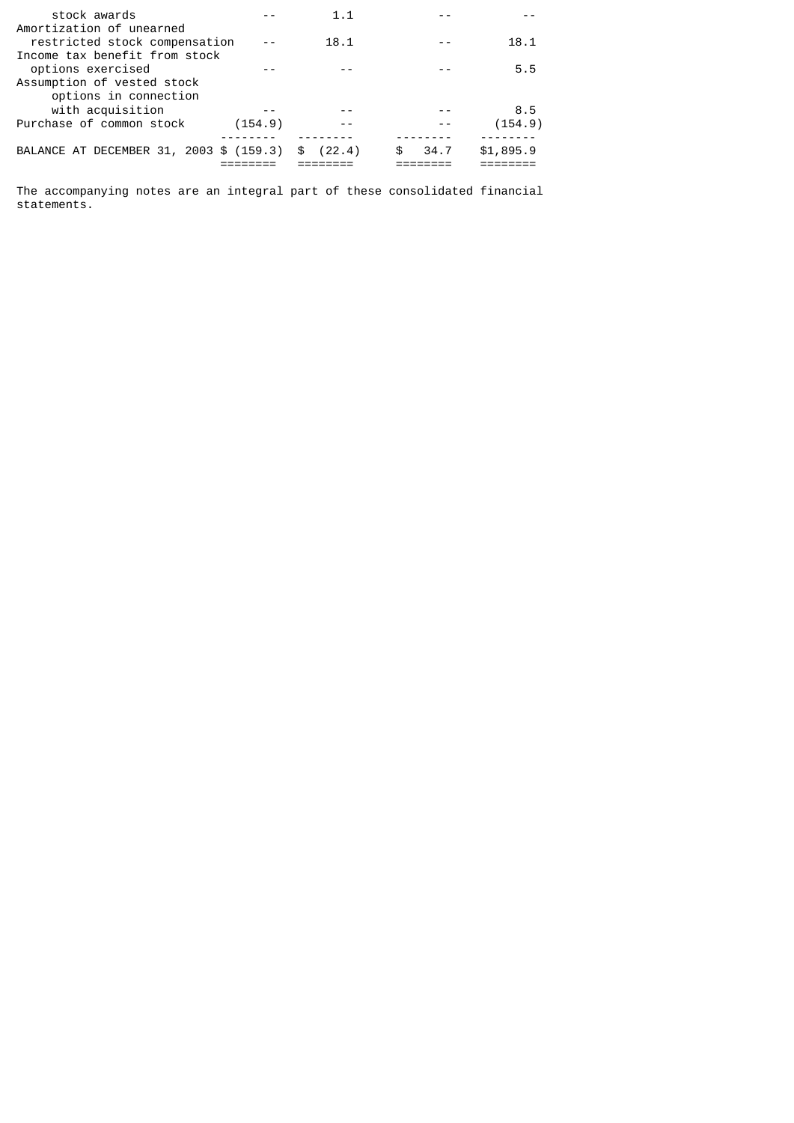| stock awards                                              |         | 1.1          |      |           |
|-----------------------------------------------------------|---------|--------------|------|-----------|
| Amortization of unearned<br>restricted stock compensation |         | 18.1         |      | 18.1      |
| Income tax benefit from stock                             |         |              |      |           |
| options exercised                                         |         |              |      | 5.5       |
| Assumption of vested stock                                |         |              |      |           |
| options in connection                                     |         |              |      |           |
| with acquisition                                          |         |              |      | 8.5       |
| Purchase of common stock                                  | (154.9) |              |      | (154.9)   |
|                                                           |         |              |      |           |
| BALANCE AT DECEMBER 31, 2003 \$ (159.3)                   |         | \$<br>(22.4) | 34.7 | \$1,895.9 |
|                                                           |         |              |      |           |

The accompanying notes are an integral part of these consolidated financial statements.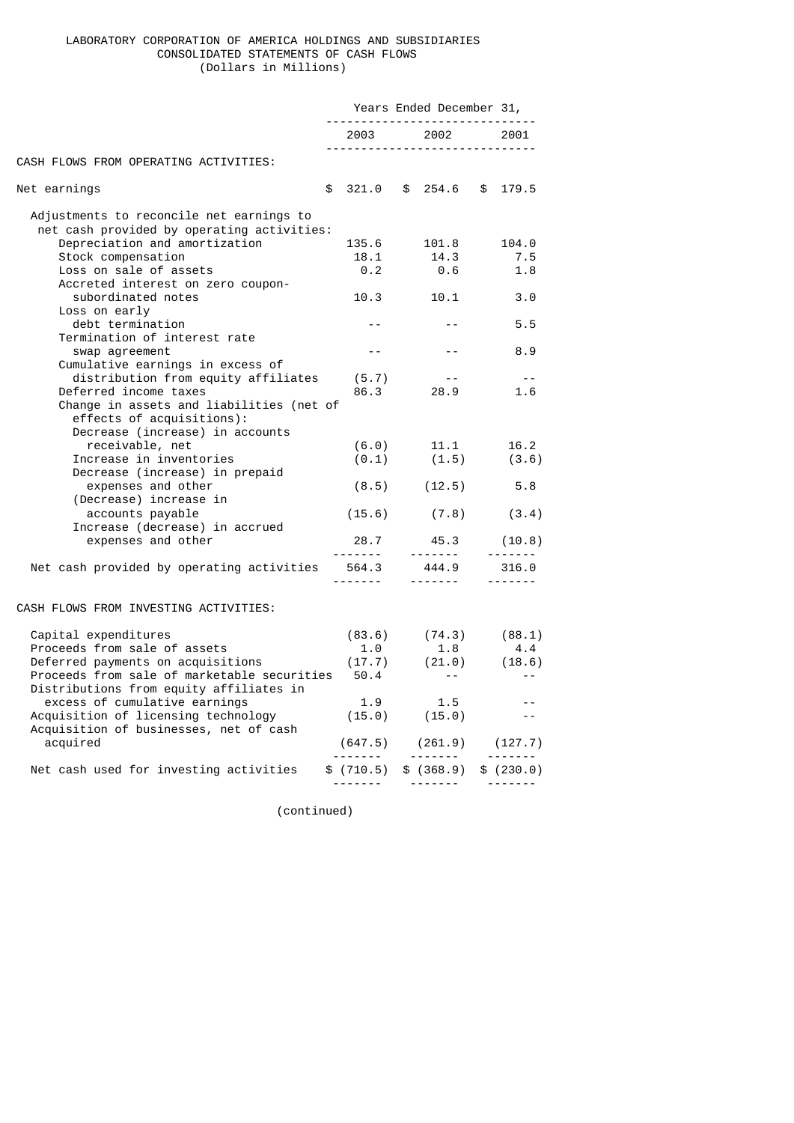### LABORATORY CORPORATION OF AMERICA HOLDINGS AND SUBSIDIARIES CONSOLIDATED STATEMENTS OF CASH FLOWS (Dollars in Millions)

|                                             |                   | Years Ended December 31,      |                 |
|---------------------------------------------|-------------------|-------------------------------|-----------------|
|                                             | 2003              | 2002                          | 2001            |
| CASH FLOWS FROM OPERATING ACTIVITIES:       |                   |                               |                 |
| Net earnings<br>\$                          |                   | 321.0 \$ 254.6                | \$179.5         |
| Adjustments to reconcile net earnings to    |                   |                               |                 |
| net cash provided by operating activities:  |                   |                               |                 |
| Depreciation and amortization               | 135.6             | 101.8                         | 104.0           |
| Stock compensation                          | 18.1              | 14.3                          | 7.5             |
| Loss on sale of assets                      | 0.2               | 0.6                           | 1.8             |
| Accreted interest on zero coupon-           |                   |                               |                 |
| subordinated notes                          | 10.3              | 10.1                          | 3.0             |
| Loss on early                               |                   |                               |                 |
| debt termination                            | $- -$             | $- -$                         | 5.5             |
| Termination of interest rate                |                   |                               |                 |
| swap agreement                              | $-$               | $- -$                         | 8.9             |
| Cumulative earnings in excess of            |                   |                               |                 |
| distribution from equity affiliates         | (5.7)             | $- -$                         | $\sim$ $\sim$   |
| Deferred income taxes                       | 86.3              | 28.9                          | 1.6             |
| Change in assets and liabilities (net of    |                   |                               |                 |
| effects of acquisitions):                   |                   |                               |                 |
| Decrease (increase) in accounts             |                   |                               |                 |
| receivable, net                             | (6.0)             | 11.1                          | 16.2            |
| Increase in inventories                     |                   | $(0.1)$ $(1.5)$               | (3.6)           |
| Decrease (increase) in prepaid              |                   |                               |                 |
| expenses and other                          |                   | $(8.5)$ $(12.5)$              | 5.8             |
| (Decrease) increase in                      |                   |                               |                 |
| accounts payable                            |                   | $(15.6)$ $(7.8)$              | (3.4)           |
| Increase (decrease) in accrued              |                   |                               |                 |
| expenses and other                          | 28.7              |                               | 45.3 (10.8)     |
|                                             |                   |                               | $- - - - - - -$ |
| Net cash provided by operating activities   | 564.3<br><u>.</u> | 444.9                         | 316.0           |
|                                             |                   |                               | $- - - - - - -$ |
| CASH FLOWS FROM INVESTING ACTIVITIES:       |                   |                               |                 |
|                                             |                   |                               |                 |
| Capital expenditures                        |                   | $(83.6)$ $(74.3)$             | (88.1)          |
| Proceeds from sale of assets                | 1.0               | 1.8                           | 4.4             |
| Deferred payments on acquisitions           |                   | $(17.7)$ $(21.0)$ $(18.6)$    |                 |
| Proceeds from sale of marketable securities | 50.4              | $\sim$ $-$                    | $\sim$ $\sim$   |
| Distributions from equity affiliates in     |                   |                               |                 |
| excess of cumulative earnings               | 1.9               | 1.5                           | $ -$            |
| Acquisition of licensing technology         |                   | $(15.0)$ $(15.0)$             | $\sim$ $\sim$   |
| Acquisition of businesses, net of cash      |                   |                               |                 |
| acquired                                    |                   | $(647.5)$ $(261.9)$ $(127.7)$ |                 |
|                                             | .                 |                               |                 |
| Net cash used for investing activities      | \$ (710.5)        | \$~(368.9)                    | \$(230.0)       |
|                                             |                   |                               |                 |

(continued)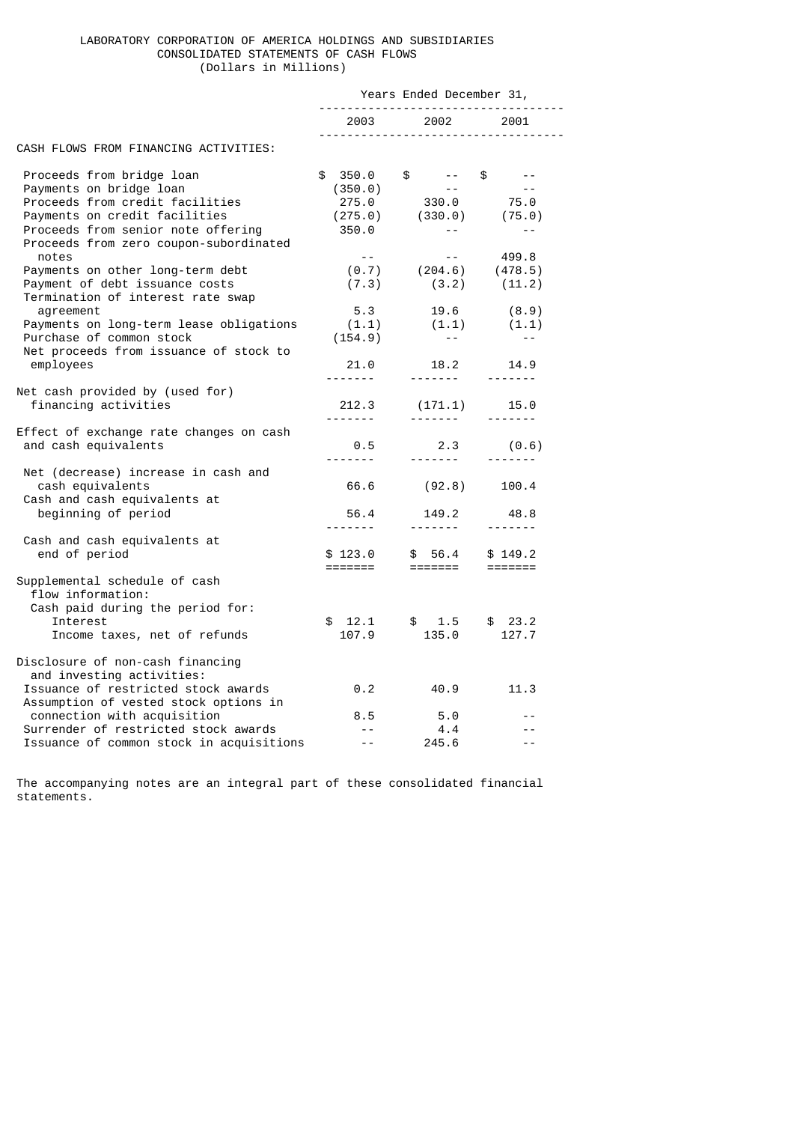## LABORATORY CORPORATION OF AMERICA HOLDINGS AND SUBSIDIARIES CONSOLIDATED STATEMENTS OF CASH FLOWS (Dollars in Millions)

|                                                                              | Years Ended December 31, |                                                         |                                                                                                                                                                                                                                                                                                                                                                                                                                                                                        |
|------------------------------------------------------------------------------|--------------------------|---------------------------------------------------------|----------------------------------------------------------------------------------------------------------------------------------------------------------------------------------------------------------------------------------------------------------------------------------------------------------------------------------------------------------------------------------------------------------------------------------------------------------------------------------------|
|                                                                              | 2003                     | 2002                                                    | 2001<br>--------------------------------------                                                                                                                                                                                                                                                                                                                                                                                                                                         |
| CASH FLOWS FROM FINANCING ACTIVITIES:                                        |                          |                                                         |                                                                                                                                                                                                                                                                                                                                                                                                                                                                                        |
| Proceeds from bridge loan                                                    |                          | $$350.0$ \$ -- \$                                       |                                                                                                                                                                                                                                                                                                                                                                                                                                                                                        |
| Payments on bridge loan                                                      | (350.0)                  | $- -$                                                   | $\sim$ $\sim$                                                                                                                                                                                                                                                                                                                                                                                                                                                                          |
| Proceeds from credit facilities                                              |                          | $(275.0$ $330.0$ $75.0$<br>$(275.0)$ $(330.0)$ $(75.0)$ |                                                                                                                                                                                                                                                                                                                                                                                                                                                                                        |
| Payments on credit facilities                                                |                          |                                                         |                                                                                                                                                                                                                                                                                                                                                                                                                                                                                        |
| Proceeds from senior note offering<br>Proceeds from zero coupon-subordinated | 350.0                    | $\sim$ $-$                                              | $\sim$ $\sim$                                                                                                                                                                                                                                                                                                                                                                                                                                                                          |
| notes                                                                        | $- -$                    | $\sim$ $\sim$ $-$                                       | 499.8                                                                                                                                                                                                                                                                                                                                                                                                                                                                                  |
| Payments on other long-term debt                                             |                          | $(0.7)$ $(204.6)$ $(478.5)$                             |                                                                                                                                                                                                                                                                                                                                                                                                                                                                                        |
| Payment of debt issuance costs<br>Termination of interest rate swap          |                          | $(7.3)$ $(3.2)$ $(11.2)$                                |                                                                                                                                                                                                                                                                                                                                                                                                                                                                                        |
| agreement                                                                    | 5.3                      | 19.6                                                    | $(8.9)\newline(1.1)$                                                                                                                                                                                                                                                                                                                                                                                                                                                                   |
| Payments on long-term lease obligations                                      | (1.1)                    | (1.1)                                                   |                                                                                                                                                                                                                                                                                                                                                                                                                                                                                        |
| Purchase of common stock                                                     | (154.9)                  | $\sim$ $-$                                              | $- -$                                                                                                                                                                                                                                                                                                                                                                                                                                                                                  |
| Net proceeds from issuance of stock to                                       |                          |                                                         |                                                                                                                                                                                                                                                                                                                                                                                                                                                                                        |
| employees                                                                    | 21.0                     | 18.2                                                    | 14.9                                                                                                                                                                                                                                                                                                                                                                                                                                                                                   |
|                                                                              |                          |                                                         | $\begin{array}{cccccccccccccc} \multicolumn{2}{c}{} & \multicolumn{2}{c}{} & \multicolumn{2}{c}{} & \multicolumn{2}{c}{} & \multicolumn{2}{c}{} & \multicolumn{2}{c}{} & \multicolumn{2}{c}{} & \multicolumn{2}{c}{} & \multicolumn{2}{c}{} & \multicolumn{2}{c}{} & \multicolumn{2}{c}{} & \multicolumn{2}{c}{} & \multicolumn{2}{c}{} & \multicolumn{2}{c}{} & \multicolumn{2}{c}{} & \multicolumn{2}{c}{} & \multicolumn{2}{c}{} & \multicolumn{2}{c}{} & \multicolumn{2}{c}{} & \$ |
| Net cash provided by (used for)                                              |                          |                                                         |                                                                                                                                                                                                                                                                                                                                                                                                                                                                                        |
| financing activities                                                         | 212.3                    | (171.1)                                                 | 15.0                                                                                                                                                                                                                                                                                                                                                                                                                                                                                   |
|                                                                              |                          |                                                         | -------                                                                                                                                                                                                                                                                                                                                                                                                                                                                                |
| Effect of exchange rate changes on cash                                      |                          |                                                         |                                                                                                                                                                                                                                                                                                                                                                                                                                                                                        |
| and cash equivalents                                                         | 0.5<br><u>.</u> .        | 2.3<br><u>.</u> .                                       | (0.6)<br>-------                                                                                                                                                                                                                                                                                                                                                                                                                                                                       |
|                                                                              |                          |                                                         |                                                                                                                                                                                                                                                                                                                                                                                                                                                                                        |
| Net (decrease) increase in cash and<br>cash equivalents                      | 66.6                     |                                                         |                                                                                                                                                                                                                                                                                                                                                                                                                                                                                        |
| Cash and cash equivalents at                                                 |                          |                                                         | $(92.8)$ 100.4                                                                                                                                                                                                                                                                                                                                                                                                                                                                         |
| beginning of period                                                          | 56.4                     |                                                         | 48.8                                                                                                                                                                                                                                                                                                                                                                                                                                                                                   |
|                                                                              | -------                  | 149.2                                                   |                                                                                                                                                                                                                                                                                                                                                                                                                                                                                        |
| Cash and cash equivalents at                                                 |                          |                                                         |                                                                                                                                                                                                                                                                                                                                                                                                                                                                                        |
| end of period                                                                | \$123.0                  | \$56.4                                                  | \$149.2                                                                                                                                                                                                                                                                                                                                                                                                                                                                                |
|                                                                              | =======                  | =======                                                 |                                                                                                                                                                                                                                                                                                                                                                                                                                                                                        |
| Supplemental schedule of cash                                                |                          |                                                         |                                                                                                                                                                                                                                                                                                                                                                                                                                                                                        |
| flow information:                                                            |                          |                                                         |                                                                                                                                                                                                                                                                                                                                                                                                                                                                                        |
| Cash paid during the period for:                                             |                          |                                                         |                                                                                                                                                                                                                                                                                                                                                                                                                                                                                        |
| Interest                                                                     | \$12.1                   | \$1.5                                                   | \$23.2                                                                                                                                                                                                                                                                                                                                                                                                                                                                                 |
| Income taxes, net of refunds                                                 | 107.9                    | 135.0                                                   | 127.7                                                                                                                                                                                                                                                                                                                                                                                                                                                                                  |
|                                                                              |                          |                                                         |                                                                                                                                                                                                                                                                                                                                                                                                                                                                                        |
| Disclosure of non-cash financing                                             |                          |                                                         |                                                                                                                                                                                                                                                                                                                                                                                                                                                                                        |
| and investing activities:                                                    |                          |                                                         |                                                                                                                                                                                                                                                                                                                                                                                                                                                                                        |
| Issuance of restricted stock awards                                          | 0.2                      | 40.9                                                    | 11.3                                                                                                                                                                                                                                                                                                                                                                                                                                                                                   |
| Assumption of vested stock options in                                        |                          |                                                         |                                                                                                                                                                                                                                                                                                                                                                                                                                                                                        |
|                                                                              |                          |                                                         |                                                                                                                                                                                                                                                                                                                                                                                                                                                                                        |
| connection with acquisition                                                  | 8.5<br>$\sim$ $\sim$     | 5.0                                                     | $\overline{a}$                                                                                                                                                                                                                                                                                                                                                                                                                                                                         |
| Surrender of restricted stock awards                                         | $\sim$ $\sim$            | 4.4                                                     |                                                                                                                                                                                                                                                                                                                                                                                                                                                                                        |
| Issuance of common stock in acquisitions                                     |                          | 245.6                                                   | $-$                                                                                                                                                                                                                                                                                                                                                                                                                                                                                    |

The accompanying notes are an integral part of these consolidated financial statements.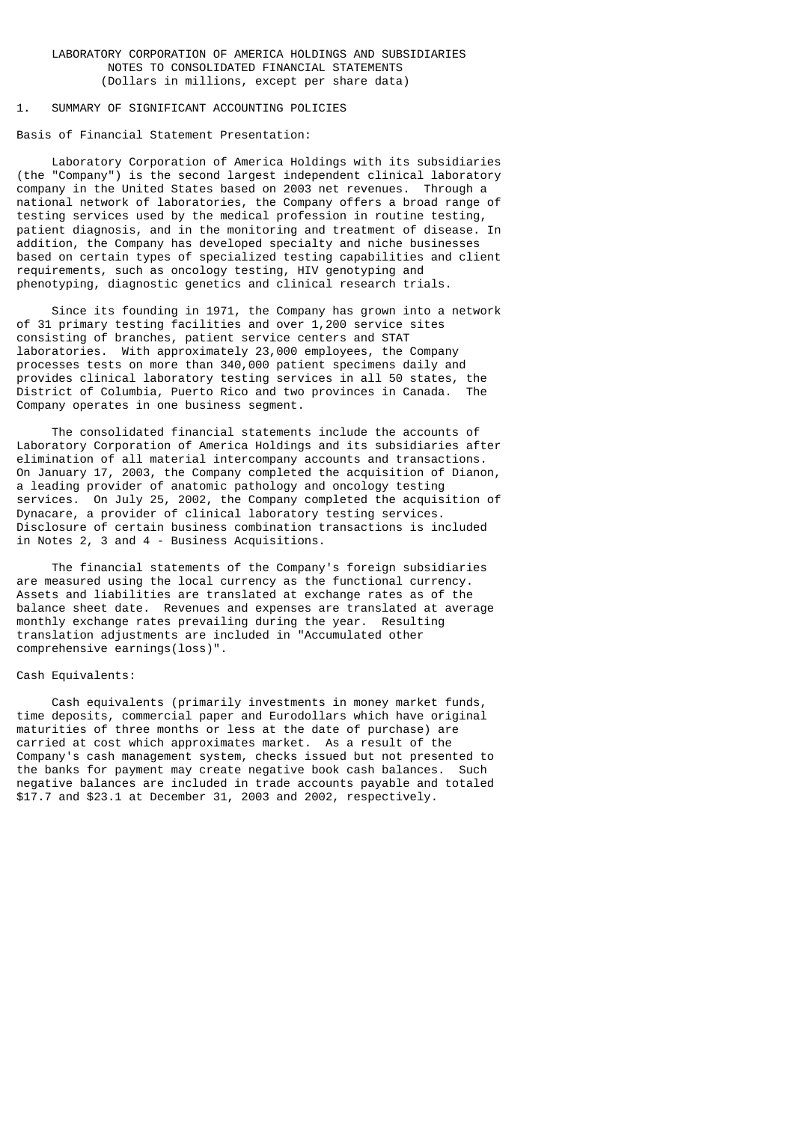### 1. SUMMARY OF SIGNIFICANT ACCOUNTING POLICIES

## Basis of Financial Statement Presentation:

 Laboratory Corporation of America Holdings with its subsidiaries (the "Company") is the second largest independent clinical laboratory company in the United States based on 2003 net revenues. Through a national network of laboratories, the Company offers a broad range of testing services used by the medical profession in routine testing, patient diagnosis, and in the monitoring and treatment of disease. In addition, the Company has developed specialty and niche businesses based on certain types of specialized testing capabilities and client requirements, such as oncology testing, HIV genotyping and phenotyping, diagnostic genetics and clinical research trials.

 Since its founding in 1971, the Company has grown into a network of 31 primary testing facilities and over 1,200 service sites consisting of branches, patient service centers and STAT laboratories. With approximately 23,000 employees, the Company processes tests on more than 340,000 patient specimens daily and provides clinical laboratory testing services in all 50 states, the District of Columbia, Puerto Rico and two provinces in Canada. The Company operates in one business segment.

 The consolidated financial statements include the accounts of Laboratory Corporation of America Holdings and its subsidiaries after elimination of all material intercompany accounts and transactions. On January 17, 2003, the Company completed the acquisition of Dianon, a leading provider of anatomic pathology and oncology testing services. On July 25, 2002, the Company completed the acquisition of Dynacare, a provider of clinical laboratory testing services. Disclosure of certain business combination transactions is included in Notes 2, 3 and 4 - Business Acquisitions.

 The financial statements of the Company's foreign subsidiaries are measured using the local currency as the functional currency. Assets and liabilities are translated at exchange rates as of the balance sheet date. Revenues and expenses are translated at average monthly exchange rates prevailing during the year. Resulting translation adjustments are included in "Accumulated other comprehensive earnings(loss)".

#### Cash Equivalents:

 Cash equivalents (primarily investments in money market funds, time deposits, commercial paper and Eurodollars which have original maturities of three months or less at the date of purchase) are carried at cost which approximates market. As a result of the Company's cash management system, checks issued but not presented to the banks for payment may create negative book cash balances. Such negative balances are included in trade accounts payable and totaled \$17.7 and \$23.1 at December 31, 2003 and 2002, respectively.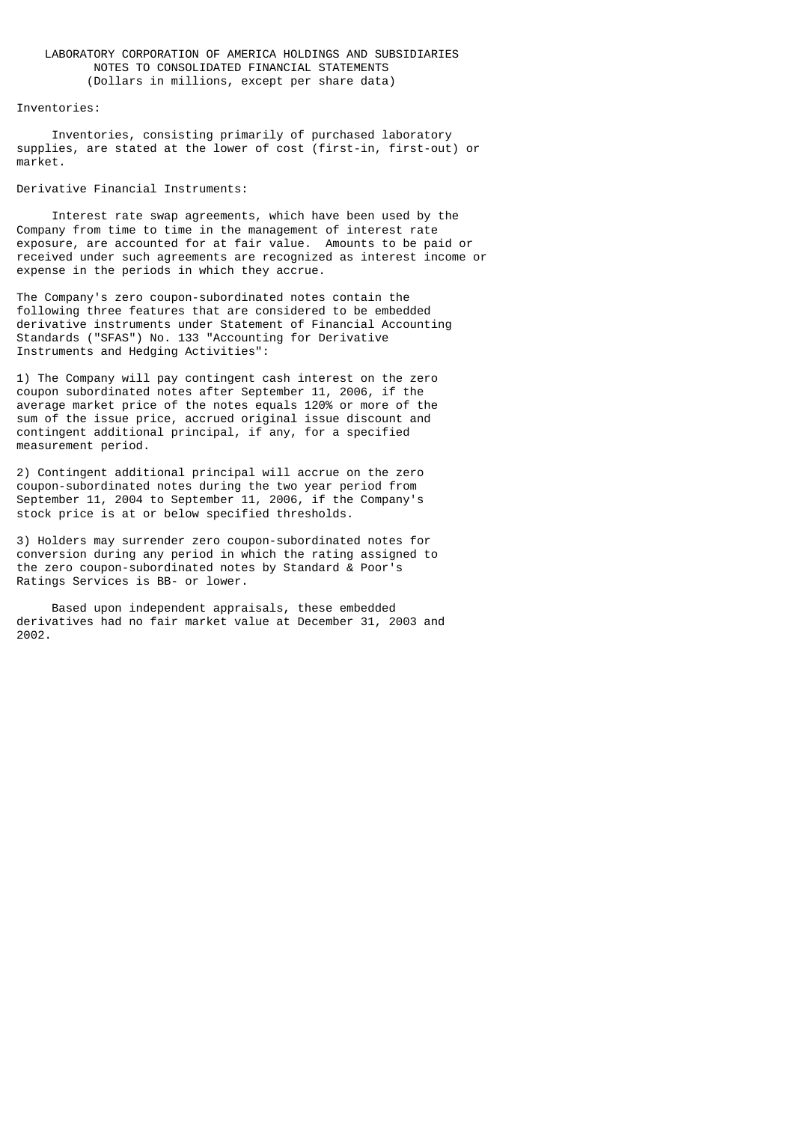### Inventories:

 Inventories, consisting primarily of purchased laboratory supplies, are stated at the lower of cost (first-in, first-out) or market.

## Derivative Financial Instruments:

 Interest rate swap agreements, which have been used by the Company from time to time in the management of interest rate exposure, are accounted for at fair value. Amounts to be paid or received under such agreements are recognized as interest income or expense in the periods in which they accrue.

The Company's zero coupon-subordinated notes contain the following three features that are considered to be embedded derivative instruments under Statement of Financial Accounting Standards ("SFAS") No. 133 "Accounting for Derivative Instruments and Hedging Activities":

1) The Company will pay contingent cash interest on the zero coupon subordinated notes after September 11, 2006, if the average market price of the notes equals 120% or more of the sum of the issue price, accrued original issue discount and contingent additional principal, if any, for a specified measurement period.

2) Contingent additional principal will accrue on the zero coupon-subordinated notes during the two year period from September 11, 2004 to September 11, 2006, if the Company's stock price is at or below specified thresholds.

3) Holders may surrender zero coupon-subordinated notes for conversion during any period in which the rating assigned to the zero coupon-subordinated notes by Standard & Poor's Ratings Services is BB- or lower.

 Based upon independent appraisals, these embedded derivatives had no fair market value at December 31, 2003 and 2002.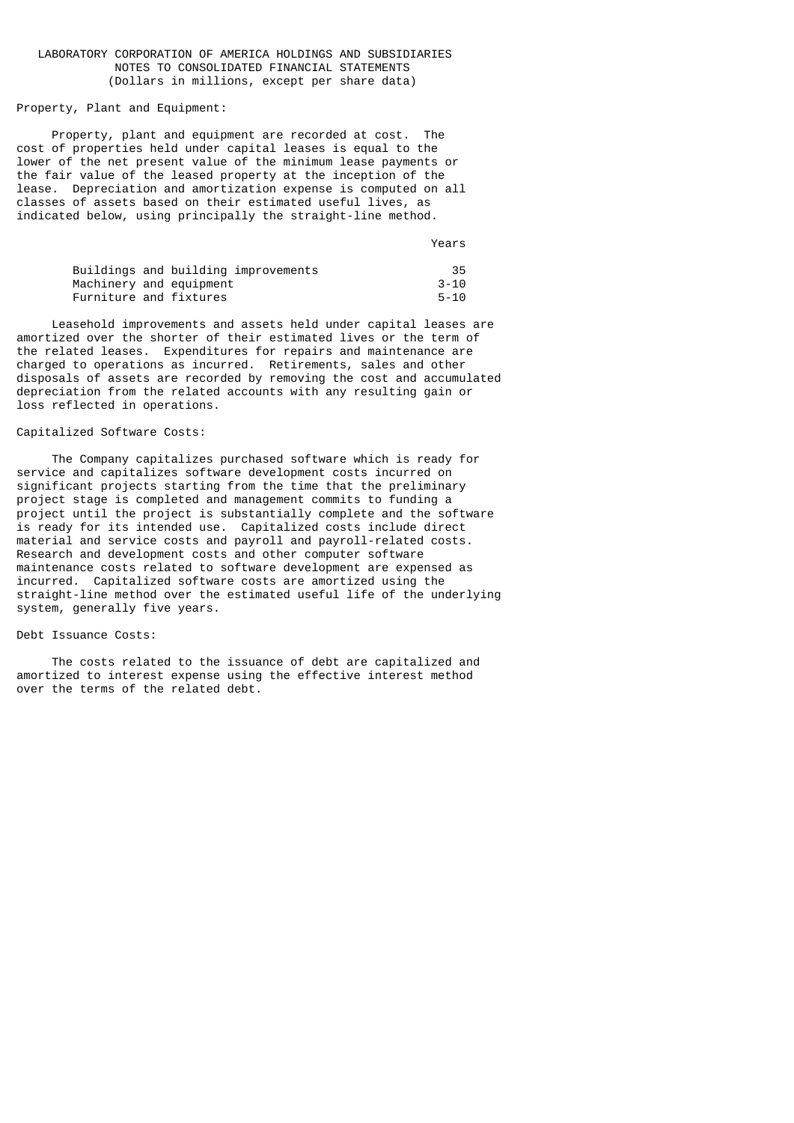Property, Plant and Equipment:

 Property, plant and equipment are recorded at cost. The cost of properties held under capital leases is equal to the lower of the net present value of the minimum lease payments or the fair value of the leased property at the inception of the lease. Depreciation and amortization expense is computed on all classes of assets based on their estimated useful lives, as indicated below, using principally the straight-line method.

**Years** and the contract of the contract of the contract of the contract of the contract of the contract of the contract of the contract of the contract of the contract of the contract of the contract of the contract of th

| Buildings and building improvements | -35      |
|-------------------------------------|----------|
| Machinery and equipment             | $3 - 10$ |
| Furniture and fixtures              | 5-10     |

 Leasehold improvements and assets held under capital leases are amortized over the shorter of their estimated lives or the term of the related leases. Expenditures for repairs and maintenance are charged to operations as incurred. Retirements, sales and other disposals of assets are recorded by removing the cost and accumulated depreciation from the related accounts with any resulting gain or loss reflected in operations.

## Capitalized Software Costs:

 The Company capitalizes purchased software which is ready for service and capitalizes software development costs incurred on significant projects starting from the time that the preliminary project stage is completed and management commits to funding a project until the project is substantially complete and the software is ready for its intended use. Capitalized costs include direct material and service costs and payroll and payroll-related costs. Research and development costs and other computer software maintenance costs related to software development are expensed as incurred. Capitalized software costs are amortized using the straight-line method over the estimated useful life of the underlying system, generally five years.

### Debt Issuance Costs:

 The costs related to the issuance of debt are capitalized and amortized to interest expense using the effective interest method over the terms of the related debt.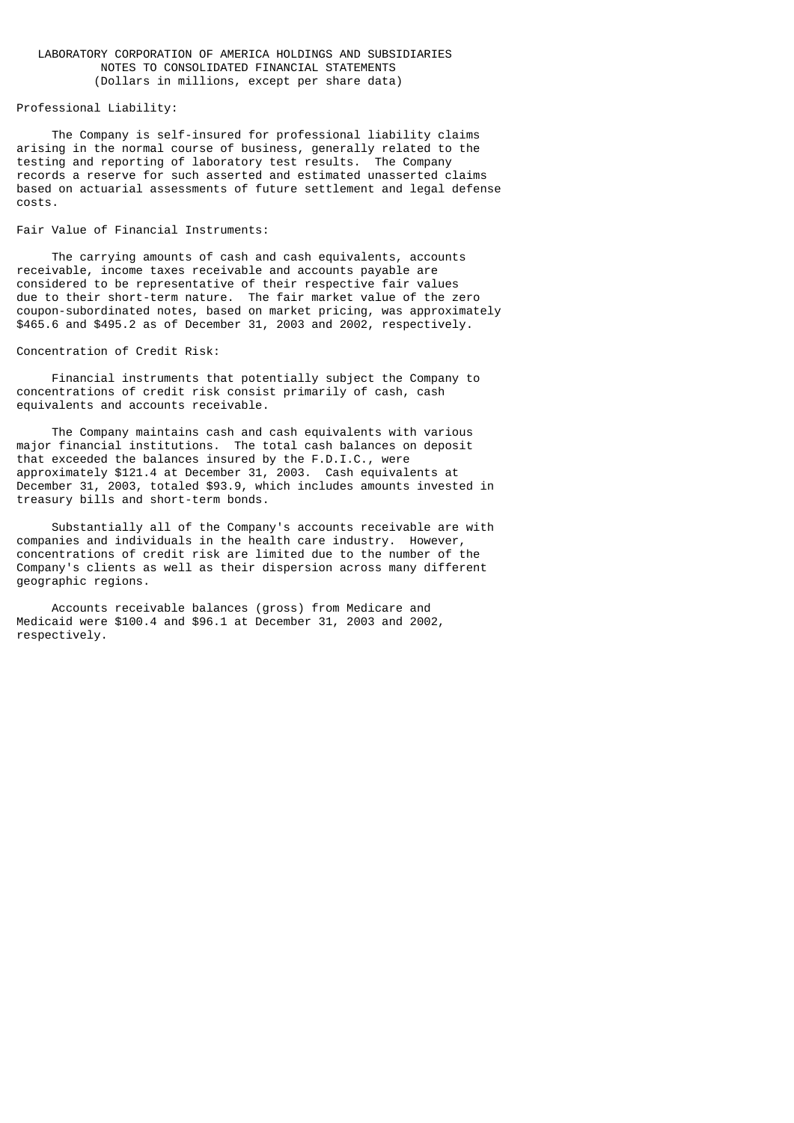### Professional Liability:

 The Company is self-insured for professional liability claims arising in the normal course of business, generally related to the testing and reporting of laboratory test results. The Company records a reserve for such asserted and estimated unasserted claims based on actuarial assessments of future settlement and legal defense costs.

## Fair Value of Financial Instruments:

 The carrying amounts of cash and cash equivalents, accounts receivable, income taxes receivable and accounts payable are considered to be representative of their respective fair values due to their short-term nature. The fair market value of the zero coupon-subordinated notes, based on market pricing, was approximately \$465.6 and \$495.2 as of December 31, 2003 and 2002, respectively.

### Concentration of Credit Risk:

 Financial instruments that potentially subject the Company to concentrations of credit risk consist primarily of cash, cash equivalents and accounts receivable.

 The Company maintains cash and cash equivalents with various major financial institutions. The total cash balances on deposit that exceeded the balances insured by the F.D.I.C., were approximately \$121.4 at December 31, 2003. Cash equivalents at December 31, 2003, totaled \$93.9, which includes amounts invested in treasury bills and short-term bonds.

 Substantially all of the Company's accounts receivable are with companies and individuals in the health care industry. However, concentrations of credit risk are limited due to the number of the Company's clients as well as their dispersion across many different geographic regions.

 Accounts receivable balances (gross) from Medicare and Medicaid were \$100.4 and \$96.1 at December 31, 2003 and 2002, respectively.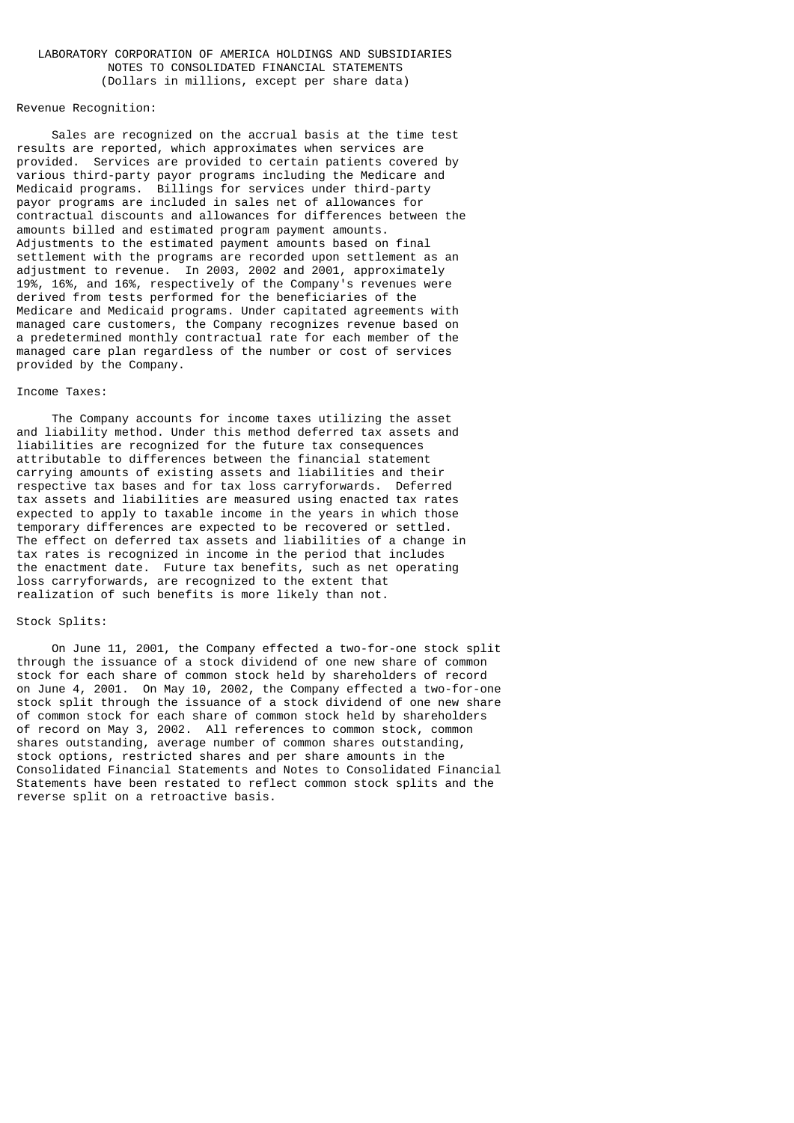### Revenue Recognition:

 Sales are recognized on the accrual basis at the time test results are reported, which approximates when services are provided. Services are provided to certain patients covered by various third-party payor programs including the Medicare and Medicaid programs. Billings for services under third-party payor programs are included in sales net of allowances for contractual discounts and allowances for differences between the amounts billed and estimated program payment amounts. Adjustments to the estimated payment amounts based on final settlement with the programs are recorded upon settlement as an adjustment to revenue. In 2003, 2002 and 2001, approximately 19%, 16%, and 16%, respectively of the Company's revenues were derived from tests performed for the beneficiaries of the Medicare and Medicaid programs. Under capitated agreements with managed care customers, the Company recognizes revenue based on a predetermined monthly contractual rate for each member of the managed care plan regardless of the number or cost of services provided by the Company.

#### Income Taxes:

 The Company accounts for income taxes utilizing the asset and liability method. Under this method deferred tax assets and liabilities are recognized for the future tax consequences attributable to differences between the financial statement carrying amounts of existing assets and liabilities and their respective tax bases and for tax loss carryforwards. Deferred tax assets and liabilities are measured using enacted tax rates expected to apply to taxable income in the years in which those temporary differences are expected to be recovered or settled. The effect on deferred tax assets and liabilities of a change in tax rates is recognized in income in the period that includes the enactment date. Future tax benefits, such as net operating loss carryforwards, are recognized to the extent that realization of such benefits is more likely than not.

### Stock Splits:

 On June 11, 2001, the Company effected a two-for-one stock split through the issuance of a stock dividend of one new share of common stock for each share of common stock held by shareholders of record on June 4, 2001. On May 10, 2002, the Company effected a two-for-one stock split through the issuance of a stock dividend of one new share of common stock for each share of common stock held by shareholders of record on May 3, 2002. All references to common stock, common shares outstanding, average number of common shares outstanding, stock options, restricted shares and per share amounts in the Consolidated Financial Statements and Notes to Consolidated Financial Statements have been restated to reflect common stock splits and the reverse split on a retroactive basis.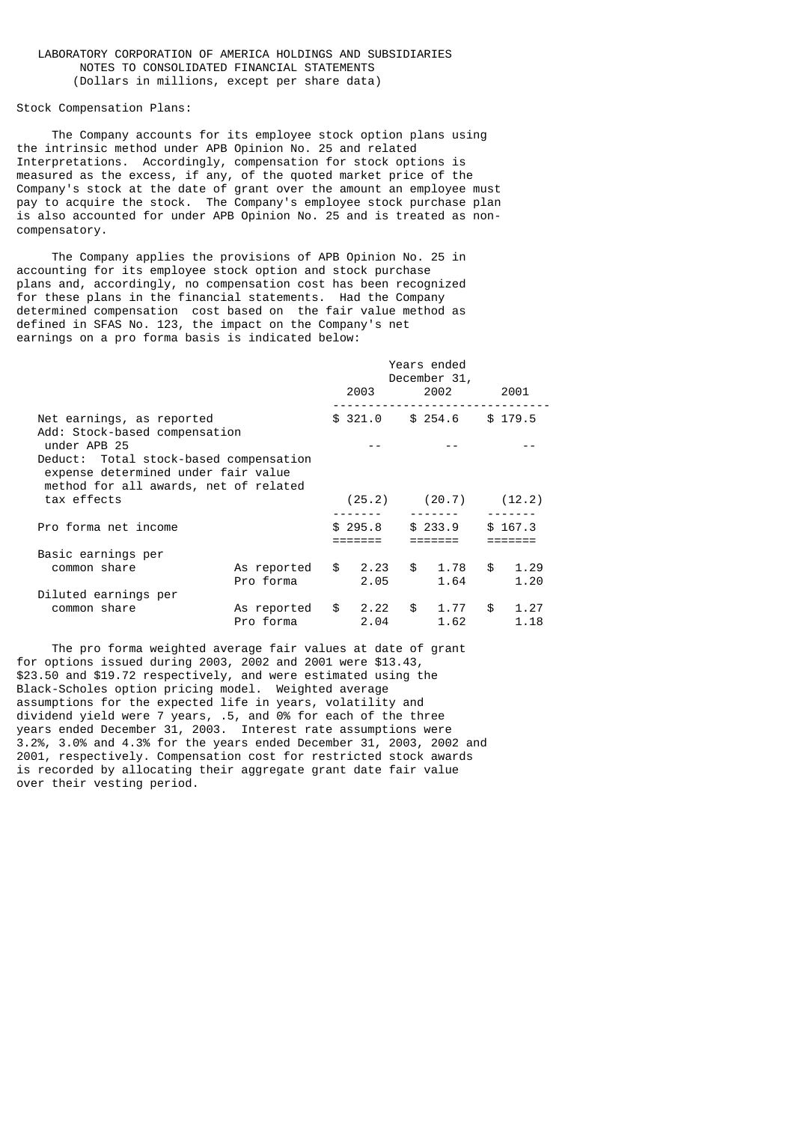Stock Compensation Plans:

 The Company accounts for its employee stock option plans using the intrinsic method under APB Opinion No. 25 and related Interpretations. Accordingly, compensation for stock options is measured as the excess, if any, of the quoted market price of the Company's stock at the date of grant over the amount an employee must pay to acquire the stock. The Company's employee stock purchase plan is also accounted for under APB Opinion No. 25 and is treated as noncompensatory.

 The Company applies the provisions of APB Opinion No. 25 in accounting for its employee stock option and stock purchase plans and, accordingly, no compensation cost has been recognized for these plans in the financial statements. Had the Company determined compensation cost based on the fair value method as defined in SFAS No. 123, the impact on the Company's net earnings on a pro forma basis is indicated below:

|                                                                                                                        |                          |                    | Years ended<br>December 31, |                    |
|------------------------------------------------------------------------------------------------------------------------|--------------------------|--------------------|-----------------------------|--------------------|
|                                                                                                                        |                          | 2003               | 2002                        | 2001               |
| Net earnings, as reported<br>Add: Stock-based compensation                                                             |                          | \$321.0            | \$254.6                     | \$179.5            |
| under APB 25                                                                                                           |                          |                    |                             |                    |
| Deduct: Total stock-based compensation<br>expense determined under fair value<br>method for all awards, net of related |                          |                    |                             |                    |
| tax effects                                                                                                            |                          | (25.2)             | (20.7)                      | (12.2)             |
| Pro forma net income                                                                                                   |                          | \$295.8            | \$233.9                     | \$167.3            |
| Basic earnings per                                                                                                     |                          |                    |                             |                    |
| common share                                                                                                           | As reported<br>Pro forma | \$2.23<br>2.05     | \$<br>1.78<br>1.64          | \$<br>1.29<br>1.20 |
| Diluted earnings per                                                                                                   |                          |                    |                             |                    |
| common share                                                                                                           | As reported<br>Pro forma | \$<br>2.22<br>2.04 | \$<br>1.77<br>1.62          | \$<br>1.27<br>1.18 |

 The pro forma weighted average fair values at date of grant for options issued during 2003, 2002 and 2001 were \$13.43, \$23.50 and \$19.72 respectively, and were estimated using the Black-Scholes option pricing model. Weighted average assumptions for the expected life in years, volatility and dividend yield were 7 years, .5, and 0% for each of the three years ended December 31, 2003. Interest rate assumptions were 3.2%, 3.0% and 4.3% for the years ended December 31, 2003, 2002 and 2001, respectively. Compensation cost for restricted stock awards is recorded by allocating their aggregate grant date fair value over their vesting period.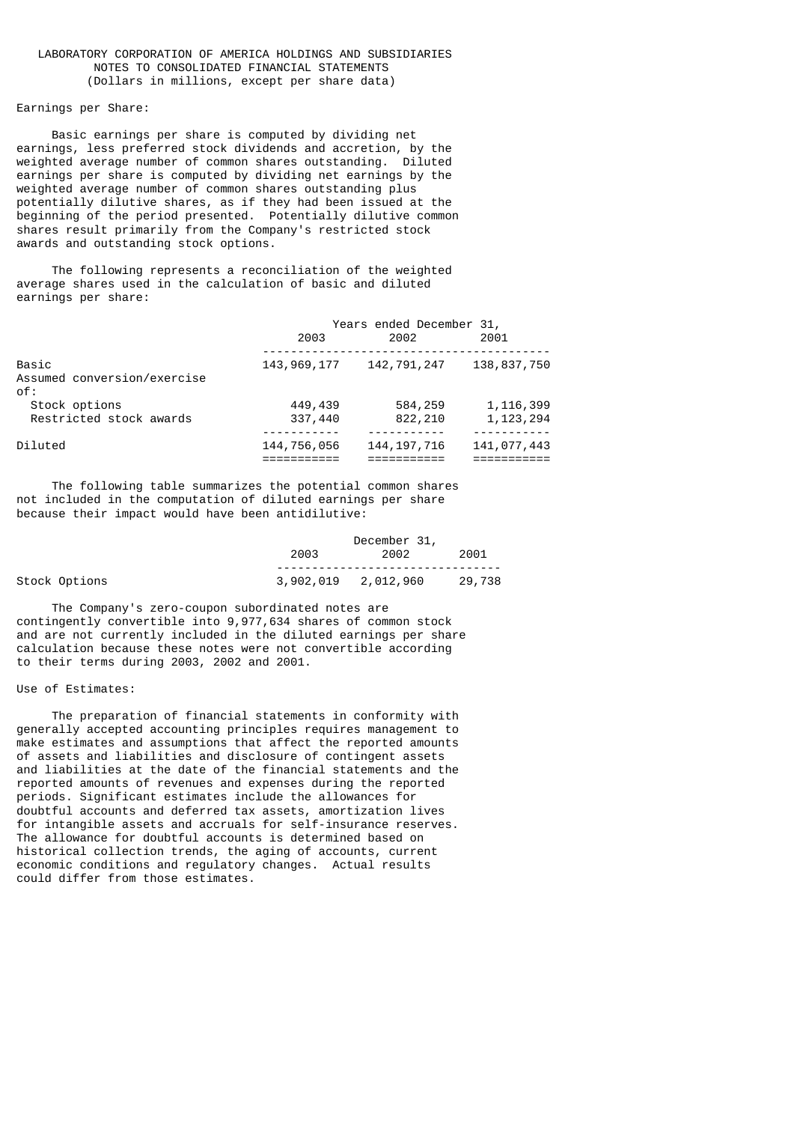### Earnings per Share:

 Basic earnings per share is computed by dividing net earnings, less preferred stock dividends and accretion, by the weighted average number of common shares outstanding. Diluted earnings per share is computed by dividing net earnings by the weighted average number of common shares outstanding plus potentially dilutive shares, as if they had been issued at the beginning of the period presented. Potentially dilutive common shares result primarily from the Company's restricted stock awards and outstanding stock options.

 The following represents a reconciliation of the weighted average shares used in the calculation of basic and diluted earnings per share:

|                                    | Years ended December 31, |               |             |  |
|------------------------------------|--------------------------|---------------|-------------|--|
|                                    | 2003                     | 2002          | 2001        |  |
| Basic                              | 143, 969, 177            | 142,791,247   | 138,837,750 |  |
| Assumed conversion/exercise<br>of: |                          |               |             |  |
| Stock options                      | 449,439                  | 584,259       | 1, 116, 399 |  |
| Restricted stock awards            | 337,440                  | 822,210       | 1, 123, 294 |  |
| Diluted                            | 144,756,056              | 144, 197, 716 | 141,077,443 |  |
|                                    |                          |               |             |  |

 The following table summarizes the potential common shares not included in the computation of diluted earnings per share because their impact would have been antidilutive:

|               |      | December 31,        |        |  |
|---------------|------|---------------------|--------|--|
|               | 2003 | 2002                | 2001   |  |
|               |      |                     |        |  |
| Stock Options |      | 3,902,019 2,012,960 | 29,738 |  |

 The Company's zero-coupon subordinated notes are contingently convertible into 9,977,634 shares of common stock and are not currently included in the diluted earnings per share calculation because these notes were not convertible according to their terms during 2003, 2002 and 2001.

#### Use of Estimates:

 The preparation of financial statements in conformity with generally accepted accounting principles requires management to make estimates and assumptions that affect the reported amounts of assets and liabilities and disclosure of contingent assets and liabilities at the date of the financial statements and the reported amounts of revenues and expenses during the reported periods. Significant estimates include the allowances for doubtful accounts and deferred tax assets, amortization lives for intangible assets and accruals for self-insurance reserves. The allowance for doubtful accounts is determined based on historical collection trends, the aging of accounts, current economic conditions and regulatory changes. Actual results could differ from those estimates.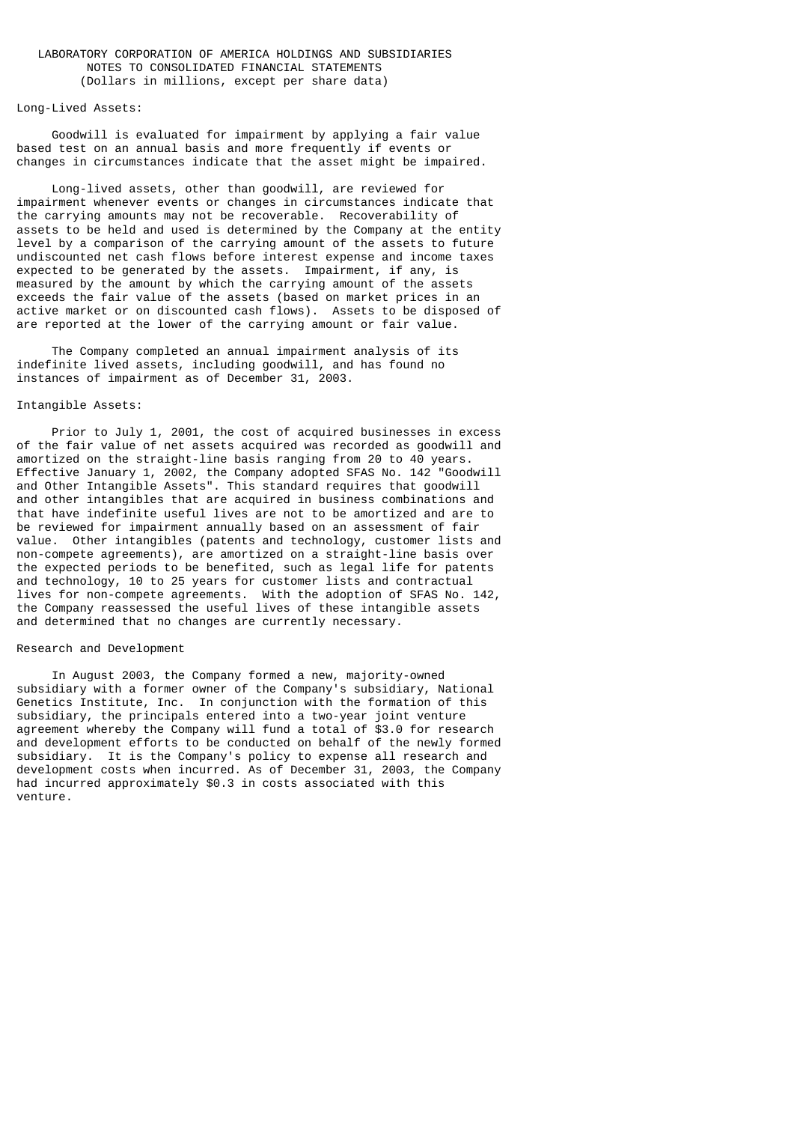### Long-Lived Assets:

 Goodwill is evaluated for impairment by applying a fair value based test on an annual basis and more frequently if events or changes in circumstances indicate that the asset might be impaired.

 Long-lived assets, other than goodwill, are reviewed for impairment whenever events or changes in circumstances indicate that the carrying amounts may not be recoverable. Recoverability of assets to be held and used is determined by the Company at the entity level by a comparison of the carrying amount of the assets to future undiscounted net cash flows before interest expense and income taxes expected to be generated by the assets. Impairment, if any, is measured by the amount by which the carrying amount of the assets exceeds the fair value of the assets (based on market prices in an active market or on discounted cash flows). Assets to be disposed of are reported at the lower of the carrying amount or fair value.

 The Company completed an annual impairment analysis of its indefinite lived assets, including goodwill, and has found no instances of impairment as of December 31, 2003.

## Intangible Assets:

 Prior to July 1, 2001, the cost of acquired businesses in excess of the fair value of net assets acquired was recorded as goodwill and amortized on the straight-line basis ranging from 20 to 40 years. Effective January 1, 2002, the Company adopted SFAS No. 142 "Goodwill and Other Intangible Assets". This standard requires that goodwill and other intangibles that are acquired in business combinations and that have indefinite useful lives are not to be amortized and are to be reviewed for impairment annually based on an assessment of fair value. Other intangibles (patents and technology, customer lists and non-compete agreements), are amortized on a straight-line basis over the expected periods to be benefited, such as legal life for patents and technology, 10 to 25 years for customer lists and contractual lives for non-compete agreements. With the adoption of SFAS No. 142, the Company reassessed the useful lives of these intangible assets and determined that no changes are currently necessary.

### Research and Development

 In August 2003, the Company formed a new, majority-owned subsidiary with a former owner of the Company's subsidiary, National Genetics Institute, Inc. In conjunction with the formation of this subsidiary, the principals entered into a two-year joint venture agreement whereby the Company will fund a total of \$3.0 for research and development efforts to be conducted on behalf of the newly formed subsidiary. It is the Company's policy to expense all research and development costs when incurred. As of December 31, 2003, the Company had incurred approximately \$0.3 in costs associated with this venture.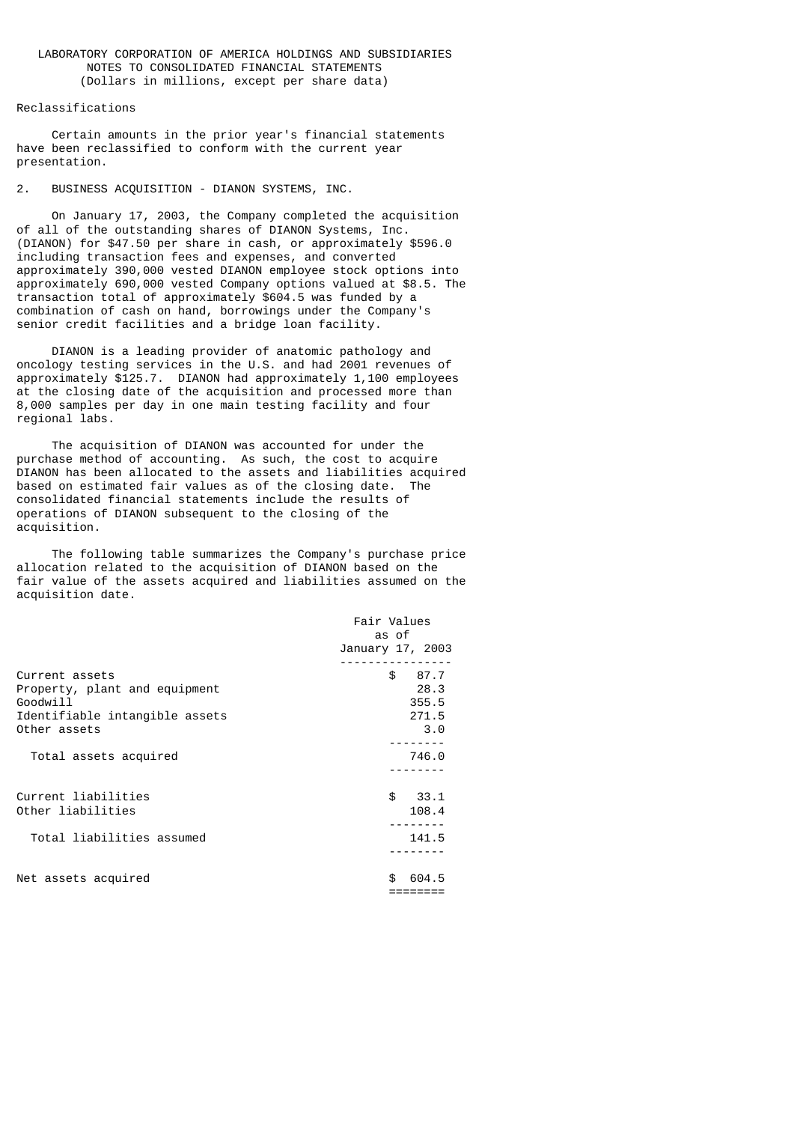### Reclassifications

 Certain amounts in the prior year's financial statements have been reclassified to conform with the current year presentation.

2. BUSINESS ACQUISITION - DIANON SYSTEMS, INC.

 On January 17, 2003, the Company completed the acquisition of all of the outstanding shares of DIANON Systems, Inc. (DIANON) for \$47.50 per share in cash, or approximately \$596.0 including transaction fees and expenses, and converted approximately 390,000 vested DIANON employee stock options into approximately 690,000 vested Company options valued at \$8.5. The transaction total of approximately \$604.5 was funded by a combination of cash on hand, borrowings under the Company's senior credit facilities and a bridge loan facility.

 DIANON is a leading provider of anatomic pathology and oncology testing services in the U.S. and had 2001 revenues of approximately \$125.7. DIANON had approximately 1,100 employees at the closing date of the acquisition and processed more than 8,000 samples per day in one main testing facility and four regional labs.

 The acquisition of DIANON was accounted for under the purchase method of accounting. As such, the cost to acquire DIANON has been allocated to the assets and liabilities acquired based on estimated fair values as of the closing date. The consolidated financial statements include the results of operations of DIANON subsequent to the closing of the acquisition.

 The following table summarizes the Company's purchase price allocation related to the acquisition of DIANON based on the fair value of the assets acquired and liabilities assumed on the acquisition date.

|                                                                                                               | Fair Values<br>as of<br>January 17, 2003 |  |
|---------------------------------------------------------------------------------------------------------------|------------------------------------------|--|
| Current assets<br>Property, plant and equipment<br>Goodwill<br>Identifiable intangible assets<br>Other assets | \$87.7<br>28.3<br>355.5<br>271.5<br>3.0  |  |
| Total assets acquired                                                                                         | 746.0                                    |  |
| Current liabilities<br>Other liabilities                                                                      | \$33.1<br>108.4                          |  |
| Total liabilities assumed<br>Net assets acquired                                                              | 141.5<br>\$.<br>604.5                    |  |
|                                                                                                               |                                          |  |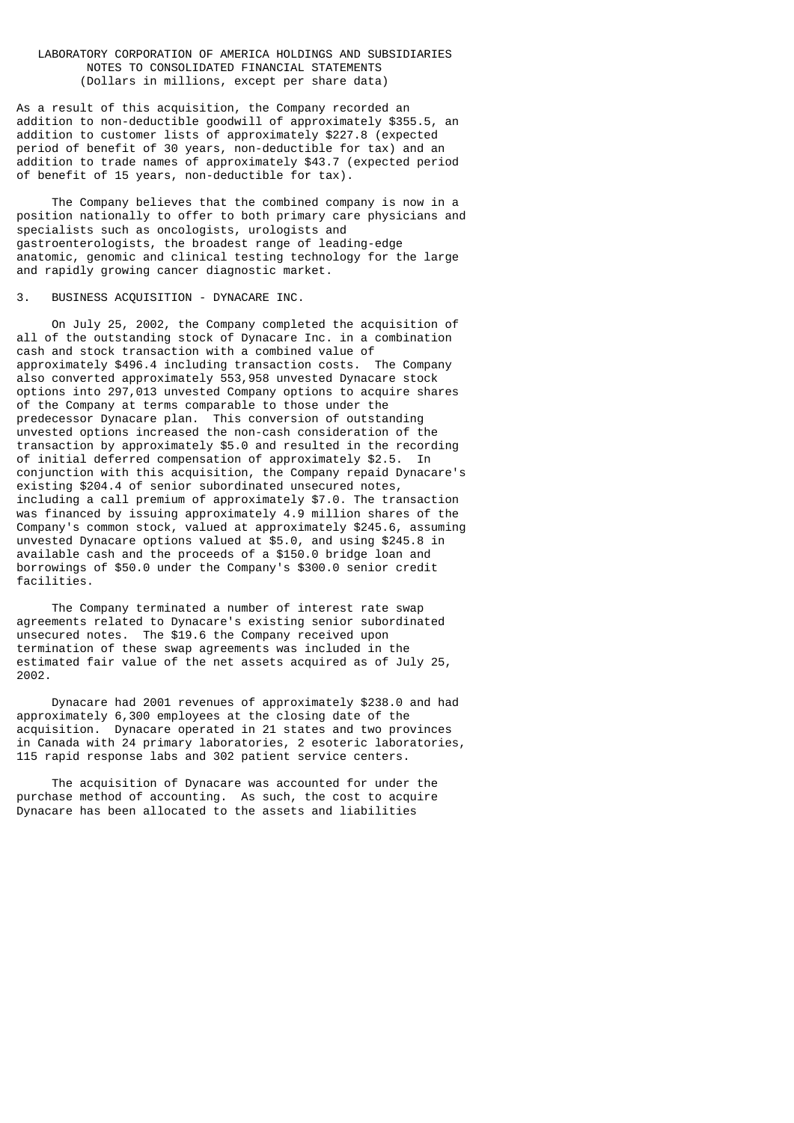As a result of this acquisition, the Company recorded an addition to non-deductible goodwill of approximately \$355.5, an addition to customer lists of approximately \$227.8 (expected period of benefit of 30 years, non-deductible for tax) and an addition to trade names of approximately \$43.7 (expected period of benefit of 15 years, non-deductible for tax).

 The Company believes that the combined company is now in a position nationally to offer to both primary care physicians and specialists such as oncologists, urologists and gastroenterologists, the broadest range of leading-edge anatomic, genomic and clinical testing technology for the large and rapidly growing cancer diagnostic market.

### 3. BUSINESS ACQUISITION - DYNACARE INC.

 On July 25, 2002, the Company completed the acquisition of all of the outstanding stock of Dynacare Inc. in a combination cash and stock transaction with a combined value of approximately \$496.4 including transaction costs. The Company also converted approximately 553,958 unvested Dynacare stock options into 297,013 unvested Company options to acquire shares of the Company at terms comparable to those under the predecessor Dynacare plan. This conversion of outstanding unvested options increased the non-cash consideration of the transaction by approximately \$5.0 and resulted in the recording of initial deferred compensation of approximately \$2.5. In conjunction with this acquisition, the Company repaid Dynacare's existing \$204.4 of senior subordinated unsecured notes, including a call premium of approximately \$7.0. The transaction was financed by issuing approximately 4.9 million shares of the Company's common stock, valued at approximately \$245.6, assuming unvested Dynacare options valued at \$5.0, and using \$245.8 in available cash and the proceeds of a \$150.0 bridge loan and borrowings of \$50.0 under the Company's \$300.0 senior credit facilities.

 The Company terminated a number of interest rate swap agreements related to Dynacare's existing senior subordinated unsecured notes. The \$19.6 the Company received upon termination of these swap agreements was included in the estimated fair value of the net assets acquired as of July 25, 2002.

 Dynacare had 2001 revenues of approximately \$238.0 and had approximately 6,300 employees at the closing date of the acquisition. Dynacare operated in 21 states and two provinces in Canada with 24 primary laboratories, 2 esoteric laboratories, 115 rapid response labs and 302 patient service centers.

 The acquisition of Dynacare was accounted for under the purchase method of accounting. As such, the cost to acquire Dynacare has been allocated to the assets and liabilities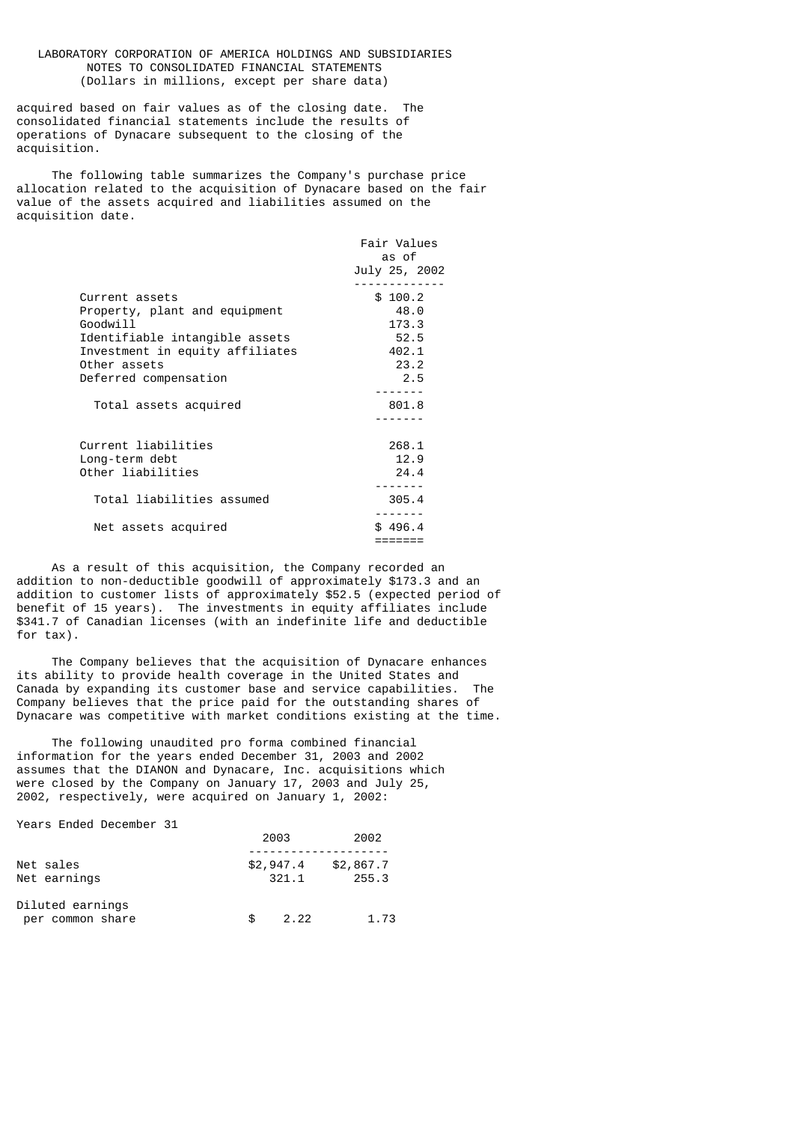acquired based on fair values as of the closing date. The consolidated financial statements include the results of operations of Dynacare subsequent to the closing of the acquisition.

 The following table summarizes the Company's purchase price allocation related to the acquisition of Dynacare based on the fair value of the assets acquired and liabilities assumed on the acquisition date.

|                                 | Fair Values<br>as of |
|---------------------------------|----------------------|
|                                 | July 25, 2002        |
|                                 |                      |
| Current assets                  | \$100.2              |
| Property, plant and equipment   | 48.0                 |
| Goodwill                        | 173.3                |
| Identifiable intangible assets  | 52.5                 |
| Investment in equity affiliates | 402.1                |
| Other assets                    | 23.2                 |
| Deferred compensation           | 2.5                  |
|                                 |                      |
| Total assets acquired           | 801.8                |
|                                 |                      |
| Current liabilities             | 268.1                |
| Long-term debt                  | 12.9                 |
| Other liabilities               | 24.4                 |
|                                 |                      |
| Total liabilities assumed       | 305.4                |
|                                 |                      |
| Net assets acquired             | \$496.4              |
|                                 | =======              |

 As a result of this acquisition, the Company recorded an addition to non-deductible goodwill of approximately \$173.3 and an addition to customer lists of approximately \$52.5 (expected period of benefit of 15 years). The investments in equity affiliates include \$341.7 of Canadian licenses (with an indefinite life and deductible for tax).

 The Company believes that the acquisition of Dynacare enhances its ability to provide health coverage in the United States and Canada by expanding its customer base and service capabilities. The Company believes that the price paid for the outstanding shares of Dynacare was competitive with market conditions existing at the time.

 The following unaudited pro forma combined financial information for the years ended December 31, 2003 and 2002 assumes that the DIANON and Dynacare, Inc. acquisitions which were closed by the Company on January 17, 2003 and July 25, 2002, respectively, were acquired on January 1, 2002:

Years Ended December 31

|                                      | 2003               | 2002               |
|--------------------------------------|--------------------|--------------------|
| Net sales<br>Net earnings            | \$2,947.4<br>321.1 | \$2,867.7<br>255.3 |
| Diluted earnings<br>per common share | 2.22<br>\$.        | 1.73               |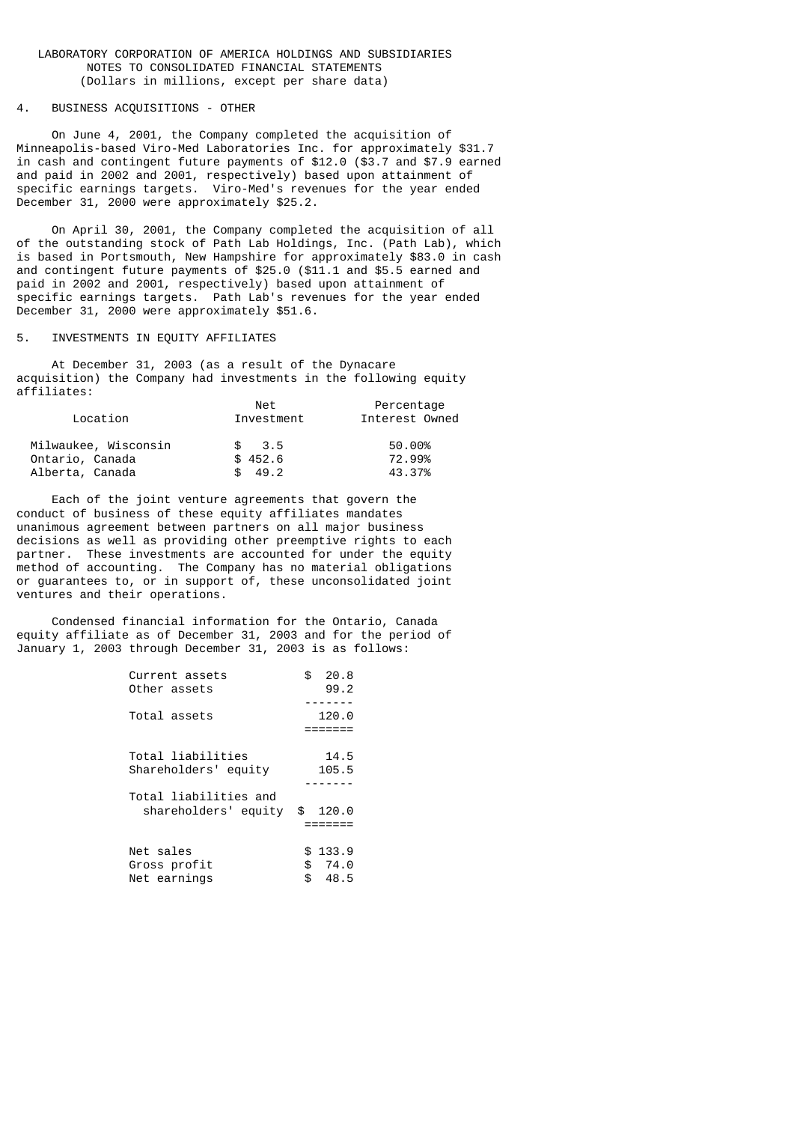### 4. BUSINESS ACQUISITIONS - OTHER

 On June 4, 2001, the Company completed the acquisition of Minneapolis-based Viro-Med Laboratories Inc. for approximately \$31.7 in cash and contingent future payments of \$12.0 (\$3.7 and \$7.9 earned and paid in 2002 and 2001, respectively) based upon attainment of specific earnings targets. Viro-Med's revenues for the year ended December 31, 2000 were approximately \$25.2.

 On April 30, 2001, the Company completed the acquisition of all of the outstanding stock of Path Lab Holdings, Inc. (Path Lab), which is based in Portsmouth, New Hampshire for approximately \$83.0 in cash and contingent future payments of \$25.0 (\$11.1 and \$5.5 earned and paid in 2002 and 2001, respectively) based upon attainment of specific earnings targets. Path Lab's revenues for the year ended December 31, 2000 were approximately \$51.6.

### 5. INVESTMENTS IN EQUITY AFFILIATES

 At December 31, 2003 (as a result of the Dynacare acquisition) the Company had investments in the following equity affiliates:

|                      | Net               | Percentage     |
|----------------------|-------------------|----------------|
| Location             | Investment        | Interest Owned |
| Milwaukee, Wisconsin | $\frac{1}{3}$ 3.5 | 50.00%         |
| Ontario, Canada      | \$452.6           | 72.99%         |
| Alberta, Canada      | \$49.2            | 43.37%         |

 Each of the joint venture agreements that govern the conduct of business of these equity affiliates mandates unanimous agreement between partners on all major business decisions as well as providing other preemptive rights to each partner. These investments are accounted for under the equity method of accounting. The Company has no material obligations or guarantees to, or in support of, these unconsolidated joint ventures and their operations.

 Condensed financial information for the Ontario, Canada equity affiliate as of December 31, 2003 and for the period of January 1, 2003 through December 31, 2003 is as follows:

| Current assets        | \$<br>20.8  |
|-----------------------|-------------|
| Other assets          | 99.2        |
|                       |             |
| Total assets          | 120.0       |
|                       |             |
|                       |             |
| Total liabilities     | 14.5        |
| Shareholders' equity  | 105.5       |
|                       |             |
| Total liabilities and |             |
| shareholders' equity  | \$<br>120.0 |
|                       |             |
|                       |             |
| Net sales             | \$<br>133.9 |
| Gross profit          | \$<br>74.0  |
| Net earnings          | \$<br>48.5  |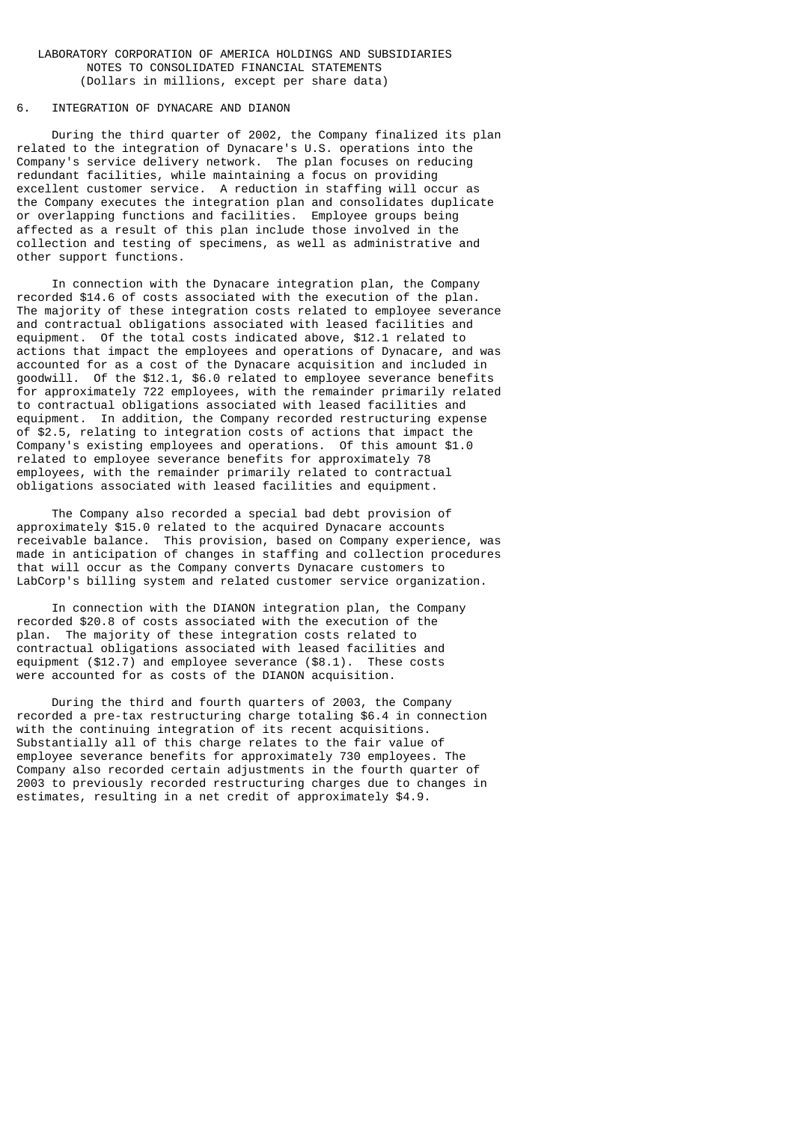### 6. INTEGRATION OF DYNACARE AND DIANON

 During the third quarter of 2002, the Company finalized its plan related to the integration of Dynacare's U.S. operations into the Company's service delivery network. The plan focuses on reducing redundant facilities, while maintaining a focus on providing excellent customer service. A reduction in staffing will occur as the Company executes the integration plan and consolidates duplicate or overlapping functions and facilities. Employee groups being affected as a result of this plan include those involved in the collection and testing of specimens, as well as administrative and other support functions.

 In connection with the Dynacare integration plan, the Company recorded \$14.6 of costs associated with the execution of the plan. The majority of these integration costs related to employee severance and contractual obligations associated with leased facilities and equipment. Of the total costs indicated above, \$12.1 related to actions that impact the employees and operations of Dynacare, and was accounted for as a cost of the Dynacare acquisition and included in goodwill. Of the \$12.1, \$6.0 related to employee severance benefits for approximately 722 employees, with the remainder primarily related to contractual obligations associated with leased facilities and equipment. In addition, the Company recorded restructuring expense of \$2.5, relating to integration costs of actions that impact the Company's existing employees and operations. Of this amount \$1.0 related to employee severance benefits for approximately 78 employees, with the remainder primarily related to contractual obligations associated with leased facilities and equipment.

 The Company also recorded a special bad debt provision of approximately \$15.0 related to the acquired Dynacare accounts receivable balance. This provision, based on Company experience, was made in anticipation of changes in staffing and collection procedures that will occur as the Company converts Dynacare customers to LabCorp's billing system and related customer service organization.

 In connection with the DIANON integration plan, the Company recorded \$20.8 of costs associated with the execution of the plan. The majority of these integration costs related to contractual obligations associated with leased facilities and equipment (\$12.7) and employee severance (\$8.1). These costs were accounted for as costs of the DIANON acquisition.

 During the third and fourth quarters of 2003, the Company recorded a pre-tax restructuring charge totaling \$6.4 in connection with the continuing integration of its recent acquisitions. Substantially all of this charge relates to the fair value of employee severance benefits for approximately 730 employees. The Company also recorded certain adjustments in the fourth quarter of 2003 to previously recorded restructuring charges due to changes in estimates, resulting in a net credit of approximately \$4.9.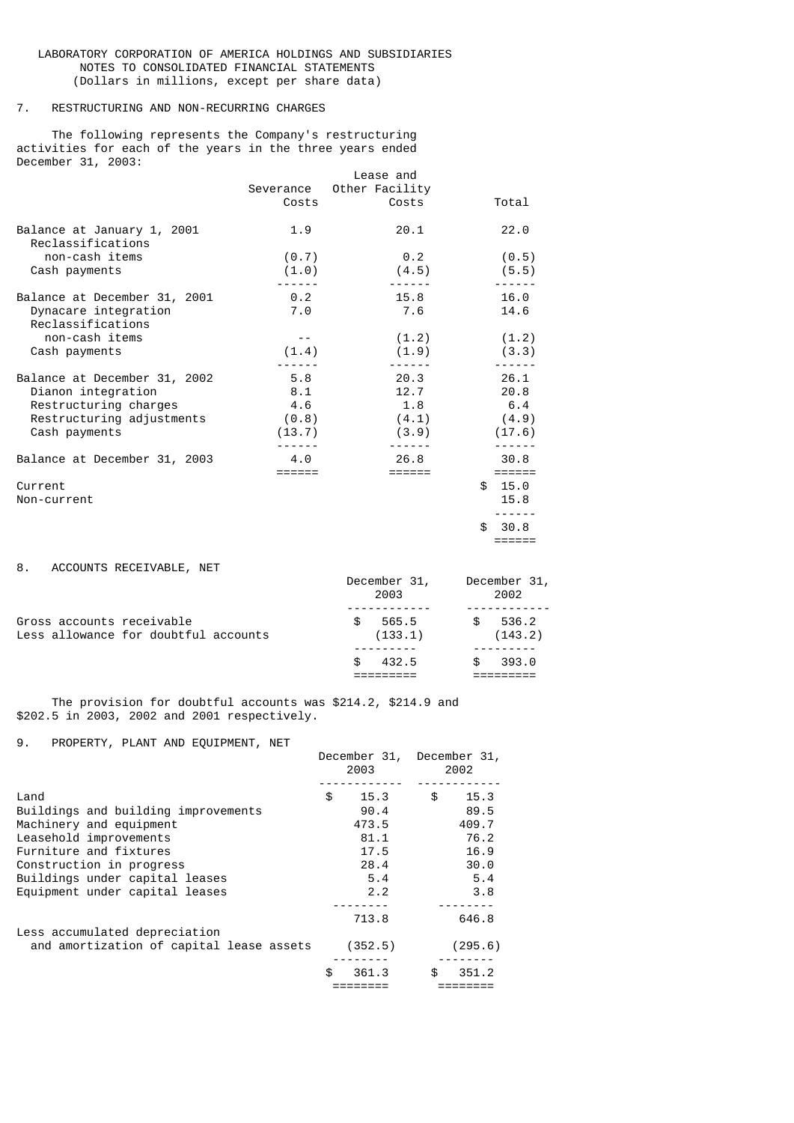### 7. RESTRUCTURING AND NON-RECURRING CHARGES

 The following represents the Company's restructuring activities for each of the years in the three years ended December 31, 2003:

|                                                                                                                           | Costs                                                                                                   | Lease and<br>Severance Other Facility<br>Costs | Total                                            |
|---------------------------------------------------------------------------------------------------------------------------|---------------------------------------------------------------------------------------------------------|------------------------------------------------|--------------------------------------------------|
| Balance at January 1, 2001<br>Reclassifications                                                                           | 1.9                                                                                                     | 20.1                                           | 22.0                                             |
| non-cash items<br>Cash payments                                                                                           | (0.7)<br>(1.0)                                                                                          | 0.2<br>(4.5)                                   | (0.5)<br>(5.5)                                   |
| Balance at December 31, 2001<br>Dynacare integration<br>Reclassifications                                                 | 0.2<br>7.0                                                                                              | 15.8<br>7.6                                    | 16.0<br>14.6                                     |
| non-cash items<br>Cash payments                                                                                           | $\frac{1}{2} \left( \frac{1}{2} \right) \left( \frac{1}{2} \right) \left( \frac{1}{2} \right)$<br>(1.4) | (1.2)<br>(1.9)                                 | (1.2)<br>(3.3)                                   |
| Balance at December 31, 2002<br>Dianon integration<br>Restructuring charges<br>Restructuring adjustments<br>Cash payments | 5.8<br>8.1<br>4.6<br>(0.8)<br>(13.7)                                                                    | 20.3<br>12.7<br>1.8<br>(3.9)                   | 26.1<br>20.8<br>6.4<br>$(4.1)$ $(4.9)$<br>(17.6) |
| Balance at December 31, 2003                                                                                              | 4.0<br>:=====                                                                                           | 26.8<br>======                                 | 30.8<br>$=$ $=$ $=$ $=$ $=$ $=$                  |
| Current<br>Non-current                                                                                                    |                                                                                                         |                                                | \$15.0<br>15.8                                   |
|                                                                                                                           |                                                                                                         |                                                | \$.<br>30.8<br>======                            |

# 8. ACCOUNTS RECEIVABLE, NET

| $0.1$ $100000110$ $10000110$                                      | December 31,<br>2003   | December 31,<br>2002   |
|-------------------------------------------------------------------|------------------------|------------------------|
| Gross accounts receivable<br>Less allowance for doubtful accounts | 565.5<br>\$<br>(133.1) | 536.2<br>\$<br>(143.2) |
|                                                                   | 432.5<br>.ዌ            | 393.0<br>æ.            |

 The provision for doubtful accounts was \$214.2, \$214.9 and \$202.5 in 2003, 2002 and 2001 respectively.

# 9. PROPERTY, PLANT AND EQUIPMENT, NET

|                                          | December 31,<br>2003 | December 31,<br>2002 |
|------------------------------------------|----------------------|----------------------|
| Land                                     | \$<br>15.3           | \$<br>15.3           |
| Buildings and building improvements      | 90.4                 | 89.5                 |
| Machinery and equipment                  | 473.5                | 409.7                |
| Leasehold improvements                   | 81.1                 | 76.2                 |
| Furniture and fixtures                   | 17.5                 | 16.9                 |
| Construction in progress                 | 28.4                 | 30.0                 |
| Buildings under capital leases           | 5.4                  | 5.4                  |
| Equipment under capital leases           | 2.2                  | 3.8                  |
|                                          |                      |                      |
|                                          | 713.8                | 646.8                |
| Less accumulated depreciation            |                      |                      |
| and amortization of capital lease assets | (352.5)              | (295.6)              |
|                                          |                      |                      |
|                                          | \$<br>361.3          | \$<br>351.2          |
|                                          |                      |                      |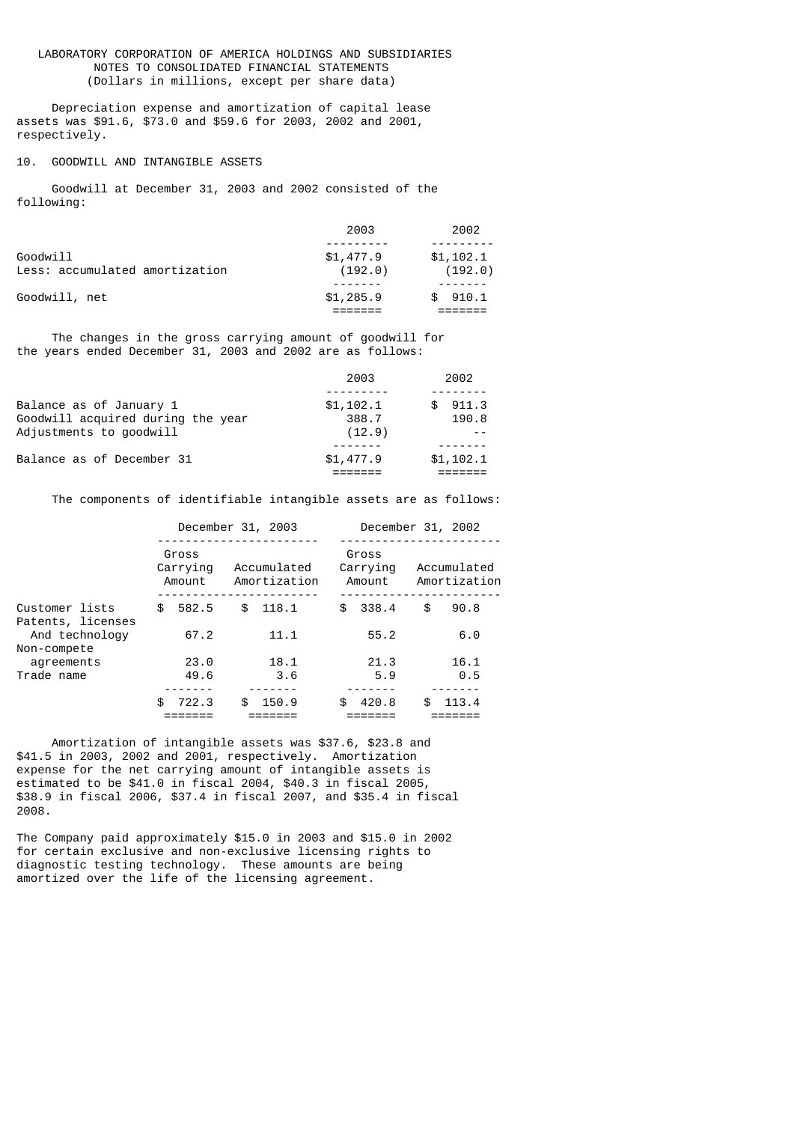Depreciation expense and amortization of capital lease assets was \$91.6, \$73.0 and \$59.6 for 2003, 2002 and 2001, respectively.

### 10. GOODWILL AND INTANGIBLE ASSETS

 Goodwill at December 31, 2003 and 2002 consisted of the following:

|                                            | 2003                 | 2002                 |
|--------------------------------------------|----------------------|----------------------|
| Goodwill<br>Less: accumulated amortization | \$1,477.9<br>(192.0) | \$1,102.1<br>(192.0) |
| Goodwill, net                              | \$1,285.9            | 910.1                |

 The changes in the gross carrying amount of goodwill for the years ended December 31, 2003 and 2002 are as follows:

| Balance as of December 31                                    | \$1,477.9       | \$1,102.1 |
|--------------------------------------------------------------|-----------------|-----------|
|                                                              |                 |           |
| Goodwill acquired during the year<br>Adjustments to goodwill | 388.7<br>(12.9) | 190.8     |
| Balance as of January 1                                      | \$1,102.1       | 911.3     |
|                                                              | 2003            | 2002      |
|                                                              |                 |           |

The components of identifiable intangible assets are as follows:

|                                     | December 31, 2003           |                             | December 31, 2002           |                             |
|-------------------------------------|-----------------------------|-----------------------------|-----------------------------|-----------------------------|
|                                     | Gross<br>Carrying<br>Amount | Accumulated<br>Amortization | Gross<br>Carrying<br>Amount | Accumulated<br>Amortization |
| Customer lists<br>Patents, licenses | \$<br>582.5                 | \$<br>118.1                 | \$<br>338.4                 | \$<br>90.8                  |
| And technology<br>Non-compete       | 67.2                        | 11.1                        | 55.2                        | 6.0                         |
| agreements                          | 23.0                        | 18.1                        | 21.3                        | 16.1                        |
| Trade name                          | 49.6                        | 3.6                         | 5.9                         | 0.5                         |
|                                     |                             |                             |                             |                             |
|                                     | \$<br>722.3                 | \$<br>150.9                 | \$<br>420.8                 | 113.4                       |
|                                     |                             |                             |                             |                             |

 Amortization of intangible assets was \$37.6, \$23.8 and \$41.5 in 2003, 2002 and 2001, respectively. Amortization expense for the net carrying amount of intangible assets is estimated to be \$41.0 in fiscal 2004, \$40.3 in fiscal 2005, \$38.9 in fiscal 2006, \$37.4 in fiscal 2007, and \$35.4 in fiscal 2008.

The Company paid approximately \$15.0 in 2003 and \$15.0 in 2002 for certain exclusive and non-exclusive licensing rights to diagnostic testing technology. These amounts are being amortized over the life of the licensing agreement.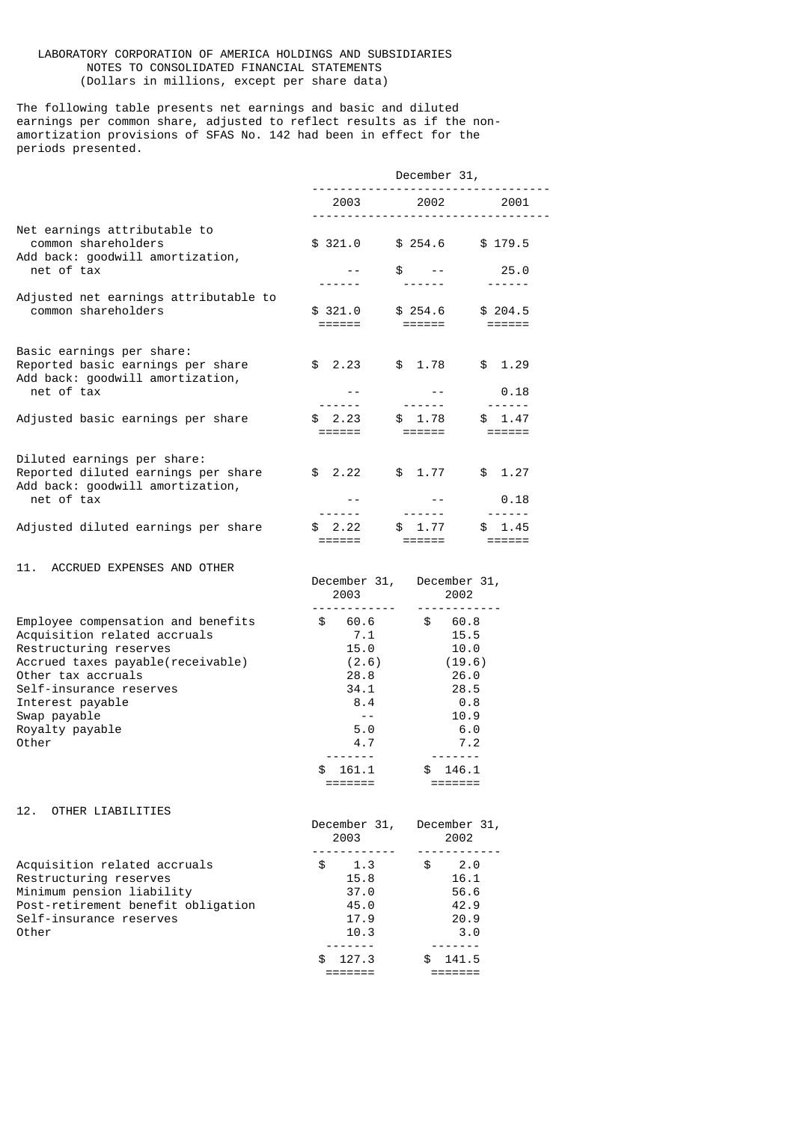The following table presents net earnings and basic and diluted earnings per common share, adjusted to reflect results as if the nonamortization provisions of SFAS No. 142 had been in effect for the periods presented.

|                                                                                                        | December 31, |                |                |
|--------------------------------------------------------------------------------------------------------|--------------|----------------|----------------|
|                                                                                                        | 2003         | 2002           | 2001           |
| Net earnings attributable to<br>common shareholders<br>Add back: goodwill amortization,                | \$321.0      | \$254.6        | \$179.5        |
| net of tax                                                                                             |              | $\mathcal{L}$  | 25.0           |
| Adjusted net earnings attributable to<br>common shareholders                                           | \$321.0      | \$254.6        | \$204.5        |
| Basic earnings per share:<br>Reported basic earnings per share<br>Add back: goodwill amortization,     | \$2.23       | \$1.78         | \$1.29         |
| net of tax                                                                                             |              |                | 0.18           |
| Adjusted basic earnings per share                                                                      | \$2.23       | \$1.78         | \$1.47         |
| Diluted earnings per share:<br>Reported diluted earnings per share<br>Add back: goodwill amortization, | \$2.22       | \$1.77         | \$1.27         |
| net of tax                                                                                             |              |                | 0.18           |
| Adjusted diluted earnings per share                                                                    | 22<br>====== | 1.77<br>====== | 1.45<br>====== |

December 31, December 31,

11. ACCRUED EXPENSES AND OTHER

|                                                                                                                                                                                                                                                    | 2003                                                                                                                        | 2002                                                                                                              |  |
|----------------------------------------------------------------------------------------------------------------------------------------------------------------------------------------------------------------------------------------------------|-----------------------------------------------------------------------------------------------------------------------------|-------------------------------------------------------------------------------------------------------------------|--|
| Employee compensation and benefits<br>Acquisition related accruals<br>Restructuring reserves<br>Accrued taxes payable(receivable)<br>Other tax accruals<br>Self-insurance reserves<br>Interest payable<br>Swap payable<br>Royalty payable<br>Other | \$<br>60.6<br>7.1<br>15.0<br>(2.6)<br>28.8<br>34.1<br>8.4<br>$- -$<br>5.0<br>4.7<br>161.1<br>\$.<br>$=$ $=$ $=$ $=$ $=$ $=$ | $\mathbb{S}$<br>60.8<br>15.5<br>10.0<br>(19.6)<br>26.0<br>28.5<br>0.8<br>10.9<br>6.0<br>7.2<br>\$146.1<br>======= |  |
| 12. OTHER LIABILITIES                                                                                                                                                                                                                              | 2003                                                                                                                        | December 31, December 31,<br>2002                                                                                 |  |
| Acquisition related accruals<br>Restructuring reserves<br>Minimum pension liability<br>Post-retirement benefit obligation<br>Self-insurance reserves<br>Other                                                                                      | \$1.3<br>15.8<br>37.0<br>45.0<br>17.9<br>10.3<br>127.3<br>\$.<br>$=$ $=$ $=$ $=$ $=$ $=$ $=$                                | $\frac{1}{2}$ , 0<br>16.1<br>56.6<br>42.9<br>20.9<br>3.0<br>141.5<br>$\mathcal{F}$<br>=======                     |  |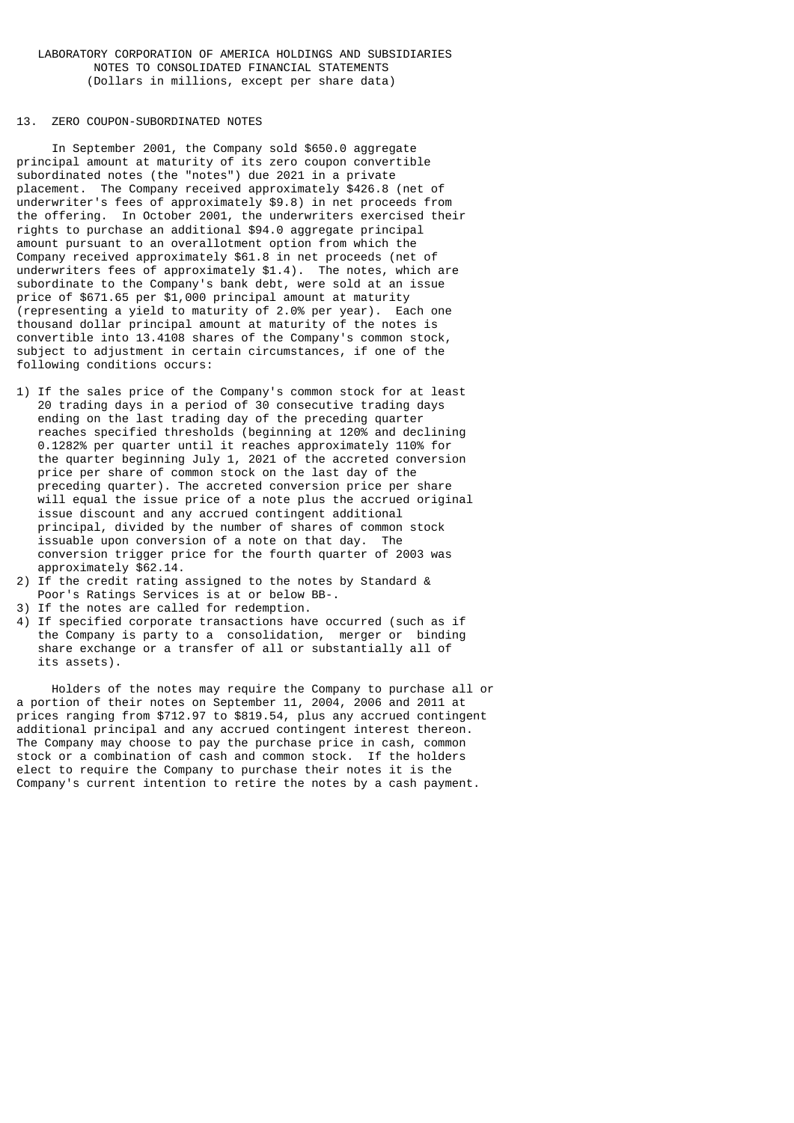## 13. ZERO COUPON-SUBORDINATED NOTES

 In September 2001, the Company sold \$650.0 aggregate principal amount at maturity of its zero coupon convertible subordinated notes (the "notes") due 2021 in a private placement. The Company received approximately \$426.8 (net of underwriter's fees of approximately \$9.8) in net proceeds from the offering. In October 2001, the underwriters exercised their rights to purchase an additional \$94.0 aggregate principal amount pursuant to an overallotment option from which the Company received approximately \$61.8 in net proceeds (net of underwriters fees of approximately \$1.4). The notes, which are subordinate to the Company's bank debt, were sold at an issue price of \$671.65 per \$1,000 principal amount at maturity (representing a yield to maturity of 2.0% per year). Each one thousand dollar principal amount at maturity of the notes is convertible into 13.4108 shares of the Company's common stock, subject to adjustment in certain circumstances, if one of the following conditions occurs:

- 1) If the sales price of the Company's common stock for at least 20 trading days in a period of 30 consecutive trading days ending on the last trading day of the preceding quarter reaches specified thresholds (beginning at 120% and declining 0.1282% per quarter until it reaches approximately 110% for the quarter beginning July 1, 2021 of the accreted conversion price per share of common stock on the last day of the preceding quarter). The accreted conversion price per share will equal the issue price of a note plus the accrued original issue discount and any accrued contingent additional principal, divided by the number of shares of common stock issuable upon conversion of a note on that day. The conversion trigger price for the fourth quarter of 2003 was approximately \$62.14.
- 2) If the credit rating assigned to the notes by Standard & Poor's Ratings Services is at or below BB-.
- 3) If the notes are called for redemption.
- 4) If specified corporate transactions have occurred (such as if the Company is party to a consolidation, merger or binding share exchange or a transfer of all or substantially all of its assets).

 Holders of the notes may require the Company to purchase all or a portion of their notes on September 11, 2004, 2006 and 2011 at prices ranging from \$712.97 to \$819.54, plus any accrued contingent additional principal and any accrued contingent interest thereon. The Company may choose to pay the purchase price in cash, common stock or a combination of cash and common stock. If the holders elect to require the Company to purchase their notes it is the Company's current intention to retire the notes by a cash payment.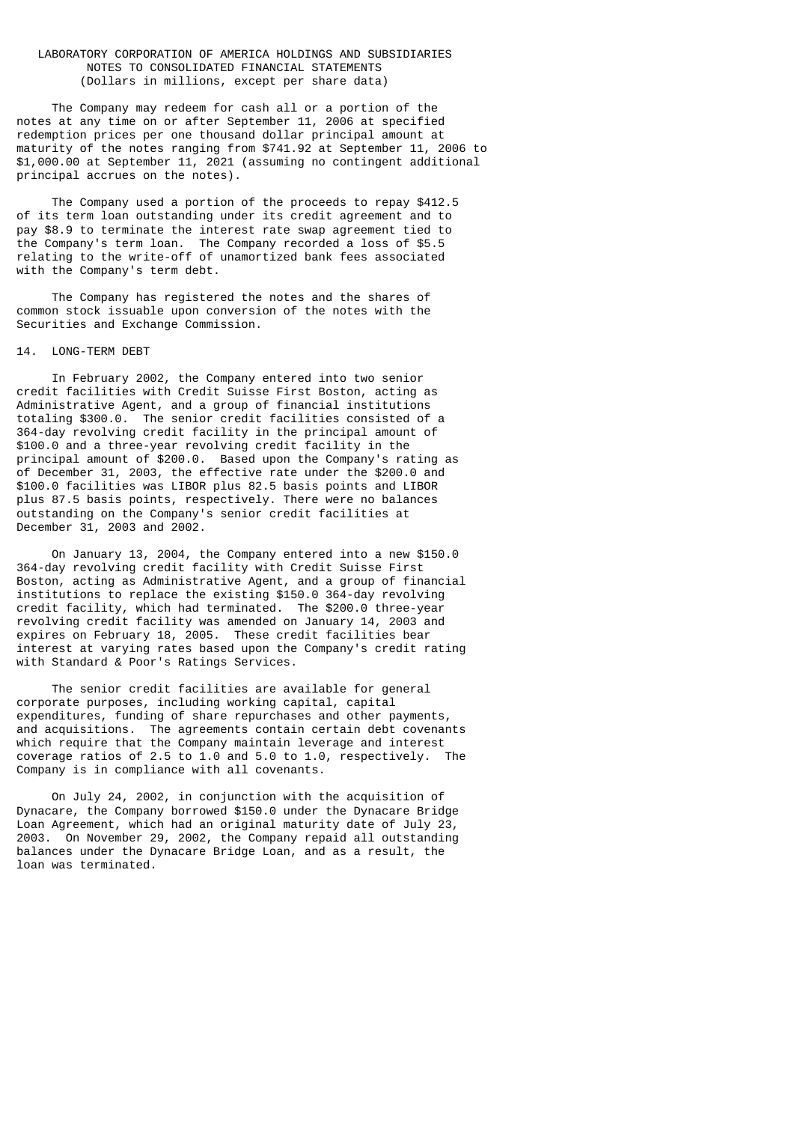The Company may redeem for cash all or a portion of the notes at any time on or after September 11, 2006 at specified redemption prices per one thousand dollar principal amount at maturity of the notes ranging from \$741.92 at September 11, 2006 to \$1,000.00 at September 11, 2021 (assuming no contingent additional principal accrues on the notes).

 The Company used a portion of the proceeds to repay \$412.5 of its term loan outstanding under its credit agreement and to pay \$8.9 to terminate the interest rate swap agreement tied to the Company's term loan. The Company recorded a loss of \$5.5 relating to the write-off of unamortized bank fees associated with the Company's term debt.

 The Company has registered the notes and the shares of common stock issuable upon conversion of the notes with the Securities and Exchange Commission.

#### 14. LONG-TERM DEBT

 In February 2002, the Company entered into two senior credit facilities with Credit Suisse First Boston, acting as Administrative Agent, and a group of financial institutions totaling \$300.0. The senior credit facilities consisted of a 364-day revolving credit facility in the principal amount of \$100.0 and a three-year revolving credit facility in the principal amount of \$200.0. Based upon the Company's rating as of December 31, 2003, the effective rate under the \$200.0 and \$100.0 facilities was LIBOR plus 82.5 basis points and LIBOR plus 87.5 basis points, respectively. There were no balances outstanding on the Company's senior credit facilities at December 31, 2003 and 2002.

 On January 13, 2004, the Company entered into a new \$150.0 364-day revolving credit facility with Credit Suisse First Boston, acting as Administrative Agent, and a group of financial institutions to replace the existing \$150.0 364-day revolving credit facility, which had terminated. The \$200.0 three-year revolving credit facility was amended on January 14, 2003 and expires on February 18, 2005. These credit facilities bear interest at varying rates based upon the Company's credit rating with Standard & Poor's Ratings Services.

 The senior credit facilities are available for general corporate purposes, including working capital, capital expenditures, funding of share repurchases and other payments, and acquisitions. The agreements contain certain debt covenants which require that the Company maintain leverage and interest coverage ratios of 2.5 to 1.0 and 5.0 to 1.0, respectively. The Company is in compliance with all covenants.

 On July 24, 2002, in conjunction with the acquisition of Dynacare, the Company borrowed \$150.0 under the Dynacare Bridge Loan Agreement, which had an original maturity date of July 23, 2003. On November 29, 2002, the Company repaid all outstanding balances under the Dynacare Bridge Loan, and as a result, the loan was terminated.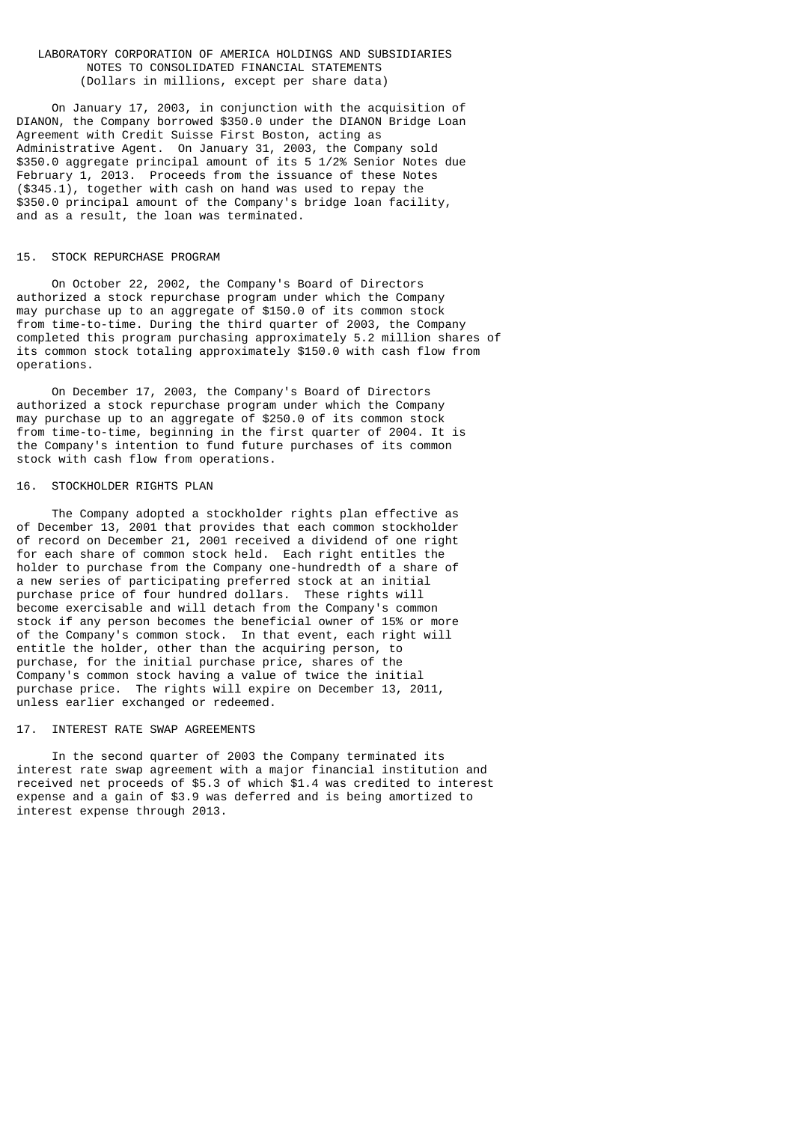On January 17, 2003, in conjunction with the acquisition of DIANON, the Company borrowed \$350.0 under the DIANON Bridge Loan Agreement with Credit Suisse First Boston, acting as Administrative Agent. On January 31, 2003, the Company sold \$350.0 aggregate principal amount of its 5 1/2% Senior Notes due February 1, 2013. Proceeds from the issuance of these Notes (\$345.1), together with cash on hand was used to repay the \$350.0 principal amount of the Company's bridge loan facility, and as a result, the loan was terminated.

#### 15. STOCK REPURCHASE PROGRAM

 On October 22, 2002, the Company's Board of Directors authorized a stock repurchase program under which the Company may purchase up to an aggregate of \$150.0 of its common stock from time-to-time. During the third quarter of 2003, the Company completed this program purchasing approximately 5.2 million shares of its common stock totaling approximately \$150.0 with cash flow from operations.

 On December 17, 2003, the Company's Board of Directors authorized a stock repurchase program under which the Company may purchase up to an aggregate of \$250.0 of its common stock from time-to-time, beginning in the first quarter of 2004. It is the Company's intention to fund future purchases of its common stock with cash flow from operations.

#### 16. STOCKHOLDER RIGHTS PLAN

 The Company adopted a stockholder rights plan effective as of December 13, 2001 that provides that each common stockholder of record on December 21, 2001 received a dividend of one right for each share of common stock held. Each right entitles the holder to purchase from the Company one-hundredth of a share of a new series of participating preferred stock at an initial purchase price of four hundred dollars. These rights will become exercisable and will detach from the Company's common stock if any person becomes the beneficial owner of 15% or more of the Company's common stock. In that event, each right will entitle the holder, other than the acquiring person, to purchase, for the initial purchase price, shares of the Company's common stock having a value of twice the initial purchase price. The rights will expire on December 13, 2011, unless earlier exchanged or redeemed.

#### 17. INTEREST RATE SWAP AGREEMENTS

 In the second quarter of 2003 the Company terminated its interest rate swap agreement with a major financial institution and received net proceeds of \$5.3 of which \$1.4 was credited to interest expense and a gain of \$3.9 was deferred and is being amortized to interest expense through 2013.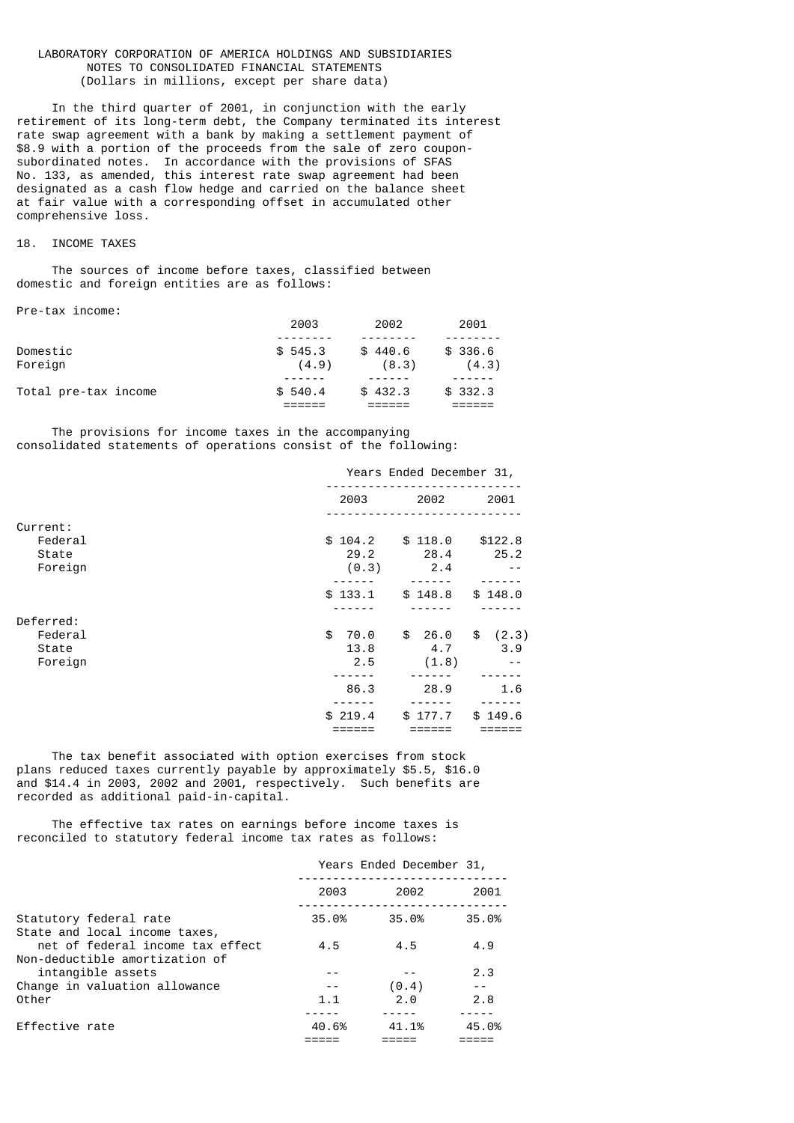In the third quarter of 2001, in conjunction with the early retirement of its long-term debt, the Company terminated its interest rate swap agreement with a bank by making a settlement payment of \$8.9 with a portion of the proceeds from the sale of zero couponsubordinated notes. In accordance with the provisions of SFAS No. 133, as amended, this interest rate swap agreement had been designated as a cash flow hedge and carried on the balance sheet at fair value with a corresponding offset in accumulated other comprehensive loss.

#### 18. INCOME TAXES

 The sources of income before taxes, classified between domestic and foreign entities are as follows:

Pre-tax income:

|                      | 2003    | 2002    | 2001    |
|----------------------|---------|---------|---------|
|                      |         |         |         |
| Domestic             | \$545.3 | \$440.6 | \$336.6 |
| Foreign              | (4.9)   | (8.3)   | (4.3)   |
|                      |         |         |         |
| Total pre-tax income | \$540.4 | \$432.3 | \$332.3 |
|                      |         |         |         |

 The provisions for income taxes in the accompanying consolidated statements of operations consist of the following:

|           | Years Ended December 31, |            |               |  |
|-----------|--------------------------|------------|---------------|--|
|           | 2003                     | 2002       | 2001          |  |
| Current:  |                          |            |               |  |
| Federal   | \$104.2                  | \$118.0    | \$122.8       |  |
| State     | 29.2                     | 28.4       | 25.2          |  |
| Foreign   | (0.3)                    | 2.4        | - -           |  |
|           |                          |            |               |  |
|           | \$133.1                  | \$148.8    | \$148.0       |  |
|           |                          |            |               |  |
| Deferred: |                          |            |               |  |
| Federal   | \$<br>70.0               | \$<br>26.0 | \$<br>(2.3)   |  |
| State     | 13.8                     | 4.7        | 3.9           |  |
| Foreign   | 2.5                      | (1.8)      | $\sim$ $\sim$ |  |
|           |                          |            |               |  |
|           | 86.3                     | 28.9       | 1.6           |  |
|           |                          |            |               |  |
|           | \$219.4                  | \$177.7    | 149.6<br>\$   |  |
|           |                          |            |               |  |

 The tax benefit associated with option exercises from stock plans reduced taxes currently payable by approximately \$5.5, \$16.0 and \$14.4 in 2003, 2002 and 2001, respectively. Such benefits are recorded as additional paid-in-capital.

 The effective tax rates on earnings before income taxes is reconciled to statutory federal income tax rates as follows:

|                                                                    | Years Ended December 31, |       |       |
|--------------------------------------------------------------------|--------------------------|-------|-------|
|                                                                    | 2003                     | 2002  | 2001  |
| Statutory federal rate<br>State and local income taxes,            | 35.0%                    | 35.0% | 35.0% |
| net of federal income tax effect<br>Non-deductible amortization of | 4.5                      | 4.5   | 4.9   |
| intangible assets                                                  |                          |       | 2.3   |
| Change in valuation allowance                                      |                          | (0.4) | $ -$  |
| Other                                                              | 1.1                      | 2.0   | 2.8   |
|                                                                    |                          |       |       |
| Effective rate                                                     | 40.6%                    | 41.1% | 45.0% |
|                                                                    |                          |       |       |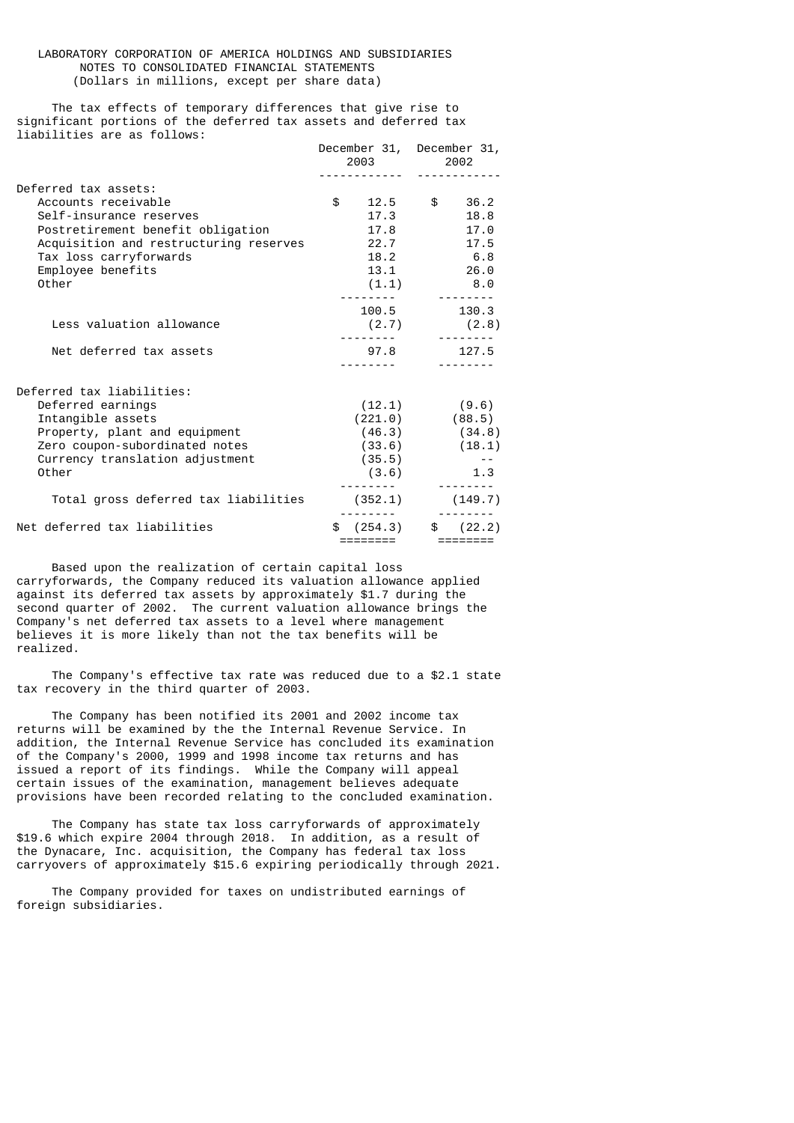The tax effects of temporary differences that give rise to significant portions of the deferred tax assets and deferred tax liabilities are as follows:

|                                                                                                                                                                                                               | 2003 — Марк<br>.                     | December 31, December 31,<br>2002<br><u> - - - - - - - - - - -</u>                              |  |
|---------------------------------------------------------------------------------------------------------------------------------------------------------------------------------------------------------------|--------------------------------------|-------------------------------------------------------------------------------------------------|--|
| Deferred tax assets:<br>Accounts receivable<br>Self-insurance reserves<br>Postretirement benefit obligation<br>Acquisition and restructuring reserves<br>Tax loss carryforwards<br>Employee benefits<br>Other | $\mathbb S$<br>17.8<br>18.2<br>(1.1) | $12.5$ \$ 36.2<br>17.3 18.8<br>17.0<br>22.7 17.5<br>6.8<br>$13.1$ 26.0<br>8.0                   |  |
| Less valuation allowance                                                                                                                                                                                      | 100.5                                | 130.3<br>$(2.7)$ $(2.8)$                                                                        |  |
| Net deferred tax assets                                                                                                                                                                                       |                                      | 97.8 127.5                                                                                      |  |
| Deferred tax liabilities:<br>Deferred earnings<br>Intangible assets<br>Property, plant and equipment<br>Zero coupon-subordinated notes<br>Currency translation adjustment<br>Other                            | (35.5)                               | $(12.1)$ $(9.6)$<br>$(221.0)$ $(88.5)$<br>$(46.3)$ $(34.8)$<br>$(33.6)$ $(18.1)$<br>$(3.6)$ 1.3 |  |
| Total gross deferred tax liabilities                                                                                                                                                                          |                                      | $(352.1)$ $(149.7)$                                                                             |  |
| Net deferred tax liabilities                                                                                                                                                                                  |                                      | \$ (254.3) \$ (\$22.2\$)<br>$=$ $=$ $=$ $=$ $=$ $=$ $=$                                         |  |

 Based upon the realization of certain capital loss carryforwards, the Company reduced its valuation allowance applied against its deferred tax assets by approximately \$1.7 during the second quarter of 2002. The current valuation allowance brings the Company's net deferred tax assets to a level where management believes it is more likely than not the tax benefits will be realized.

 The Company's effective tax rate was reduced due to a \$2.1 state tax recovery in the third quarter of 2003.

 The Company has been notified its 2001 and 2002 income tax returns will be examined by the the Internal Revenue Service. In addition, the Internal Revenue Service has concluded its examination of the Company's 2000, 1999 and 1998 income tax returns and has issued a report of its findings. While the Company will appeal certain issues of the examination, management believes adequate provisions have been recorded relating to the concluded examination.

 The Company has state tax loss carryforwards of approximately \$19.6 which expire 2004 through 2018. In addition, as a result of the Dynacare, Inc. acquisition, the Company has federal tax loss carryovers of approximately \$15.6 expiring periodically through 2021.

 The Company provided for taxes on undistributed earnings of foreign subsidiaries.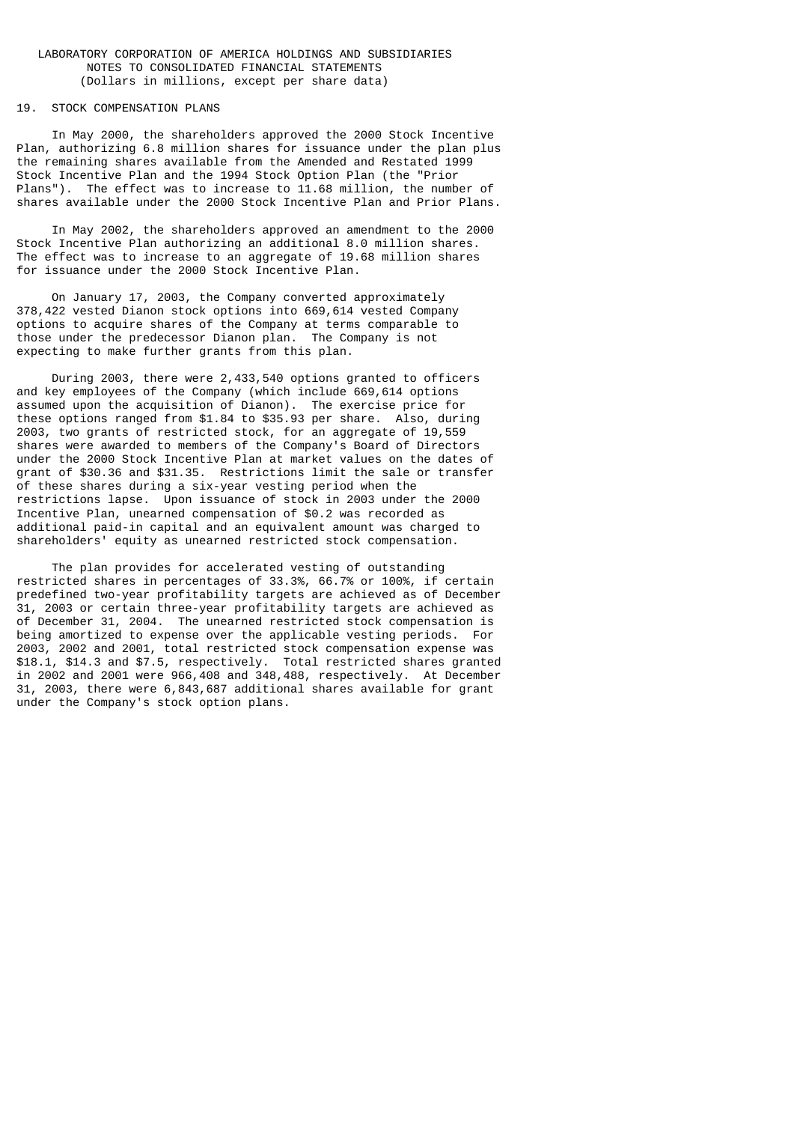#### 19. STOCK COMPENSATION PLANS

 In May 2000, the shareholders approved the 2000 Stock Incentive Plan, authorizing 6.8 million shares for issuance under the plan plus the remaining shares available from the Amended and Restated 1999 Stock Incentive Plan and the 1994 Stock Option Plan (the "Prior Plans"). The effect was to increase to 11.68 million, the number of shares available under the 2000 Stock Incentive Plan and Prior Plans.

 In May 2002, the shareholders approved an amendment to the 2000 Stock Incentive Plan authorizing an additional 8.0 million shares. The effect was to increase to an aggregate of 19.68 million shares for issuance under the 2000 Stock Incentive Plan.

 On January 17, 2003, the Company converted approximately 378,422 vested Dianon stock options into 669,614 vested Company options to acquire shares of the Company at terms comparable to those under the predecessor Dianon plan. The Company is not expecting to make further grants from this plan.

 During 2003, there were 2,433,540 options granted to officers and key employees of the Company (which include 669,614 options assumed upon the acquisition of Dianon). The exercise price for these options ranged from \$1.84 to \$35.93 per share. Also, during 2003, two grants of restricted stock, for an aggregate of 19,559 shares were awarded to members of the Company's Board of Directors under the 2000 Stock Incentive Plan at market values on the dates of grant of \$30.36 and \$31.35. Restrictions limit the sale or transfer of these shares during a six-year vesting period when the restrictions lapse. Upon issuance of stock in 2003 under the 2000 Incentive Plan, unearned compensation of \$0.2 was recorded as additional paid-in capital and an equivalent amount was charged to shareholders' equity as unearned restricted stock compensation.

 The plan provides for accelerated vesting of outstanding restricted shares in percentages of 33.3%, 66.7% or 100%, if certain predefined two-year profitability targets are achieved as of December 31, 2003 or certain three-year profitability targets are achieved as of December 31, 2004. The unearned restricted stock compensation is being amortized to expense over the applicable vesting periods. For 2003, 2002 and 2001, total restricted stock compensation expense was \$18.1, \$14.3 and \$7.5, respectively. Total restricted shares granted in 2002 and 2001 were 966,408 and 348,488, respectively. At December 31, 2003, there were 6,843,687 additional shares available for grant under the Company's stock option plans.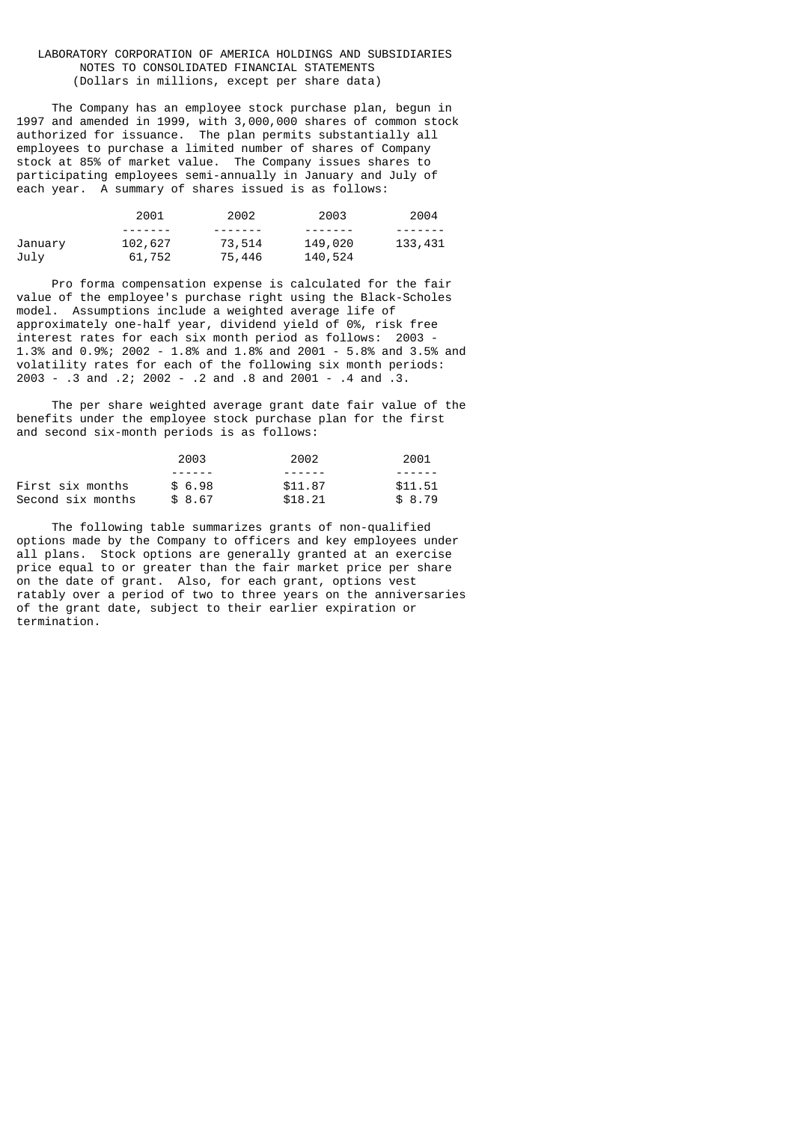The Company has an employee stock purchase plan, begun in 1997 and amended in 1999, with 3,000,000 shares of common stock authorized for issuance. The plan permits substantially all employees to purchase a limited number of shares of Company stock at 85% of market value. The Company issues shares to participating employees semi-annually in January and July of each year. A summary of shares issued is as follows:

|         | 2001     | 2002     | 2003     | 2004    |
|---------|----------|----------|----------|---------|
|         | -------- | -------- | -------- |         |
| January | 102,627  | 73,514   | 149,020  | 133,431 |
| July    | 61,752   | 75,446   | 140,524  |         |

 Pro forma compensation expense is calculated for the fair value of the employee's purchase right using the Black-Scholes model. Assumptions include a weighted average life of approximately one-half year, dividend yield of 0%, risk free interest rates for each six month period as follows: 2003 - 1.3% and 0.9%; 2002 - 1.8% and 1.8% and 2001 - 5.8% and 3.5% and volatility rates for each of the following six month periods: 2003 - .3 and .2; 2002 - .2 and .8 and 2001 - .4 and .3.

 The per share weighted average grant date fair value of the benefits under the employee stock purchase plan for the first and second six-month periods is as follows:

|                   | 2003   | 2002    | 2001    |
|-------------------|--------|---------|---------|
|                   |        |         |         |
| First six months  | \$6.98 | \$11.87 | \$11.51 |
| Second six months | \$8.67 | \$18.21 | \$8.79  |

 The following table summarizes grants of non-qualified options made by the Company to officers and key employees under all plans. Stock options are generally granted at an exercise price equal to or greater than the fair market price per share on the date of grant. Also, for each grant, options vest ratably over a period of two to three years on the anniversaries of the grant date, subject to their earlier expiration or termination.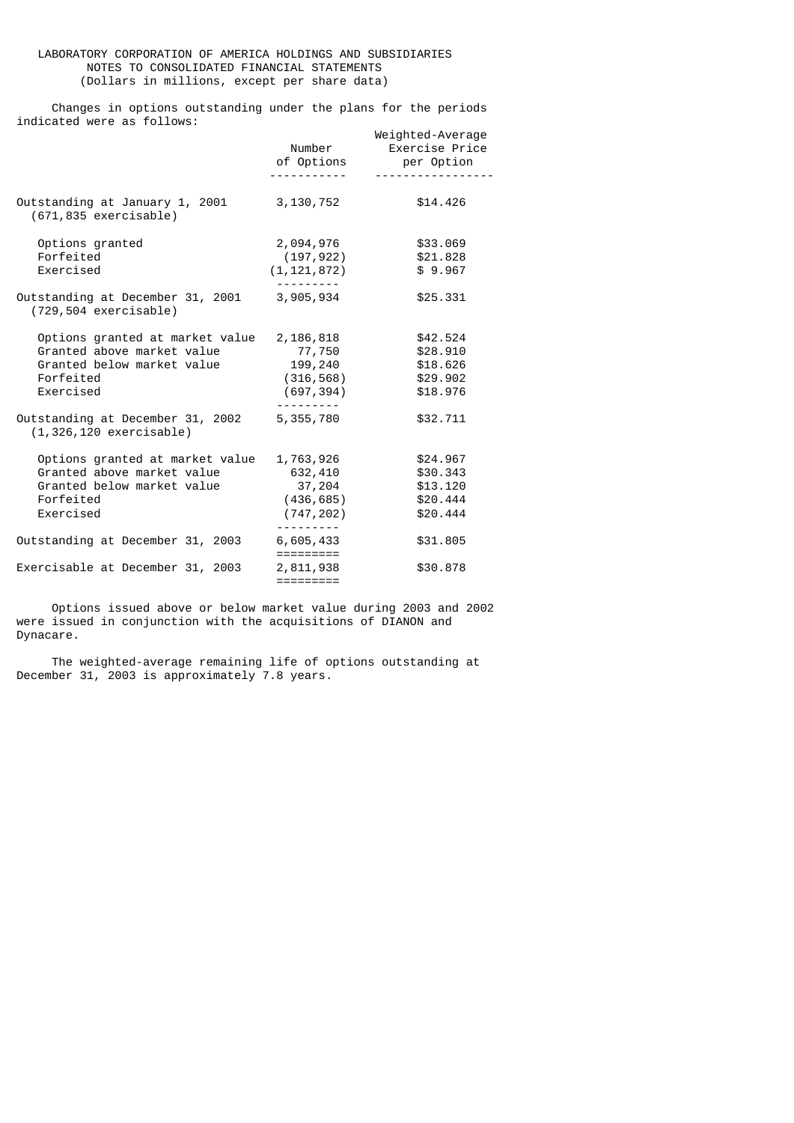Changes in options outstanding under the plans for the periods indicated were as follows:

|                                                                                                                       | Number<br>of Options<br>.                                  | Weighted-Average<br>Exercise Price<br>per Option<br>------ |
|-----------------------------------------------------------------------------------------------------------------------|------------------------------------------------------------|------------------------------------------------------------|
| Outstanding at January 1, 2001<br>$(671, 835$ exercisable)                                                            | 3,130,752                                                  | \$14,426                                                   |
| Options granted<br>Forfeited<br>Exercised                                                                             | 2,094,976<br>(197, 922)<br>(1, 121, 872)                   | \$33.069<br>\$21.828<br>\$9.967                            |
| Outstanding at December 31, 2001<br>$(729, 504$ exercisable)                                                          | 3,905,934                                                  | \$25.331                                                   |
| Options granted at market value<br>Granted above market value<br>Granted below market value<br>Forfeited<br>Exercised | 2,186,818<br>77,750<br>199,240<br>(316, 568)<br>(697, 394) | \$42.524<br>\$28.910<br>\$18.626<br>\$29.902<br>\$18.976   |
| Outstanding at December 31, 2002<br>$(1,326,120$ exercisable)                                                         | 5,355,780                                                  | \$32,711                                                   |
| Options granted at market value<br>Granted above market value<br>Granted below market value<br>Forfeited<br>Exercised | 1,763,926<br>632,410<br>37,204<br>(436, 685)<br>(747, 202) | \$24.967<br>\$30.343<br>\$13.120<br>\$20.444<br>\$20.444   |
| Outstanding at December 31, 2003                                                                                      | 6,605,433<br>=========                                     | \$31.805                                                   |
| Exercisable at December 31, 2003                                                                                      | 2,811,938<br>=========                                     | \$30.878                                                   |

 Options issued above or below market value during 2003 and 2002 were issued in conjunction with the acquisitions of DIANON and Dynacare.

 The weighted-average remaining life of options outstanding at December 31, 2003 is approximately 7.8 years.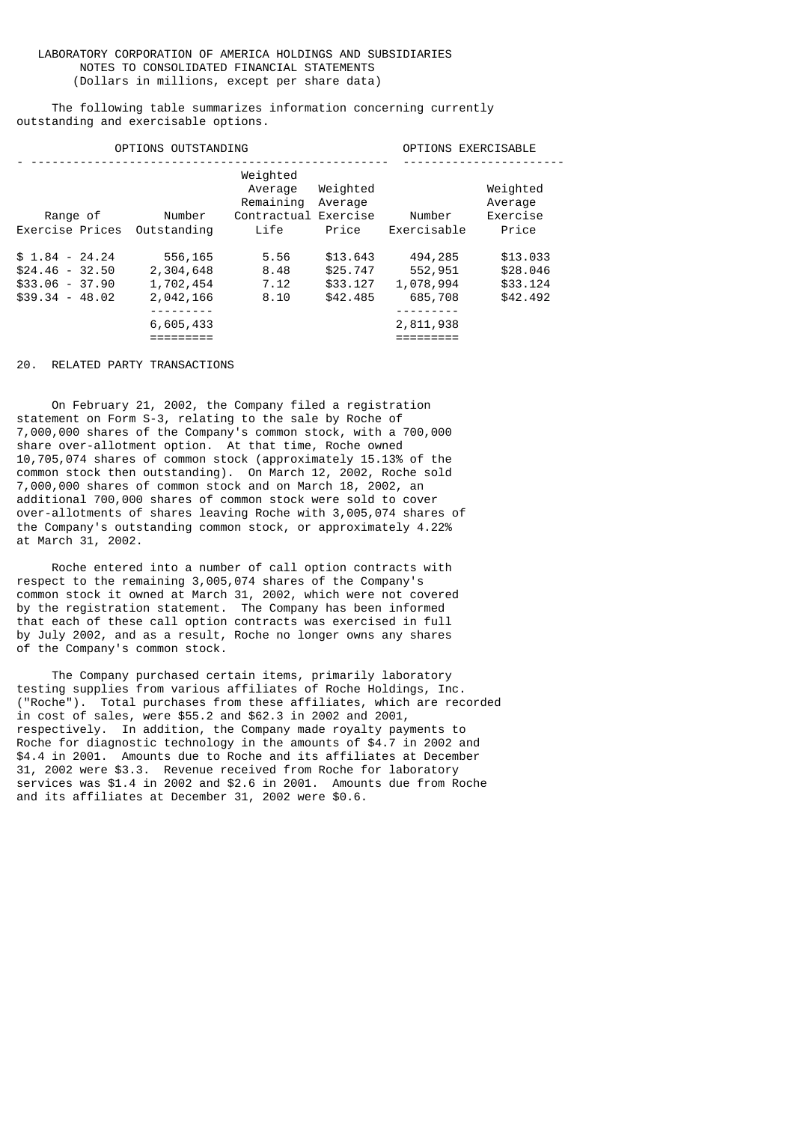The following table summarizes information concerning currently outstanding and exercisable options.

|                                                                             | OPTIONS OUTSTANDING                                         |                                                          |                                              | OPTIONS EXERCISABLE                                     |                                              |
|-----------------------------------------------------------------------------|-------------------------------------------------------------|----------------------------------------------------------|----------------------------------------------|---------------------------------------------------------|----------------------------------------------|
| Range of                                                                    | Number                                                      | Weighted<br>Average<br>Remaining<br>Contractual Exercise | Weighted<br>Average                          | Number                                                  | Weighted<br>Average<br>Exercise              |
| Exercise Prices                                                             | Outstanding                                                 | Life                                                     | Price                                        | Exercisable                                             | Price                                        |
| $$1.84 - 24.24$<br>$$24.46 - 32.50$<br>$$33.06 - 37.90$<br>$$39.34 - 48.02$ | 556,165<br>2,304,648<br>1,702,454<br>2,042,166<br>6,605,433 | 5.56<br>8.48<br>7.12<br>8.10                             | \$13.643<br>\$25,747<br>\$33,127<br>\$42,485 | 494,285<br>552,951<br>1,078,994<br>685,708<br>2,811,938 | \$13,033<br>\$28,046<br>\$33,124<br>\$42,492 |

20. RELATED PARTY TRANSACTIONS

 On February 21, 2002, the Company filed a registration statement on Form S-3, relating to the sale by Roche of 7,000,000 shares of the Company's common stock, with a 700,000 share over-allotment option. At that time, Roche owned 10,705,074 shares of common stock (approximately 15.13% of the common stock then outstanding). On March 12, 2002, Roche sold 7,000,000 shares of common stock and on March 18, 2002, an additional 700,000 shares of common stock were sold to cover over-allotments of shares leaving Roche with 3,005,074 shares of the Company's outstanding common stock, or approximately 4.22% at March 31, 2002.

 Roche entered into a number of call option contracts with respect to the remaining 3,005,074 shares of the Company's common stock it owned at March 31, 2002, which were not covered by the registration statement. The Company has been informed that each of these call option contracts was exercised in full by July 2002, and as a result, Roche no longer owns any shares of the Company's common stock.

 The Company purchased certain items, primarily laboratory testing supplies from various affiliates of Roche Holdings, Inc. ("Roche"). Total purchases from these affiliates, which are recorded in cost of sales, were \$55.2 and \$62.3 in 2002 and 2001, respectively. In addition, the Company made royalty payments to Roche for diagnostic technology in the amounts of \$4.7 in 2002 and \$4.4 in 2001. Amounts due to Roche and its affiliates at December 31, 2002 were \$3.3. Revenue received from Roche for laboratory services was \$1.4 in 2002 and \$2.6 in 2001. Amounts due from Roche and its affiliates at December 31, 2002 were \$0.6.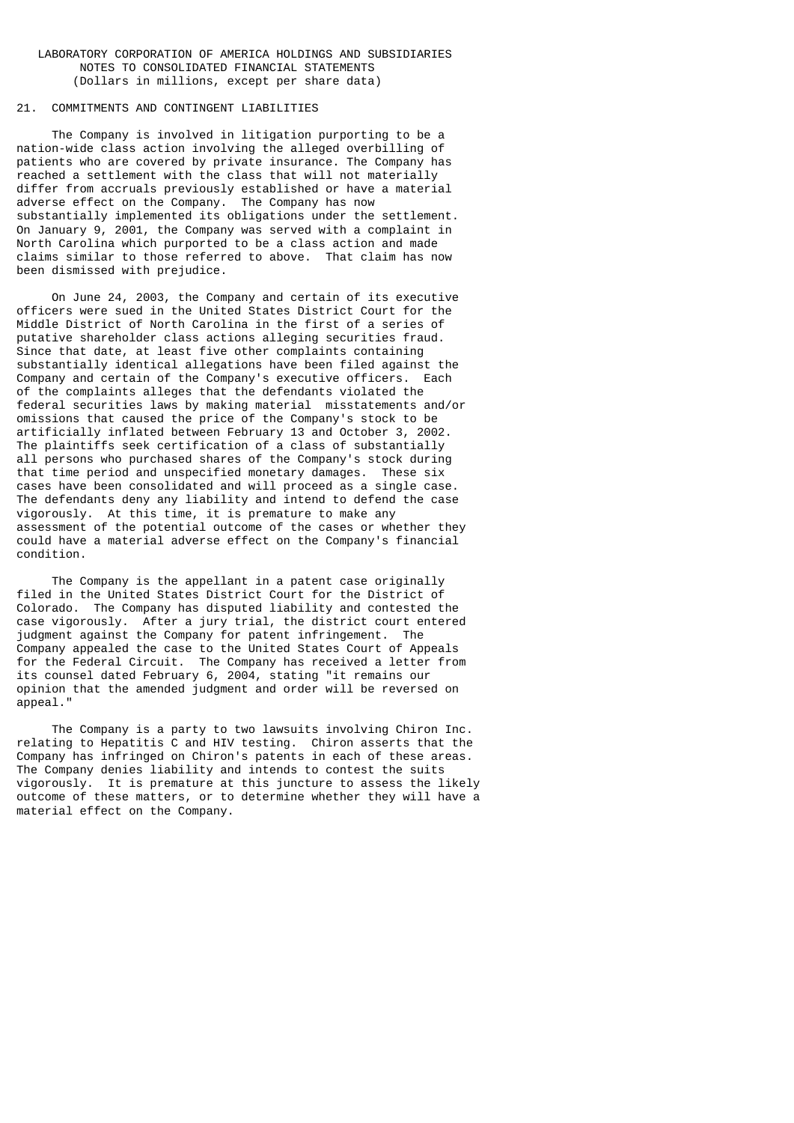#### 21. COMMITMENTS AND CONTINGENT LIABILITIES

 The Company is involved in litigation purporting to be a nation-wide class action involving the alleged overbilling of patients who are covered by private insurance. The Company has reached a settlement with the class that will not materially differ from accruals previously established or have a material adverse effect on the Company. The Company has now substantially implemented its obligations under the settlement. On January 9, 2001, the Company was served with a complaint in North Carolina which purported to be a class action and made claims similar to those referred to above. That claim has now been dismissed with prejudice.

 On June 24, 2003, the Company and certain of its executive officers were sued in the United States District Court for the Middle District of North Carolina in the first of a series of putative shareholder class actions alleging securities fraud. Since that date, at least five other complaints containing substantially identical allegations have been filed against the Company and certain of the Company's executive officers. Each of the complaints alleges that the defendants violated the federal securities laws by making material misstatements and/or omissions that caused the price of the Company's stock to be artificially inflated between February 13 and October 3, 2002. The plaintiffs seek certification of a class of substantially all persons who purchased shares of the Company's stock during that time period and unspecified monetary damages. These six cases have been consolidated and will proceed as a single case. The defendants deny any liability and intend to defend the case vigorously. At this time, it is premature to make any assessment of the potential outcome of the cases or whether they could have a material adverse effect on the Company's financial condition.

 The Company is the appellant in a patent case originally filed in the United States District Court for the District of Colorado. The Company has disputed liability and contested the case vigorously. After a jury trial, the district court entered judgment against the Company for patent infringement. The Company appealed the case to the United States Court of Appeals for the Federal Circuit. The Company has received a letter from its counsel dated February 6, 2004, stating "it remains our opinion that the amended judgment and order will be reversed on appeal."

 The Company is a party to two lawsuits involving Chiron Inc. relating to Hepatitis C and HIV testing. Chiron asserts that the Company has infringed on Chiron's patents in each of these areas. The Company denies liability and intends to contest the suits vigorously. It is premature at this juncture to assess the likely outcome of these matters, or to determine whether they will have a material effect on the Company.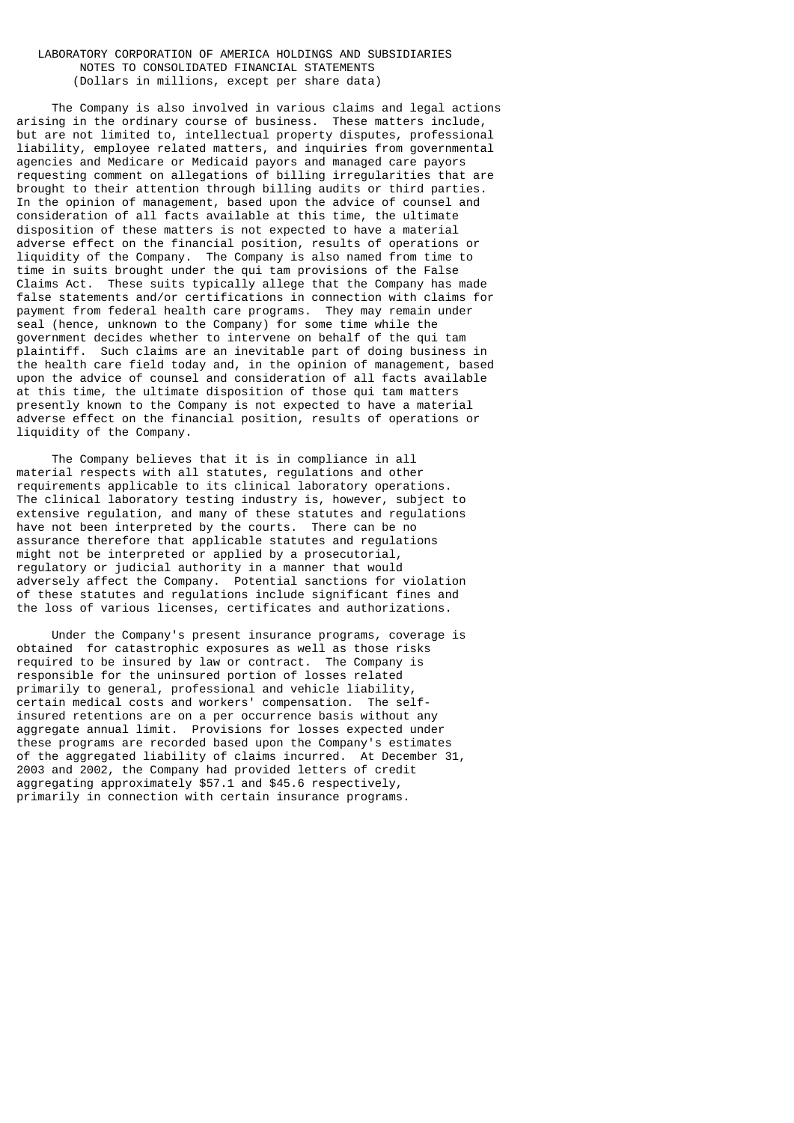The Company is also involved in various claims and legal actions arising in the ordinary course of business. These matters include, but are not limited to, intellectual property disputes, professional liability, employee related matters, and inquiries from governmental agencies and Medicare or Medicaid payors and managed care payors requesting comment on allegations of billing irregularities that are brought to their attention through billing audits or third parties. In the opinion of management, based upon the advice of counsel and consideration of all facts available at this time, the ultimate disposition of these matters is not expected to have a material adverse effect on the financial position, results of operations or liquidity of the Company. The Company is also named from time to time in suits brought under the qui tam provisions of the False Claims Act. These suits typically allege that the Company has made false statements and/or certifications in connection with claims for payment from federal health care programs. They may remain under seal (hence, unknown to the Company) for some time while the government decides whether to intervene on behalf of the qui tam plaintiff. Such claims are an inevitable part of doing business in the health care field today and, in the opinion of management, based upon the advice of counsel and consideration of all facts available at this time, the ultimate disposition of those qui tam matters presently known to the Company is not expected to have a material adverse effect on the financial position, results of operations or liquidity of the Company.

 The Company believes that it is in compliance in all material respects with all statutes, regulations and other requirements applicable to its clinical laboratory operations. The clinical laboratory testing industry is, however, subject to extensive regulation, and many of these statutes and regulations have not been interpreted by the courts. There can be no assurance therefore that applicable statutes and regulations might not be interpreted or applied by a prosecutorial, regulatory or judicial authority in a manner that would adversely affect the Company. Potential sanctions for violation of these statutes and regulations include significant fines and the loss of various licenses, certificates and authorizations.

 Under the Company's present insurance programs, coverage is obtained for catastrophic exposures as well as those risks required to be insured by law or contract. The Company is responsible for the uninsured portion of losses related primarily to general, professional and vehicle liability, certain medical costs and workers' compensation. The selfinsured retentions are on a per occurrence basis without any aggregate annual limit. Provisions for losses expected under these programs are recorded based upon the Company's estimates of the aggregated liability of claims incurred. At December 31, 2003 and 2002, the Company had provided letters of credit aggregating approximately \$57.1 and \$45.6 respectively, primarily in connection with certain insurance programs.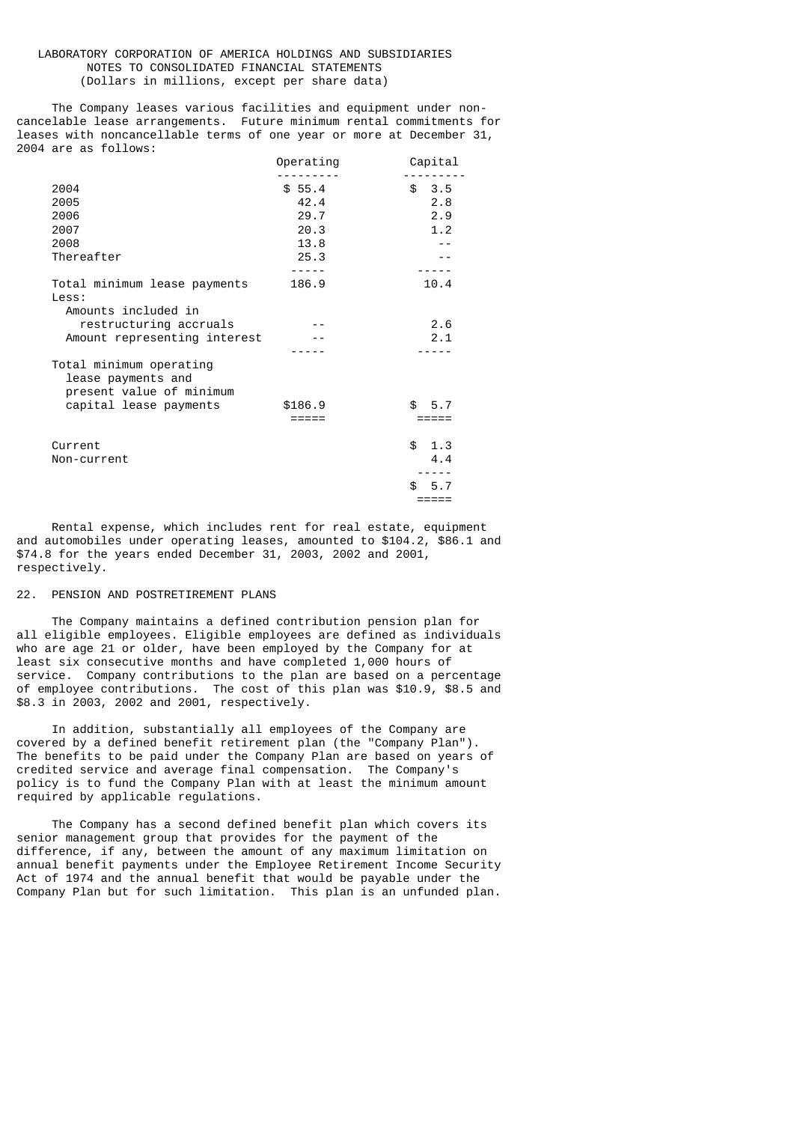The Company leases various facilities and equipment under noncancelable lease arrangements. Future minimum rental commitments for leases with noncancellable terms of one year or more at December 31, 2004 are as follows:

|                                                                           | Operating | Capital    |
|---------------------------------------------------------------------------|-----------|------------|
| 2004                                                                      | \$55.4    | \$3.5      |
| 2005                                                                      | 42.4      | 2.8        |
| 2006                                                                      | 29.7      | 2.9        |
| 2007                                                                      | 20.3      | 1.2        |
| 2008                                                                      | 13.8      |            |
| Thereafter                                                                | 25.3      |            |
|                                                                           |           |            |
| Total minimum lease payments<br>Less:                                     | 186.9     | 10.4       |
| Amounts included in                                                       |           |            |
| restructuring accruals                                                    |           | 2.6        |
| Amount representing interest                                              |           | 2.1        |
|                                                                           |           |            |
| Total minimum operating<br>lease payments and<br>present value of minimum |           |            |
| capital lease payments                                                    | \$186.9   | \$5.7      |
|                                                                           |           |            |
| Current                                                                   |           | \$1.3      |
| Non-current                                                               |           | 4.4        |
|                                                                           |           | 5.7<br>\$. |
|                                                                           |           | =====      |

 Rental expense, which includes rent for real estate, equipment and automobiles under operating leases, amounted to \$104.2, \$86.1 and \$74.8 for the years ended December 31, 2003, 2002 and 2001, respectively.

#### 22. PENSION AND POSTRETIREMENT PLANS

 The Company maintains a defined contribution pension plan for all eligible employees. Eligible employees are defined as individuals who are age 21 or older, have been employed by the Company for at least six consecutive months and have completed 1,000 hours of service. Company contributions to the plan are based on a percentage of employee contributions. The cost of this plan was \$10.9, \$8.5 and \$8.3 in 2003, 2002 and 2001, respectively.

 In addition, substantially all employees of the Company are covered by a defined benefit retirement plan (the "Company Plan"). The benefits to be paid under the Company Plan are based on years of credited service and average final compensation. The Company's policy is to fund the Company Plan with at least the minimum amount required by applicable regulations.

 The Company has a second defined benefit plan which covers its senior management group that provides for the payment of the difference, if any, between the amount of any maximum limitation on annual benefit payments under the Employee Retirement Income Security Act of 1974 and the annual benefit that would be payable under the Company Plan but for such limitation. This plan is an unfunded plan.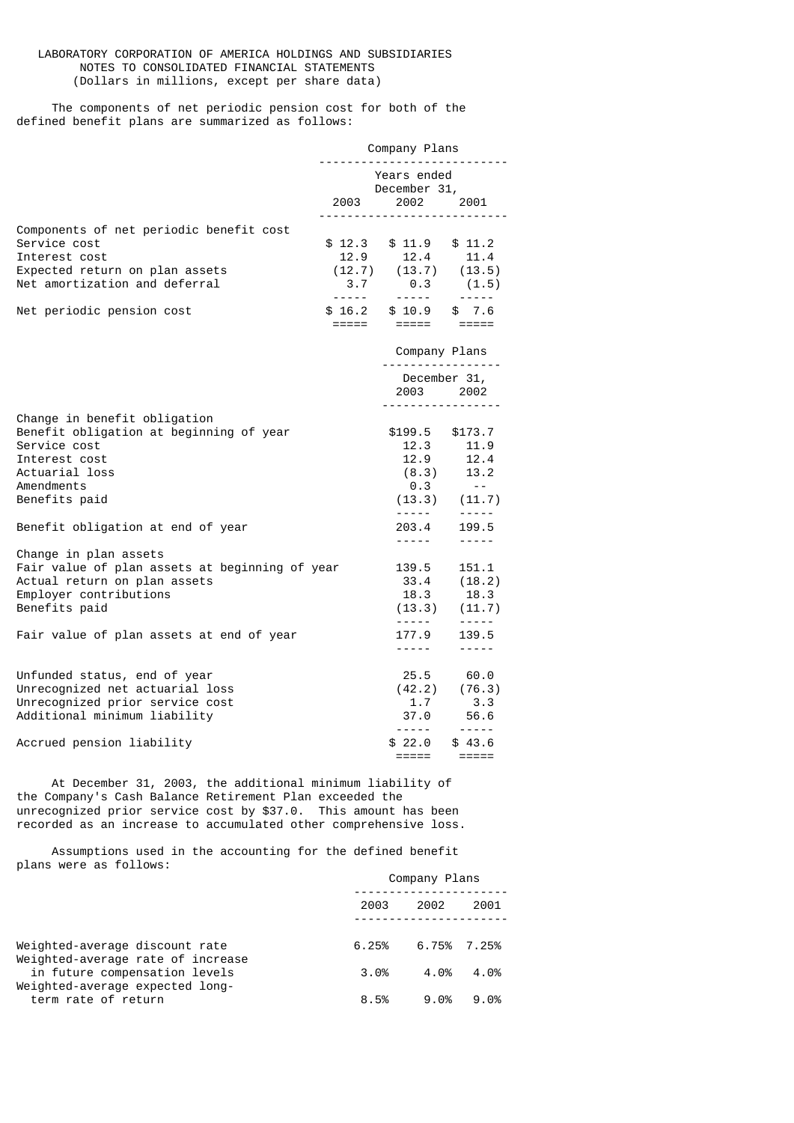The components of net periodic pension cost for both of the defined benefit plans are summarized as follows:

|                                                                                                                                                                          | . <u>.</u>                                                                                                                                                                                                                                                                                                                                                                                                                                                                 | Company Plans                                                                                                                                                                                                                                                                                                                                                                                                                    | ---------                                                                         |
|--------------------------------------------------------------------------------------------------------------------------------------------------------------------------|----------------------------------------------------------------------------------------------------------------------------------------------------------------------------------------------------------------------------------------------------------------------------------------------------------------------------------------------------------------------------------------------------------------------------------------------------------------------------|----------------------------------------------------------------------------------------------------------------------------------------------------------------------------------------------------------------------------------------------------------------------------------------------------------------------------------------------------------------------------------------------------------------------------------|-----------------------------------------------------------------------------------|
|                                                                                                                                                                          |                                                                                                                                                                                                                                                                                                                                                                                                                                                                            | Years ended<br>December 31,<br>2003 2002 2001                                                                                                                                                                                                                                                                                                                                                                                    |                                                                                   |
| Components of net periodic benefit cost<br>Service cost<br>Interest cost<br>Expected return on plan assets<br>Net amortization and deferral<br>Net periodic pension cost | $\frac{1}{2} \left( \frac{1}{2} \right) \left( \frac{1}{2} \right) \left( \frac{1}{2} \right) \left( \frac{1}{2} \right) \left( \frac{1}{2} \right) \left( \frac{1}{2} \right) \left( \frac{1}{2} \right) \left( \frac{1}{2} \right) \left( \frac{1}{2} \right) \left( \frac{1}{2} \right) \left( \frac{1}{2} \right) \left( \frac{1}{2} \right) \left( \frac{1}{2} \right) \left( \frac{1}{2} \right) \left( \frac{1}{2} \right) \left( \frac{1}{2} \right) \left( \frac$ | $$12.3$ $$11.9$ $$11.2$<br>$\begin{array}{cccc} 12.9 & & 12.4 & & 11.4 \\ (12.7) & & (13.7) & & (13.5) \end{array}$<br>$3.7$ 0.3 (1.5)<br>$\mathcal{L}^{\mathcal{L}}\left( \mathcal{L}^{\mathcal{L}}\left( \mathcal{L}^{\mathcal{L}}\left( \mathcal{L}^{\mathcal{L}}\right) \right) \right) =\mathcal{L}^{\mathcal{L}}\left( \mathcal{L}^{\mathcal{L}}\left( \mathcal{L}^{\mathcal{L}}\right) \right)$<br>$$16.2$ $$10.9$ $$7.6$ | $- - - - -$                                                                       |
|                                                                                                                                                                          |                                                                                                                                                                                                                                                                                                                                                                                                                                                                            | =====         =====          =====<br>Company Plans                                                                                                                                                                                                                                                                                                                                                                              |                                                                                   |
|                                                                                                                                                                          |                                                                                                                                                                                                                                                                                                                                                                                                                                                                            | December 31,<br>2003 — 100<br>.                                                                                                                                                                                                                                                                                                                                                                                                  | 2002                                                                              |
| Change in benefit obligation<br>Benefit obligation at beginning of year<br>Service cost<br>Interest cost<br>Actuarial loss<br>Amendments<br>Benefits paid                |                                                                                                                                                                                                                                                                                                                                                                                                                                                                            | \$199.5 \$173.7<br>0.3<br>(13.3)<br>------                                                                                                                                                                                                                                                                                                                                                                                       | $12.3$ $11.9$<br>12.9 12.4<br>$(8.3)$ 13.2<br>$\sim$ $-$<br>(11.7)<br>$- - - - -$ |
| Benefit obligation at end of year                                                                                                                                        |                                                                                                                                                                                                                                                                                                                                                                                                                                                                            | -----                                                                                                                                                                                                                                                                                                                                                                                                                            | 203.4 199.5<br>$- - - - -$                                                        |
| Change in plan assets<br>Fair value of plan assets at beginning of year<br>Actual return on plan assets<br>Employer contributions<br>Benefits paid                       |                                                                                                                                                                                                                                                                                                                                                                                                                                                                            | 139.5<br>------                                                                                                                                                                                                                                                                                                                                                                                                                  | 151.1<br>$33.4$ $(18.2)$<br>$18.3$ $18.3$<br>$(13.3)$ $(11.7)$<br>$- - - - -$     |
| Fair value of plan assets at end of year                                                                                                                                 |                                                                                                                                                                                                                                                                                                                                                                                                                                                                            | 177.9<br>-----                                                                                                                                                                                                                                                                                                                                                                                                                   | 139.5<br>$- - - - -$                                                              |
| Unfunded status, end of year<br>Unrecognized net actuarial loss<br>Unrecognized prior service cost<br>Additional minimum liability                                       |                                                                                                                                                                                                                                                                                                                                                                                                                                                                            | 1.7<br>-----                                                                                                                                                                                                                                                                                                                                                                                                                     | 25.5 60.0<br>$(42.2)$ $(76.3)$<br>3.3<br>37.0 56.6<br>------                      |
| Accrued pension liability                                                                                                                                                |                                                                                                                                                                                                                                                                                                                                                                                                                                                                            | $$22.0$ $$43.6$<br>$=$ $=$ $=$ $=$ $=$                                                                                                                                                                                                                                                                                                                                                                                           | $=$ $=$ $=$ $=$ $=$                                                               |

 At December 31, 2003, the additional minimum liability of the Company's Cash Balance Retirement Plan exceeded the unrecognized prior service cost by \$37.0. This amount has been recorded as an increase to accumulated other comprehensive loss.

 Assumptions used in the accounting for the defined benefit plans were as follows:

|                                                                     | Company Plans |             |      |
|---------------------------------------------------------------------|---------------|-------------|------|
|                                                                     | 2003          | 2002        | 2001 |
| Weighted-average discount rate<br>Weighted-average rate of increase | 6.25%         | 6.75% 7.25% |      |
| in future compensation levels<br>Weighted-average expected long-    | 3.0%          | 4.0%        | 4.0% |
| term rate of return                                                 | 8.5%          | 9.0%        | 9.0% |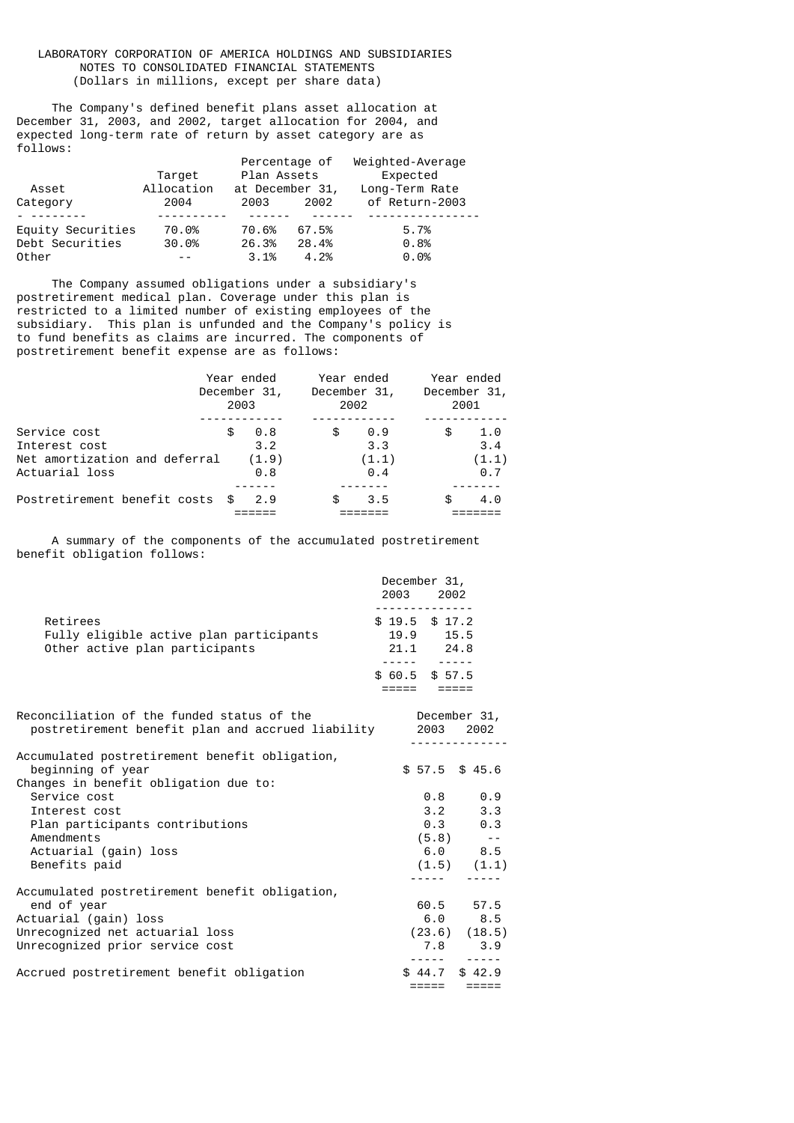The Company's defined benefit plans asset allocation at December 31, 2003, and 2002, target allocation for 2004, and expected long-term rate of return by asset category are as follows:

|                   |            | Percentage of   |       | Weighted-Average |
|-------------------|------------|-----------------|-------|------------------|
|                   | Target     | Plan Assets     |       | Expected         |
| Asset             | Allocation | at December 31, |       | Long-Term Rate   |
| Category          | 2004       | 2003            | 2002  | of Return-2003   |
|                   |            |                 |       |                  |
| Equity Securities | 70.0%      | 70.6%           | 67.5% | 5.7%             |
| Debt Securities   | 30.0%      | 26.3%           | 28.4% | 0.8%             |
| Other             |            | 3.1%            | 4.2%  | 0.0%             |

 The Company assumed obligations under a subsidiary's postretirement medical plan. Coverage under this plan is restricted to a limited number of existing employees of the subsidiary. This plan is unfunded and the Company's policy is to fund benefits as claims are incurred. The components of postretirement benefit expense are as follows:

|                                 | 2003 | Year ended<br>December 31, | December 31, | Year ended<br>2002 | Year ended<br>December 31,<br>2001 |              |
|---------------------------------|------|----------------------------|--------------|--------------------|------------------------------------|--------------|
|                                 |      |                            |              |                    |                                    |              |
| Service cost                    | \$   | 0.8                        | \$           | 0.9                | \$                                 | 1.0          |
| Interest cost                   |      | 3.2                        |              | 3.3                |                                    | 3.4          |
| Net amortization and deferral   |      | (1.9)                      |              | (1.1)              |                                    | (1.1)        |
| Actuarial loss                  |      | 0.8                        |              | $\theta$ .4        |                                    | $\theta$ . 7 |
|                                 |      |                            |              |                    |                                    |              |
| Postretirement benefit costs \$ |      | 2.9                        | £.           | 3.5                |                                    | 4.0          |
|                                 |      |                            |              |                    |                                    |              |

 A summary of the components of the accumulated postretirement benefit obligation follows:

|                                                                                                              | December 31,<br>2003 2002                                                 |                          |
|--------------------------------------------------------------------------------------------------------------|---------------------------------------------------------------------------|--------------------------|
| Retirees<br>Fully eligible active plan participants<br>Other active plan participants                        | - - - - - - - - - - - - - -<br>\$19.5\$17.2<br>19.9 15.5<br>$21.1$ $24.8$ |                          |
|                                                                                                              | \$60.5\$57.5                                                              |                          |
| Reconciliation of the funded status of the<br>postretirement benefit plan and accrued liability 2003 2002    |                                                                           | December 31,             |
| Accumulated postretirement benefit obligation,<br>beginning of year<br>Changes in benefit obligation due to: | $$57.5$ $$45.6$                                                           |                          |
| Service cost                                                                                                 |                                                                           | $0.8$ 0.9                |
| Interest cost                                                                                                |                                                                           | $3.2$ $3.3$<br>$0.3$ 0.3 |
| Plan participants contributions<br>Amendments                                                                |                                                                           | $(5.8)$ --               |
| Actuarial (gain) loss                                                                                        |                                                                           | $6.0$ 8.5                |
| Benefits paid                                                                                                |                                                                           | $(1.5)$ $(1.1)$          |
|                                                                                                              |                                                                           |                          |
| Accumulated postretirement benefit obligation,                                                               |                                                                           |                          |
| end of year                                                                                                  |                                                                           | 60.5 57.5                |
| Actuarial (gain) loss                                                                                        |                                                                           | $6.0$ $8.5$              |
| Unrecognized net actuarial loss                                                                              |                                                                           | $(23.6)$ $(18.5)$        |
| Unrecognized prior service cost                                                                              |                                                                           | 7.8 3.9                  |
|                                                                                                              |                                                                           | $$44.7$ $$42.9$          |
| Accrued postretirement benefit obligation                                                                    |                                                                           |                          |
|                                                                                                              |                                                                           |                          |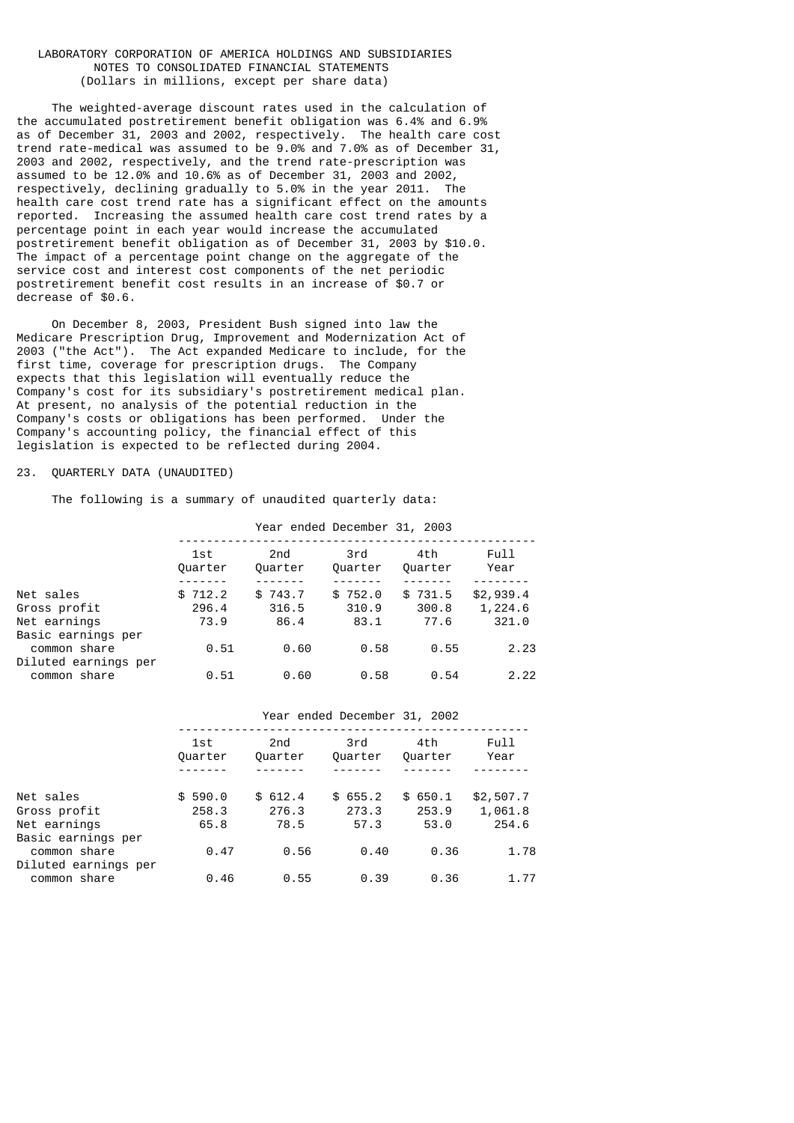The weighted-average discount rates used in the calculation of the accumulated postretirement benefit obligation was 6.4% and 6.9% as of December 31, 2003 and 2002, respectively. The health care cost trend rate-medical was assumed to be 9.0% and 7.0% as of December 31, 2003 and 2002, respectively, and the trend rate-prescription was assumed to be 12.0% and 10.6% as of December 31, 2003 and 2002, respectively, declining gradually to 5.0% in the year 2011. The health care cost trend rate has a significant effect on the amounts reported. Increasing the assumed health care cost trend rates by a percentage point in each year would increase the accumulated postretirement benefit obligation as of December 31, 2003 by \$10.0. The impact of a percentage point change on the aggregate of the service cost and interest cost components of the net periodic postretirement benefit cost results in an increase of \$0.7 or decrease of \$0.6.

 On December 8, 2003, President Bush signed into law the Medicare Prescription Drug, Improvement and Modernization Act of 2003 ("the Act"). The Act expanded Medicare to include, for the first time, coverage for prescription drugs. The Company expects that this legislation will eventually reduce the Company's cost for its subsidiary's postretirement medical plan. At present, no analysis of the potential reduction in the Company's costs or obligations has been performed. Under the Company's accounting policy, the financial effect of this legislation is expected to be reflected during 2004.

## 23. QUARTERLY DATA (UNAUDITED)

The following is a summary of unaudited quarterly data:

| 1st<br>Quarter | 2nd<br>Quarter | 3rd<br>Quarter | 4th<br>Quarter | Full<br>Year                 |  |
|----------------|----------------|----------------|----------------|------------------------------|--|
|                |                |                |                |                              |  |
| \$712.2        | \$743.7        | \$752.0        | \$731.5        | \$2,939.4                    |  |
| 296.4          | 316.5          | 310.9          | 300.8          | 1,224.6                      |  |
| 73.9           | 86.4           | 83.1           | 77.6           | 321.0                        |  |
|                |                |                |                |                              |  |
| 0.51           | 0.60           | 0.58           | 0.55           | 2.23                         |  |
|                |                |                |                |                              |  |
| 0.51           | 0.60           | 0.58           | 0.54           | 2.22                         |  |
|                |                |                |                | Year ended December 31, 2003 |  |

|                      | Year ended December 31, 2002 |                |                |                |              |  |
|----------------------|------------------------------|----------------|----------------|----------------|--------------|--|
|                      | 1st<br>Quarter               | 2nd<br>Quarter | 3rd<br>Quarter | 4th<br>Quarter | Full<br>Year |  |
|                      |                              |                |                |                |              |  |
| Net sales            | \$590.0                      | \$612.4        | \$655.2        | \$650.1        | \$2,507.7    |  |
| Gross profit         | 258.3                        | 276.3          | 273.3          | 253.9          | 1,061.8      |  |
| Net earnings         | 65.8                         | 78.5           | 57.3           | 53.0           | 254.6        |  |
| Basic earnings per   |                              |                |                |                |              |  |
| common share         | 0.47                         | 0.56           | 0.40           | 0.36           | 1.78         |  |
| Diluted earnings per |                              |                |                |                |              |  |
| common share         | 0.46                         | 0.55           | 0.39           | 0.36           | 1.77         |  |
|                      |                              |                |                |                |              |  |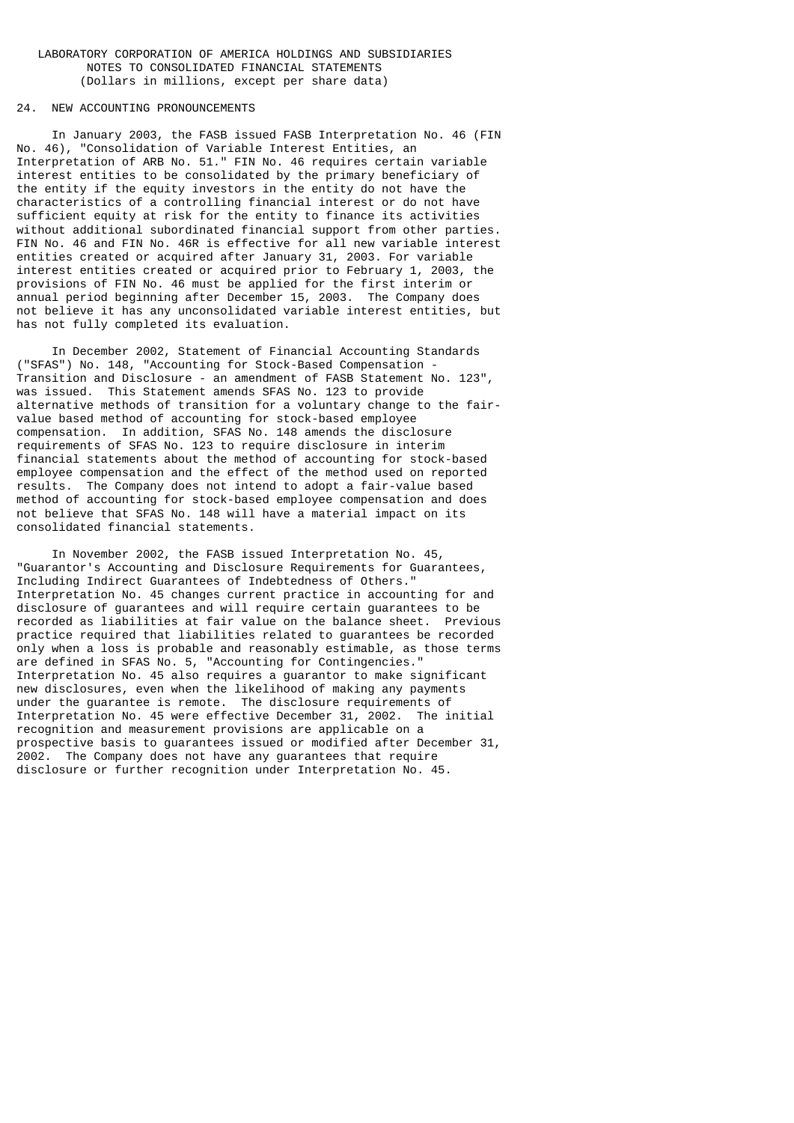#### 24. NEW ACCOUNTING PRONOUNCEMENTS

 In January 2003, the FASB issued FASB Interpretation No. 46 (FIN No. 46), "Consolidation of Variable Interest Entities, an Interpretation of ARB No. 51." FIN No. 46 requires certain variable interest entities to be consolidated by the primary beneficiary of the entity if the equity investors in the entity do not have the characteristics of a controlling financial interest or do not have sufficient equity at risk for the entity to finance its activities without additional subordinated financial support from other parties. FIN No. 46 and FIN No. 46R is effective for all new variable interest entities created or acquired after January 31, 2003. For variable interest entities created or acquired prior to February 1, 2003, the provisions of FIN No. 46 must be applied for the first interim or annual period beginning after December 15, 2003. The Company does not believe it has any unconsolidated variable interest entities, but has not fully completed its evaluation.

 In December 2002, Statement of Financial Accounting Standards ("SFAS") No. 148, "Accounting for Stock-Based Compensation - Transition and Disclosure - an amendment of FASB Statement No. 123", was issued. This Statement amends SFAS No. 123 to provide alternative methods of transition for a voluntary change to the fairvalue based method of accounting for stock-based employee compensation. In addition, SFAS No. 148 amends the disclosure requirements of SFAS No. 123 to require disclosure in interim financial statements about the method of accounting for stock-based employee compensation and the effect of the method used on reported results. The Company does not intend to adopt a fair-value based method of accounting for stock-based employee compensation and does not believe that SFAS No. 148 will have a material impact on its consolidated financial statements.

 In November 2002, the FASB issued Interpretation No. 45, "Guarantor's Accounting and Disclosure Requirements for Guarantees, Including Indirect Guarantees of Indebtedness of Others." Interpretation No. 45 changes current practice in accounting for and disclosure of guarantees and will require certain guarantees to be recorded as liabilities at fair value on the balance sheet. Previous practice required that liabilities related to guarantees be recorded only when a loss is probable and reasonably estimable, as those terms are defined in SFAS No. 5, "Accounting for Contingencies." Interpretation No. 45 also requires a guarantor to make significant new disclosures, even when the likelihood of making any payments under the guarantee is remote. The disclosure requirements of Interpretation No. 45 were effective December 31, 2002. The initial recognition and measurement provisions are applicable on a prospective basis to guarantees issued or modified after December 31, 2002. The Company does not have any guarantees that require disclosure or further recognition under Interpretation No. 45.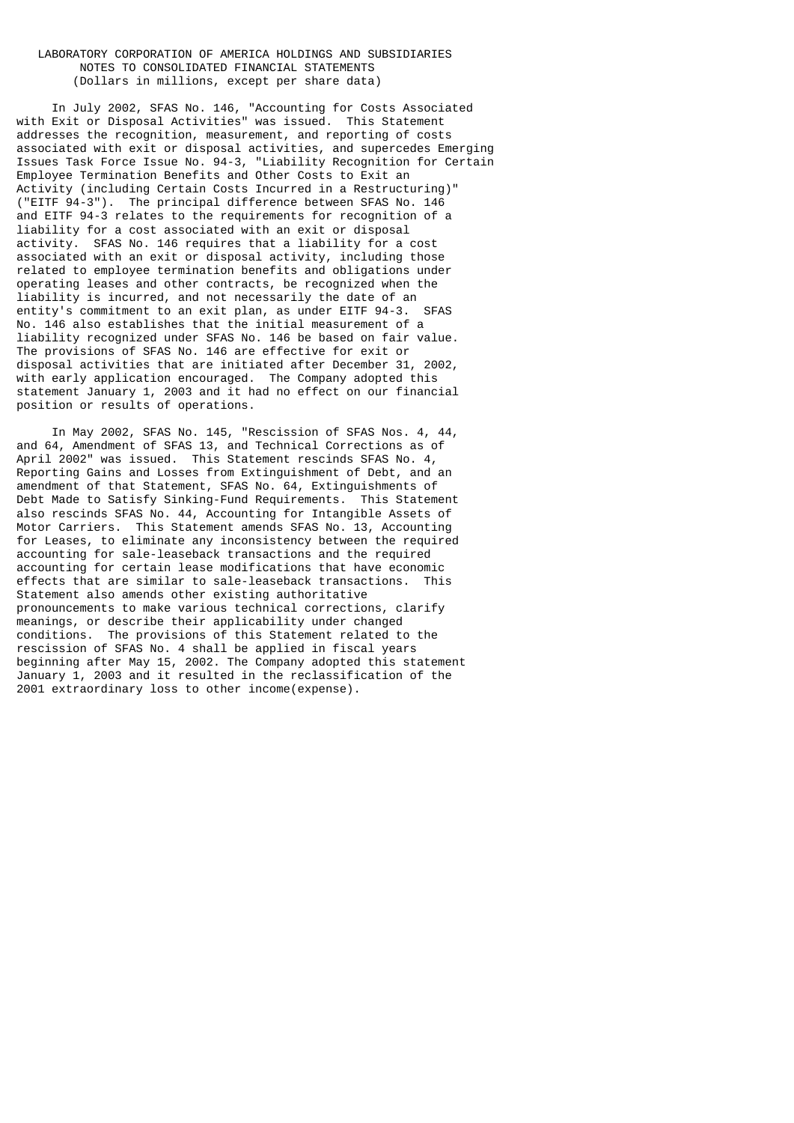In July 2002, SFAS No. 146, "Accounting for Costs Associated with Exit or Disposal Activities" was issued. This Statement addresses the recognition, measurement, and reporting of costs associated with exit or disposal activities, and supercedes Emerging Issues Task Force Issue No. 94-3, "Liability Recognition for Certain Employee Termination Benefits and Other Costs to Exit an Activity (including Certain Costs Incurred in a Restructuring)" ("EITF 94-3"). The principal difference between SFAS No. 146 and EITF 94-3 relates to the requirements for recognition of a liability for a cost associated with an exit or disposal activity. SFAS No. 146 requires that a liability for a cost associated with an exit or disposal activity, including those related to employee termination benefits and obligations under operating leases and other contracts, be recognized when the liability is incurred, and not necessarily the date of an entity's commitment to an exit plan, as under EITF 94-3. SFAS No. 146 also establishes that the initial measurement of a liability recognized under SFAS No. 146 be based on fair value. The provisions of SFAS No. 146 are effective for exit or disposal activities that are initiated after December 31, 2002, with early application encouraged. The Company adopted this statement January 1, 2003 and it had no effect on our financial position or results of operations.

 In May 2002, SFAS No. 145, "Rescission of SFAS Nos. 4, 44, and 64, Amendment of SFAS 13, and Technical Corrections as of April 2002" was issued. This Statement rescinds SFAS No. 4, Reporting Gains and Losses from Extinguishment of Debt, and an amendment of that Statement, SFAS No. 64, Extinguishments of Debt Made to Satisfy Sinking-Fund Requirements. This Statement also rescinds SFAS No. 44, Accounting for Intangible Assets of Motor Carriers. This Statement amends SFAS No. 13, Accounting for Leases, to eliminate any inconsistency between the required accounting for sale-leaseback transactions and the required accounting for certain lease modifications that have economic effects that are similar to sale-leaseback transactions. This Statement also amends other existing authoritative pronouncements to make various technical corrections, clarify meanings, or describe their applicability under changed conditions. The provisions of this Statement related to the rescission of SFAS No. 4 shall be applied in fiscal years beginning after May 15, 2002. The Company adopted this statement January 1, 2003 and it resulted in the reclassification of the 2001 extraordinary loss to other income(expense).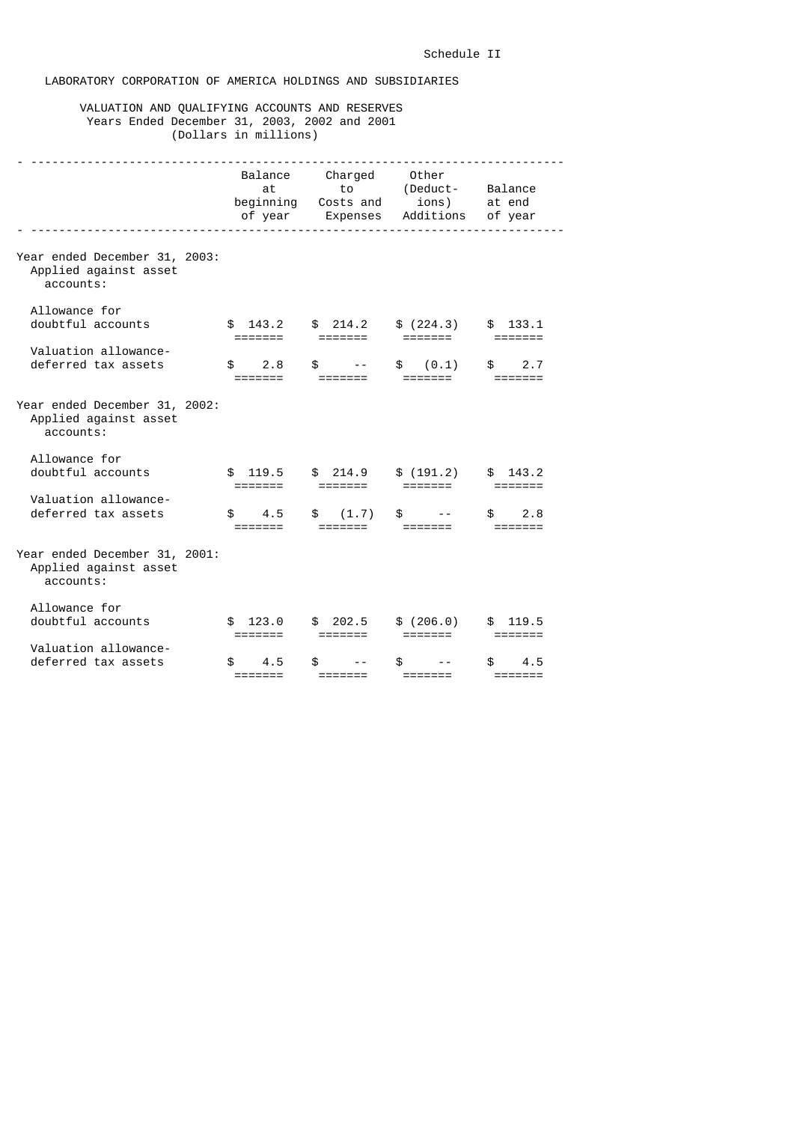# LABORATORY CORPORATION OF AMERICA HOLDINGS AND SUBSIDIARIES

#### VALUATION AND QUALIFYING ACCOUNTS AND RESERVES Years Ended December 31, 2003, 2002 and 2001 (Dollars in millions)

|                                                                     | Balance<br>at        | Charged<br>to<br>beginning Costs and | Other<br>(Deduct-<br>ions)           | Balance<br>at end                        |
|---------------------------------------------------------------------|----------------------|--------------------------------------|--------------------------------------|------------------------------------------|
|                                                                     |                      |                                      | of year      Expenses    Additions   | of year                                  |
| Year ended December 31, 2003:<br>Applied against asset<br>accounts: |                      |                                      |                                      |                                          |
| Allowance for<br>doubtful accounts                                  | \$143.2<br>=======   | \$214.2                              | \$(224.3)<br>=======                 | \$133.1<br>=======                       |
| Valuation allowance-<br>deferred tax assets                         | \$<br>2.8<br>======= | \$<br>$- -$<br>=======               | \$ (0.1)<br>=======                  | \$<br>2.7<br>=======                     |
| Year ended December 31, 2002:<br>Applied against asset<br>accounts: |                      |                                      |                                      |                                          |
| Allowance for<br>doubtful accounts                                  | SS.<br>119.5         | \$214.9                              | \$(191.2)<br>$=$ $=$ $=$ $=$ $=$ $=$ | 143.2<br>SS.                             |
| Valuation allowance-<br>deferred tax assets                         | \$<br>4.5<br>======= | \$<br>(1.7)                          | $\mathfrak{s}$                       | \$<br>2.8<br>$=$ $=$ $=$ $=$ $=$ $=$     |
| Year ended December 31, 2001:<br>Applied against asset<br>accounts: |                      |                                      |                                      |                                          |
| Allowance for<br>doubtful accounts                                  | \$123.0              | \$202.5                              | \$(206.0)<br>=======                 | \$119.5                                  |
| Valuation allowance-<br>deferred tax assets                         | \$<br>4.5<br>======= | \$                                   | \$<br>$=$ $=$ $=$ $=$ $=$ $=$ $=$    | \$<br>4.5<br>$=$ $=$ $=$ $=$ $=$ $=$ $=$ |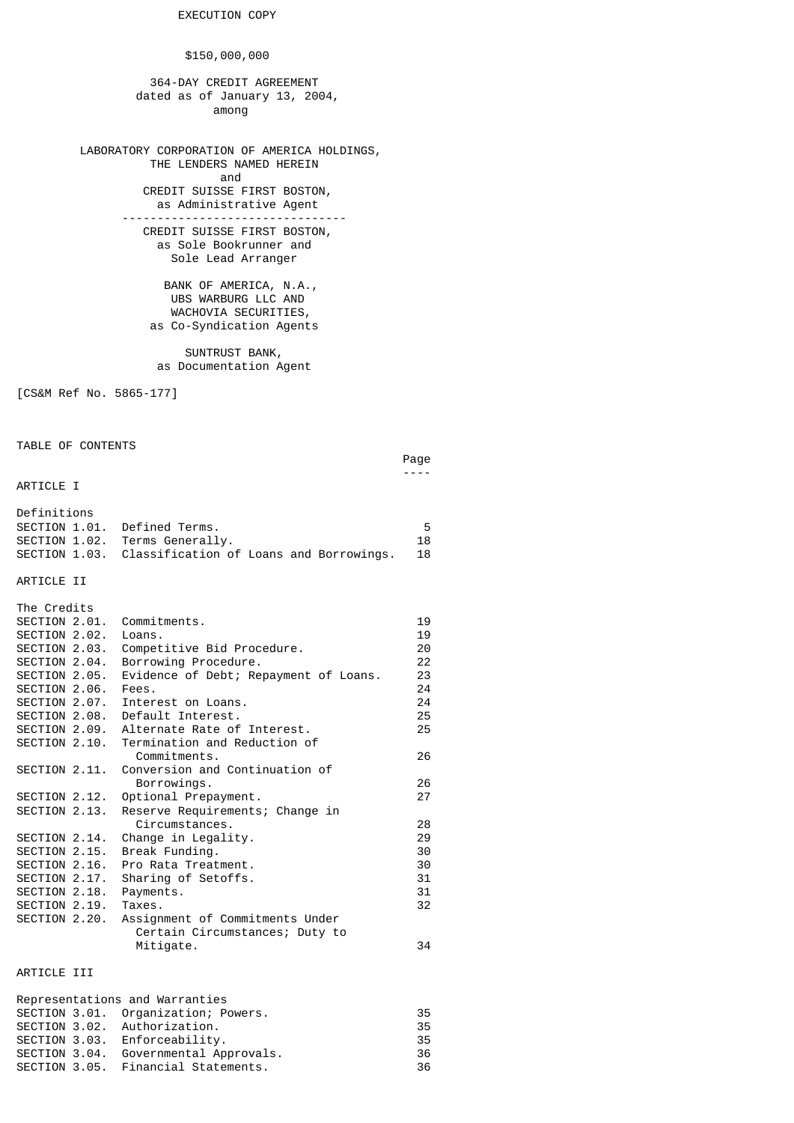EXECUTION COPY

#### \$150,000,000

 364-DAY CREDIT AGREEMENT dated as of January 13, 2004, among

> LABORATORY CORPORATION OF AMERICA HOLDINGS, THE LENDERS NAMED HEREIN and CREDIT SUISSE FIRST BOSTON, as Administrative Agent -------------------------------- CREDIT SUISSE FIRST BOSTON, as Sole Bookrunner and Sole Lead Arranger

 BANK OF AMERICA, N.A., UBS WARBURG LLC AND WACHOVIA SECURITIES, as Co-Syndication Agents

### SUNTRUST BANK, as Documentation Agent

[CS&M Ref No. 5865-177]

TABLE OF CONTENTS

in the contract of the contract of the contract of the contract of the contract of the contract of the contract of the contract of the contract of the contract of the contract of the contract of the contract of the contrac

#### ARTICLE I

| Definitions |                                                       |    |
|-------------|-------------------------------------------------------|----|
|             | SECTION 1.01. Defined Terms.                          | .5 |
|             | SECTION 1.02. Terms Generally.                        | 18 |
|             | SECTION 1.03. Classification of Loans and Borrowings. | 18 |

----

#### ARTICLE II

| The Credits          |                                               |    |
|----------------------|-----------------------------------------------|----|
|                      | SECTION 2.01. Commitments.                    | 19 |
| SECTION 2.02.        | Loans.                                        | 19 |
| SECTION 2.03.        | Competitive Bid Procedure.                    | 20 |
| SECTION 2.04.        | Borrowing Procedure.                          | 22 |
| SECTION 2.05.        | Evidence of Debt; Repayment of Loans.         | 23 |
| SECTION 2.06. Fees.  |                                               | 24 |
|                      | SECTION 2.07. Interest on Loans.              | 24 |
|                      | SECTION 2.08. Default Interest.               | 25 |
|                      | SECTION 2.09. Alternate Rate of Interest.     | 25 |
|                      | SECTION 2.10. Termination and Reduction of    |    |
|                      | Commitments.                                  | 26 |
| SECTION 2.11.        | Conversion and Continuation of                |    |
|                      | Borrowings.                                   | 26 |
| SECTION 2.12.        | Optional Prepayment.                          | 27 |
| SECTION 2.13.        | Reserve Requirements; Change in               |    |
|                      | Circumstances.                                | 28 |
| SECTION 2.14.        | Change in Legality.                           | 29 |
| SECTION 2.15.        | Break Funding.                                | 30 |
|                      | SECTION 2.16. Pro Rata Treatment.             | 30 |
| SECTION 2.17.        | Sharing of Setoffs.                           | 31 |
| SECTION 2.18.        | Payments.                                     | 31 |
| SECTION 2.19. Taxes. |                                               | 32 |
|                      | SECTION 2.20. Assignment of Commitments Under |    |
|                      | Certain Circumstances; Duty to                |    |
|                      | Mitigate.                                     | 34 |
|                      |                                               |    |

## ARTICLE III

| Representations and Warranties        |     |
|---------------------------------------|-----|
| SECTION 3.01. Organization; Powers.   | 35  |
| SECTION 3.02. Authorization.          | 35  |
| SECTION 3.03. Enforceability.         | -35 |
| SECTION 3.04. Governmental Approvals. | 36  |
| SECTION 3.05. Financial Statements.   | 36  |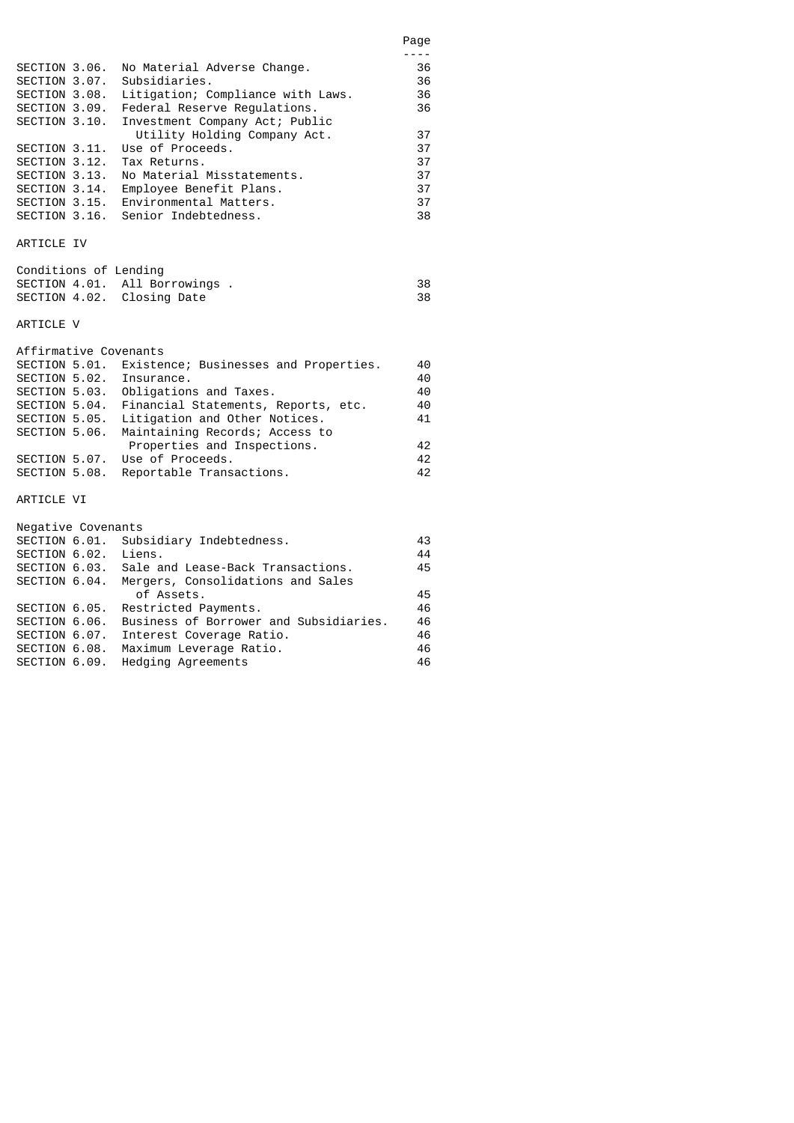| No Material Adverse Change.                                                                                                                           | 36                                                                 |
|-------------------------------------------------------------------------------------------------------------------------------------------------------|--------------------------------------------------------------------|
| Subsidiaries.                                                                                                                                         | 36                                                                 |
| Litigation; Compliance with Laws.                                                                                                                     | 36                                                                 |
| Federal Reserve Regulations.                                                                                                                          | 36                                                                 |
| Investment Company Act; Public                                                                                                                        |                                                                    |
| Utility Holding Company Act.                                                                                                                          | 37                                                                 |
| Use of Proceeds.                                                                                                                                      | 37                                                                 |
|                                                                                                                                                       | 37                                                                 |
| No Material Misstatements.                                                                                                                            | 37                                                                 |
| Employee Benefit Plans.                                                                                                                               | 37                                                                 |
|                                                                                                                                                       | 37                                                                 |
| Senior Indebtedness.                                                                                                                                  | 38                                                                 |
| SECTION 3.06.<br>SECTION 3.07.<br>SECTION 3.08.<br>SECTION 3.09.<br>SECTION 3.10.<br>SECTION 3.11.<br>SECTION 3.13.<br>SECTION 3.14.<br>SECTION 3.16. | SECTION 3.12. Tax Returns.<br>SECTION 3.15. Environmental Matters. |

page that the contract of the contract of the contract of the contract of the contract of the contract of the contract of the contract of the contract of the contract of the contract of the contract of the contract of the

# ARTICLE IV

| Conditions of Lending      |                               |    |
|----------------------------|-------------------------------|----|
|                            | SECTION 4.01. All Borrowings. | 38 |
| SECTION 4.02. Closing Date |                               | 38 |

# ARTICLE V

| Affirmative Covenants |                                                     |    |
|-----------------------|-----------------------------------------------------|----|
|                       | SECTION 5.01. Existence; Businesses and Properties. | 40 |
|                       | SECTION 5.02. Insurance.                            | 40 |
| SECTION 5.03.         | Obligations and Taxes.                              | 40 |
| SECTION 5.04.         | Financial Statements, Reports, etc.                 | 40 |
| SECTION 5.05.         | Litigation and Other Notices.                       | 41 |
| SECTION 5.06.         | Maintaining Records; Access to                      |    |
|                       | Properties and Inspections.                         | 42 |
|                       | SECTION 5.07. Use of Proceeds.                      | 42 |
| SECTION 5.08.         | Reportable Transactions.                            | 42 |
|                       |                                                     |    |

## ARTICLE VI

| Negative Covenants   |                                                 |    |
|----------------------|-------------------------------------------------|----|
|                      | SECTION 6.01. Subsidiary Indebtedness.          | 43 |
| SECTION 6.02. Liens. |                                                 | 44 |
|                      | SECTION 6.03. Sale and Lease-Back Transactions. | 45 |
| SECTION 6.04.        | Mergers, Consolidations and Sales               |    |
|                      | of Assets.                                      | 45 |
| SECTION 6.05.        | Restricted Payments.                            | 46 |
| SECTION 6.06.        | Business of Borrower and Subsidiaries.          | 46 |
| SECTION 6.07.        | Interest Coverage Ratio.                        | 46 |
| SECTION 6.08.        | Maximum Leverage Ratio.                         | 46 |
| SECTION 6.09.        | Hedging Agreements                              | 46 |
|                      |                                                 |    |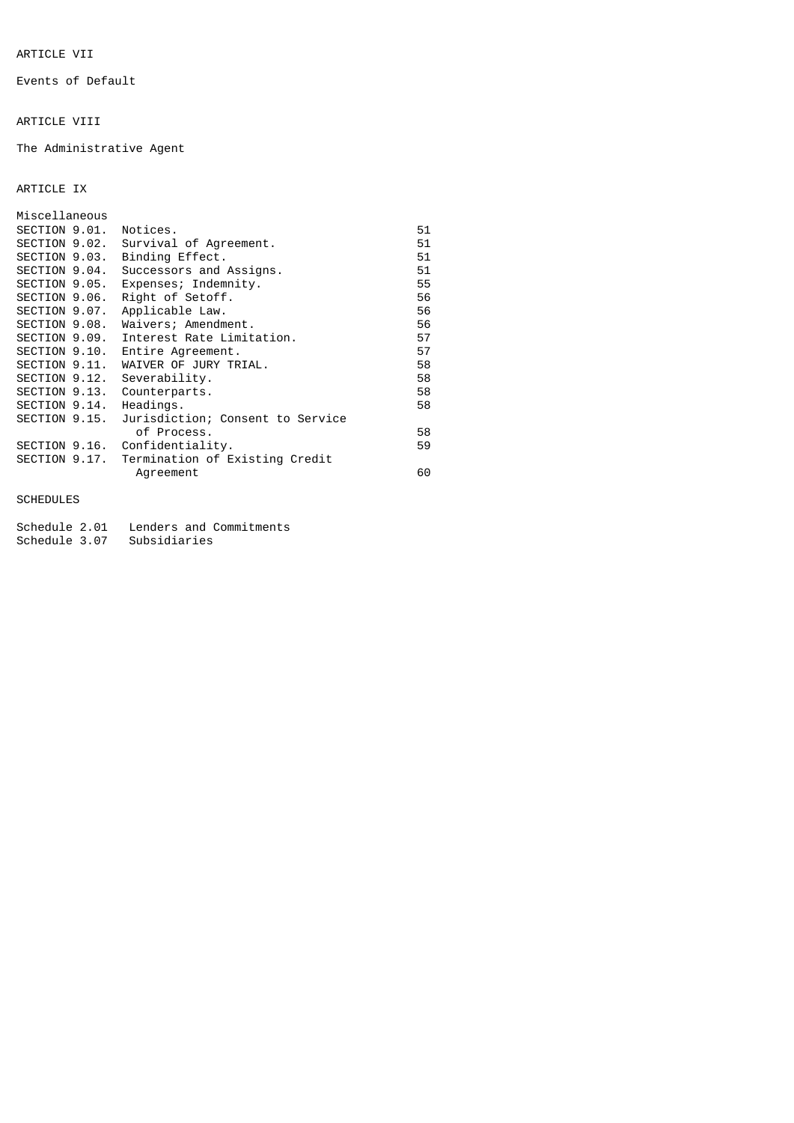# ARTICLE VII

Events of Default

## ARTICLE VIII

The Administrative Agent

## ARTICLE IX

| Miscellaneous          |                                      |    |
|------------------------|--------------------------------------|----|
| SECTION 9.01. Notices. |                                      | 51 |
|                        | SECTION 9.02. Survival of Agreement. | 51 |
| SECTION 9.03.          | Binding Effect.                      | 51 |
| SECTION 9.04.          | Successors and Assigns.              | 51 |
| SECTION 9.05.          | Expenses; Indemnity.                 | 55 |
| SECTION 9.06.          | Right of Setoff.                     | 56 |
| SECTION 9.07.          | Applicable Law.                      | 56 |
| SECTION 9.08.          | Waivers; Amendment.                  | 56 |
| SECTION 9.09.          | Interest Rate Limitation.            | 57 |
|                        | SECTION 9.10. Entire Agreement.      | 57 |
|                        | SECTION 9.11. WAIVER OF JURY TRIAL.  | 58 |
| SECTION 9.12.          | Severability.                        | 58 |
| SECTION 9.13.          | Counterparts.                        | 58 |
| SECTION 9.14.          | Headings.                            | 58 |
| SECTION 9.15.          | Jurisdiction; Consent to Service     |    |
|                        | of Process.                          | 58 |
|                        | SECTION 9.16. Confidentiality.       | 59 |
| SECTION 9.17.          | Termination of Existing Credit       |    |
|                        | Agreement                            | 60 |

## SCHEDULES

| Schedule 2.01 | Lenders and Commitments |
|---------------|-------------------------|
| Schedule 3.07 | Subsidiaries            |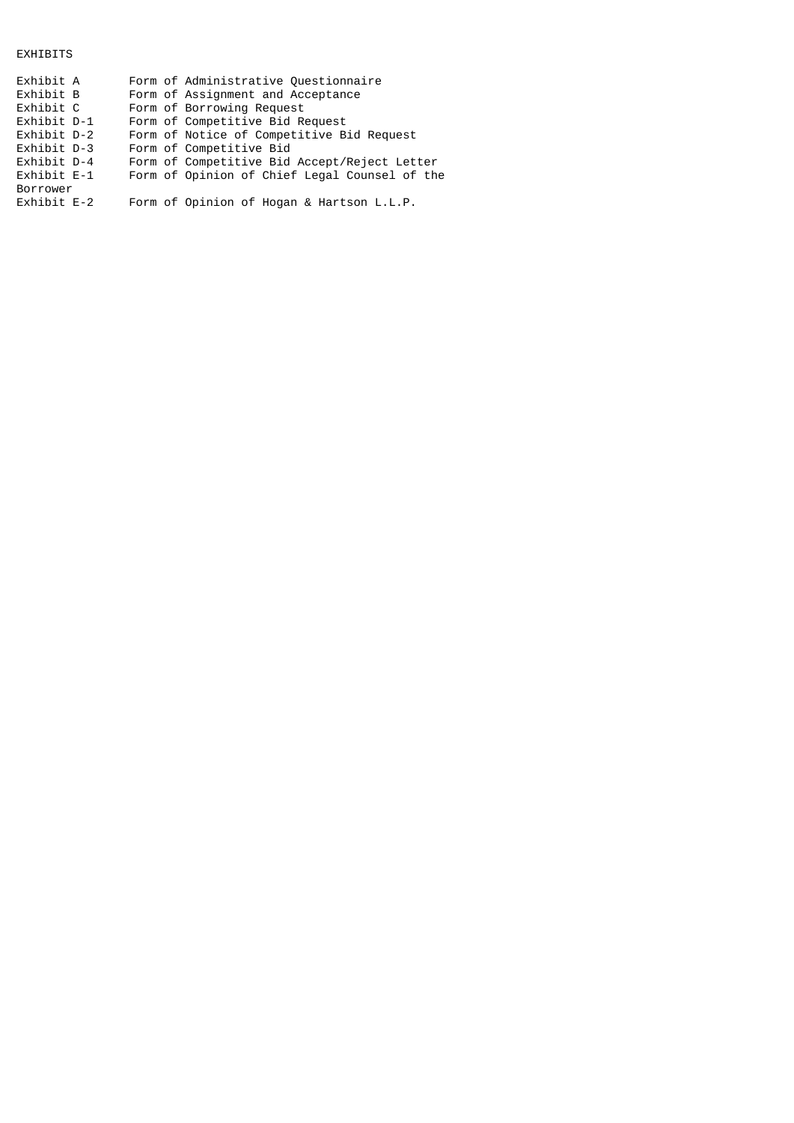# EXHIBITS

| Exhibit A   | Form of Administrative Questionnaire          |
|-------------|-----------------------------------------------|
| Exhibit B   | Form of Assignment and Acceptance             |
| Exhibit C   | Form of Borrowing Request                     |
| Exhibit D-1 | Form of Competitive Bid Request               |
| Exhibit D-2 | Form of Notice of Competitive Bid Request     |
| Exhibit D-3 | Form of Competitive Bid                       |
| Exhibit D-4 | Form of Competitive Bid Accept/Reject Letter  |
| Exhibit E-1 | Form of Opinion of Chief Legal Counsel of the |
| Borrower    |                                               |
| Exhibit E-2 | Form of Opinion of Hogan & Hartson L.L.P.     |
|             |                                               |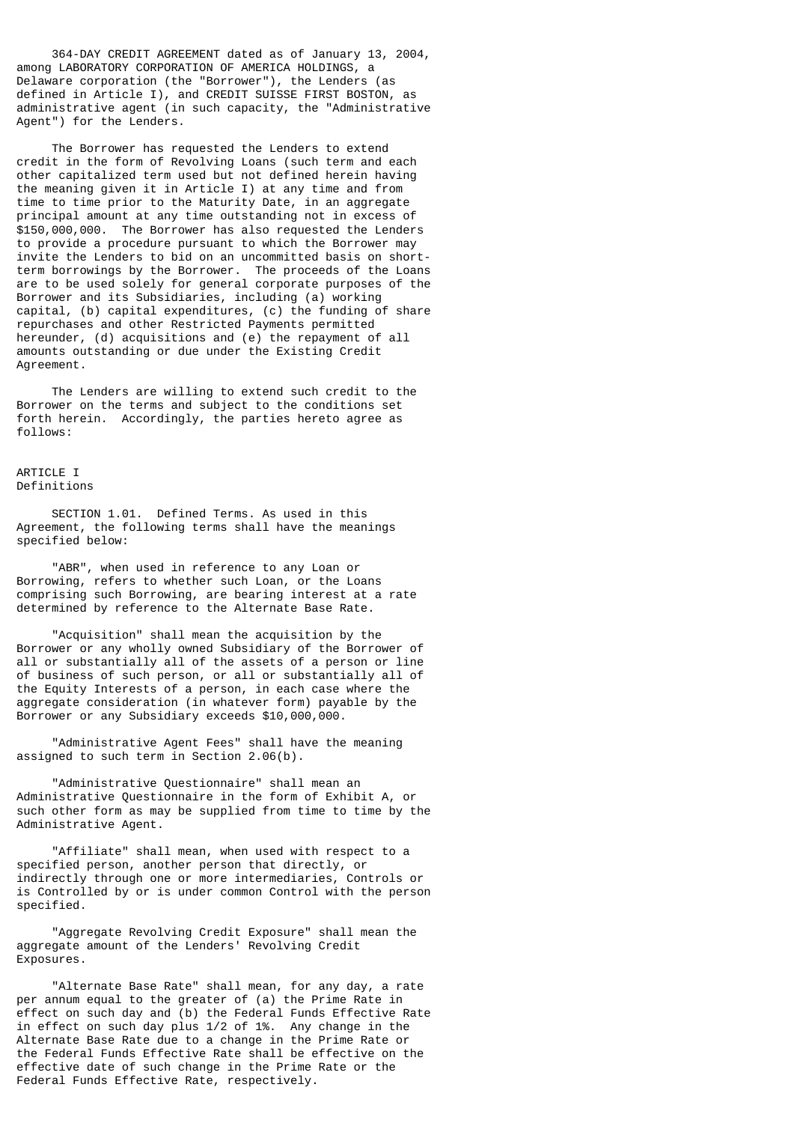364-DAY CREDIT AGREEMENT dated as of January 13, 2004, among LABORATORY CORPORATION OF AMERICA HOLDINGS, a Delaware corporation (the "Borrower"), the Lenders (as defined in Article I), and CREDIT SUISSE FIRST BOSTON, as administrative agent (in such capacity, the "Administrative Agent") for the Lenders.

 The Borrower has requested the Lenders to extend credit in the form of Revolving Loans (such term and each other capitalized term used but not defined herein having the meaning given it in Article I) at any time and from time to time prior to the Maturity Date, in an aggregate principal amount at any time outstanding not in excess of \$150,000,000. The Borrower has also requested the Lenders to provide a procedure pursuant to which the Borrower may invite the Lenders to bid on an uncommitted basis on shortterm borrowings by the Borrower. The proceeds of the Loans are to be used solely for general corporate purposes of the Borrower and its Subsidiaries, including (a) working capital, (b) capital expenditures, (c) the funding of share repurchases and other Restricted Payments permitted hereunder, (d) acquisitions and (e) the repayment of all amounts outstanding or due under the Existing Credit Agreement.

 The Lenders are willing to extend such credit to the Borrower on the terms and subject to the conditions set forth herein. Accordingly, the parties hereto agree as follows:

ARTICLE I Definitions

 SECTION 1.01. Defined Terms. As used in this Agreement, the following terms shall have the meanings specified below:

 "ABR", when used in reference to any Loan or Borrowing, refers to whether such Loan, or the Loans comprising such Borrowing, are bearing interest at a rate determined by reference to the Alternate Base Rate.

 "Acquisition" shall mean the acquisition by the Borrower or any wholly owned Subsidiary of the Borrower of all or substantially all of the assets of a person or line of business of such person, or all or substantially all of the Equity Interests of a person, in each case where the aggregate consideration (in whatever form) payable by the Borrower or any Subsidiary exceeds \$10,000,000.

 "Administrative Agent Fees" shall have the meaning assigned to such term in Section 2.06(b).

 "Administrative Questionnaire" shall mean an Administrative Questionnaire in the form of Exhibit A, or such other form as may be supplied from time to time by the Administrative Agent.

 "Affiliate" shall mean, when used with respect to a specified person, another person that directly, or indirectly through one or more intermediaries, Controls or is Controlled by or is under common Control with the person specified.

 "Aggregate Revolving Credit Exposure" shall mean the aggregate amount of the Lenders' Revolving Credit Exposures.

 "Alternate Base Rate" shall mean, for any day, a rate per annum equal to the greater of (a) the Prime Rate in effect on such day and (b) the Federal Funds Effective Rate in effect on such day plus 1/2 of 1%. Any change in the Alternate Base Rate due to a change in the Prime Rate or the Federal Funds Effective Rate shall be effective on the effective date of such change in the Prime Rate or the Federal Funds Effective Rate, respectively.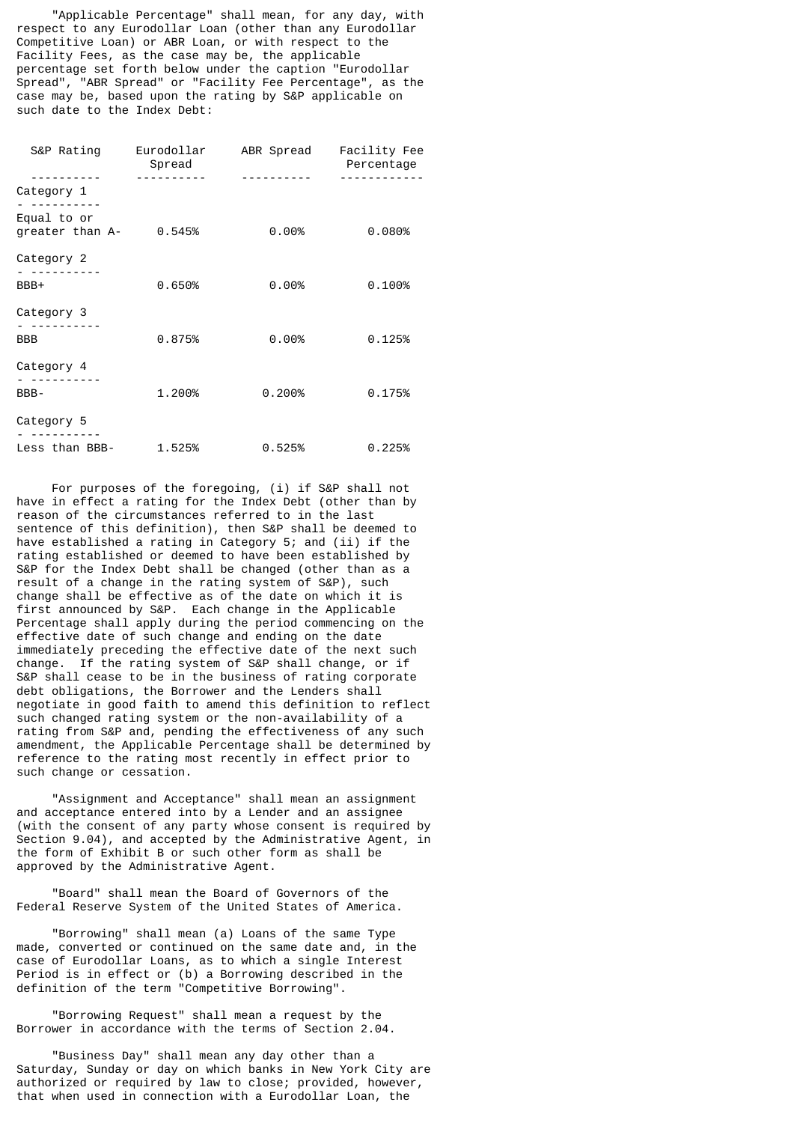"Applicable Percentage" shall mean, for any day, with respect to any Eurodollar Loan (other than any Eurodollar Competitive Loan) or ABR Loan, or with respect to the Facility Fees, as the case may be, the applicable percentage set forth below under the caption "Eurodollar Spread", "ABR Spread" or "Facility Fee Percentage", as the case may be, based upon the rating by S&P applicable on such date to the Index Debt:

| S&P Rating                     | Eurodollar<br>Spread | ABR Spread | Facility Fee<br>Percentage |
|--------------------------------|----------------------|------------|----------------------------|
| Category 1                     |                      |            |                            |
| Equal to or<br>greater than A- | 0.545%               | 0.00%      | 0.080%                     |
| Category 2                     |                      |            |                            |
| BBB+                           | 0.650%               | 0.00%      | 0.100%                     |
| Category 3                     |                      |            |                            |
| <b>BBB</b>                     | 0.875%               | 0.00%      | 0.125%                     |
| Category 4                     |                      |            |                            |
| BBB-                           | 1.200%               | 0.200%     | 0.175%                     |
| Category 5                     |                      |            |                            |
| Less than BBB-                 | 1.525%               | 0.525%     | 0.225%                     |

 For purposes of the foregoing, (i) if S&P shall not have in effect a rating for the Index Debt (other than by reason of the circumstances referred to in the last sentence of this definition), then S&P shall be deemed to have established a rating in Category 5; and (ii) if the rating established or deemed to have been established by S&P for the Index Debt shall be changed (other than as a result of a change in the rating system of S&P), such change shall be effective as of the date on which it is first announced by S&P. Each change in the Applicable Percentage shall apply during the period commencing on the effective date of such change and ending on the date immediately preceding the effective date of the next such change. If the rating system of S&P shall change, or if S&P shall cease to be in the business of rating corporate debt obligations, the Borrower and the Lenders shall negotiate in good faith to amend this definition to reflect such changed rating system or the non-availability of a rating from S&P and, pending the effectiveness of any such amendment, the Applicable Percentage shall be determined by reference to the rating most recently in effect prior to such change or cessation.

 "Assignment and Acceptance" shall mean an assignment and acceptance entered into by a Lender and an assignee (with the consent of any party whose consent is required by Section 9.04), and accepted by the Administrative Agent, in the form of Exhibit B or such other form as shall be approved by the Administrative Agent.

 "Board" shall mean the Board of Governors of the Federal Reserve System of the United States of America.

 "Borrowing" shall mean (a) Loans of the same Type made, converted or continued on the same date and, in the case of Eurodollar Loans, as to which a single Interest Period is in effect or (b) a Borrowing described in the definition of the term "Competitive Borrowing".

 "Borrowing Request" shall mean a request by the Borrower in accordance with the terms of Section 2.04.

 "Business Day" shall mean any day other than a Saturday, Sunday or day on which banks in New York City are authorized or required by law to close; provided, however, that when used in connection with a Eurodollar Loan, the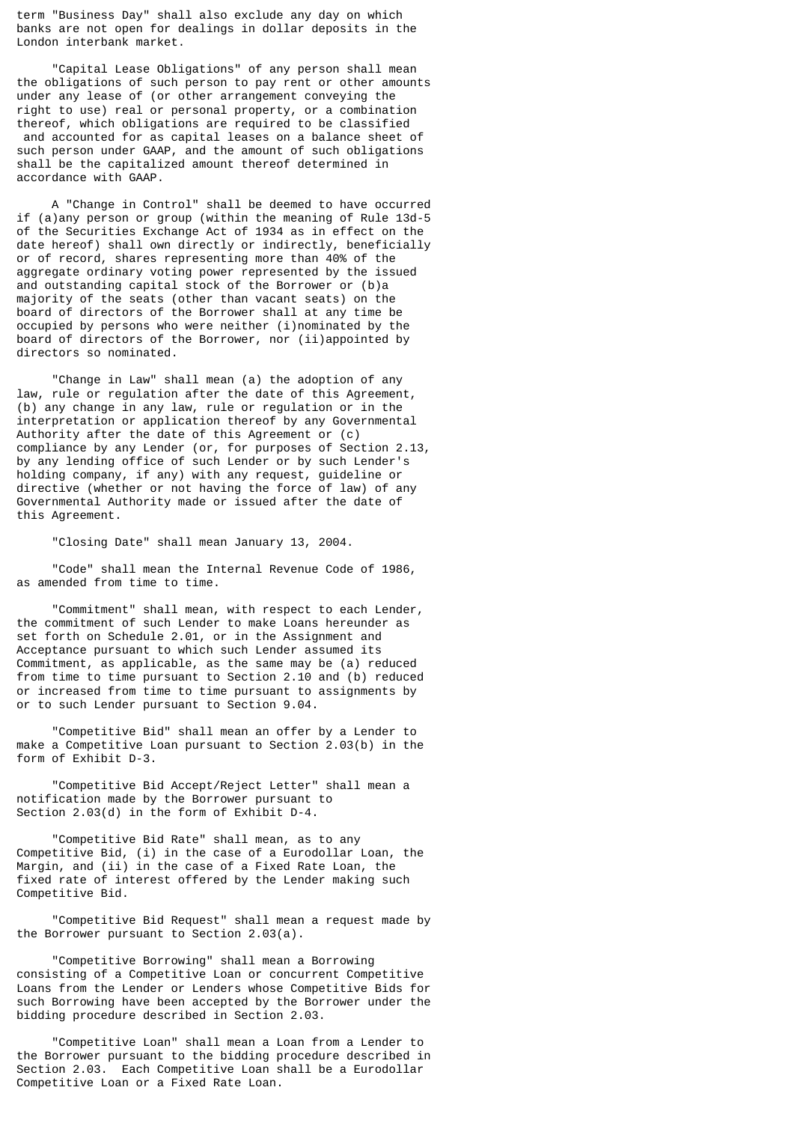term "Business Day" shall also exclude any day on which banks are not open for dealings in dollar deposits in the London interbank market.

 "Capital Lease Obligations" of any person shall mean the obligations of such person to pay rent or other amounts under any lease of (or other arrangement conveying the right to use) real or personal property, or a combination thereof, which obligations are required to be classified and accounted for as capital leases on a balance sheet of such person under GAAP, and the amount of such obligations shall be the capitalized amount thereof determined in accordance with GAAP.

 A "Change in Control" shall be deemed to have occurred if (a)any person or group (within the meaning of Rule 13d-5 of the Securities Exchange Act of 1934 as in effect on the date hereof) shall own directly or indirectly, beneficially or of record, shares representing more than 40% of the aggregate ordinary voting power represented by the issued and outstanding capital stock of the Borrower or (b)a majority of the seats (other than vacant seats) on the board of directors of the Borrower shall at any time be occupied by persons who were neither (i)nominated by the board of directors of the Borrower, nor (ii)appointed by directors so nominated.

 "Change in Law" shall mean (a) the adoption of any law, rule or regulation after the date of this Agreement, (b) any change in any law, rule or regulation or in the interpretation or application thereof by any Governmental Authority after the date of this Agreement or (c) compliance by any Lender (or, for purposes of Section 2.13, by any lending office of such Lender or by such Lender's holding company, if any) with any request, guideline or directive (whether or not having the force of law) of any Governmental Authority made or issued after the date of this Agreement.

"Closing Date" shall mean January 13, 2004.

 "Code" shall mean the Internal Revenue Code of 1986, as amended from time to time.

 "Commitment" shall mean, with respect to each Lender, the commitment of such Lender to make Loans hereunder as set forth on Schedule 2.01, or in the Assignment and Acceptance pursuant to which such Lender assumed its Commitment, as applicable, as the same may be (a) reduced from time to time pursuant to Section 2.10 and (b) reduced or increased from time to time pursuant to assignments by or to such Lender pursuant to Section 9.04.

 "Competitive Bid" shall mean an offer by a Lender to make a Competitive Loan pursuant to Section 2.03(b) in the form of Exhibit D-3.

 "Competitive Bid Accept/Reject Letter" shall mean a notification made by the Borrower pursuant to Section 2.03(d) in the form of Exhibit D-4.

 "Competitive Bid Rate" shall mean, as to any Competitive Bid, (i) in the case of a Eurodollar Loan, the Margin, and (ii) in the case of a Fixed Rate Loan, the fixed rate of interest offered by the Lender making such Competitive Bid.

 "Competitive Bid Request" shall mean a request made by the Borrower pursuant to Section 2.03(a).

 "Competitive Borrowing" shall mean a Borrowing consisting of a Competitive Loan or concurrent Competitive Loans from the Lender or Lenders whose Competitive Bids for such Borrowing have been accepted by the Borrower under the bidding procedure described in Section 2.03.

 "Competitive Loan" shall mean a Loan from a Lender to the Borrower pursuant to the bidding procedure described in Section 2.03. Each Competitive Loan shall be a Eurodollar Competitive Loan or a Fixed Rate Loan.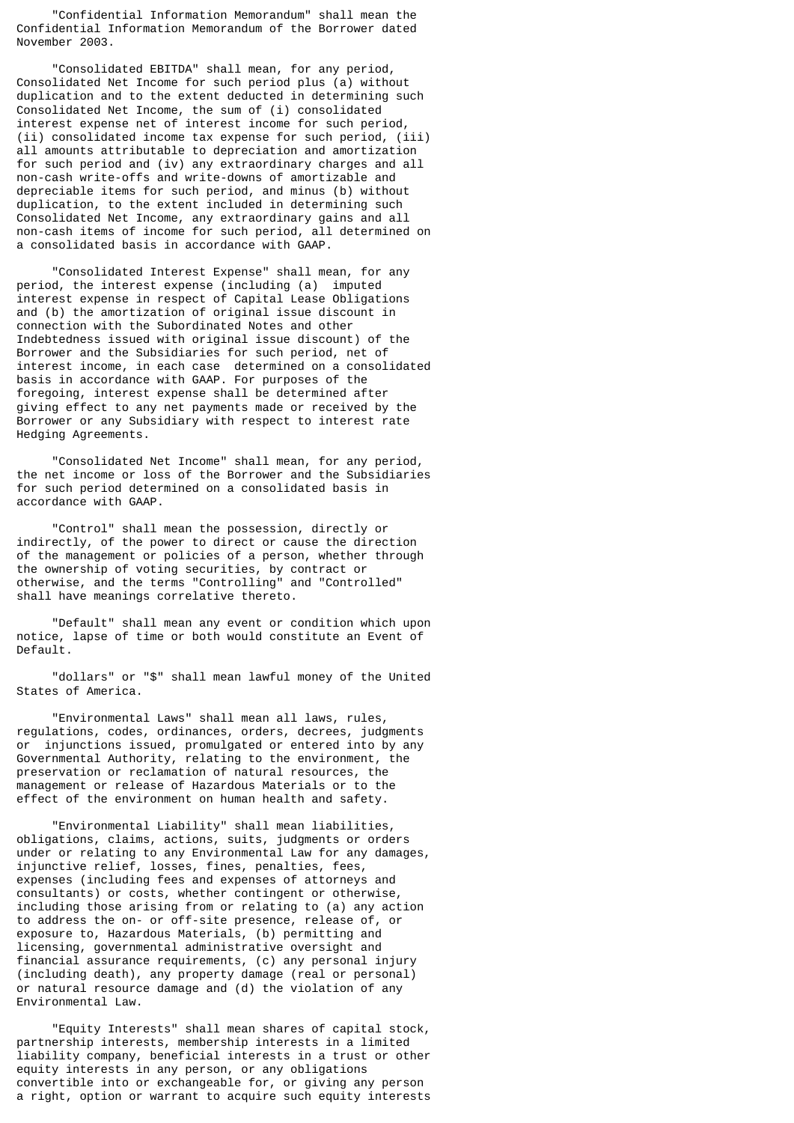"Confidential Information Memorandum" shall mean the Confidential Information Memorandum of the Borrower dated November 2003.

 "Consolidated EBITDA" shall mean, for any period, Consolidated Net Income for such period plus (a) without duplication and to the extent deducted in determining such Consolidated Net Income, the sum of (i) consolidated interest expense net of interest income for such period, (ii) consolidated income tax expense for such period, (iii) all amounts attributable to depreciation and amortization for such period and (iv) any extraordinary charges and all non-cash write-offs and write-downs of amortizable and depreciable items for such period, and minus (b) without duplication, to the extent included in determining such Consolidated Net Income, any extraordinary gains and all non-cash items of income for such period, all determined on a consolidated basis in accordance with GAAP.

 "Consolidated Interest Expense" shall mean, for any period, the interest expense (including (a) imputed interest expense in respect of Capital Lease Obligations and (b) the amortization of original issue discount in connection with the Subordinated Notes and other Indebtedness issued with original issue discount) of the Borrower and the Subsidiaries for such period, net of interest income, in each case determined on a consolidated basis in accordance with GAAP. For purposes of the foregoing, interest expense shall be determined after giving effect to any net payments made or received by the Borrower or any Subsidiary with respect to interest rate Hedging Agreements.

 "Consolidated Net Income" shall mean, for any period, the net income or loss of the Borrower and the Subsidiaries for such period determined on a consolidated basis in accordance with GAAP.

 "Control" shall mean the possession, directly or indirectly, of the power to direct or cause the direction of the management or policies of a person, whether through the ownership of voting securities, by contract or otherwise, and the terms "Controlling" and "Controlled" shall have meanings correlative thereto.

 "Default" shall mean any event or condition which upon notice, lapse of time or both would constitute an Event of Default.

 "dollars" or "\$" shall mean lawful money of the United States of America.

 "Environmental Laws" shall mean all laws, rules, regulations, codes, ordinances, orders, decrees, judgments or injunctions issued, promulgated or entered into by any Governmental Authority, relating to the environment, the preservation or reclamation of natural resources, the management or release of Hazardous Materials or to the effect of the environment on human health and safety.

 "Environmental Liability" shall mean liabilities, obligations, claims, actions, suits, judgments or orders under or relating to any Environmental Law for any damages, injunctive relief, losses, fines, penalties, fees, expenses (including fees and expenses of attorneys and consultants) or costs, whether contingent or otherwise, including those arising from or relating to (a) any action to address the on- or off-site presence, release of, or exposure to, Hazardous Materials, (b) permitting and licensing, governmental administrative oversight and financial assurance requirements, (c) any personal injury (including death), any property damage (real or personal) or natural resource damage and (d) the violation of any Environmental Law.

 "Equity Interests" shall mean shares of capital stock, partnership interests, membership interests in a limited liability company, beneficial interests in a trust or other equity interests in any person, or any obligations convertible into or exchangeable for, or giving any person a right, option or warrant to acquire such equity interests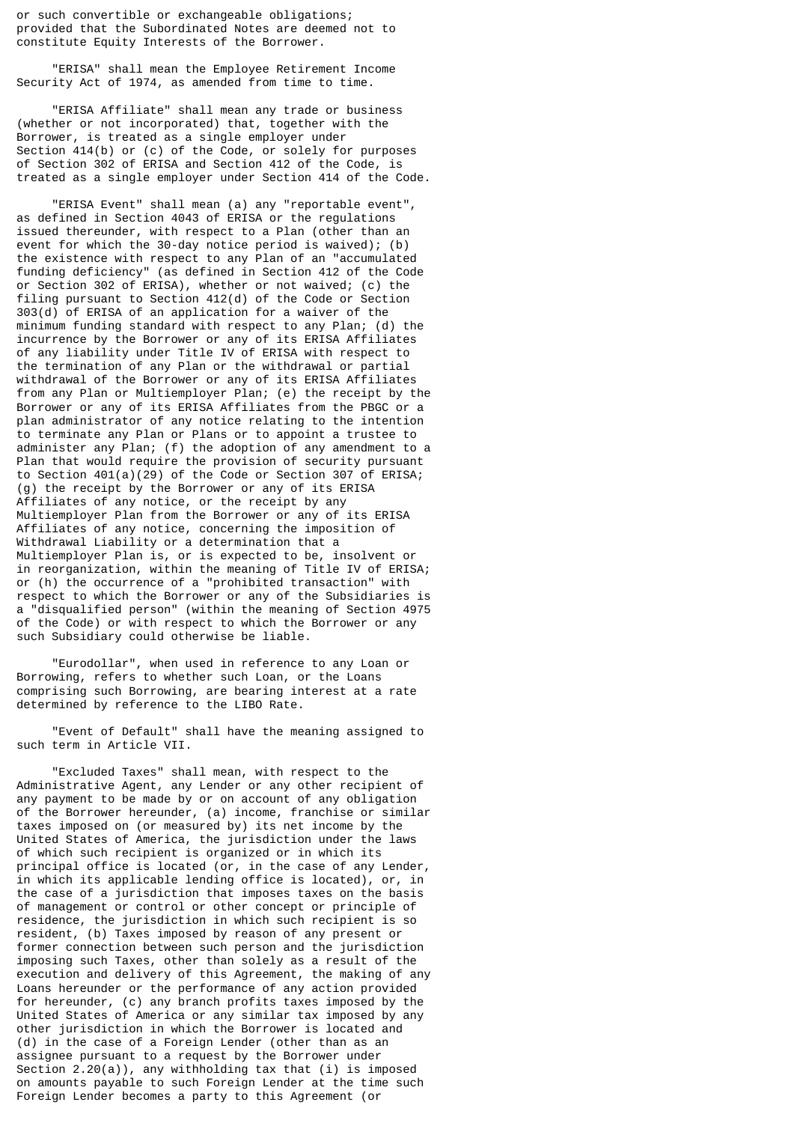or such convertible or exchangeable obligations; provided that the Subordinated Notes are deemed not to constitute Equity Interests of the Borrower.

 "ERISA" shall mean the Employee Retirement Income Security Act of 1974, as amended from time to time.

 "ERISA Affiliate" shall mean any trade or business (whether or not incorporated) that, together with the Borrower, is treated as a single employer under Section 414(b) or (c) of the Code, or solely for purposes of Section 302 of ERISA and Section 412 of the Code, is treated as a single employer under Section 414 of the Code.

 "ERISA Event" shall mean (a) any "reportable event", as defined in Section 4043 of ERISA or the regulations issued thereunder, with respect to a Plan (other than an event for which the 30-day notice period is waived); (b) the existence with respect to any Plan of an "accumulated funding deficiency" (as defined in Section 412 of the Code or Section 302 of ERISA), whether or not waived; (c) the filing pursuant to Section 412(d) of the Code or Section 303(d) of ERISA of an application for a waiver of the minimum funding standard with respect to any Plan; (d) the incurrence by the Borrower or any of its ERISA Affiliates of any liability under Title IV of ERISA with respect to the termination of any Plan or the withdrawal or partial withdrawal of the Borrower or any of its ERISA Affiliates from any Plan or Multiemployer Plan; (e) the receipt by the Borrower or any of its ERISA Affiliates from the PBGC or a plan administrator of any notice relating to the intention to terminate any Plan or Plans or to appoint a trustee to administer any Plan; (f) the adoption of any amendment to a Plan that would require the provision of security pursuant to Section 401(a)(29) of the Code or Section 307 of ERISA; (g) the receipt by the Borrower or any of its ERISA Affiliates of any notice, or the receipt by any Multiemployer Plan from the Borrower or any of its ERISA Affiliates of any notice, concerning the imposition of Withdrawal Liability or a determination that a Multiemployer Plan is, or is expected to be, insolvent or in reorganization, within the meaning of Title IV of ERISA; or (h) the occurrence of a "prohibited transaction" with respect to which the Borrower or any of the Subsidiaries is a "disqualified person" (within the meaning of Section 4975 of the Code) or with respect to which the Borrower or any such Subsidiary could otherwise be liable.

 "Eurodollar", when used in reference to any Loan or Borrowing, refers to whether such Loan, or the Loans comprising such Borrowing, are bearing interest at a rate determined by reference to the LIBO Rate.

 "Event of Default" shall have the meaning assigned to such term in Article VII.

 "Excluded Taxes" shall mean, with respect to the Administrative Agent, any Lender or any other recipient of any payment to be made by or on account of any obligation of the Borrower hereunder, (a) income, franchise or similar taxes imposed on (or measured by) its net income by the United States of America, the jurisdiction under the laws of which such recipient is organized or in which its principal office is located (or, in the case of any Lender, in which its applicable lending office is located), or, in the case of a jurisdiction that imposes taxes on the basis of management or control or other concept or principle of residence, the jurisdiction in which such recipient is so resident, (b) Taxes imposed by reason of any present or former connection between such person and the jurisdiction imposing such Taxes, other than solely as a result of the execution and delivery of this Agreement, the making of any Loans hereunder or the performance of any action provided for hereunder, (c) any branch profits taxes imposed by the United States of America or any similar tax imposed by any other jurisdiction in which the Borrower is located and (d) in the case of a Foreign Lender (other than as an assignee pursuant to a request by the Borrower under Section 2.20(a)), any withholding tax that (i) is imposed on amounts payable to such Foreign Lender at the time such Foreign Lender becomes a party to this Agreement (or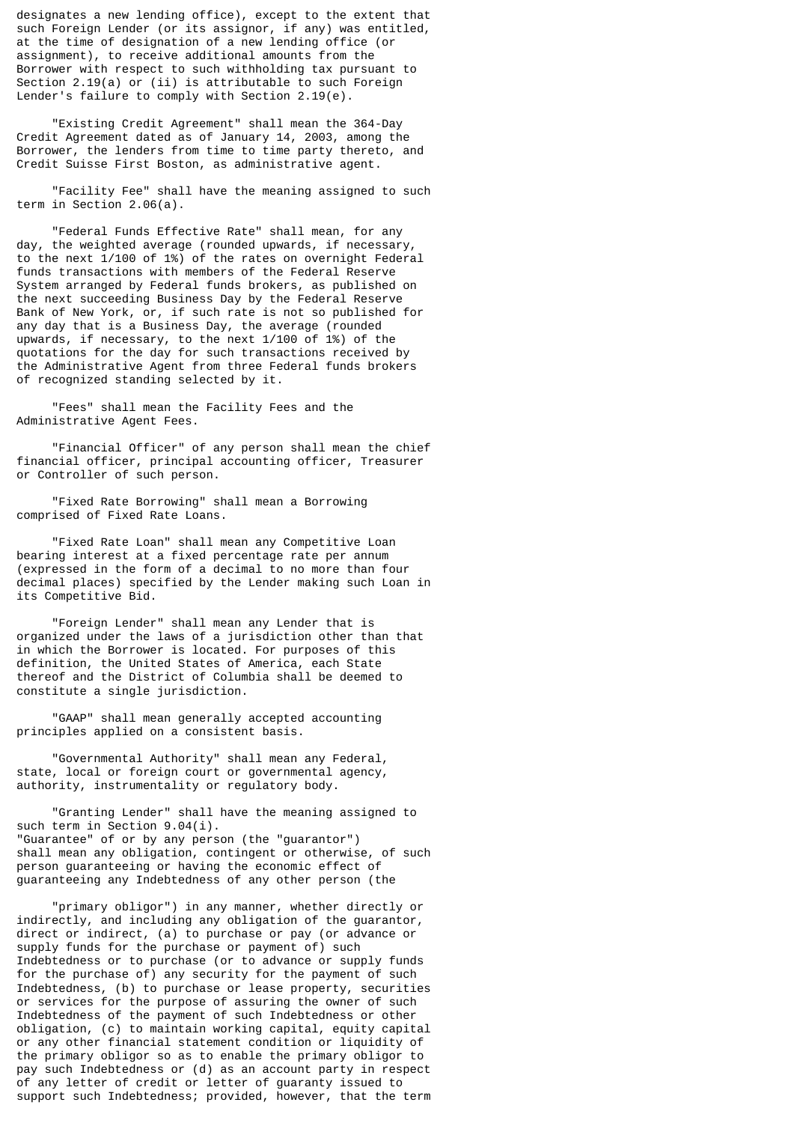designates a new lending office), except to the extent that such Foreign Lender (or its assignor, if any) was entitled, at the time of designation of a new lending office (or assignment), to receive additional amounts from the Borrower with respect to such withholding tax pursuant to Section 2.19(a) or (ii) is attributable to such Foreign Lender's failure to comply with Section 2.19(e).

 "Existing Credit Agreement" shall mean the 364-Day Credit Agreement dated as of January 14, 2003, among the Borrower, the lenders from time to time party thereto, and Credit Suisse First Boston, as administrative agent.

 "Facility Fee" shall have the meaning assigned to such term in Section 2.06(a).

 "Federal Funds Effective Rate" shall mean, for any day, the weighted average (rounded upwards, if necessary to the next 1/100 of 1%) of the rates on overnight Federal funds transactions with members of the Federal Reserve System arranged by Federal funds brokers, as published on the next succeeding Business Day by the Federal Reserve Bank of New York, or, if such rate is not so published for any day that is a Business Day, the average (rounded upwards, if necessary, to the next 1/100 of 1%) of the quotations for the day for such transactions received by the Administrative Agent from three Federal funds brokers of recognized standing selected by it.

 "Fees" shall mean the Facility Fees and the Administrative Agent Fees.

 "Financial Officer" of any person shall mean the chief financial officer, principal accounting officer, Treasurer or Controller of such person.

 "Fixed Rate Borrowing" shall mean a Borrowing comprised of Fixed Rate Loans.

 "Fixed Rate Loan" shall mean any Competitive Loan bearing interest at a fixed percentage rate per annum (expressed in the form of a decimal to no more than four decimal places) specified by the Lender making such Loan in its Competitive Bid.

 "Foreign Lender" shall mean any Lender that is organized under the laws of a jurisdiction other than that in which the Borrower is located. For purposes of this definition, the United States of America, each State thereof and the District of Columbia shall be deemed to constitute a single jurisdiction.

 "GAAP" shall mean generally accepted accounting principles applied on a consistent basis.

 "Governmental Authority" shall mean any Federal, state, local or foreign court or governmental agency, authority, instrumentality or regulatory body.

 "Granting Lender" shall have the meaning assigned to such term in Section 9.04(i). "Guarantee" of or by any person (the "guarantor") shall mean any obligation, contingent or otherwise, of such person guaranteeing or having the economic effect of guaranteeing any Indebtedness of any other person (the

 "primary obligor") in any manner, whether directly or indirectly, and including any obligation of the guarantor, direct or indirect, (a) to purchase or pay (or advance or supply funds for the purchase or payment of) such Indebtedness or to purchase (or to advance or supply funds for the purchase of) any security for the payment of such Indebtedness, (b) to purchase or lease property, securities or services for the purpose of assuring the owner of such Indebtedness of the payment of such Indebtedness or other obligation, (c) to maintain working capital, equity capital or any other financial statement condition or liquidity of the primary obligor so as to enable the primary obligor to pay such Indebtedness or (d) as an account party in respect of any letter of credit or letter of guaranty issued to support such Indebtedness; provided, however, that the term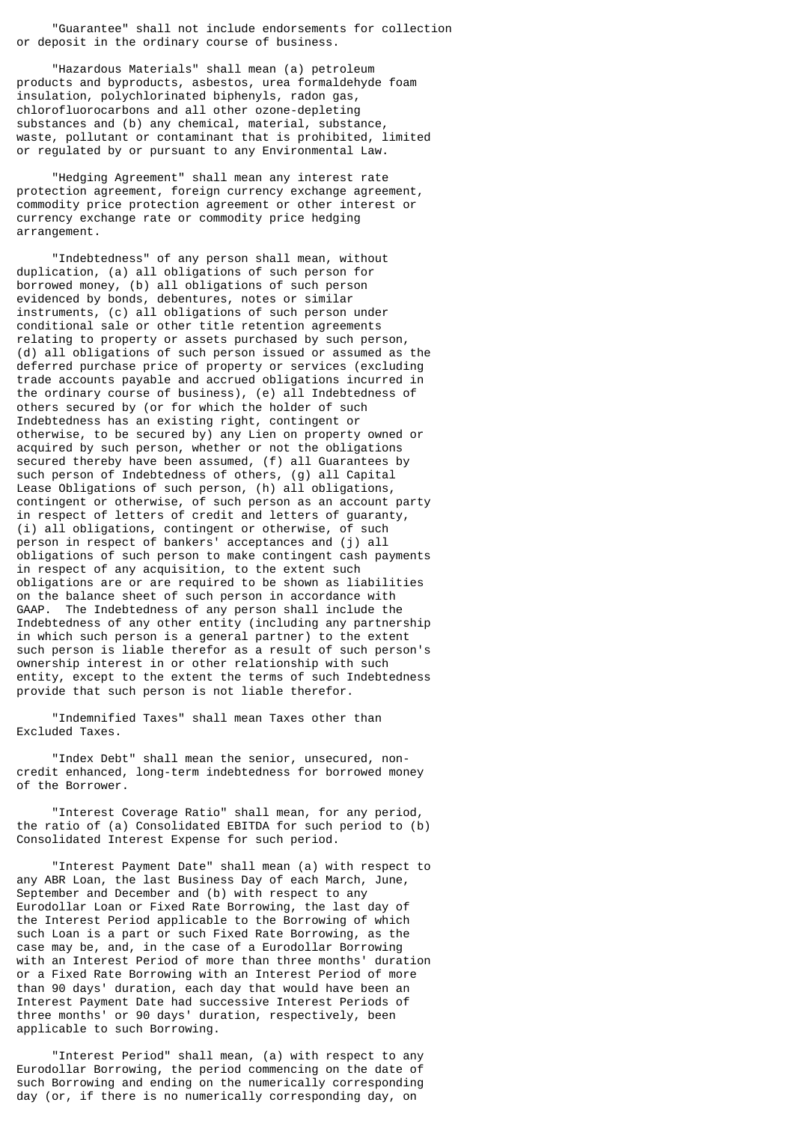"Guarantee" shall not include endorsements for collection or deposit in the ordinary course of business.

 "Hazardous Materials" shall mean (a) petroleum products and byproducts, asbestos, urea formaldehyde foam insulation, polychlorinated biphenyls, radon gas, chlorofluorocarbons and all other ozone-depleting substances and (b) any chemical, material, substance, waste, pollutant or contaminant that is prohibited, limited or regulated by or pursuant to any Environmental Law.

 "Hedging Agreement" shall mean any interest rate protection agreement, foreign currency exchange agreement, commodity price protection agreement or other interest or currency exchange rate or commodity price hedging arrangement.

 "Indebtedness" of any person shall mean, without duplication, (a) all obligations of such person for borrowed money, (b) all obligations of such person evidenced by bonds, debentures, notes or similar instruments, (c) all obligations of such person under conditional sale or other title retention agreements relating to property or assets purchased by such person, (d) all obligations of such person issued or assumed as the deferred purchase price of property or services (excluding trade accounts payable and accrued obligations incurred in the ordinary course of business), (e) all Indebtedness of others secured by (or for which the holder of such Indebtedness has an existing right, contingent or otherwise, to be secured by) any Lien on property owned or acquired by such person, whether or not the obligations secured thereby have been assumed, (f) all Guarantees by such person of Indebtedness of others, (g) all Capital Lease Obligations of such person, (h) all obligations, contingent or otherwise, of such person as an account party in respect of letters of credit and letters of guaranty, (i) all obligations, contingent or otherwise, of such person in respect of bankers' acceptances and (j) all obligations of such person to make contingent cash payments in respect of any acquisition, to the extent such obligations are or are required to be shown as liabilities on the balance sheet of such person in accordance with GAAP. The Indebtedness of any person shall include the Indebtedness of any other entity (including any partnership in which such person is a general partner) to the extent such person is liable therefor as a result of such person's ownership interest in or other relationship with such entity, except to the extent the terms of such Indebtedness provide that such person is not liable therefor.

 "Indemnified Taxes" shall mean Taxes other than Excluded Taxes.

 "Index Debt" shall mean the senior, unsecured, noncredit enhanced, long-term indebtedness for borrowed money of the Borrower.

 "Interest Coverage Ratio" shall mean, for any period, the ratio of (a) Consolidated EBITDA for such period to (b) Consolidated Interest Expense for such period.

 "Interest Payment Date" shall mean (a) with respect to any ABR Loan, the last Business Day of each March, June, September and December and (b) with respect to any Eurodollar Loan or Fixed Rate Borrowing, the last day of the Interest Period applicable to the Borrowing of which such Loan is a part or such Fixed Rate Borrowing, as the case may be, and, in the case of a Eurodollar Borrowing with an Interest Period of more than three months' duration or a Fixed Rate Borrowing with an Interest Period of more than 90 days' duration, each day that would have been an Interest Payment Date had successive Interest Periods of three months' or 90 days' duration, respectively, been applicable to such Borrowing.

 "Interest Period" shall mean, (a) with respect to any Eurodollar Borrowing, the period commencing on the date of such Borrowing and ending on the numerically corresponding day (or, if there is no numerically corresponding day, on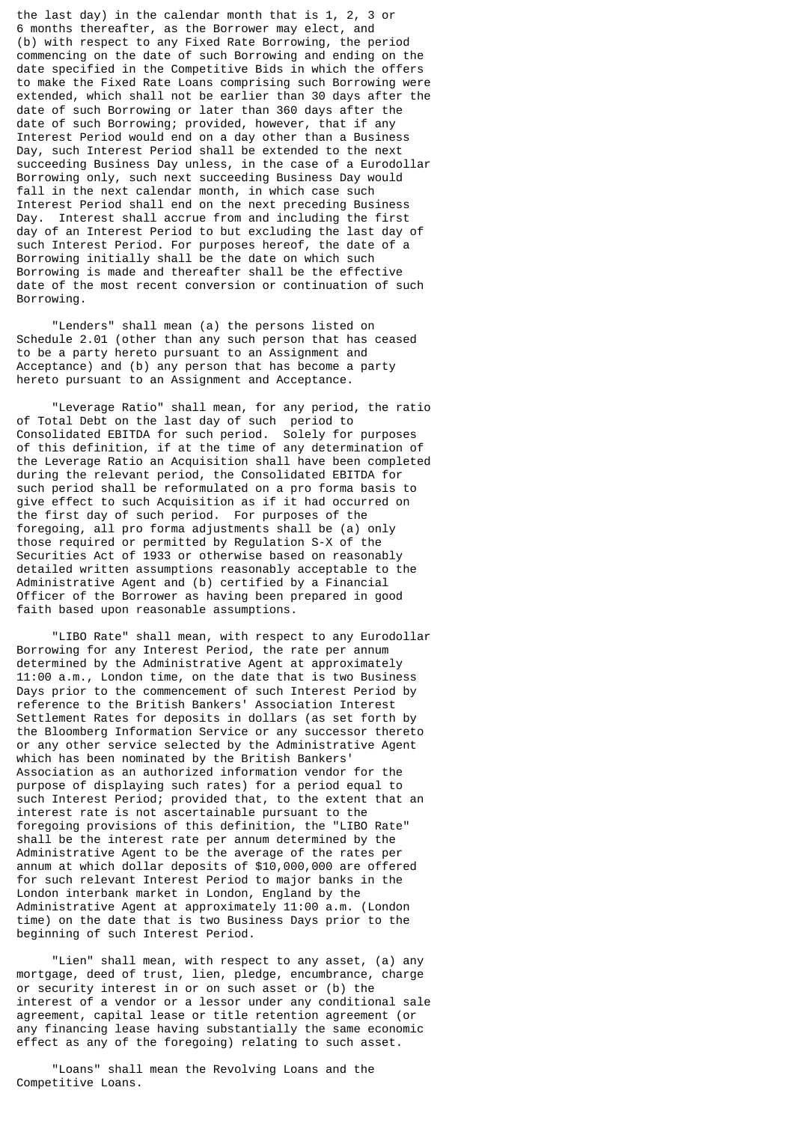the last day) in the calendar month that is 1, 2, 3 or 6 months thereafter, as the Borrower may elect, and (b) with respect to any Fixed Rate Borrowing, the period commencing on the date of such Borrowing and ending on the date specified in the Competitive Bids in which the offers to make the Fixed Rate Loans comprising such Borrowing were extended, which shall not be earlier than 30 days after the date of such Borrowing or later than 360 days after the date of such Borrowing; provided, however, that if any Interest Period would end on a day other than a Business Day, such Interest Period shall be extended to the next succeeding Business Day unless, in the case of a Eurodollar Borrowing only, such next succeeding Business Day would fall in the next calendar month, in which case such Interest Period shall end on the next preceding Business Day. Interest shall accrue from and including the first day of an Interest Period to but excluding the last day of such Interest Period. For purposes hereof, the date of a Borrowing initially shall be the date on which such Borrowing is made and thereafter shall be the effective date of the most recent conversion or continuation of such Borrowing.

 "Lenders" shall mean (a) the persons listed on Schedule 2.01 (other than any such person that has ceased to be a party hereto pursuant to an Assignment and Acceptance) and (b) any person that has become a party hereto pursuant to an Assignment and Acceptance.

 "Leverage Ratio" shall mean, for any period, the ratio of Total Debt on the last day of such period to Consolidated EBITDA for such period. Solely for purposes of this definition, if at the time of any determination of the Leverage Ratio an Acquisition shall have been completed during the relevant period, the Consolidated EBITDA for such period shall be reformulated on a pro forma basis to give effect to such Acquisition as if it had occurred on the first day of such period. For purposes of the foregoing, all pro forma adjustments shall be (a) only those required or permitted by Regulation S-X of the Securities Act of 1933 or otherwise based on reasonably detailed written assumptions reasonably acceptable to the Administrative Agent and (b) certified by a Financial Officer of the Borrower as having been prepared in good faith based upon reasonable assumptions.

 "LIBO Rate" shall mean, with respect to any Eurodollar Borrowing for any Interest Period, the rate per annum determined by the Administrative Agent at approximately 11:00 a.m., London time, on the date that is two Business Days prior to the commencement of such Interest Period by reference to the British Bankers' Association Interest Settlement Rates for deposits in dollars (as set forth by the Bloomberg Information Service or any successor thereto or any other service selected by the Administrative Agent which has been nominated by the British Bankers' Association as an authorized information vendor for the purpose of displaying such rates) for a period equal to such Interest Period; provided that, to the extent that an interest rate is not ascertainable pursuant to the foregoing provisions of this definition, the "LIBO Rate" shall be the interest rate per annum determined by the Administrative Agent to be the average of the rates per annum at which dollar deposits of \$10,000,000 are offered for such relevant Interest Period to major banks in the London interbank market in London, England by the Administrative Agent at approximately 11:00 a.m. (London time) on the date that is two Business Days prior to the beginning of such Interest Period.

 "Lien" shall mean, with respect to any asset, (a) any mortgage, deed of trust, lien, pledge, encumbrance, charge or security interest in or on such asset or (b) the interest of a vendor or a lessor under any conditional sale agreement, capital lease or title retention agreement (or any financing lease having substantially the same economic effect as any of the foregoing) relating to such asset.

 "Loans" shall mean the Revolving Loans and the Competitive Loans.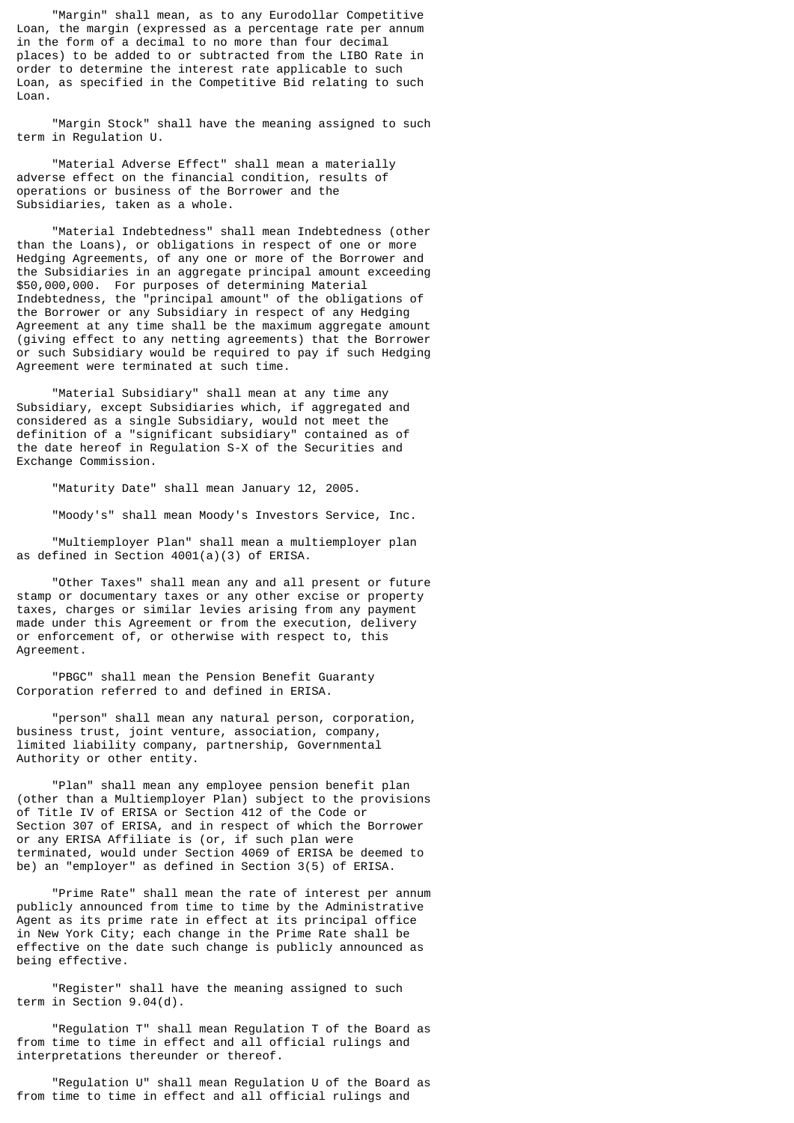"Margin" shall mean, as to any Eurodollar Competitive Loan, the margin (expressed as a percentage rate per annum in the form of a decimal to no more than four decimal places) to be added to or subtracted from the LIBO Rate in order to determine the interest rate applicable to such Loan, as specified in the Competitive Bid relating to such Loan.

 "Margin Stock" shall have the meaning assigned to such term in Regulation U.

 "Material Adverse Effect" shall mean a materially adverse effect on the financial condition, results of operations or business of the Borrower and the Subsidiaries, taken as a whole.

 "Material Indebtedness" shall mean Indebtedness (other than the Loans), or obligations in respect of one or more Hedging Agreements, of any one or more of the Borrower and the Subsidiaries in an aggregate principal amount exceeding \$50,000,000. For purposes of determining Material Indebtedness, the "principal amount" of the obligations of the Borrower or any Subsidiary in respect of any Hedging Agreement at any time shall be the maximum aggregate amount (giving effect to any netting agreements) that the Borrower or such Subsidiary would be required to pay if such Hedging Agreement were terminated at such time.

 "Material Subsidiary" shall mean at any time any Subsidiary, except Subsidiaries which, if aggregated and considered as a single Subsidiary, would not meet the definition of a "significant subsidiary" contained as of the date hereof in Regulation S-X of the Securities and Exchange Commission.

"Maturity Date" shall mean January 12, 2005.

"Moody's" shall mean Moody's Investors Service, Inc.

 "Multiemployer Plan" shall mean a multiemployer plan as defined in Section 4001(a)(3) of ERISA.

 "Other Taxes" shall mean any and all present or future stamp or documentary taxes or any other excise or property taxes, charges or similar levies arising from any payment made under this Agreement or from the execution, delivery or enforcement of, or otherwise with respect to, this Agreement.

 "PBGC" shall mean the Pension Benefit Guaranty Corporation referred to and defined in ERISA.

 "person" shall mean any natural person, corporation, business trust, joint venture, association, company, limited liability company, partnership, Governmental Authority or other entity.

 "Plan" shall mean any employee pension benefit plan (other than a Multiemployer Plan) subject to the provisions of Title IV of ERISA or Section 412 of the Code or Section 307 of ERISA, and in respect of which the Borrower or any ERISA Affiliate is (or, if such plan were terminated, would under Section 4069 of ERISA be deemed to be) an "employer" as defined in Section 3(5) of ERISA.

 "Prime Rate" shall mean the rate of interest per annum publicly announced from time to time by the Administrative Agent as its prime rate in effect at its principal office in New York City; each change in the Prime Rate shall be effective on the date such change is publicly announced as being effective.

 "Register" shall have the meaning assigned to such term in Section 9.04(d).

 "Regulation T" shall mean Regulation T of the Board as from time to time in effect and all official rulings and interpretations thereunder or thereof.

 "Regulation U" shall mean Regulation U of the Board as from time to time in effect and all official rulings and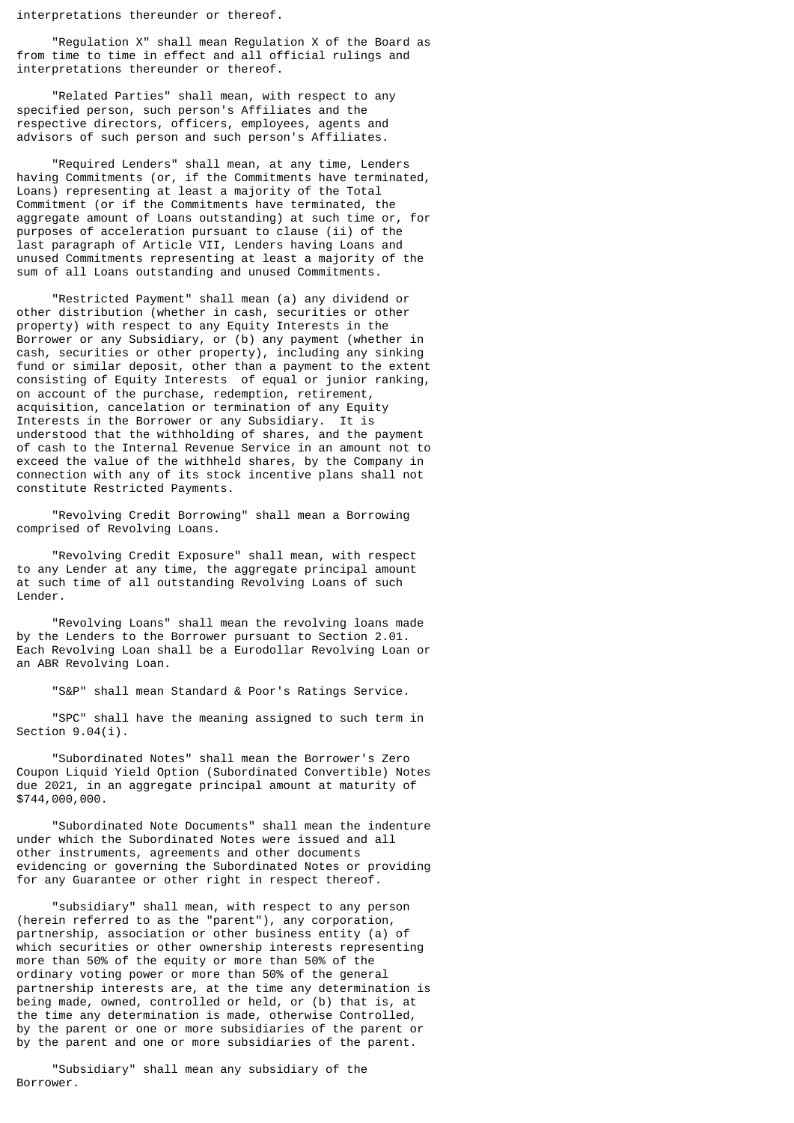#### interpretations thereunder or thereof.

 "Regulation X" shall mean Regulation X of the Board as from time to time in effect and all official rulings and interpretations thereunder or thereof.

 "Related Parties" shall mean, with respect to any specified person, such person's Affiliates and the respective directors, officers, employees, agents and advisors of such person and such person's Affiliates.

 "Required Lenders" shall mean, at any time, Lenders having Commitments (or, if the Commitments have terminated, Loans) representing at least a majority of the Total Commitment (or if the Commitments have terminated, the aggregate amount of Loans outstanding) at such time or, for purposes of acceleration pursuant to clause (ii) of the last paragraph of Article VII, Lenders having Loans and unused Commitments representing at least a majority of the sum of all Loans outstanding and unused Commitments.

 "Restricted Payment" shall mean (a) any dividend or other distribution (whether in cash, securities or other property) with respect to any Equity Interests in the Borrower or any Subsidiary, or (b) any payment (whether in cash, securities or other property), including any sinking fund or similar deposit, other than a payment to the extent consisting of Equity Interests of equal or junior ranking, on account of the purchase, redemption, retirement, acquisition, cancelation or termination of any Equity Interests in the Borrower or any Subsidiary. It is understood that the withholding of shares, and the payment of cash to the Internal Revenue Service in an amount not to exceed the value of the withheld shares, by the Company in connection with any of its stock incentive plans shall not constitute Restricted Payments.

 "Revolving Credit Borrowing" shall mean a Borrowing comprised of Revolving Loans.

 "Revolving Credit Exposure" shall mean, with respect to any Lender at any time, the aggregate principal amount at such time of all outstanding Revolving Loans of such Lender.

 "Revolving Loans" shall mean the revolving loans made by the Lenders to the Borrower pursuant to Section 2.01. Each Revolving Loan shall be a Eurodollar Revolving Loan or an ABR Revolving Loan.

"S&P" shall mean Standard & Poor's Ratings Service.

 "SPC" shall have the meaning assigned to such term in Section 9.04(i).

 "Subordinated Notes" shall mean the Borrower's Zero Coupon Liquid Yield Option (Subordinated Convertible) Notes due 2021, in an aggregate principal amount at maturity of \$744,000,000.

 "Subordinated Note Documents" shall mean the indenture under which the Subordinated Notes were issued and all other instruments, agreements and other documents evidencing or governing the Subordinated Notes or providing for any Guarantee or other right in respect thereof.

 "subsidiary" shall mean, with respect to any person (herein referred to as the "parent"), any corporation, partnership, association or other business entity (a) of which securities or other ownership interests representing more than 50% of the equity or more than 50% of the ordinary voting power or more than 50% of the general partnership interests are, at the time any determination is being made, owned, controlled or held, or (b) that is, at the time any determination is made, otherwise Controlled, by the parent or one or more subsidiaries of the parent or by the parent and one or more subsidiaries of the parent.

 "Subsidiary" shall mean any subsidiary of the Borrower.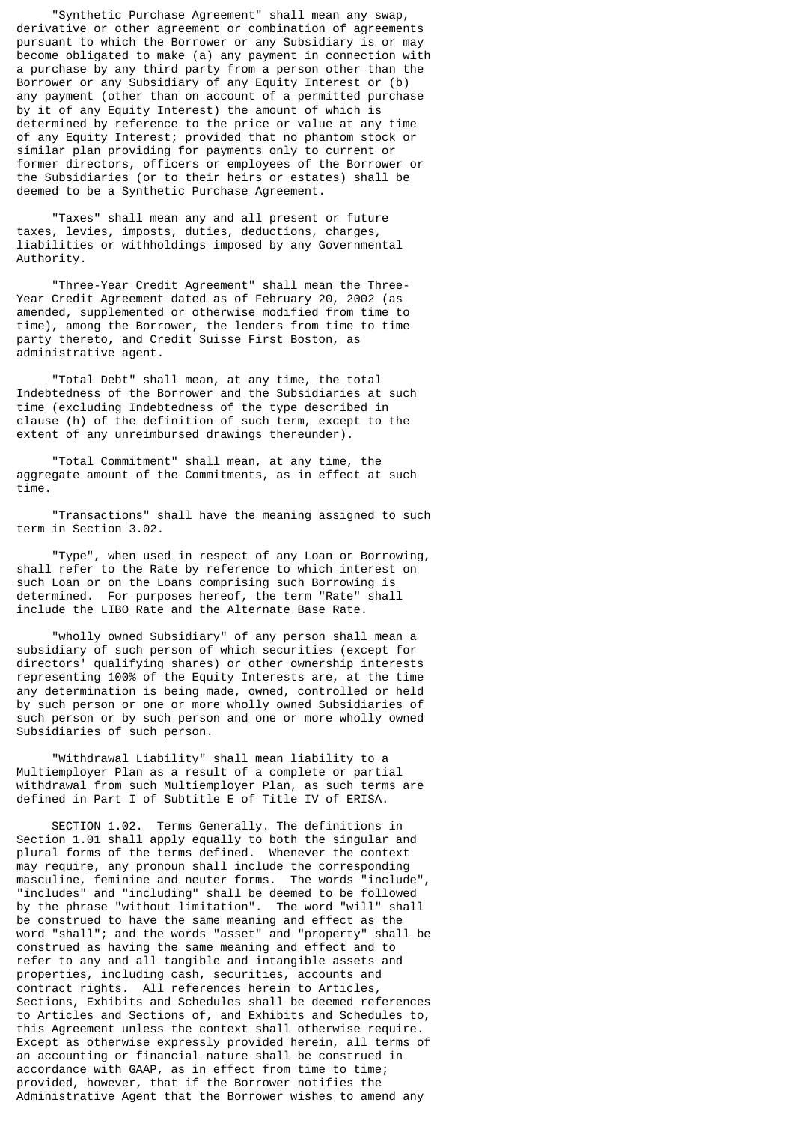"Synthetic Purchase Agreement" shall mean any swap, derivative or other agreement or combination of agreements pursuant to which the Borrower or any Subsidiary is or may become obligated to make (a) any payment in connection with a purchase by any third party from a person other than the Borrower or any Subsidiary of any Equity Interest or (b) any payment (other than on account of a permitted purchase by it of any Equity Interest) the amount of which is determined by reference to the price or value at any time of any Equity Interest; provided that no phantom stock or similar plan providing for payments only to current or former directors, officers or employees of the Borrower or the Subsidiaries (or to their heirs or estates) shall be deemed to be a Synthetic Purchase Agreement.

 "Taxes" shall mean any and all present or future taxes, levies, imposts, duties, deductions, charges, liabilities or withholdings imposed by any Governmental Authority.

 "Three-Year Credit Agreement" shall mean the Three-Year Credit Agreement dated as of February 20, 2002 (as amended, supplemented or otherwise modified from time to time), among the Borrower, the lenders from time to time party thereto, and Credit Suisse First Boston, as administrative agent.

 "Total Debt" shall mean, at any time, the total Indebtedness of the Borrower and the Subsidiaries at such time (excluding Indebtedness of the type described in clause (h) of the definition of such term, except to the extent of any unreimbursed drawings thereunder).

 "Total Commitment" shall mean, at any time, the aggregate amount of the Commitments, as in effect at such time.

 "Transactions" shall have the meaning assigned to such term in Section 3.02.

 "Type", when used in respect of any Loan or Borrowing, shall refer to the Rate by reference to which interest on such Loan or on the Loans comprising such Borrowing is determined. For purposes hereof, the term "Rate" shall include the LIBO Rate and the Alternate Base Rate.

 "wholly owned Subsidiary" of any person shall mean a subsidiary of such person of which securities (except for directors' qualifying shares) or other ownership interests representing 100% of the Equity Interests are, at the time any determination is being made, owned, controlled or held by such person or one or more wholly owned Subsidiaries of such person or by such person and one or more wholly owned Subsidiaries of such person.

 "Withdrawal Liability" shall mean liability to a Multiemployer Plan as a result of a complete or partial withdrawal from such Multiemployer Plan, as such terms are defined in Part I of Subtitle E of Title IV of ERISA.

 SECTION 1.02. Terms Generally. The definitions in Section 1.01 shall apply equally to both the singular and plural forms of the terms defined. Whenever the context may require, any pronoun shall include the corresponding masculine, feminine and neuter forms. The words "include", "includes" and "including" shall be deemed to be followed by the phrase "without limitation". The word "will" shall be construed to have the same meaning and effect as the word "shall"; and the words "asset" and "property" shall be construed as having the same meaning and effect and to refer to any and all tangible and intangible assets and properties, including cash, securities, accounts and contract rights. All references herein to Articles, Sections, Exhibits and Schedules shall be deemed references to Articles and Sections of, and Exhibits and Schedules to, this Agreement unless the context shall otherwise require. Except as otherwise expressly provided herein, all terms of an accounting or financial nature shall be construed in accordance with GAAP, as in effect from time to time; provided, however, that if the Borrower notifies the Administrative Agent that the Borrower wishes to amend any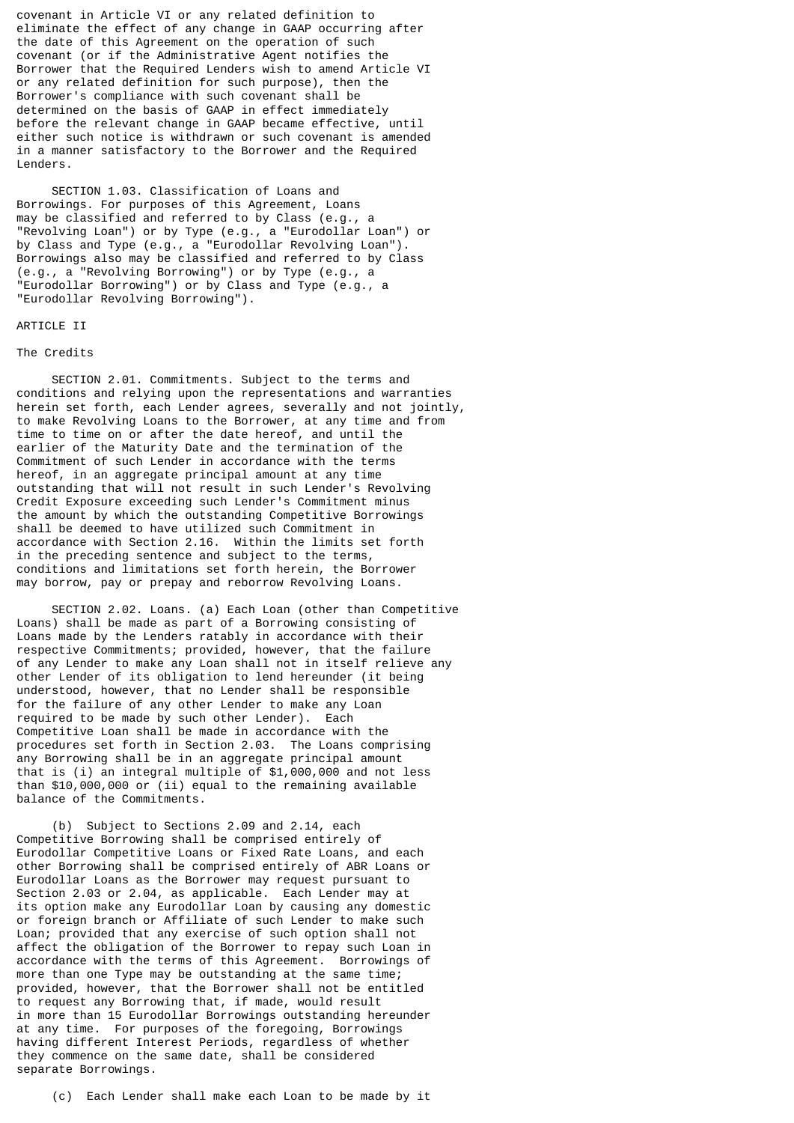covenant in Article VI or any related definition to eliminate the effect of any change in GAAP occurring after the date of this Agreement on the operation of such covenant (or if the Administrative Agent notifies the Borrower that the Required Lenders wish to amend Article VI or any related definition for such purpose), then the Borrower's compliance with such covenant shall be determined on the basis of GAAP in effect immediately before the relevant change in GAAP became effective, until either such notice is withdrawn or such covenant is amended in a manner satisfactory to the Borrower and the Required Lenders.

 SECTION 1.03. Classification of Loans and Borrowings. For purposes of this Agreement, Loans may be classified and referred to by Class (e.g., a "Revolving Loan") or by Type (e.g., a "Eurodollar Loan") or by Class and Type (e.g., a "Eurodollar Revolving Loan"). Borrowings also may be classified and referred to by Class (e.g., a "Revolving Borrowing") or by Type (e.g., a "Eurodollar Borrowing") or by Class and Type (e.g., a "Eurodollar Revolving Borrowing").

#### ARTICLE II

#### The Credits

 SECTION 2.01. Commitments. Subject to the terms and conditions and relying upon the representations and warranties herein set forth, each Lender agrees, severally and not jointly, to make Revolving Loans to the Borrower, at any time and from time to time on or after the date hereof, and until the earlier of the Maturity Date and the termination of the Commitment of such Lender in accordance with the terms hereof, in an aggregate principal amount at any time outstanding that will not result in such Lender's Revolving Credit Exposure exceeding such Lender's Commitment minus the amount by which the outstanding Competitive Borrowings shall be deemed to have utilized such Commitment in accordance with Section 2.16. Within the limits set forth in the preceding sentence and subject to the terms, conditions and limitations set forth herein, the Borrower may borrow, pay or prepay and reborrow Revolving Loans.

 SECTION 2.02. Loans. (a) Each Loan (other than Competitive Loans) shall be made as part of a Borrowing consisting of Loans made by the Lenders ratably in accordance with their respective Commitments; provided, however, that the failure of any Lender to make any Loan shall not in itself relieve any other Lender of its obligation to lend hereunder (it being understood, however, that no Lender shall be responsible for the failure of any other Lender to make any Loan required to be made by such other Lender). Each Competitive Loan shall be made in accordance with the procedures set forth in Section 2.03. The Loans comprising any Borrowing shall be in an aggregate principal amount that is (i) an integral multiple of \$1,000,000 and not less than \$10,000,000 or (ii) equal to the remaining available balance of the Commitments.

 (b) Subject to Sections 2.09 and 2.14, each Competitive Borrowing shall be comprised entirely of Eurodollar Competitive Loans or Fixed Rate Loans, and each other Borrowing shall be comprised entirely of ABR Loans or Eurodollar Loans as the Borrower may request pursuant to Section 2.03 or 2.04, as applicable. Each Lender may at its option make any Eurodollar Loan by causing any domestic or foreign branch or Affiliate of such Lender to make such Loan; provided that any exercise of such option shall not affect the obligation of the Borrower to repay such Loan in accordance with the terms of this Agreement. Borrowings of more than one Type may be outstanding at the same time; provided, however, that the Borrower shall not be entitled to request any Borrowing that, if made, would result in more than 15 Eurodollar Borrowings outstanding hereunder at any time. For purposes of the foregoing, Borrowings having different Interest Periods, regardless of whether they commence on the same date, shall be considered separate Borrowings.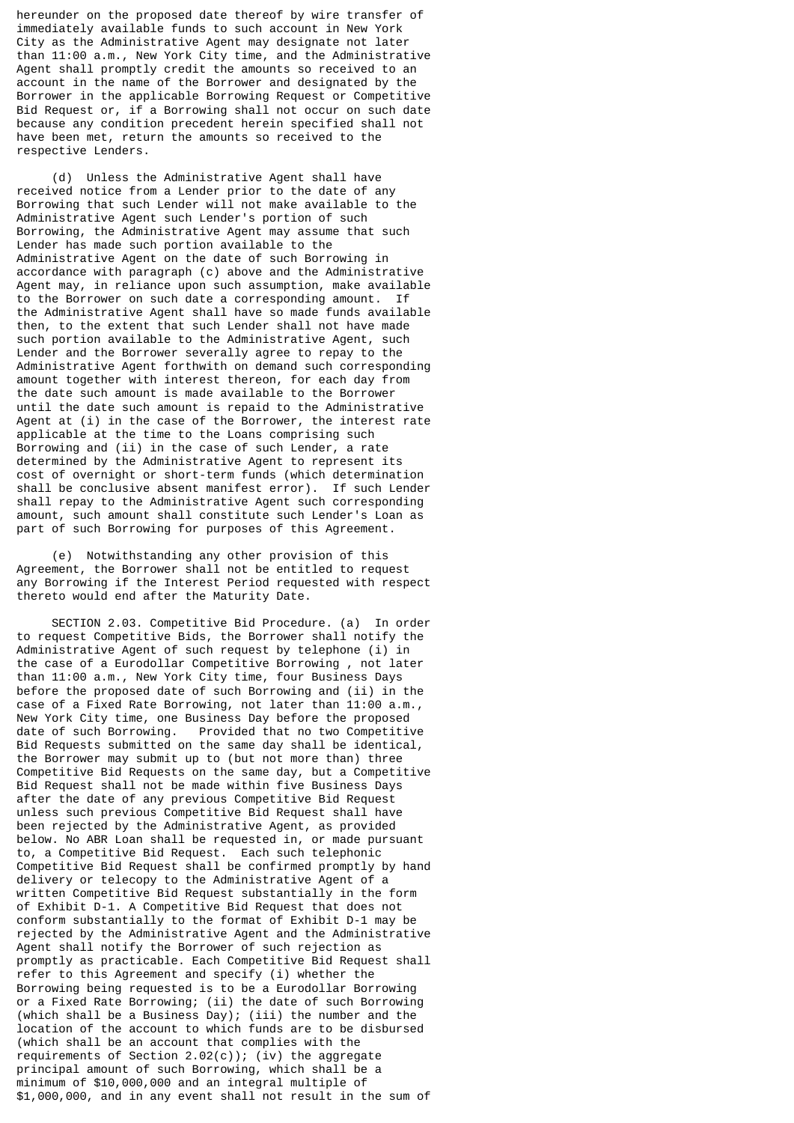hereunder on the proposed date thereof by wire transfer of immediately available funds to such account in New York City as the Administrative Agent may designate not later than 11:00 a.m., New York City time, and the Administrative Agent shall promptly credit the amounts so received to an account in the name of the Borrower and designated by the Borrower in the applicable Borrowing Request or Competitive Bid Request or, if a Borrowing shall not occur on such date because any condition precedent herein specified shall not have been met, return the amounts so received to the respective Lenders.

 (d) Unless the Administrative Agent shall have received notice from a Lender prior to the date of any Borrowing that such Lender will not make available to the Administrative Agent such Lender's portion of such Borrowing, the Administrative Agent may assume that such Lender has made such portion available to the Administrative Agent on the date of such Borrowing in accordance with paragraph (c) above and the Administrative Agent may, in reliance upon such assumption, make available to the Borrower on such date a corresponding amount. If the Administrative Agent shall have so made funds available then, to the extent that such Lender shall not have made such portion available to the Administrative Agent, such Lender and the Borrower severally agree to repay to the Administrative Agent forthwith on demand such corresponding amount together with interest thereon, for each day from the date such amount is made available to the Borrower until the date such amount is repaid to the Administrative Agent at (i) in the case of the Borrower, the interest rate applicable at the time to the Loans comprising such Borrowing and (ii) in the case of such Lender, a rate determined by the Administrative Agent to represent its cost of overnight or short-term funds (which determination shall be conclusive absent manifest error). If such Lender shall repay to the Administrative Agent such corresponding amount, such amount shall constitute such Lender's Loan as part of such Borrowing for purposes of this Agreement.

 (e) Notwithstanding any other provision of this Agreement, the Borrower shall not be entitled to request any Borrowing if the Interest Period requested with respect thereto would end after the Maturity Date.

 SECTION 2.03. Competitive Bid Procedure. (a) In order to request Competitive Bids, the Borrower shall notify the Administrative Agent of such request by telephone (i) in the case of a Eurodollar Competitive Borrowing , not later than 11:00 a.m., New York City time, four Business Days before the proposed date of such Borrowing and (ii) in the case of a Fixed Rate Borrowing, not later than 11:00 a.m., New York City time, one Business Day before the proposed date of such Borrowing. Provided that no two Competitive Bid Requests submitted on the same day shall be identical, the Borrower may submit up to (but not more than) three Competitive Bid Requests on the same day, but a Competitive Bid Request shall not be made within five Business Days after the date of any previous Competitive Bid Request unless such previous Competitive Bid Request shall have been rejected by the Administrative Agent, as provided below. No ABR Loan shall be requested in, or made pursuant to, a Competitive Bid Request. Each such telephonic Competitive Bid Request shall be confirmed promptly by hand delivery or telecopy to the Administrative Agent of a written Competitive Bid Request substantially in the form of Exhibit D-1. A Competitive Bid Request that does not conform substantially to the format of Exhibit D-1 may be rejected by the Administrative Agent and the Administrative Agent shall notify the Borrower of such rejection as promptly as practicable. Each Competitive Bid Request shall refer to this Agreement and specify (i) whether the Borrowing being requested is to be a Eurodollar Borrowing or a Fixed Rate Borrowing; (ii) the date of such Borrowing (which shall be a Business Day); (iii) the number and the location of the account to which funds are to be disbursed (which shall be an account that complies with the requirements of Section 2.02(c)); (iv) the aggregate principal amount of such Borrowing, which shall be a minimum of \$10,000,000 and an integral multiple of \$1,000,000, and in any event shall not result in the sum of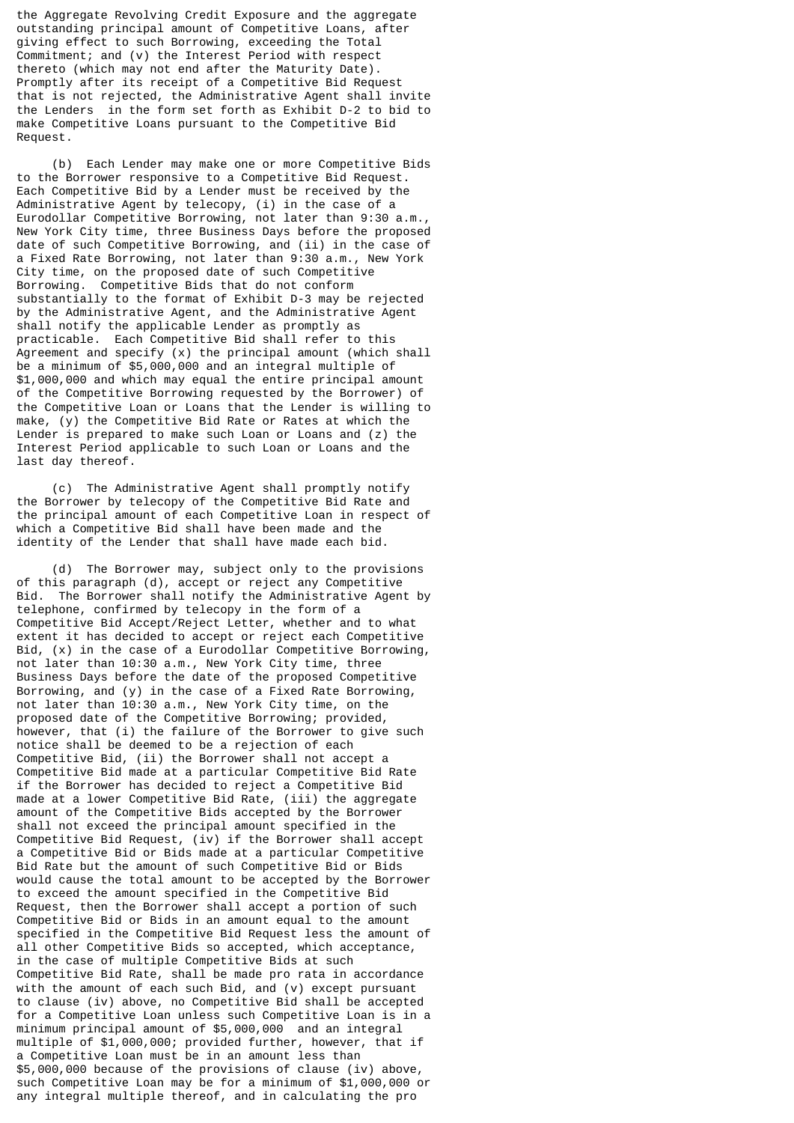the Aggregate Revolving Credit Exposure and the aggregate outstanding principal amount of Competitive Loans, after giving effect to such Borrowing, exceeding the Total Commitment; and (v) the Interest Period with respect thereto (which may not end after the Maturity Date). Promptly after its receipt of a Competitive Bid Request that is not rejected, the Administrative Agent shall invite the Lenders in the form set forth as Exhibit D-2 to bid to make Competitive Loans pursuant to the Competitive Bid Request.

 (b) Each Lender may make one or more Competitive Bids to the Borrower responsive to a Competitive Bid Request. Each Competitive Bid by a Lender must be received by the Administrative Agent by telecopy, (i) in the case of a Eurodollar Competitive Borrowing, not later than 9:30 a.m., New York City time, three Business Days before the proposed date of such Competitive Borrowing, and (ii) in the case of a Fixed Rate Borrowing, not later than 9:30 a.m., New York City time, on the proposed date of such Competitive Borrowing. Competitive Bids that do not conform substantially to the format of Exhibit D-3 may be rejected by the Administrative Agent, and the Administrative Agent shall notify the applicable Lender as promptly as practicable. Each Competitive Bid shall refer to this Agreement and specify (x) the principal amount (which shall be a minimum of \$5,000,000 and an integral multiple of \$1,000,000 and which may equal the entire principal amount of the Competitive Borrowing requested by the Borrower) of the Competitive Loan or Loans that the Lender is willing to make, (y) the Competitive Bid Rate or Rates at which the Lender is prepared to make such Loan or Loans and (z) the Interest Period applicable to such Loan or Loans and the last day thereof.

 (c) The Administrative Agent shall promptly notify the Borrower by telecopy of the Competitive Bid Rate and the principal amount of each Competitive Loan in respect of which a Competitive Bid shall have been made and the identity of the Lender that shall have made each bid.

 (d) The Borrower may, subject only to the provisions of this paragraph (d), accept or reject any Competitive Bid. The Borrower shall notify the Administrative Agent by telephone, confirmed by telecopy in the form of a Competitive Bid Accept/Reject Letter, whether and to what extent it has decided to accept or reject each Competitive Bid, (x) in the case of a Eurodollar Competitive Borrowing, not later than 10:30 a.m., New York City time, three Business Days before the date of the proposed Competitive Borrowing, and (y) in the case of a Fixed Rate Borrowing, not later than 10:30 a.m., New York City time, on the proposed date of the Competitive Borrowing; provided, however, that (i) the failure of the Borrower to give such notice shall be deemed to be a rejection of each Competitive Bid, (ii) the Borrower shall not accept a Competitive Bid made at a particular Competitive Bid Rate if the Borrower has decided to reject a Competitive Bid made at a lower Competitive Bid Rate, (iii) the aggregate amount of the Competitive Bids accepted by the Borrower shall not exceed the principal amount specified in the Competitive Bid Request, (iv) if the Borrower shall accept a Competitive Bid or Bids made at a particular Competitive Bid Rate but the amount of such Competitive Bid or Bids would cause the total amount to be accepted by the Borrower to exceed the amount specified in the Competitive Bid Request, then the Borrower shall accept a portion of such Competitive Bid or Bids in an amount equal to the amount specified in the Competitive Bid Request less the amount of all other Competitive Bids so accepted, which acceptance, in the case of multiple Competitive Bids at such Competitive Bid Rate, shall be made pro rata in accordance with the amount of each such Bid, and (v) except pursuant to clause (iv) above, no Competitive Bid shall be accepted for a Competitive Loan unless such Competitive Loan is in a minimum principal amount of \$5,000,000 and an integral multiple of \$1,000,000; provided further, however, that if a Competitive Loan must be in an amount less than \$5,000,000 because of the provisions of clause (iv) above, such Competitive Loan may be for a minimum of \$1,000,000 or any integral multiple thereof, and in calculating the pro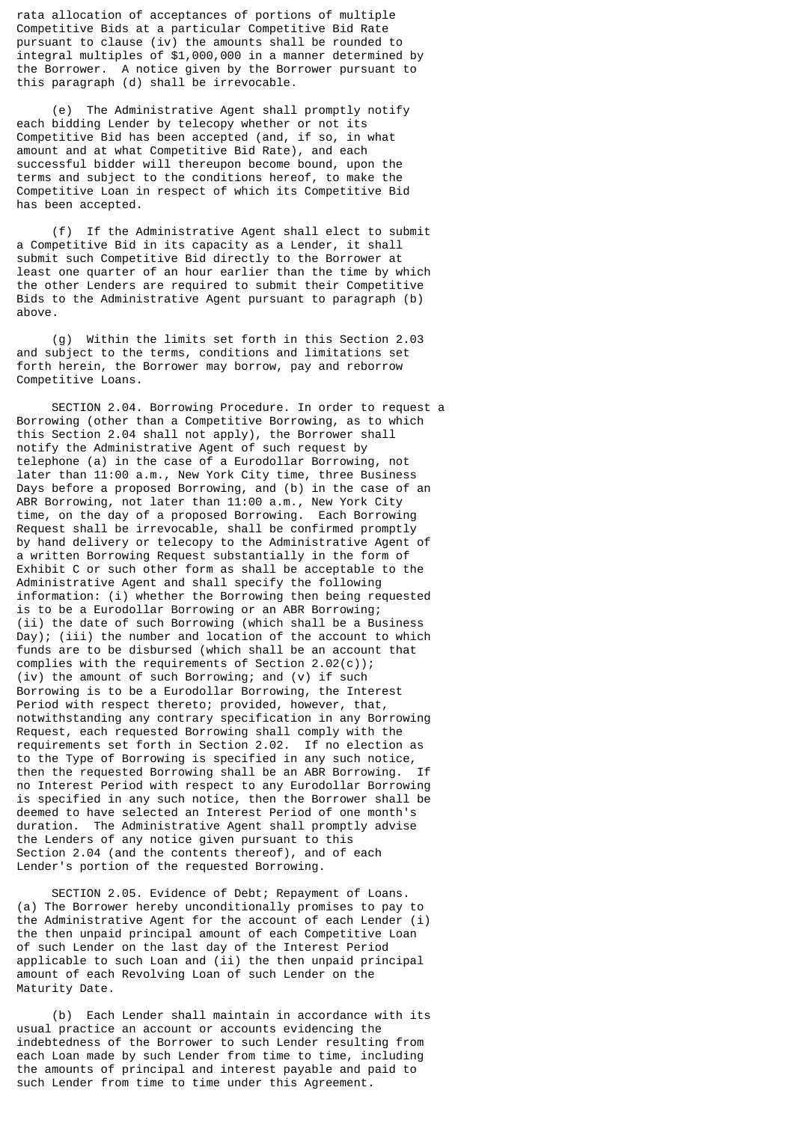rata allocation of acceptances of portions of multiple Competitive Bids at a particular Competitive Bid Rate pursuant to clause (iv) the amounts shall be rounded to integral multiples of \$1,000,000 in a manner determined by the Borrower. A notice given by the Borrower pursuant to this paragraph (d) shall be irrevocable.

 (e) The Administrative Agent shall promptly notify each bidding Lender by telecopy whether or not its Competitive Bid has been accepted (and, if so, in what amount and at what Competitive Bid Rate), and each successful bidder will thereupon become bound, upon the terms and subject to the conditions hereof, to make the Competitive Loan in respect of which its Competitive Bid has been accepted.

 (f) If the Administrative Agent shall elect to submit a Competitive Bid in its capacity as a Lender, it shall submit such Competitive Bid directly to the Borrower at least one quarter of an hour earlier than the time by which the other Lenders are required to submit their Competitive Bids to the Administrative Agent pursuant to paragraph (b) above.

 (g) Within the limits set forth in this Section 2.03 and subject to the terms, conditions and limitations set forth herein, the Borrower may borrow, pay and reborrow Competitive Loans.

 SECTION 2.04. Borrowing Procedure. In order to request a Borrowing (other than a Competitive Borrowing, as to which this Section 2.04 shall not apply), the Borrower shall notify the Administrative Agent of such request by telephone (a) in the case of a Eurodollar Borrowing, not later than 11:00 a.m., New York City time, three Business Days before a proposed Borrowing, and (b) in the case of an ABR Borrowing, not later than 11:00 a.m., New York City time, on the day of a proposed Borrowing. Each Borrowing Request shall be irrevocable, shall be confirmed promptly by hand delivery or telecopy to the Administrative Agent of a written Borrowing Request substantially in the form of Exhibit C or such other form as shall be acceptable to the Administrative Agent and shall specify the following information: (i) whether the Borrowing then being requested is to be a Eurodollar Borrowing or an ABR Borrowing; (ii) the date of such Borrowing (which shall be a Business Day); (iii) the number and location of the account to which funds are to be disbursed (which shall be an account that complies with the requirements of Section 2.02(c)); (iv) the amount of such Borrowing; and (v) if such Borrowing is to be a Eurodollar Borrowing, the Interest Period with respect thereto; provided, however, that, notwithstanding any contrary specification in any Borrowing Request, each requested Borrowing shall comply with the requirements set forth in Section 2.02. If no election as to the Type of Borrowing is specified in any such notice, then the requested Borrowing shall be an ABR Borrowing. If no Interest Period with respect to any Eurodollar Borrowing is specified in any such notice, then the Borrower shall be deemed to have selected an Interest Period of one month's duration. The Administrative Agent shall promptly advise the Lenders of any notice given pursuant to this Section 2.04 (and the contents thereof), and of each Lender's portion of the requested Borrowing.

 SECTION 2.05. Evidence of Debt; Repayment of Loans. (a) The Borrower hereby unconditionally promises to pay to the Administrative Agent for the account of each Lender (i) the then unpaid principal amount of each Competitive Loan of such Lender on the last day of the Interest Period applicable to such Loan and (ii) the then unpaid principal amount of each Revolving Loan of such Lender on the Maturity Date.

 (b) Each Lender shall maintain in accordance with its usual practice an account or accounts evidencing the indebtedness of the Borrower to such Lender resulting from each Loan made by such Lender from time to time, including the amounts of principal and interest payable and paid to such Lender from time to time under this Agreement.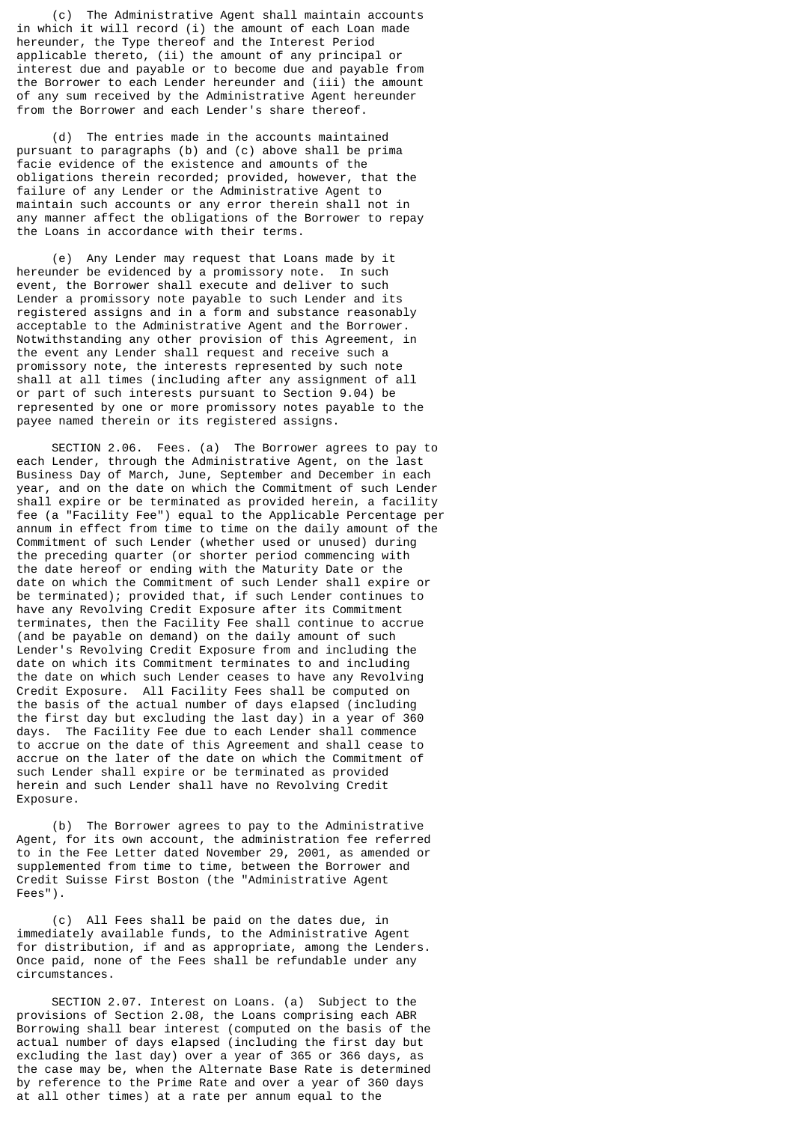(c) The Administrative Agent shall maintain accounts in which it will record (i) the amount of each Loan made hereunder, the Type thereof and the Interest Period applicable thereto, (ii) the amount of any principal or interest due and payable or to become due and payable from the Borrower to each Lender hereunder and (iii) the amount of any sum received by the Administrative Agent hereunder from the Borrower and each Lender's share thereof.

 (d) The entries made in the accounts maintained pursuant to paragraphs (b) and (c) above shall be prima facie evidence of the existence and amounts of the obligations therein recorded; provided, however, that the failure of any Lender or the Administrative Agent to maintain such accounts or any error therein shall not in any manner affect the obligations of the Borrower to repay the Loans in accordance with their terms.

 (e) Any Lender may request that Loans made by it hereunder be evidenced by a promissory note. In such event, the Borrower shall execute and deliver to such Lender a promissory note payable to such Lender and its registered assigns and in a form and substance reasonably acceptable to the Administrative Agent and the Borrower. Notwithstanding any other provision of this Agreement, in the event any Lender shall request and receive such a promissory note, the interests represented by such note shall at all times (including after any assignment of all or part of such interests pursuant to Section 9.04) be represented by one or more promissory notes payable to the payee named therein or its registered assigns.

 SECTION 2.06. Fees. (a) The Borrower agrees to pay to each Lender, through the Administrative Agent, on the last Business Day of March, June, September and December in each year, and on the date on which the Commitment of such Lender shall expire or be terminated as provided herein, a facility fee (a "Facility Fee") equal to the Applicable Percentage per annum in effect from time to time on the daily amount of the Commitment of such Lender (whether used or unused) during the preceding quarter (or shorter period commencing with the date hereof or ending with the Maturity Date or the date on which the Commitment of such Lender shall expire or be terminated); provided that, if such Lender continues to have any Revolving Credit Exposure after its Commitment terminates, then the Facility Fee shall continue to accrue (and be payable on demand) on the daily amount of such Lender's Revolving Credit Exposure from and including the date on which its Commitment terminates to and including the date on which such Lender ceases to have any Revolving Credit Exposure. All Facility Fees shall be computed on the basis of the actual number of days elapsed (including the first day but excluding the last day) in a year of 360 days. The Facility Fee due to each Lender shall commence to accrue on the date of this Agreement and shall cease to accrue on the later of the date on which the Commitment of such Lender shall expire or be terminated as provided herein and such Lender shall have no Revolving Credit Exposure.

 (b) The Borrower agrees to pay to the Administrative Agent, for its own account, the administration fee referred to in the Fee Letter dated November 29, 2001, as amended or supplemented from time to time, between the Borrower and Credit Suisse First Boston (the "Administrative Agent Fees").

 (c) All Fees shall be paid on the dates due, in immediately available funds, to the Administrative Agent for distribution, if and as appropriate, among the Lenders. Once paid, none of the Fees shall be refundable under any circumstances.

 SECTION 2.07. Interest on Loans. (a) Subject to the provisions of Section 2.08, the Loans comprising each ABR Borrowing shall bear interest (computed on the basis of the actual number of days elapsed (including the first day but excluding the last day) over a year of 365 or 366 days, as the case may be, when the Alternate Base Rate is determined by reference to the Prime Rate and over a year of 360 days at all other times) at a rate per annum equal to the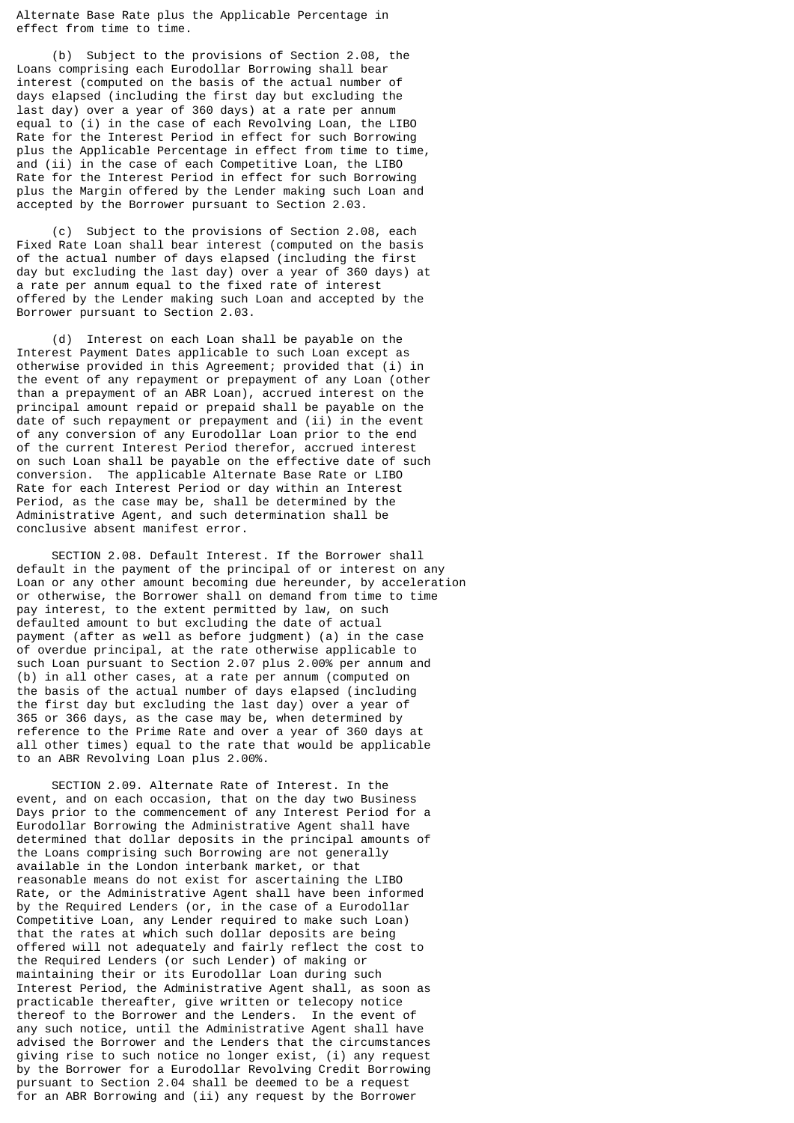Alternate Base Rate plus the Applicable Percentage in effect from time to time.

 (b) Subject to the provisions of Section 2.08, the Loans comprising each Eurodollar Borrowing shall bear interest (computed on the basis of the actual number of days elapsed (including the first day but excluding the last day) over a year of 360 days) at a rate per annum equal to (i) in the case of each Revolving Loan, the LIBO Rate for the Interest Period in effect for such Borrowing plus the Applicable Percentage in effect from time to time, and (ii) in the case of each Competitive Loan, the LIBO Rate for the Interest Period in effect for such Borrowing plus the Margin offered by the Lender making such Loan and accepted by the Borrower pursuant to Section 2.03.

 (c) Subject to the provisions of Section 2.08, each Fixed Rate Loan shall bear interest (computed on the basis of the actual number of days elapsed (including the first day but excluding the last day) over a year of 360 days) at a rate per annum equal to the fixed rate of interest offered by the Lender making such Loan and accepted by the Borrower pursuant to Section 2.03.

 (d) Interest on each Loan shall be payable on the Interest Payment Dates applicable to such Loan except as otherwise provided in this Agreement; provided that (i) in the event of any repayment or prepayment of any Loan (other than a prepayment of an ABR Loan), accrued interest on the principal amount repaid or prepaid shall be payable on the date of such repayment or prepayment and (ii) in the event of any conversion of any Eurodollar Loan prior to the end of the current Interest Period therefor, accrued interest on such Loan shall be payable on the effective date of such conversion. The applicable Alternate Base Rate or LIBO Rate for each Interest Period or day within an Interest Period, as the case may be, shall be determined by the Administrative Agent, and such determination shall be conclusive absent manifest error.

 SECTION 2.08. Default Interest. If the Borrower shall default in the payment of the principal of or interest on any Loan or any other amount becoming due hereunder, by acceleration or otherwise, the Borrower shall on demand from time to time pay interest, to the extent permitted by law, on such defaulted amount to but excluding the date of actual payment (after as well as before judgment) (a) in the case of overdue principal, at the rate otherwise applicable to such Loan pursuant to Section 2.07 plus 2.00% per annum and (b) in all other cases, at a rate per annum (computed on the basis of the actual number of days elapsed (including the first day but excluding the last day) over a year of 365 or 366 days, as the case may be, when determined by reference to the Prime Rate and over a year of 360 days at all other times) equal to the rate that would be applicable to an ABR Revolving Loan plus 2.00%.

 SECTION 2.09. Alternate Rate of Interest. In the event, and on each occasion, that on the day two Business Days prior to the commencement of any Interest Period for a Eurodollar Borrowing the Administrative Agent shall have determined that dollar deposits in the principal amounts of the Loans comprising such Borrowing are not generally available in the London interbank market, or that reasonable means do not exist for ascertaining the LIBO Rate, or the Administrative Agent shall have been informed by the Required Lenders (or, in the case of a Eurodollar Competitive Loan, any Lender required to make such Loan) that the rates at which such dollar deposits are being offered will not adequately and fairly reflect the cost to the Required Lenders (or such Lender) of making or maintaining their or its Eurodollar Loan during such Interest Period, the Administrative Agent shall, as soon as practicable thereafter, give written or telecopy notice thereof to the Borrower and the Lenders. In the event of any such notice, until the Administrative Agent shall have advised the Borrower and the Lenders that the circumstances giving rise to such notice no longer exist, (i) any request by the Borrower for a Eurodollar Revolving Credit Borrowing pursuant to Section 2.04 shall be deemed to be a request for an ABR Borrowing and (ii) any request by the Borrower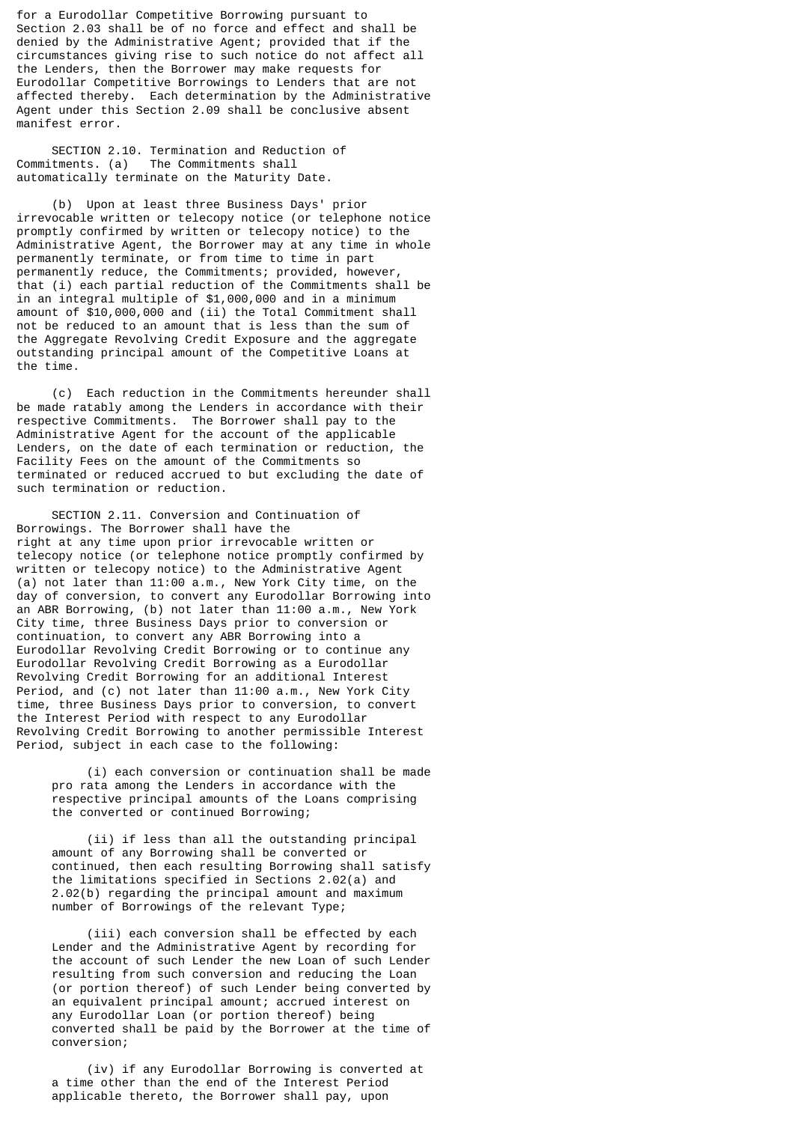for a Eurodollar Competitive Borrowing pursuant to Section 2.03 shall be of no force and effect and shall be denied by the Administrative Agent; provided that if the circumstances giving rise to such notice do not affect all the Lenders, then the Borrower may make requests for Eurodollar Competitive Borrowings to Lenders that are not affected thereby. Each determination by the Administrative Agent under this Section 2.09 shall be conclusive absent manifest error.

 SECTION 2.10. Termination and Reduction of Commitments. (a) The Commitments shall automatically terminate on the Maturity Date.

 (b) Upon at least three Business Days' prior irrevocable written or telecopy notice (or telephone notice promptly confirmed by written or telecopy notice) to the Administrative Agent, the Borrower may at any time in whole permanently terminate, or from time to time in part permanently reduce, the Commitments; provided, however, that (i) each partial reduction of the Commitments shall be in an integral multiple of \$1,000,000 and in a minimum amount of \$10,000,000 and (ii) the Total Commitment shall not be reduced to an amount that is less than the sum of the Aggregate Revolving Credit Exposure and the aggregate outstanding principal amount of the Competitive Loans at the time.

 (c) Each reduction in the Commitments hereunder shall be made ratably among the Lenders in accordance with their respective Commitments. The Borrower shall pay to the Administrative Agent for the account of the applicable Lenders, on the date of each termination or reduction, the Facility Fees on the amount of the Commitments so terminated or reduced accrued to but excluding the date of such termination or reduction.

 SECTION 2.11. Conversion and Continuation of Borrowings. The Borrower shall have the right at any time upon prior irrevocable written or telecopy notice (or telephone notice promptly confirmed by written or telecopy notice) to the Administrative Agent (a) not later than 11:00 a.m., New York City time, on the day of conversion, to convert any Eurodollar Borrowing into an ABR Borrowing, (b) not later than 11:00 a.m., New York City time, three Business Days prior to conversion or continuation, to convert any ABR Borrowing into a Eurodollar Revolving Credit Borrowing or to continue any Eurodollar Revolving Credit Borrowing as a Eurodollar Revolving Credit Borrowing for an additional Interest Period, and (c) not later than 11:00 a.m., New York City time, three Business Days prior to conversion, to convert the Interest Period with respect to any Eurodollar Revolving Credit Borrowing to another permissible Interest Period, subject in each case to the following:

 (i) each conversion or continuation shall be made pro rata among the Lenders in accordance with the respective principal amounts of the Loans comprising the converted or continued Borrowing;

 (ii) if less than all the outstanding principal amount of any Borrowing shall be converted or continued, then each resulting Borrowing shall satisfy the limitations specified in Sections 2.02(a) and 2.02(b) regarding the principal amount and maximum number of Borrowings of the relevant Type;

 (iii) each conversion shall be effected by each Lender and the Administrative Agent by recording for the account of such Lender the new Loan of such Lender resulting from such conversion and reducing the Loan (or portion thereof) of such Lender being converted by an equivalent principal amount; accrued interest on any Eurodollar Loan (or portion thereof) being converted shall be paid by the Borrower at the time of conversion;

 (iv) if any Eurodollar Borrowing is converted at a time other than the end of the Interest Period applicable thereto, the Borrower shall pay, upon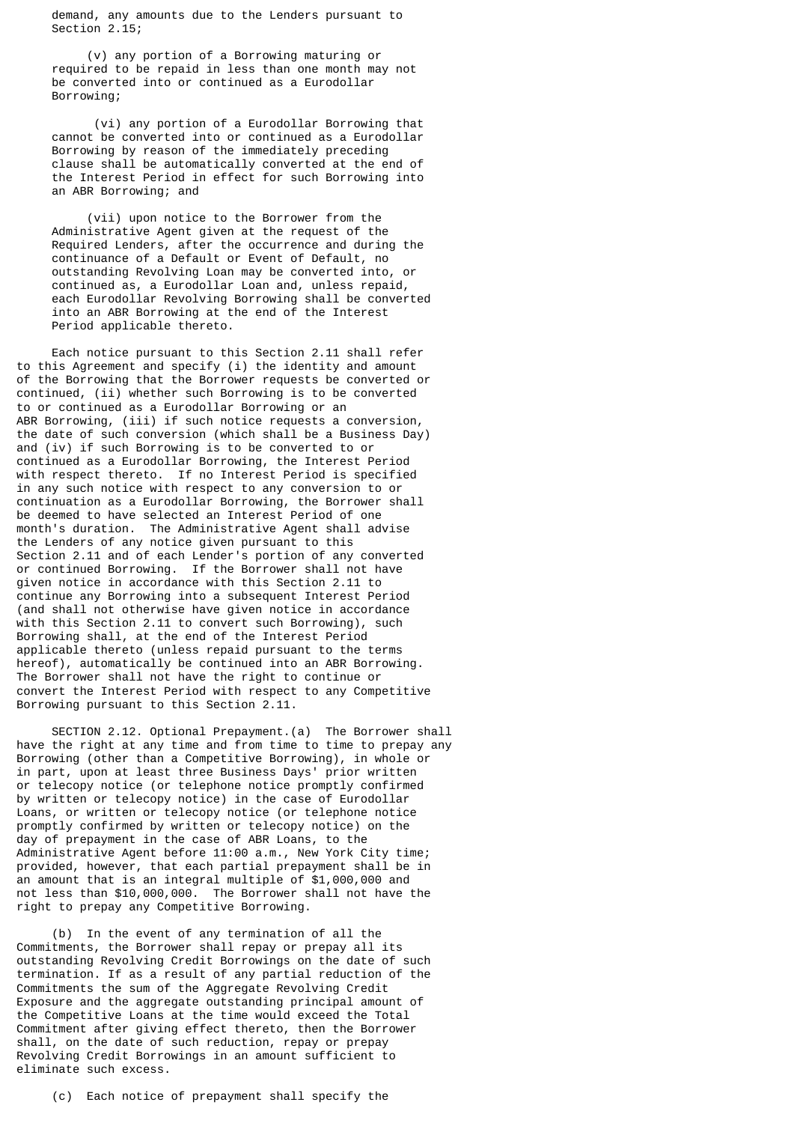demand, any amounts due to the Lenders pursuant to Section 2.15;

 (v) any portion of a Borrowing maturing or required to be repaid in less than one month may not be converted into or continued as a Eurodollar Borrowing;

 (vi) any portion of a Eurodollar Borrowing that cannot be converted into or continued as a Eurodollar Borrowing by reason of the immediately preceding clause shall be automatically converted at the end of the Interest Period in effect for such Borrowing into an ABR Borrowing; and

 (vii) upon notice to the Borrower from the Administrative Agent given at the request of the Required Lenders, after the occurrence and during the continuance of a Default or Event of Default, no outstanding Revolving Loan may be converted into, or continued as, a Eurodollar Loan and, unless repaid, each Eurodollar Revolving Borrowing shall be converted into an ABR Borrowing at the end of the Interest Period applicable thereto.

 Each notice pursuant to this Section 2.11 shall refer to this Agreement and specify (i) the identity and amount of the Borrowing that the Borrower requests be converted or continued, (ii) whether such Borrowing is to be converted to or continued as a Eurodollar Borrowing or an ABR Borrowing, (iii) if such notice requests a conversion, the date of such conversion (which shall be a Business Day) and (iv) if such Borrowing is to be converted to or continued as a Eurodollar Borrowing, the Interest Period with respect thereto. If no Interest Period is specified in any such notice with respect to any conversion to or continuation as a Eurodollar Borrowing, the Borrower shall be deemed to have selected an Interest Period of one month's duration. The Administrative Agent shall advise the Lenders of any notice given pursuant to this Section 2.11 and of each Lender's portion of any converted or continued Borrowing. If the Borrower shall not have given notice in accordance with this Section 2.11 to continue any Borrowing into a subsequent Interest Period (and shall not otherwise have given notice in accordance with this Section 2.11 to convert such Borrowing), such Borrowing shall, at the end of the Interest Period applicable thereto (unless repaid pursuant to the terms hereof), automatically be continued into an ABR Borrowing. The Borrower shall not have the right to continue or convert the Interest Period with respect to any Competitive Borrowing pursuant to this Section 2.11.

 SECTION 2.12. Optional Prepayment.(a) The Borrower shall have the right at any time and from time to time to prepay any Borrowing (other than a Competitive Borrowing), in whole or in part, upon at least three Business Days' prior written or telecopy notice (or telephone notice promptly confirmed by written or telecopy notice) in the case of Eurodollar Loans, or written or telecopy notice (or telephone notice promptly confirmed by written or telecopy notice) on the day of prepayment in the case of ABR Loans, to the Administrative Agent before 11:00 a.m., New York City time; provided, however, that each partial prepayment shall be in an amount that is an integral multiple of \$1,000,000 and not less than \$10,000,000. The Borrower shall not have the right to prepay any Competitive Borrowing.

 (b) In the event of any termination of all the Commitments, the Borrower shall repay or prepay all its outstanding Revolving Credit Borrowings on the date of such termination. If as a result of any partial reduction of the Commitments the sum of the Aggregate Revolving Credit Exposure and the aggregate outstanding principal amount of the Competitive Loans at the time would exceed the Total Commitment after giving effect thereto, then the Borrower shall, on the date of such reduction, repay or prepay Revolving Credit Borrowings in an amount sufficient to eliminate such excess.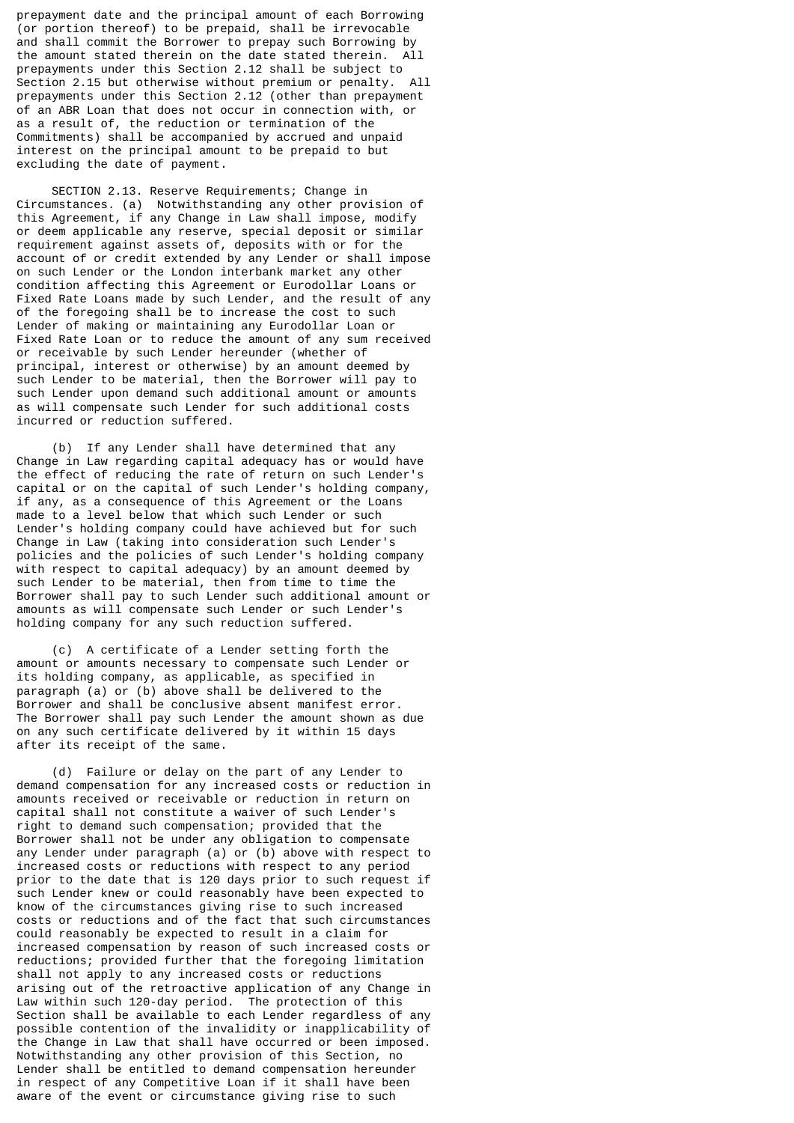prepayment date and the principal amount of each Borrowing (or portion thereof) to be prepaid, shall be irrevocable and shall commit the Borrower to prepay such Borrowing by the amount stated therein on the date stated therein. All prepayments under this Section 2.12 shall be subject to Section 2.15 but otherwise without premium or penalty. All prepayments under this Section 2.12 (other than prepayment of an ABR Loan that does not occur in connection with, or as a result of, the reduction or termination of the Commitments) shall be accompanied by accrued and unpaid interest on the principal amount to be prepaid to but excluding the date of payment.

 SECTION 2.13. Reserve Requirements; Change in Circumstances. (a) Notwithstanding any other provision of this Agreement, if any Change in Law shall impose, modify or deem applicable any reserve, special deposit or similar requirement against assets of, deposits with or for the account of or credit extended by any Lender or shall impose on such Lender or the London interbank market any other condition affecting this Agreement or Eurodollar Loans or Fixed Rate Loans made by such Lender, and the result of any of the foregoing shall be to increase the cost to such Lender of making or maintaining any Eurodollar Loan or Fixed Rate Loan or to reduce the amount of any sum received or receivable by such Lender hereunder (whether of principal, interest or otherwise) by an amount deemed by such Lender to be material, then the Borrower will pay to such Lender upon demand such additional amount or amounts as will compensate such Lender for such additional costs incurred or reduction suffered.

 (b) If any Lender shall have determined that any Change in Law regarding capital adequacy has or would have the effect of reducing the rate of return on such Lender's capital or on the capital of such Lender's holding company, if any, as a consequence of this Agreement or the Loans made to a level below that which such Lender or such Lender's holding company could have achieved but for such Change in Law (taking into consideration such Lender's policies and the policies of such Lender's holding company with respect to capital adequacy) by an amount deemed by such Lender to be material, then from time to time the Borrower shall pay to such Lender such additional amount or amounts as will compensate such Lender or such Lender's holding company for any such reduction suffered.

 (c) A certificate of a Lender setting forth the amount or amounts necessary to compensate such Lender or its holding company, as applicable, as specified in paragraph (a) or (b) above shall be delivered to the Borrower and shall be conclusive absent manifest error. The Borrower shall pay such Lender the amount shown as due on any such certificate delivered by it within 15 days after its receipt of the same.

 (d) Failure or delay on the part of any Lender to demand compensation for any increased costs or reduction in amounts received or receivable or reduction in return on capital shall not constitute a waiver of such Lender's right to demand such compensation; provided that the Borrower shall not be under any obligation to compensate any Lender under paragraph (a) or (b) above with respect to increased costs or reductions with respect to any period prior to the date that is 120 days prior to such request if such Lender knew or could reasonably have been expected to know of the circumstances giving rise to such increased costs or reductions and of the fact that such circumstances could reasonably be expected to result in a claim for increased compensation by reason of such increased costs or reductions; provided further that the foregoing limitation shall not apply to any increased costs or reductions arising out of the retroactive application of any Change in Law within such 120-day period. The protection of this Section shall be available to each Lender regardless of any possible contention of the invalidity or inapplicability of the Change in Law that shall have occurred or been imposed. Notwithstanding any other provision of this Section, no Lender shall be entitled to demand compensation hereunder in respect of any Competitive Loan if it shall have been aware of the event or circumstance giving rise to such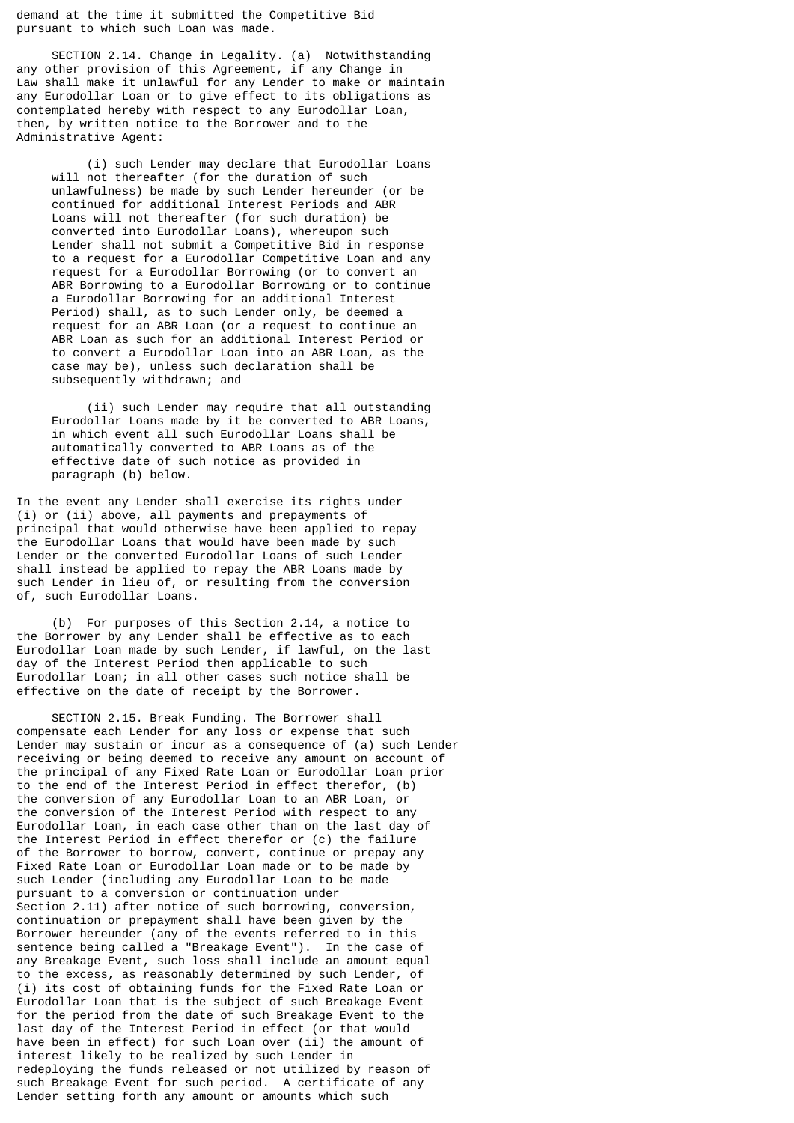demand at the time it submitted the Competitive Bid pursuant to which such Loan was made.

 SECTION 2.14. Change in Legality. (a) Notwithstanding any other provision of this Agreement, if any Change in Law shall make it unlawful for any Lender to make or maintain any Eurodollar Loan or to give effect to its obligations as contemplated hereby with respect to any Eurodollar Loan, then, by written notice to the Borrower and to the Administrative Agent:

 (i) such Lender may declare that Eurodollar Loans will not thereafter (for the duration of such unlawfulness) be made by such Lender hereunder (or be continued for additional Interest Periods and ABR Loans will not thereafter (for such duration) be converted into Eurodollar Loans), whereupon such Lender shall not submit a Competitive Bid in response to a request for a Eurodollar Competitive Loan and any request for a Eurodollar Borrowing (or to convert an ABR Borrowing to a Eurodollar Borrowing or to continue a Eurodollar Borrowing for an additional Interest Period) shall, as to such Lender only, be deemed a request for an ABR Loan (or a request to continue an ABR Loan as such for an additional Interest Period or to convert a Eurodollar Loan into an ABR Loan, as the case may be), unless such declaration shall be subsequently withdrawn; and

 (ii) such Lender may require that all outstanding Eurodollar Loans made by it be converted to ABR Loans, in which event all such Eurodollar Loans shall be automatically converted to ABR Loans as of the effective date of such notice as provided in paragraph (b) below.

In the event any Lender shall exercise its rights under (i) or (ii) above, all payments and prepayments of principal that would otherwise have been applied to repay the Eurodollar Loans that would have been made by such Lender or the converted Eurodollar Loans of such Lender shall instead be applied to repay the ABR Loans made by such Lender in lieu of, or resulting from the conversion of, such Eurodollar Loans.

 (b) For purposes of this Section 2.14, a notice to the Borrower by any Lender shall be effective as to each Eurodollar Loan made by such Lender, if lawful, on the last day of the Interest Period then applicable to such Eurodollar Loan; in all other cases such notice shall be effective on the date of receipt by the Borrower.

 SECTION 2.15. Break Funding. The Borrower shall compensate each Lender for any loss or expense that such Lender may sustain or incur as a consequence of (a) such Lender receiving or being deemed to receive any amount on account of the principal of any Fixed Rate Loan or Eurodollar Loan prior to the end of the Interest Period in effect therefor, (b) the conversion of any Eurodollar Loan to an ABR Loan, or the conversion of the Interest Period with respect to any Eurodollar Loan, in each case other than on the last day of the Interest Period in effect therefor or (c) the failure of the Borrower to borrow, convert, continue or prepay any Fixed Rate Loan or Eurodollar Loan made or to be made by such Lender (including any Eurodollar Loan to be made pursuant to a conversion or continuation under Section 2.11) after notice of such borrowing, conversion, continuation or prepayment shall have been given by the Borrower hereunder (any of the events referred to in this sentence being called a "Breakage Event"). In the case of any Breakage Event, such loss shall include an amount equal to the excess, as reasonably determined by such Lender, of (i) its cost of obtaining funds for the Fixed Rate Loan or Eurodollar Loan that is the subject of such Breakage Event for the period from the date of such Breakage Event to the last day of the Interest Period in effect (or that would have been in effect) for such Loan over (ii) the amount of interest likely to be realized by such Lender in redeploying the funds released or not utilized by reason of such Breakage Event for such period. A certificate of any Lender setting forth any amount or amounts which such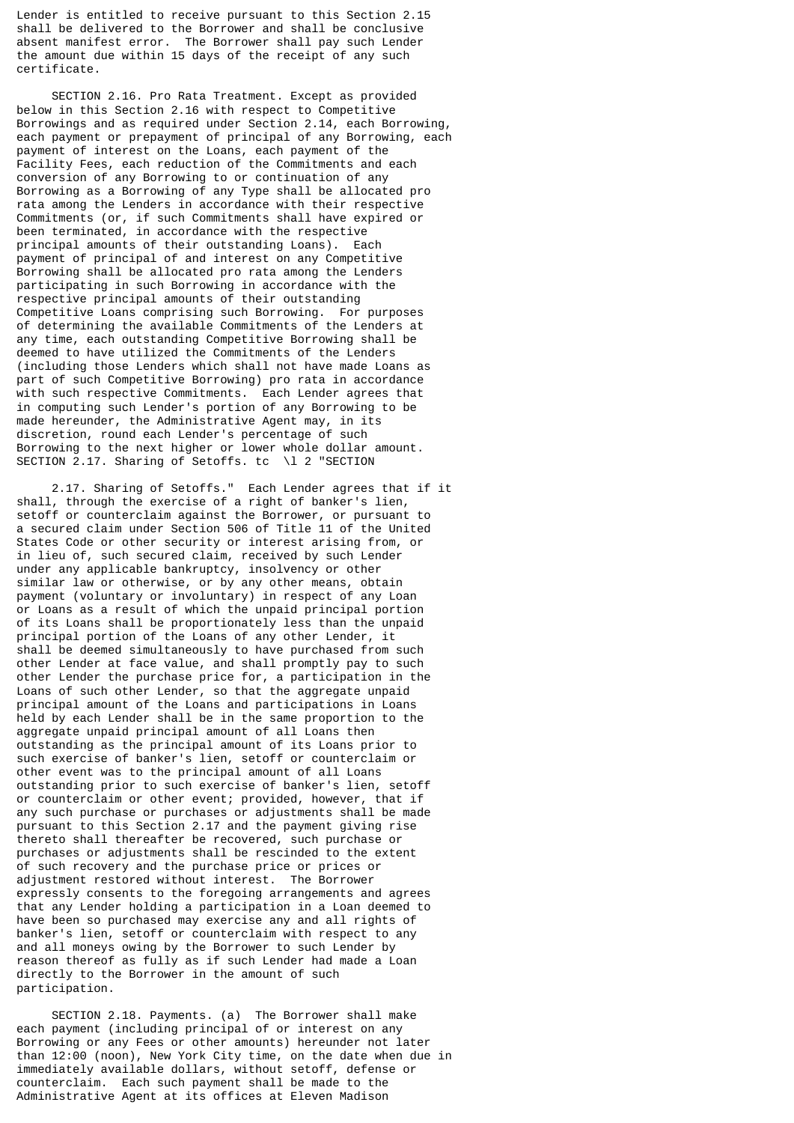Lender is entitled to receive pursuant to this Section 2.15 shall be delivered to the Borrower and shall be conclusive absent manifest error. The Borrower shall pay such Lender the amount due within 15 days of the receipt of any such certificate.

 SECTION 2.16. Pro Rata Treatment. Except as provided below in this Section 2.16 with respect to Competitive Borrowings and as required under Section 2.14, each Borrowing, each payment or prepayment of principal of any Borrowing, each payment of interest on the Loans, each payment of the Facility Fees, each reduction of the Commitments and each conversion of any Borrowing to or continuation of any Borrowing as a Borrowing of any Type shall be allocated pro rata among the Lenders in accordance with their respective Commitments (or, if such Commitments shall have expired or been terminated, in accordance with the respective principal amounts of their outstanding Loans). Each payment of principal of and interest on any Competitive Borrowing shall be allocated pro rata among the Lenders participating in such Borrowing in accordance with the respective principal amounts of their outstanding Competitive Loans comprising such Borrowing. For purposes of determining the available Commitments of the Lenders at any time, each outstanding Competitive Borrowing shall be deemed to have utilized the Commitments of the Lenders (including those Lenders which shall not have made Loans as part of such Competitive Borrowing) pro rata in accordance with such respective Commitments. Each Lender agrees that in computing such Lender's portion of any Borrowing to be made hereunder, the Administrative Agent may, in its discretion, round each Lender's percentage of such Borrowing to the next higher or lower whole dollar amount. SECTION 2.17. Sharing of Setoffs. tc \l 2 "SECTION

 2.17. Sharing of Setoffs." Each Lender agrees that if it shall, through the exercise of a right of banker's lien, setoff or counterclaim against the Borrower, or pursuant to a secured claim under Section 506 of Title 11 of the United States Code or other security or interest arising from, or in lieu of, such secured claim, received by such Lender under any applicable bankruptcy, insolvency or other similar law or otherwise, or by any other means, obtain payment (voluntary or involuntary) in respect of any Loan or Loans as a result of which the unpaid principal portion of its Loans shall be proportionately less than the unpaid principal portion of the Loans of any other Lender, it shall be deemed simultaneously to have purchased from such other Lender at face value, and shall promptly pay to such other Lender the purchase price for, a participation in the Loans of such other Lender, so that the aggregate unpaid principal amount of the Loans and participations in Loans held by each Lender shall be in the same proportion to the aggregate unpaid principal amount of all Loans then outstanding as the principal amount of its Loans prior to such exercise of banker's lien, setoff or counterclaim or other event was to the principal amount of all Loans outstanding prior to such exercise of banker's lien, setoff or counterclaim or other event; provided, however, that if any such purchase or purchases or adjustments shall be made pursuant to this Section 2.17 and the payment giving rise thereto shall thereafter be recovered, such purchase or purchases or adjustments shall be rescinded to the extent of such recovery and the purchase price or prices or adjustment restored without interest. The Borrower expressly consents to the foregoing arrangements and agrees that any Lender holding a participation in a Loan deemed to have been so purchased may exercise any and all rights of banker's lien, setoff or counterclaim with respect to any and all moneys owing by the Borrower to such Lender by reason thereof as fully as if such Lender had made a Loan directly to the Borrower in the amount of such participation.

 SECTION 2.18. Payments. (a) The Borrower shall make each payment (including principal of or interest on any Borrowing or any Fees or other amounts) hereunder not later than 12:00 (noon), New York City time, on the date when due in immediately available dollars, without setoff, defense or counterclaim. Each such payment shall be made to the Administrative Agent at its offices at Eleven Madison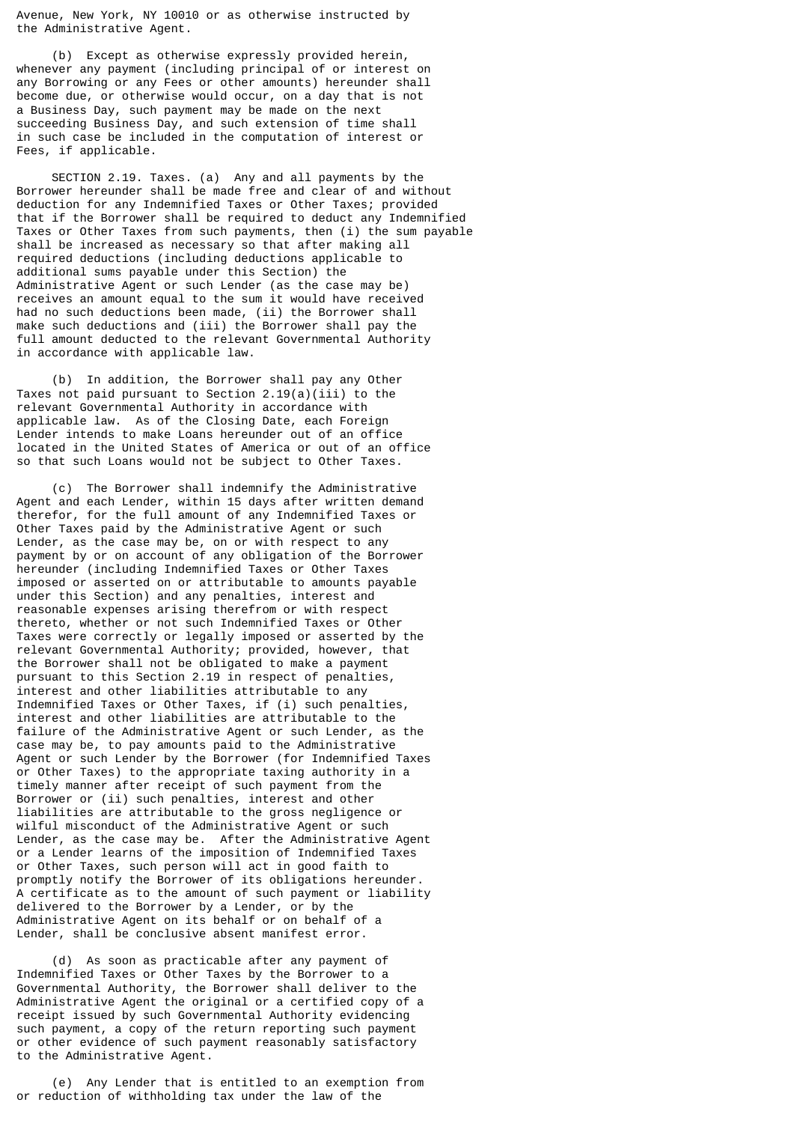Avenue, New York, NY 10010 or as otherwise instructed by the Administrative Agent.

 (b) Except as otherwise expressly provided herein, whenever any payment (including principal of or interest on any Borrowing or any Fees or other amounts) hereunder shall become due, or otherwise would occur, on a day that is not a Business Day, such payment may be made on the next succeeding Business Day, and such extension of time shall in such case be included in the computation of interest or Fees, if applicable.

 SECTION 2.19. Taxes. (a) Any and all payments by the Borrower hereunder shall be made free and clear of and without deduction for any Indemnified Taxes or Other Taxes; provided that if the Borrower shall be required to deduct any Indemnified Taxes or Other Taxes from such payments, then (i) the sum payable shall be increased as necessary so that after making all required deductions (including deductions applicable to additional sums payable under this Section) the Administrative Agent or such Lender (as the case may be) receives an amount equal to the sum it would have received had no such deductions been made, (ii) the Borrower shall make such deductions and (iii) the Borrower shall pay the full amount deducted to the relevant Governmental Authority in accordance with applicable law.

 (b) In addition, the Borrower shall pay any Other Taxes not paid pursuant to Section 2.19(a)(iii) to the relevant Governmental Authority in accordance with applicable law. As of the Closing Date, each Foreign Lender intends to make Loans hereunder out of an office located in the United States of America or out of an office so that such Loans would not be subject to Other Taxes.

 (c) The Borrower shall indemnify the Administrative Agent and each Lender, within 15 days after written demand therefor, for the full amount of any Indemnified Taxes or Other Taxes paid by the Administrative Agent or such Lender, as the case may be, on or with respect to any payment by or on account of any obligation of the Borrower hereunder (including Indemnified Taxes or Other Taxes imposed or asserted on or attributable to amounts payable under this Section) and any penalties, interest and reasonable expenses arising therefrom or with respect thereto, whether or not such Indemnified Taxes or Other Taxes were correctly or legally imposed or asserted by the relevant Governmental Authority; provided, however, that the Borrower shall not be obligated to make a payment pursuant to this Section 2.19 in respect of penalties, interest and other liabilities attributable to any Indemnified Taxes or Other Taxes, if (i) such penalties, interest and other liabilities are attributable to the failure of the Administrative Agent or such Lender, as the case may be, to pay amounts paid to the Administrative Agent or such Lender by the Borrower (for Indemnified Taxes or Other Taxes) to the appropriate taxing authority in a timely manner after receipt of such payment from the Borrower or (ii) such penalties, interest and other liabilities are attributable to the gross negligence or wilful misconduct of the Administrative Agent or such Lender, as the case may be. After the Administrative Agent or a Lender learns of the imposition of Indemnified Taxes or Other Taxes, such person will act in good faith to promptly notify the Borrower of its obligations hereunder. A certificate as to the amount of such payment or liability delivered to the Borrower by a Lender, or by the Administrative Agent on its behalf or on behalf of a Lender, shall be conclusive absent manifest error.

 (d) As soon as practicable after any payment of Indemnified Taxes or Other Taxes by the Borrower to a Governmental Authority, the Borrower shall deliver to the Administrative Agent the original or a certified copy of a receipt issued by such Governmental Authority evidencing such payment, a copy of the return reporting such payment or other evidence of such payment reasonably satisfactory to the Administrative Agent.

 (e) Any Lender that is entitled to an exemption from or reduction of withholding tax under the law of the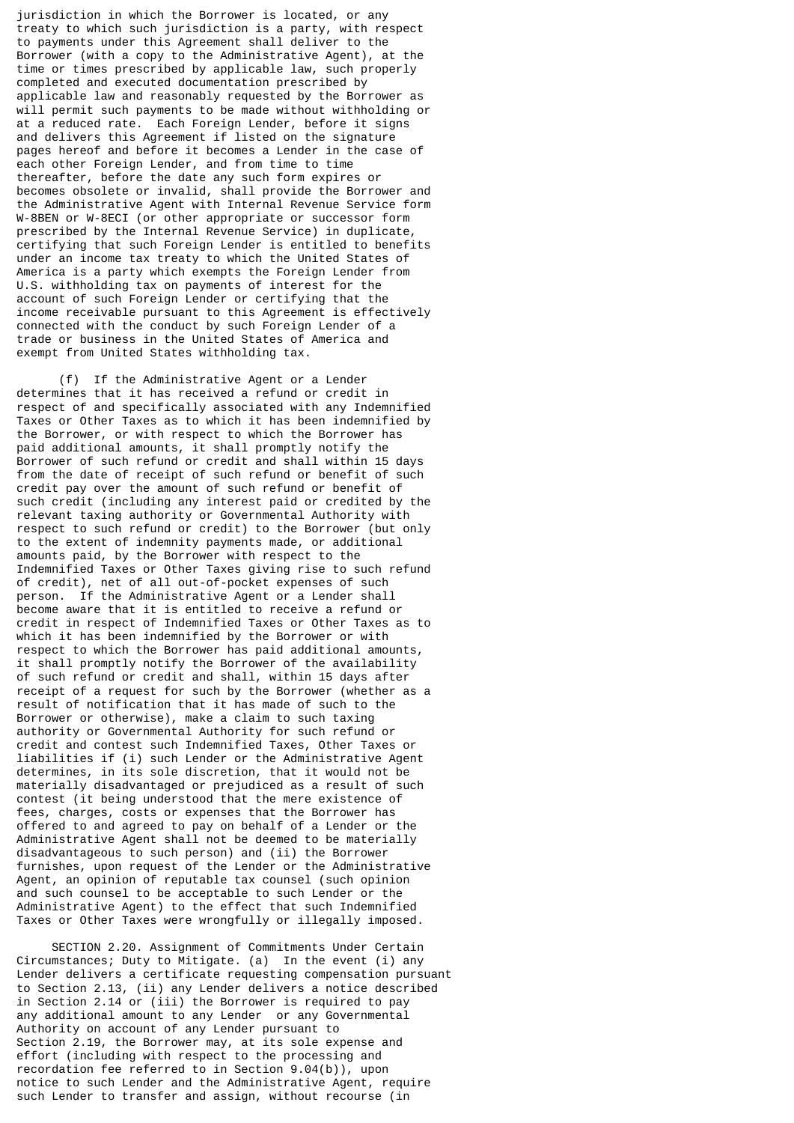jurisdiction in which the Borrower is located, or any treaty to which such jurisdiction is a party, with respect to payments under this Agreement shall deliver to the Borrower (with a copy to the Administrative Agent), at the time or times prescribed by applicable law, such properly completed and executed documentation prescribed by applicable law and reasonably requested by the Borrower as will permit such payments to be made without withholding or at a reduced rate. Each Foreign Lender, before it signs and delivers this Agreement if listed on the signature pages hereof and before it becomes a Lender in the case of each other Foreign Lender, and from time to time thereafter, before the date any such form expires or becomes obsolete or invalid, shall provide the Borrower and the Administrative Agent with Internal Revenue Service form W-8BEN or W-8ECI (or other appropriate or successor form prescribed by the Internal Revenue Service) in duplicate, certifying that such Foreign Lender is entitled to benefits under an income tax treaty to which the United States of America is a party which exempts the Foreign Lender from U.S. withholding tax on payments of interest for the account of such Foreign Lender or certifying that the income receivable pursuant to this Agreement is effectively connected with the conduct by such Foreign Lender of a trade or business in the United States of America and exempt from United States withholding tax.

 (f) If the Administrative Agent or a Lender determines that it has received a refund or credit in respect of and specifically associated with any Indemnified Taxes or Other Taxes as to which it has been indemnified by the Borrower, or with respect to which the Borrower has paid additional amounts, it shall promptly notify the Borrower of such refund or credit and shall within 15 days from the date of receipt of such refund or benefit of such credit pay over the amount of such refund or benefit of such credit (including any interest paid or credited by the relevant taxing authority or Governmental Authority with respect to such refund or credit) to the Borrower (but only to the extent of indemnity payments made, or additional amounts paid, by the Borrower with respect to the Indemnified Taxes or Other Taxes giving rise to such refund of credit), net of all out-of-pocket expenses of such person. If the Administrative Agent or a Lender shall become aware that it is entitled to receive a refund or credit in respect of Indemnified Taxes or Other Taxes as to which it has been indemnified by the Borrower or with respect to which the Borrower has paid additional amounts, it shall promptly notify the Borrower of the availability of such refund or credit and shall, within 15 days after receipt of a request for such by the Borrower (whether as a result of notification that it has made of such to the Borrower or otherwise), make a claim to such taxing authority or Governmental Authority for such refund or credit and contest such Indemnified Taxes, Other Taxes or liabilities if (i) such Lender or the Administrative Agent determines, in its sole discretion, that it would not be materially disadvantaged or prejudiced as a result of such contest (it being understood that the mere existence of fees, charges, costs or expenses that the Borrower has offered to and agreed to pay on behalf of a Lender or the Administrative Agent shall not be deemed to be materially disadvantageous to such person) and (ii) the Borrower furnishes, upon request of the Lender or the Administrative Agent, an opinion of reputable tax counsel (such opinion and such counsel to be acceptable to such Lender or the Administrative Agent) to the effect that such Indemnified Taxes or Other Taxes were wrongfully or illegally imposed.

 SECTION 2.20. Assignment of Commitments Under Certain Circumstances; Duty to Mitigate. (a) In the event (i) any Lender delivers a certificate requesting compensation pursuant to Section 2.13, (ii) any Lender delivers a notice described in Section 2.14 or (iii) the Borrower is required to pay any additional amount to any Lender or any Governmental Authority on account of any Lender pursuant to Section 2.19, the Borrower may, at its sole expense and effort (including with respect to the processing and recordation fee referred to in Section 9.04(b)), upon notice to such Lender and the Administrative Agent, require such Lender to transfer and assign, without recourse (in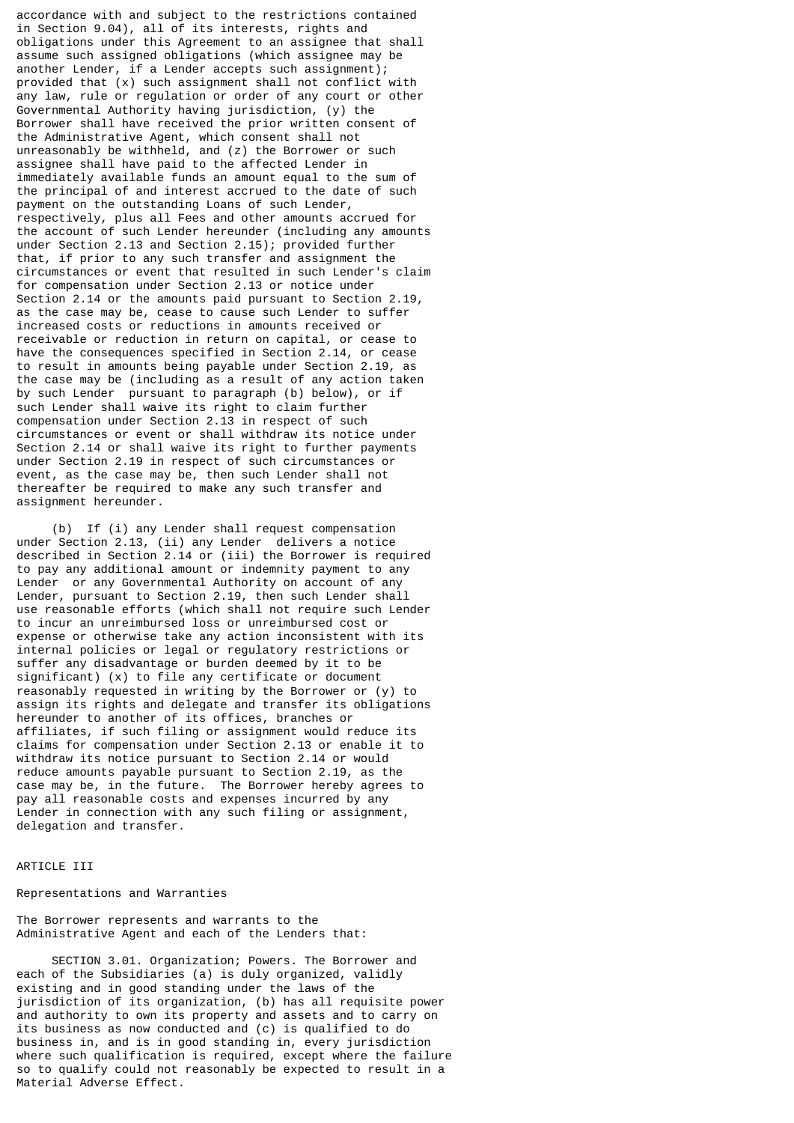accordance with and subject to the restrictions contained in Section 9.04), all of its interests, rights and obligations under this Agreement to an assignee that shall assume such assigned obligations (which assignee may be another Lender, if a Lender accepts such assignment); provided that (x) such assignment shall not conflict with any law, rule or regulation or order of any court or other Governmental Authority having jurisdiction, (y) the Borrower shall have received the prior written consent of the Administrative Agent, which consent shall not unreasonably be withheld, and (z) the Borrower or such assignee shall have paid to the affected Lender in immediately available funds an amount equal to the sum of the principal of and interest accrued to the date of such payment on the outstanding Loans of such Lender, respectively, plus all Fees and other amounts accrued for the account of such Lender hereunder (including any amounts under Section 2.13 and Section 2.15); provided further that, if prior to any such transfer and assignment the circumstances or event that resulted in such Lender's claim for compensation under Section 2.13 or notice under Section 2.14 or the amounts paid pursuant to Section 2.19, as the case may be, cease to cause such Lender to suffer increased costs or reductions in amounts received or receivable or reduction in return on capital, or cease to have the consequences specified in Section 2.14, or cease to result in amounts being payable under Section 2.19, as the case may be (including as a result of any action taken by such Lender pursuant to paragraph (b) below), or if such Lender shall waive its right to claim further compensation under Section 2.13 in respect of such circumstances or event or shall withdraw its notice under Section 2.14 or shall waive its right to further payments under Section 2.19 in respect of such circumstances or event, as the case may be, then such Lender shall not thereafter be required to make any such transfer and assignment hereunder.

 (b) If (i) any Lender shall request compensation under Section 2.13, (ii) any Lender delivers a notice described in Section 2.14 or (iii) the Borrower is required to pay any additional amount or indemnity payment to any Lender or any Governmental Authority on account of any Lender, pursuant to Section 2.19, then such Lender shall use reasonable efforts (which shall not require such Lender to incur an unreimbursed loss or unreimbursed cost or expense or otherwise take any action inconsistent with its internal policies or legal or regulatory restrictions or suffer any disadvantage or burden deemed by it to be significant) (x) to file any certificate or document reasonably requested in writing by the Borrower or (y) to assign its rights and delegate and transfer its obligations hereunder to another of its offices, branches or affiliates, if such filing or assignment would reduce its claims for compensation under Section 2.13 or enable it to withdraw its notice pursuant to Section 2.14 or would reduce amounts payable pursuant to Section 2.19, as the case may be, in the future. The Borrower hereby agrees to pay all reasonable costs and expenses incurred by any Lender in connection with any such filing or assignment, delegation and transfer.

## ARTICLE III

#### Representations and Warranties

The Borrower represents and warrants to the Administrative Agent and each of the Lenders that:

 SECTION 3.01. Organization; Powers. The Borrower and each of the Subsidiaries (a) is duly organized, validly existing and in good standing under the laws of the jurisdiction of its organization, (b) has all requisite power and authority to own its property and assets and to carry on its business as now conducted and (c) is qualified to do business in, and is in good standing in, every jurisdiction where such qualification is required, except where the failure so to qualify could not reasonably be expected to result in a Material Adverse Effect.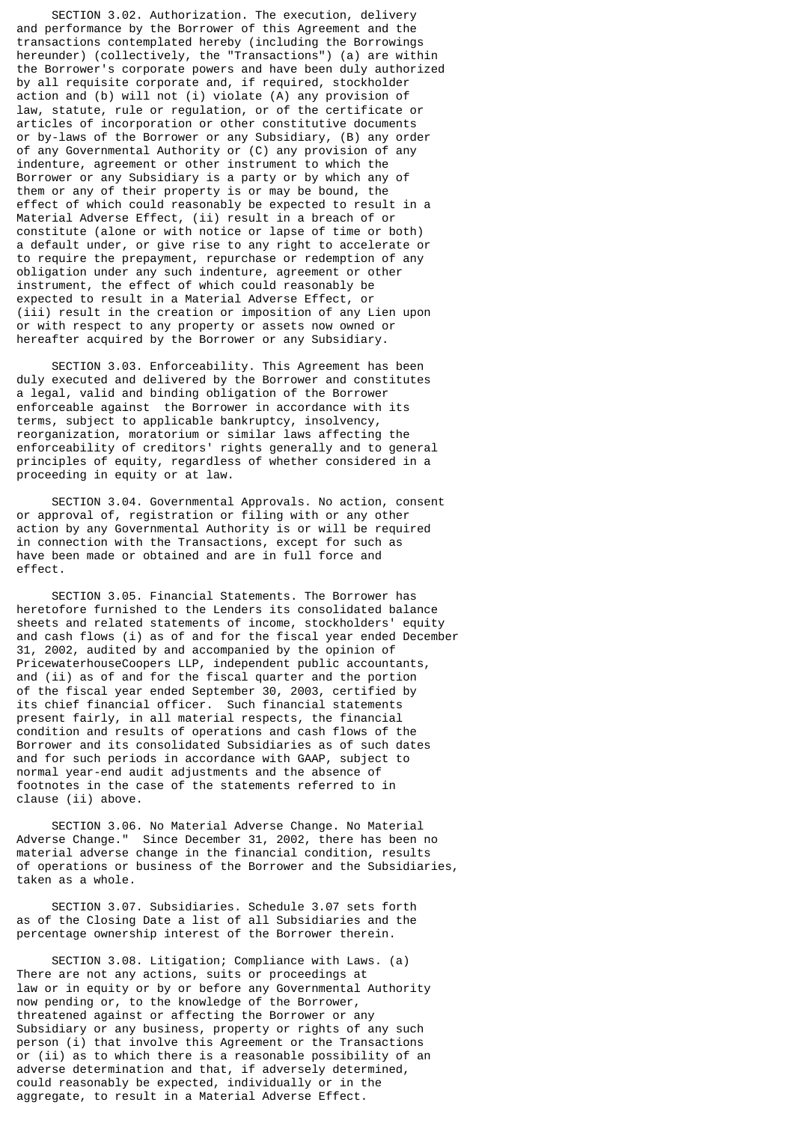SECTION 3.02. Authorization. The execution, delivery and performance by the Borrower of this Agreement and the transactions contemplated hereby (including the Borrowings hereunder) (collectively, the "Transactions") (a) are within the Borrower's corporate powers and have been duly authorized by all requisite corporate and, if required, stockholder action and (b) will not (i) violate (A) any provision of law, statute, rule or regulation, or of the certificate or articles of incorporation or other constitutive documents or by-laws of the Borrower or any Subsidiary, (B) any order of any Governmental Authority or (C) any provision of any indenture, agreement or other instrument to which the Borrower or any Subsidiary is a party or by which any of them or any of their property is or may be bound, the effect of which could reasonably be expected to result in a Material Adverse Effect, (ii) result in a breach of or constitute (alone or with notice or lapse of time or both) a default under, or give rise to any right to accelerate or to require the prepayment, repurchase or redemption of any obligation under any such indenture, agreement or other instrument, the effect of which could reasonably be expected to result in a Material Adverse Effect, or (iii) result in the creation or imposition of any Lien upon or with respect to any property or assets now owned or hereafter acquired by the Borrower or any Subsidiary.

 SECTION 3.03. Enforceability. This Agreement has been duly executed and delivered by the Borrower and constitutes a legal, valid and binding obligation of the Borrower enforceable against the Borrower in accordance with its terms, subject to applicable bankruptcy, insolvency, reorganization, moratorium or similar laws affecting the enforceability of creditors' rights generally and to general principles of equity, regardless of whether considered in a proceeding in equity or at law.

 SECTION 3.04. Governmental Approvals. No action, consent or approval of, registration or filing with or any other action by any Governmental Authority is or will be required in connection with the Transactions, except for such as have been made or obtained and are in full force and effect.

 SECTION 3.05. Financial Statements. The Borrower has heretofore furnished to the Lenders its consolidated balance sheets and related statements of income, stockholders' equity and cash flows (i) as of and for the fiscal year ended December 31, 2002, audited by and accompanied by the opinion of PricewaterhouseCoopers LLP, independent public accountants, and (ii) as of and for the fiscal quarter and the portion of the fiscal year ended September 30, 2003, certified by its chief financial officer. Such financial statements present fairly, in all material respects, the financial condition and results of operations and cash flows of the Borrower and its consolidated Subsidiaries as of such dates and for such periods in accordance with GAAP, subject to normal year-end audit adjustments and the absence of footnotes in the case of the statements referred to in clause (ii) above.

 SECTION 3.06. No Material Adverse Change. No Material Adverse Change." Since December 31, 2002, there has been no material adverse change in the financial condition, results of operations or business of the Borrower and the Subsidiaries, taken as a whole.

 SECTION 3.07. Subsidiaries. Schedule 3.07 sets forth as of the Closing Date a list of all Subsidiaries and the percentage ownership interest of the Borrower therein.

 SECTION 3.08. Litigation; Compliance with Laws. (a) There are not any actions, suits or proceedings at law or in equity or by or before any Governmental Authority now pending or, to the knowledge of the Borrower, threatened against or affecting the Borrower or any Subsidiary or any business, property or rights of any such person (i) that involve this Agreement or the Transactions or (ii) as to which there is a reasonable possibility of an adverse determination and that, if adversely determined, could reasonably be expected, individually or in the aggregate, to result in a Material Adverse Effect.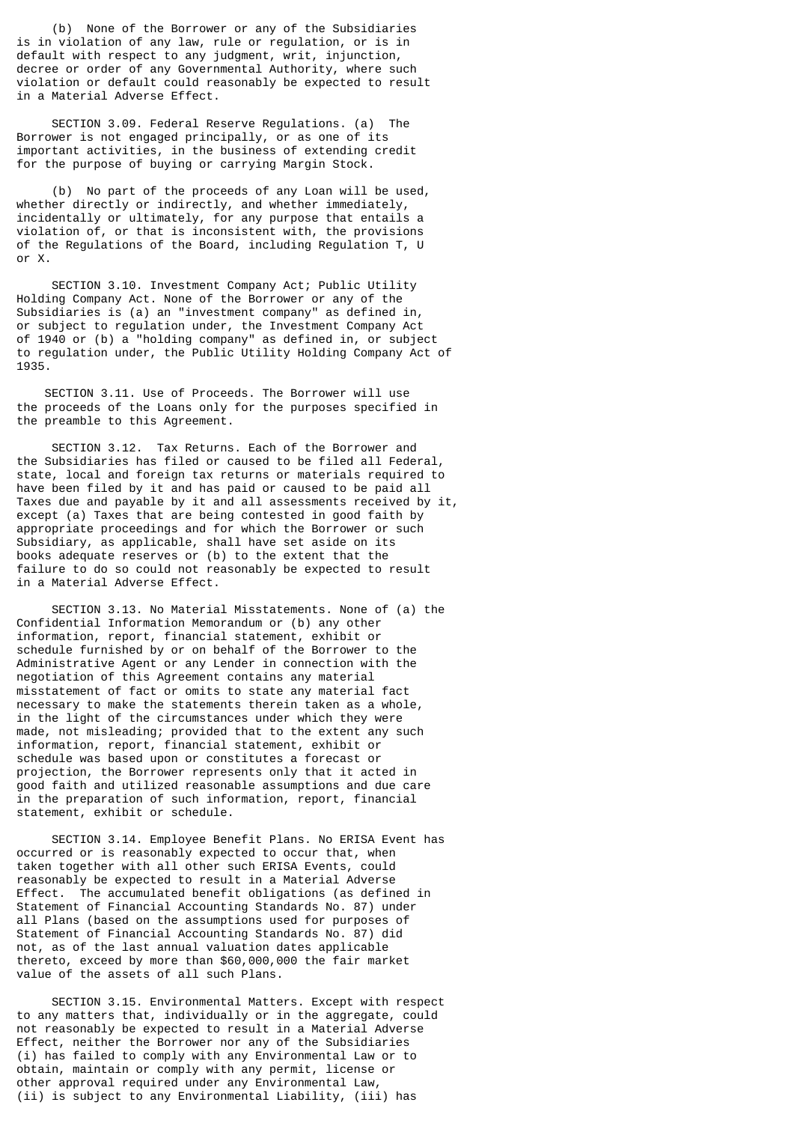(b) None of the Borrower or any of the Subsidiaries is in violation of any law, rule or regulation, or is in default with respect to any judgment, writ, injunction, decree or order of any Governmental Authority, where such violation or default could reasonably be expected to result in a Material Adverse Effect.

 SECTION 3.09. Federal Reserve Regulations. (a) The Borrower is not engaged principally, or as one of its important activities, in the business of extending credit for the purpose of buying or carrying Margin Stock.

 (b) No part of the proceeds of any Loan will be used, whether directly or indirectly, and whether immediately, incidentally or ultimately, for any purpose that entails a violation of, or that is inconsistent with, the provisions of the Regulations of the Board, including Regulation T, U or X.

 SECTION 3.10. Investment Company Act; Public Utility Holding Company Act. None of the Borrower or any of the Subsidiaries is (a) an "investment company" as defined in, or subject to regulation under, the Investment Company Act of 1940 or (b) a "holding company" as defined in, or subject to regulation under, the Public Utility Holding Company Act of 1935.

 SECTION 3.11. Use of Proceeds. The Borrower will use the proceeds of the Loans only for the purposes specified in the preamble to this Agreement.

 SECTION 3.12. Tax Returns. Each of the Borrower and the Subsidiaries has filed or caused to be filed all Federal, state, local and foreign tax returns or materials required to have been filed by it and has paid or caused to be paid all Taxes due and payable by it and all assessments received by it, except (a) Taxes that are being contested in good faith by appropriate proceedings and for which the Borrower or such Subsidiary, as applicable, shall have set aside on its books adequate reserves or (b) to the extent that the failure to do so could not reasonably be expected to result in a Material Adverse Effect.

 SECTION 3.13. No Material Misstatements. None of (a) the Confidential Information Memorandum or (b) any other information, report, financial statement, exhibit or schedule furnished by or on behalf of the Borrower to the Administrative Agent or any Lender in connection with the negotiation of this Agreement contains any material misstatement of fact or omits to state any material fact necessary to make the statements therein taken as a whole, in the light of the circumstances under which they were made, not misleading; provided that to the extent any such information, report, financial statement, exhibit or schedule was based upon or constitutes a forecast or projection, the Borrower represents only that it acted in good faith and utilized reasonable assumptions and due care in the preparation of such information, report, financial statement, exhibit or schedule.

 SECTION 3.14. Employee Benefit Plans. No ERISA Event has occurred or is reasonably expected to occur that, when taken together with all other such ERISA Events, could reasonably be expected to result in a Material Adverse Effect. The accumulated benefit obligations (as defined in Statement of Financial Accounting Standards No. 87) under all Plans (based on the assumptions used for purposes of Statement of Financial Accounting Standards No. 87) did not, as of the last annual valuation dates applicable thereto, exceed by more than \$60,000,000 the fair market value of the assets of all such Plans.

 SECTION 3.15. Environmental Matters. Except with respect to any matters that, individually or in the aggregate, could not reasonably be expected to result in a Material Adverse Effect, neither the Borrower nor any of the Subsidiaries (i) has failed to comply with any Environmental Law or to obtain, maintain or comply with any permit, license or other approval required under any Environmental Law, (ii) is subject to any Environmental Liability, (iii) has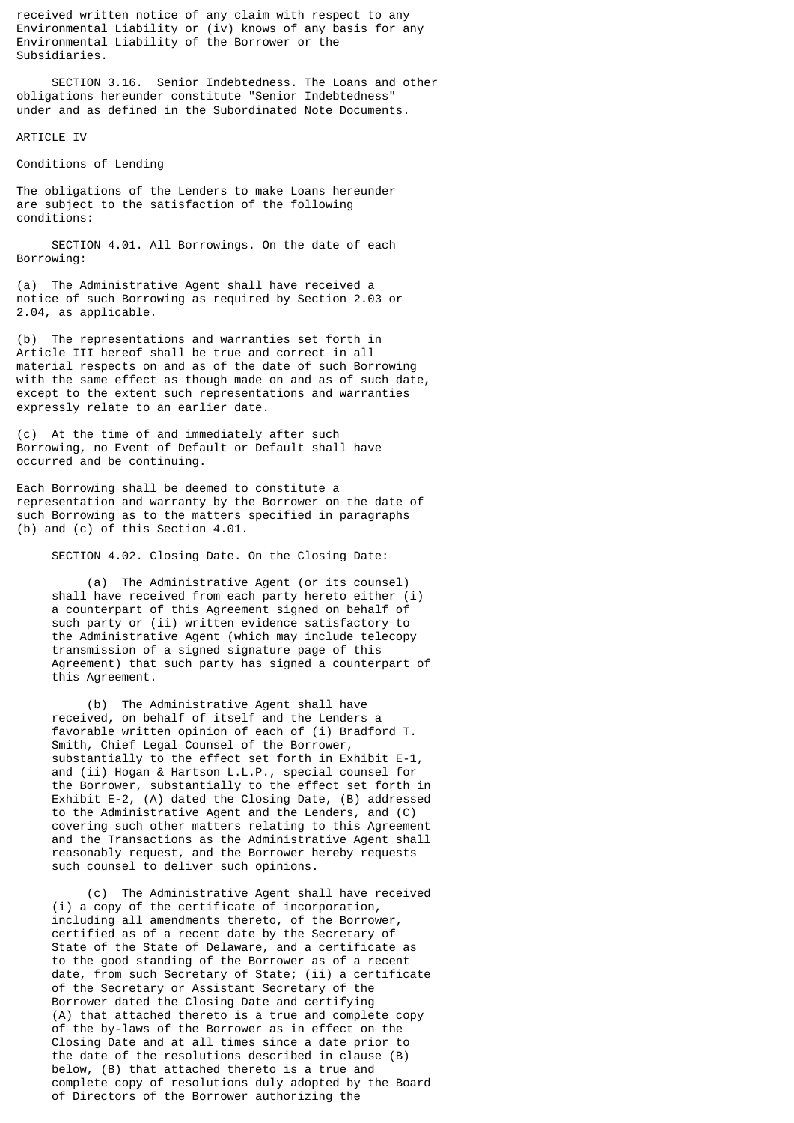received written notice of any claim with respect to any Environmental Liability or (iv) knows of any basis for any Environmental Liability of the Borrower or the Subsidiaries.

 SECTION 3.16. Senior Indebtedness. The Loans and other obligations hereunder constitute "Senior Indebtedness" under and as defined in the Subordinated Note Documents.

ARTICLE IV

Conditions of Lending

The obligations of the Lenders to make Loans hereunder are subject to the satisfaction of the following conditions:

 SECTION 4.01. All Borrowings. On the date of each Borrowing:

(a) The Administrative Agent shall have received a notice of such Borrowing as required by Section 2.03 or 2.04, as applicable.

(b) The representations and warranties set forth in Article III hereof shall be true and correct in all material respects on and as of the date of such Borrowing with the same effect as though made on and as of such date, except to the extent such representations and warranties expressly relate to an earlier date.

(c) At the time of and immediately after such Borrowing, no Event of Default or Default shall have occurred and be continuing.

Each Borrowing shall be deemed to constitute a representation and warranty by the Borrower on the date of such Borrowing as to the matters specified in paragraphs (b) and (c) of this Section 4.01.

SECTION 4.02. Closing Date. On the Closing Date:

 (a) The Administrative Agent (or its counsel) shall have received from each party hereto either (i) a counterpart of this Agreement signed on behalf of such party or (ii) written evidence satisfactory to the Administrative Agent (which may include telecopy transmission of a signed signature page of this Agreement) that such party has signed a counterpart of this Agreement.

 (b) The Administrative Agent shall have received, on behalf of itself and the Lenders a favorable written opinion of each of (i) Bradford T. Smith, Chief Legal Counsel of the Borrower, substantially to the effect set forth in Exhibit E-1, and (ii) Hogan & Hartson L.L.P., special counsel for the Borrower, substantially to the effect set forth in Exhibit E-2, (A) dated the Closing Date, (B) addressed to the Administrative Agent and the Lenders, and (C) covering such other matters relating to this Agreement and the Transactions as the Administrative Agent shall reasonably request, and the Borrower hereby requests such counsel to deliver such opinions.

 (c) The Administrative Agent shall have received (i) a copy of the certificate of incorporation, including all amendments thereto, of the Borrower, certified as of a recent date by the Secretary of State of the State of Delaware, and a certificate as to the good standing of the Borrower as of a recent date, from such Secretary of State; (ii) a certificate of the Secretary or Assistant Secretary of the Borrower dated the Closing Date and certifying (A) that attached thereto is a true and complete copy of the by-laws of the Borrower as in effect on the Closing Date and at all times since a date prior to the date of the resolutions described in clause (B) below, (B) that attached thereto is a true and complete copy of resolutions duly adopted by the Board of Directors of the Borrower authorizing the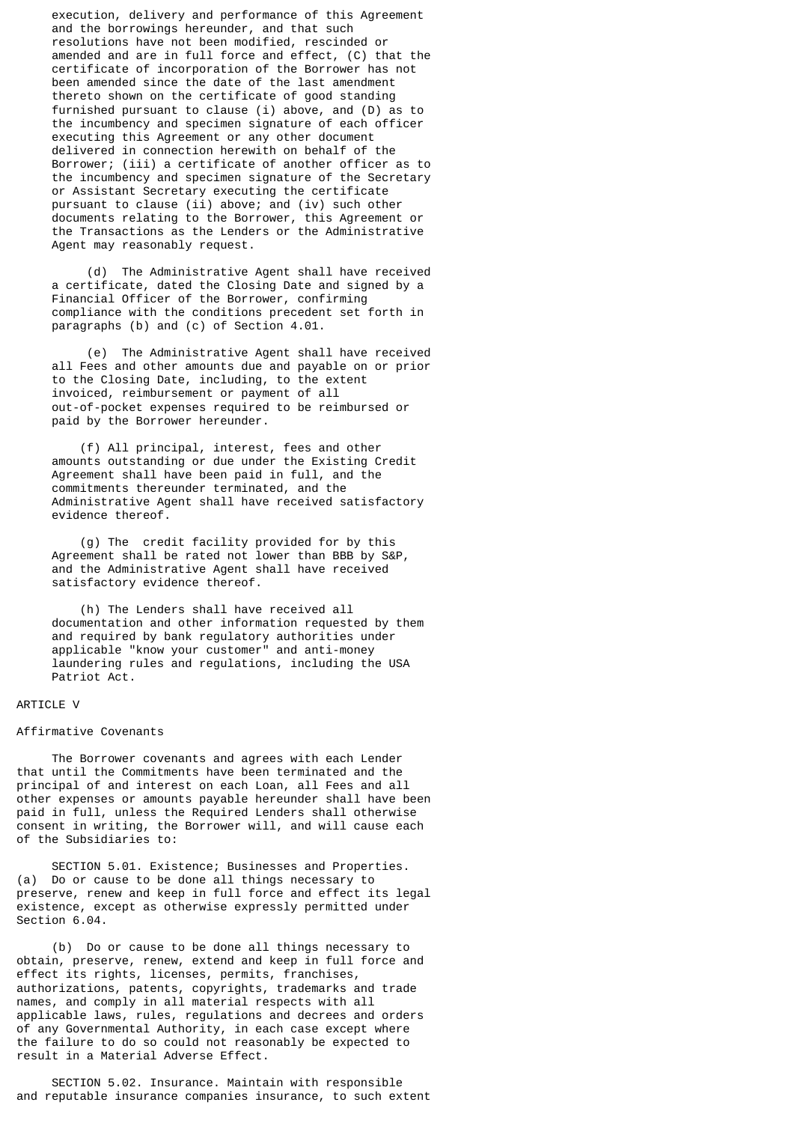execution, delivery and performance of this Agreement and the borrowings hereunder, and that such resolutions have not been modified, rescinded or amended and are in full force and effect, (C) that the certificate of incorporation of the Borrower has not been amended since the date of the last amendment thereto shown on the certificate of good standing furnished pursuant to clause (i) above, and (D) as to the incumbency and specimen signature of each officer executing this Agreement or any other document delivered in connection herewith on behalf of the Borrower; (iii) a certificate of another officer as to the incumbency and specimen signature of the Secretary or Assistant Secretary executing the certificate pursuant to clause (ii) above; and (iv) such other documents relating to the Borrower, this Agreement or the Transactions as the Lenders or the Administrative Agent may reasonably request.

 (d) The Administrative Agent shall have received a certificate, dated the Closing Date and signed by a Financial Officer of the Borrower, confirming compliance with the conditions precedent set forth in paragraphs (b) and (c) of Section 4.01.

 (e) The Administrative Agent shall have received all Fees and other amounts due and payable on or prior to the Closing Date, including, to the extent invoiced, reimbursement or payment of all out-of-pocket expenses required to be reimbursed or paid by the Borrower hereunder.

 (f) All principal, interest, fees and other amounts outstanding or due under the Existing Credit Agreement shall have been paid in full, and the commitments thereunder terminated, and the Administrative Agent shall have received satisfactory evidence thereof.

 (g) The credit facility provided for by this Agreement shall be rated not lower than BBB by S&P, and the Administrative Agent shall have received satisfactory evidence thereof.

 (h) The Lenders shall have received all documentation and other information requested by them and required by bank regulatory authorities under applicable "know your customer" and anti-money laundering rules and regulations, including the USA Patriot Act.

# ARTICLE V

# Affirmative Covenants

 The Borrower covenants and agrees with each Lender that until the Commitments have been terminated and the principal of and interest on each Loan, all Fees and all other expenses or amounts payable hereunder shall have been paid in full, unless the Required Lenders shall otherwise consent in writing, the Borrower will, and will cause each of the Subsidiaries to:

 SECTION 5.01. Existence; Businesses and Properties. (a) Do or cause to be done all things necessary to preserve, renew and keep in full force and effect its legal existence, except as otherwise expressly permitted under Section 6.04.

 (b) Do or cause to be done all things necessary to obtain, preserve, renew, extend and keep in full force and effect its rights, licenses, permits, franchises, authorizations, patents, copyrights, trademarks and trade names, and comply in all material respects with all applicable laws, rules, regulations and decrees and orders of any Governmental Authority, in each case except where the failure to do so could not reasonably be expected to result in a Material Adverse Effect.

 SECTION 5.02. Insurance. Maintain with responsible and reputable insurance companies insurance, to such extent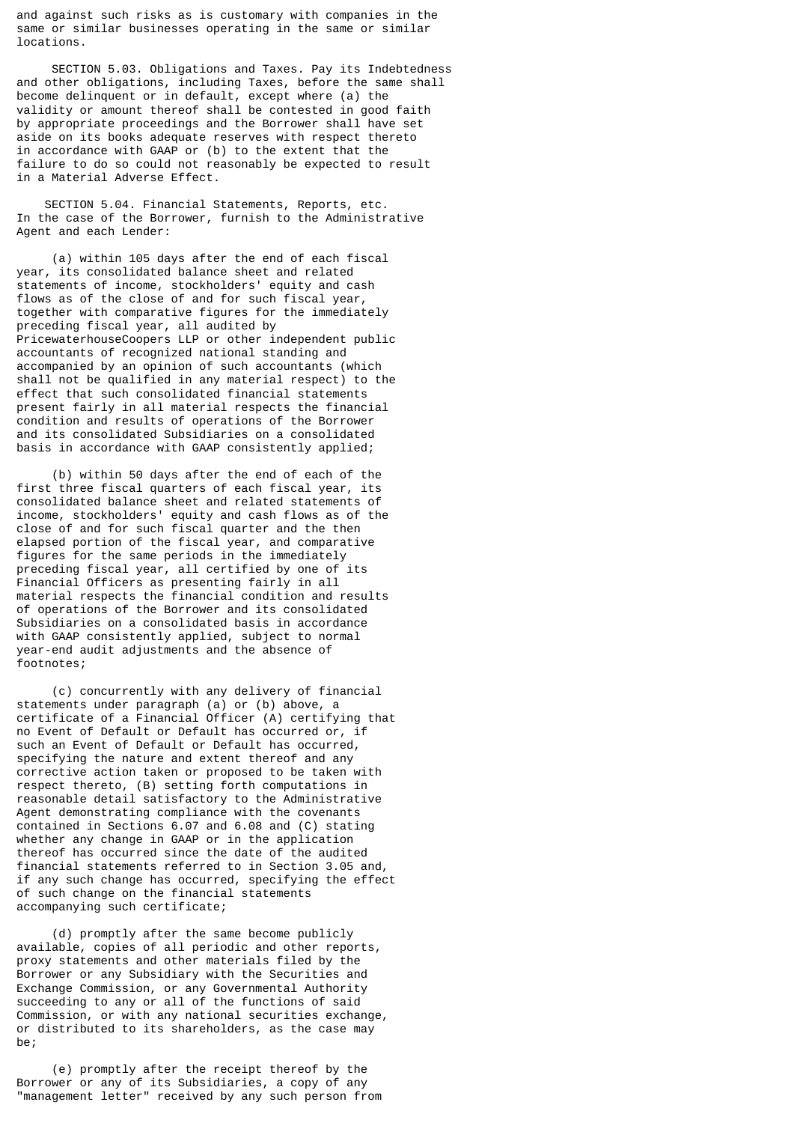and against such risks as is customary with companies in the same or similar businesses operating in the same or similar locations.

 SECTION 5.03. Obligations and Taxes. Pay its Indebtedness and other obligations, including Taxes, before the same shall become delinquent or in default, except where (a) the validity or amount thereof shall be contested in good faith by appropriate proceedings and the Borrower shall have set aside on its books adequate reserves with respect thereto in accordance with GAAP or (b) to the extent that the failure to do so could not reasonably be expected to result in a Material Adverse Effect.

 SECTION 5.04. Financial Statements, Reports, etc. In the case of the Borrower, furnish to the Administrative Agent and each Lender:

 (a) within 105 days after the end of each fiscal year, its consolidated balance sheet and related statements of income, stockholders' equity and cash flows as of the close of and for such fiscal year, together with comparative figures for the immediately preceding fiscal year, all audited by PricewaterhouseCoopers LLP or other independent public accountants of recognized national standing and accompanied by an opinion of such accountants (which shall not be qualified in any material respect) to the effect that such consolidated financial statements present fairly in all material respects the financial condition and results of operations of the Borrower and its consolidated Subsidiaries on a consolidated basis in accordance with GAAP consistently applied;

 (b) within 50 days after the end of each of the first three fiscal quarters of each fiscal year, its consolidated balance sheet and related statements of income, stockholders' equity and cash flows as of the close of and for such fiscal quarter and the then elapsed portion of the fiscal year, and comparative figures for the same periods in the immediately preceding fiscal year, all certified by one of its Financial Officers as presenting fairly in all material respects the financial condition and results of operations of the Borrower and its consolidated Subsidiaries on a consolidated basis in accordance with GAAP consistently applied, subject to normal year-end audit adjustments and the absence of footnotes;

 (c) concurrently with any delivery of financial statements under paragraph (a) or (b) above, a certificate of a Financial Officer (A) certifying that no Event of Default or Default has occurred or, if such an Event of Default or Default has occurred, specifying the nature and extent thereof and any corrective action taken or proposed to be taken with respect thereto, (B) setting forth computations in reasonable detail satisfactory to the Administrative Agent demonstrating compliance with the covenants contained in Sections 6.07 and 6.08 and (C) stating whether any change in GAAP or in the application thereof has occurred since the date of the audited financial statements referred to in Section 3.05 and, if any such change has occurred, specifying the effect of such change on the financial statements accompanying such certificate;

 (d) promptly after the same become publicly available, copies of all periodic and other reports, proxy statements and other materials filed by the Borrower or any Subsidiary with the Securities and Exchange Commission, or any Governmental Authority succeeding to any or all of the functions of said Commission, or with any national securities exchange, or distributed to its shareholders, as the case may be;

 (e) promptly after the receipt thereof by the Borrower or any of its Subsidiaries, a copy of any "management letter" received by any such person from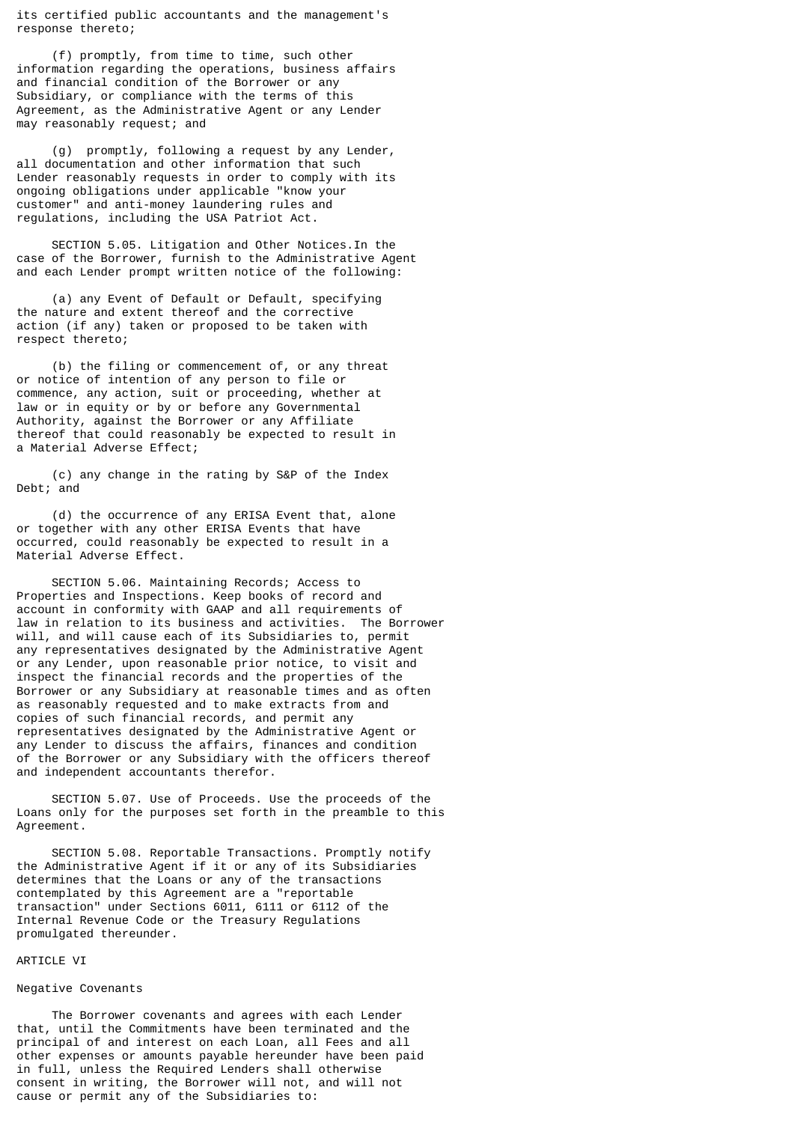its certified public accountants and the management's response thereto;

 (f) promptly, from time to time, such other information regarding the operations, business affairs and financial condition of the Borrower or any Subsidiary, or compliance with the terms of this Agreement, as the Administrative Agent or any Lender may reasonably request; and

 (g) promptly, following a request by any Lender, all documentation and other information that such Lender reasonably requests in order to comply with its ongoing obligations under applicable "know your customer" and anti-money laundering rules and regulations, including the USA Patriot Act.

 SECTION 5.05. Litigation and Other Notices.In the case of the Borrower, furnish to the Administrative Agent and each Lender prompt written notice of the following:

 (a) any Event of Default or Default, specifying the nature and extent thereof and the corrective action (if any) taken or proposed to be taken with respect thereto;

 (b) the filing or commencement of, or any threat or notice of intention of any person to file or commence, any action, suit or proceeding, whether at law or in equity or by or before any Governmental Authority, against the Borrower or any Affiliate thereof that could reasonably be expected to result in a Material Adverse Effect;

 (c) any change in the rating by S&P of the Index Debt; and

 (d) the occurrence of any ERISA Event that, alone or together with any other ERISA Events that have occurred, could reasonably be expected to result in a Material Adverse Effect.

 SECTION 5.06. Maintaining Records; Access to Properties and Inspections. Keep books of record and account in conformity with GAAP and all requirements of law in relation to its business and activities. The Borrower will, and will cause each of its Subsidiaries to, permit any representatives designated by the Administrative Agent or any Lender, upon reasonable prior notice, to visit and inspect the financial records and the properties of the Borrower or any Subsidiary at reasonable times and as often as reasonably requested and to make extracts from and copies of such financial records, and permit any representatives designated by the Administrative Agent or any Lender to discuss the affairs, finances and condition of the Borrower or any Subsidiary with the officers thereof and independent accountants therefor.

 SECTION 5.07. Use of Proceeds. Use the proceeds of the Loans only for the purposes set forth in the preamble to this Agreement.

 SECTION 5.08. Reportable Transactions. Promptly notify the Administrative Agent if it or any of its Subsidiaries determines that the Loans or any of the transactions contemplated by this Agreement are a "reportable transaction" under Sections 6011, 6111 or 6112 of the Internal Revenue Code or the Treasury Regulations promulgated thereunder.

ARTICLE VI

## Negative Covenants

 The Borrower covenants and agrees with each Lender that, until the Commitments have been terminated and the principal of and interest on each Loan, all Fees and all other expenses or amounts payable hereunder have been paid in full, unless the Required Lenders shall otherwise consent in writing, the Borrower will not, and will not cause or permit any of the Subsidiaries to: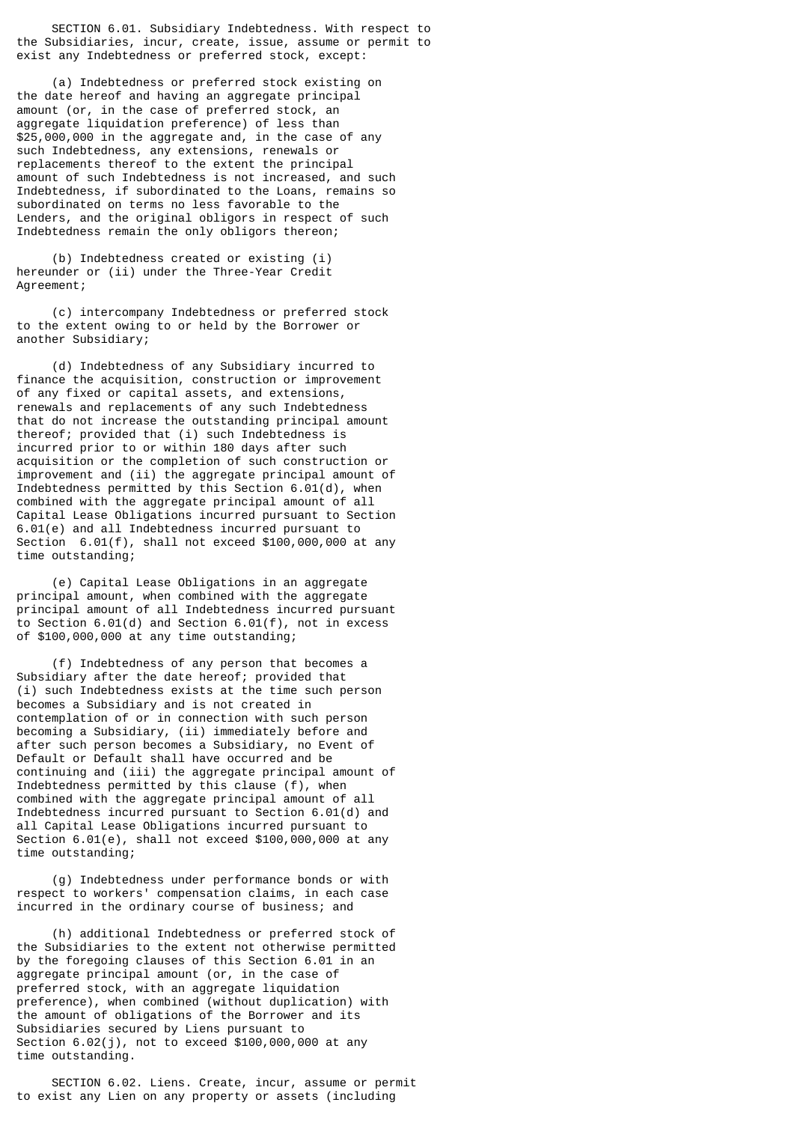SECTION 6.01. Subsidiary Indebtedness. With respect to the Subsidiaries, incur, create, issue, assume or permit to exist any Indebtedness or preferred stock, except:

 (a) Indebtedness or preferred stock existing on the date hereof and having an aggregate principal amount (or, in the case of preferred stock, an aggregate liquidation preference) of less than \$25,000,000 in the aggregate and, in the case of any such Indebtedness, any extensions, renewals or replacements thereof to the extent the principal amount of such Indebtedness is not increased, and such Indebtedness, if subordinated to the Loans, remains so subordinated on terms no less favorable to the Lenders, and the original obligors in respect of such Indebtedness remain the only obligors thereon;

 (b) Indebtedness created or existing (i) hereunder or (ii) under the Three-Year Credit Agreement;

 (c) intercompany Indebtedness or preferred stock to the extent owing to or held by the Borrower or another Subsidiary;

 (d) Indebtedness of any Subsidiary incurred to finance the acquisition, construction or improvement of any fixed or capital assets, and extensions, renewals and replacements of any such Indebtedness that do not increase the outstanding principal amount thereof; provided that (i) such Indebtedness is incurred prior to or within 180 days after such acquisition or the completion of such construction or improvement and (ii) the aggregate principal amount of Indebtedness permitted by this Section 6.01(d), when combined with the aggregate principal amount of all Capital Lease Obligations incurred pursuant to Section 6.01(e) and all Indebtedness incurred pursuant to Section 6.01(f), shall not exceed \$100,000,000 at any time outstanding;

 (e) Capital Lease Obligations in an aggregate principal amount, when combined with the aggregate principal amount of all Indebtedness incurred pursuant to Section 6.01(d) and Section 6.01(f), not in excess of \$100,000,000 at any time outstanding;

 (f) Indebtedness of any person that becomes a Subsidiary after the date hereof; provided that (i) such Indebtedness exists at the time such person becomes a Subsidiary and is not created in contemplation of or in connection with such person becoming a Subsidiary, (ii) immediately before and after such person becomes a Subsidiary, no Event of Default or Default shall have occurred and be continuing and (iii) the aggregate principal amount of Indebtedness permitted by this clause (f), when combined with the aggregate principal amount of all Indebtedness incurred pursuant to Section 6.01(d) and all Capital Lease Obligations incurred pursuant to Section 6.01(e), shall not exceed \$100,000,000 at any time outstanding;

 (g) Indebtedness under performance bonds or with respect to workers' compensation claims, in each case incurred in the ordinary course of business; and

 (h) additional Indebtedness or preferred stock of the Subsidiaries to the extent not otherwise permitted by the foregoing clauses of this Section 6.01 in an aggregate principal amount (or, in the case of preferred stock, with an aggregate liquidation preference), when combined (without duplication) with the amount of obligations of the Borrower and its Subsidiaries secured by Liens pursuant to Section 6.02(j), not to exceed \$100,000,000 at any time outstanding.

 SECTION 6.02. Liens. Create, incur, assume or permit to exist any Lien on any property or assets (including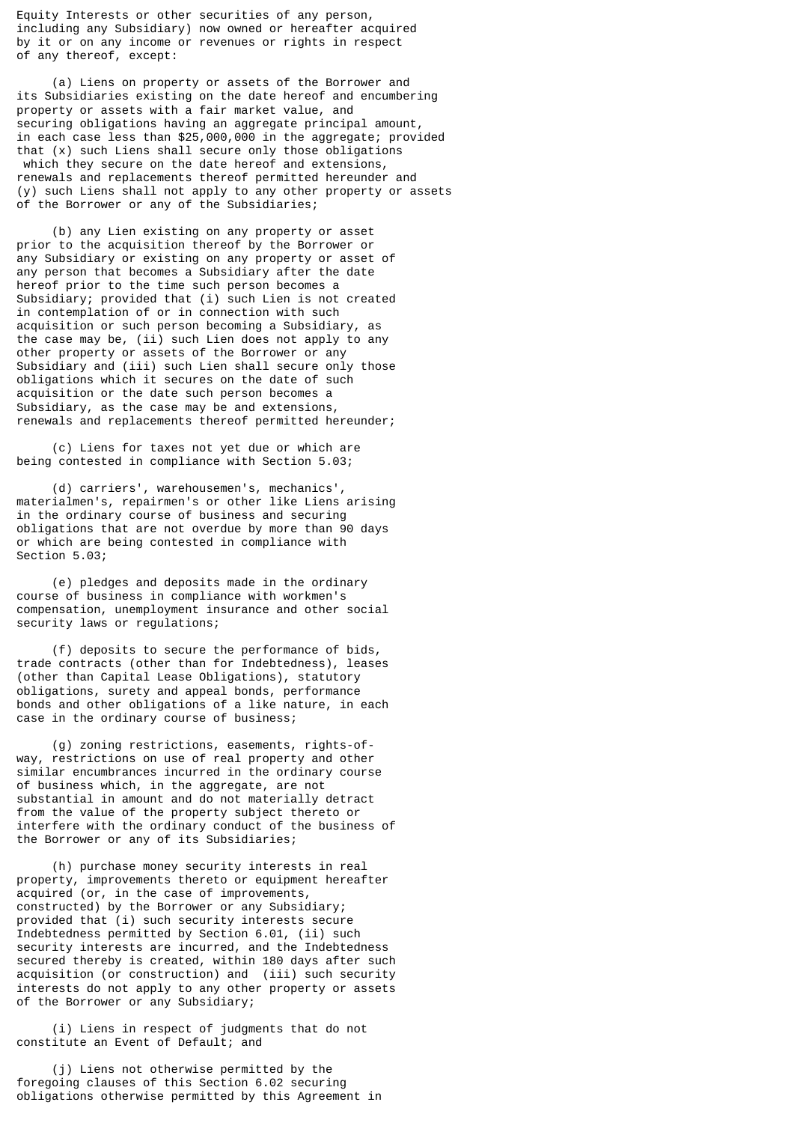Equity Interests or other securities of any person, including any Subsidiary) now owned or hereafter acquired by it or on any income or revenues or rights in respect of any thereof, except:

 (a) Liens on property or assets of the Borrower and its Subsidiaries existing on the date hereof and encumbering property or assets with a fair market value, and securing obligations having an aggregate principal amount, in each case less than \$25,000,000 in the aggregate; provided that (x) such Liens shall secure only those obligations which they secure on the date hereof and extensions, renewals and replacements thereof permitted hereunder and (y) such Liens shall not apply to any other property or assets of the Borrower or any of the Subsidiaries;

 (b) any Lien existing on any property or asset prior to the acquisition thereof by the Borrower or any Subsidiary or existing on any property or asset of any person that becomes a Subsidiary after the date hereof prior to the time such person becomes a Subsidiary; provided that (i) such Lien is not created in contemplation of or in connection with such acquisition or such person becoming a Subsidiary, as the case may be, (ii) such Lien does not apply to any other property or assets of the Borrower or any Subsidiary and (iii) such Lien shall secure only those obligations which it secures on the date of such acquisition or the date such person becomes a Subsidiary, as the case may be and extensions, renewals and replacements thereof permitted hereunder;

 (c) Liens for taxes not yet due or which are being contested in compliance with Section 5.03;

 (d) carriers', warehousemen's, mechanics', materialmen's, repairmen's or other like Liens arising in the ordinary course of business and securing obligations that are not overdue by more than 90 days or which are being contested in compliance with Section 5.03;

 (e) pledges and deposits made in the ordinary course of business in compliance with workmen's compensation, unemployment insurance and other social security laws or regulations;

 (f) deposits to secure the performance of bids, trade contracts (other than for Indebtedness), leases (other than Capital Lease Obligations), statutory obligations, surety and appeal bonds, performance bonds and other obligations of a like nature, in each case in the ordinary course of business;

 (g) zoning restrictions, easements, rights-ofway, restrictions on use of real property and other similar encumbrances incurred in the ordinary course of business which, in the aggregate, are not substantial in amount and do not materially detract from the value of the property subject thereto or interfere with the ordinary conduct of the business of the Borrower or any of its Subsidiaries;

 (h) purchase money security interests in real property, improvements thereto or equipment hereafter acquired (or, in the case of improvements, constructed) by the Borrower or any Subsidiary; provided that (i) such security interests secure Indebtedness permitted by Section 6.01, (ii) such security interests are incurred, and the Indebtedness secured thereby is created, within 180 days after such acquisition (or construction) and (iii) such security interests do not apply to any other property or assets of the Borrower or any Subsidiary;

 (i) Liens in respect of judgments that do not constitute an Event of Default; and

 (j) Liens not otherwise permitted by the foregoing clauses of this Section 6.02 securing obligations otherwise permitted by this Agreement in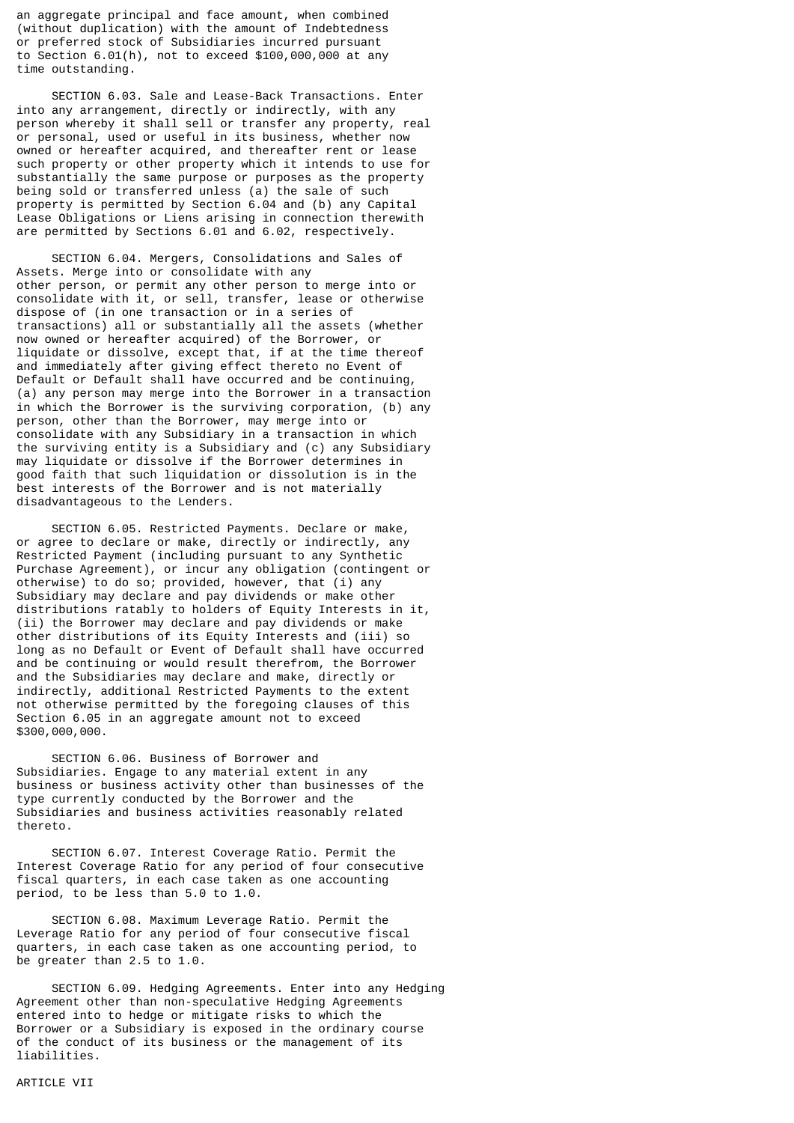an aggregate principal and face amount, when combined (without duplication) with the amount of Indebtedness or preferred stock of Subsidiaries incurred pursuant to Section 6.01(h), not to exceed \$100,000,000 at any time outstanding.

 SECTION 6.03. Sale and Lease-Back Transactions. Enter into any arrangement, directly or indirectly, with any person whereby it shall sell or transfer any property, real or personal, used or useful in its business, whether now owned or hereafter acquired, and thereafter rent or lease such property or other property which it intends to use for substantially the same purpose or purposes as the property being sold or transferred unless (a) the sale of such property is permitted by Section 6.04 and (b) any Capital Lease Obligations or Liens arising in connection therewith are permitted by Sections 6.01 and 6.02, respectively.

 SECTION 6.04. Mergers, Consolidations and Sales of Assets. Merge into or consolidate with any other person, or permit any other person to merge into or consolidate with it, or sell, transfer, lease or otherwise dispose of (in one transaction or in a series of transactions) all or substantially all the assets (whether now owned or hereafter acquired) of the Borrower, or liquidate or dissolve, except that, if at the time thereof and immediately after giving effect thereto no Event of Default or Default shall have occurred and be continuing, (a) any person may merge into the Borrower in a transaction in which the Borrower is the surviving corporation, (b) any person, other than the Borrower, may merge into or consolidate with any Subsidiary in a transaction in which the surviving entity is a Subsidiary and (c) any Subsidiary may liquidate or dissolve if the Borrower determines in good faith that such liquidation or dissolution is in the best interests of the Borrower and is not materially disadvantageous to the Lenders.

 SECTION 6.05. Restricted Payments. Declare or make, or agree to declare or make, directly or indirectly, any Restricted Payment (including pursuant to any Synthetic Purchase Agreement), or incur any obligation (contingent or otherwise) to do so; provided, however, that (i) any Subsidiary may declare and pay dividends or make other distributions ratably to holders of Equity Interests in it, (ii) the Borrower may declare and pay dividends or make other distributions of its Equity Interests and (iii) so long as no Default or Event of Default shall have occurred and be continuing or would result therefrom, the Borrower and the Subsidiaries may declare and make, directly or indirectly, additional Restricted Payments to the extent not otherwise permitted by the foregoing clauses of this Section 6.05 in an aggregate amount not to exceed \$300,000,000.

 SECTION 6.06. Business of Borrower and Subsidiaries. Engage to any material extent in any business or business activity other than businesses of the type currently conducted by the Borrower and the Subsidiaries and business activities reasonably related thereto.

 SECTION 6.07. Interest Coverage Ratio. Permit the Interest Coverage Ratio for any period of four consecutive fiscal quarters, in each case taken as one accounting period, to be less than 5.0 to 1.0.

 SECTION 6.08. Maximum Leverage Ratio. Permit the Leverage Ratio for any period of four consecutive fiscal quarters, in each case taken as one accounting period, to be greater than 2.5 to 1.0.

 SECTION 6.09. Hedging Agreements. Enter into any Hedging Agreement other than non-speculative Hedging Agreements entered into to hedge or mitigate risks to which the Borrower or a Subsidiary is exposed in the ordinary course of the conduct of its business or the management of its liabilities.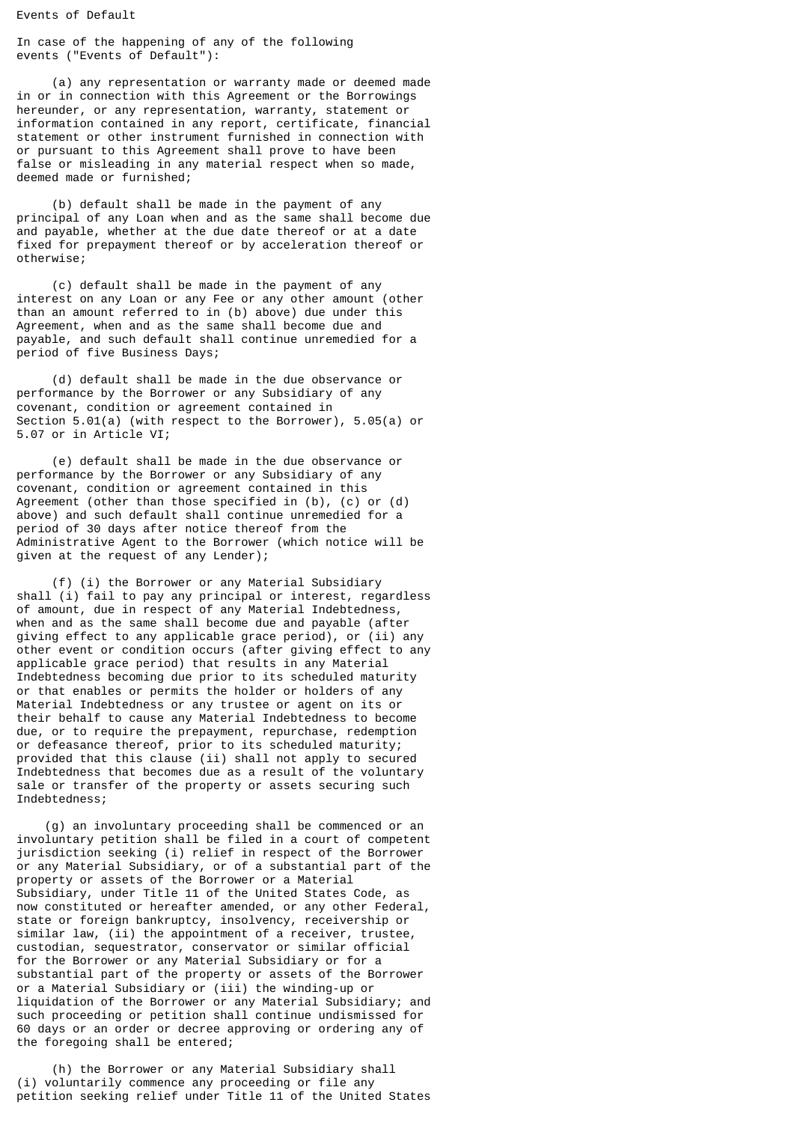## Events of Default

In case of the happening of any of the following events ("Events of Default"):

 (a) any representation or warranty made or deemed made in or in connection with this Agreement or the Borrowings hereunder, or any representation, warranty, statement or information contained in any report, certificate, financial statement or other instrument furnished in connection with or pursuant to this Agreement shall prove to have been false or misleading in any material respect when so made, deemed made or furnished;

 (b) default shall be made in the payment of any principal of any Loan when and as the same shall become due and payable, whether at the due date thereof or at a date fixed for prepayment thereof or by acceleration thereof or otherwise;

 (c) default shall be made in the payment of any interest on any Loan or any Fee or any other amount (other than an amount referred to in (b) above) due under this Agreement, when and as the same shall become due and payable, and such default shall continue unremedied for a period of five Business Days;

 (d) default shall be made in the due observance or performance by the Borrower or any Subsidiary of any covenant, condition or agreement contained in Section 5.01(a) (with respect to the Borrower), 5.05(a) or 5.07 or in Article VI;

 (e) default shall be made in the due observance or performance by the Borrower or any Subsidiary of any covenant, condition or agreement contained in this Agreement (other than those specified in (b), (c) or (d) above) and such default shall continue unremedied for a period of 30 days after notice thereof from the Administrative Agent to the Borrower (which notice will be given at the request of any Lender);

 (f) (i) the Borrower or any Material Subsidiary shall  $(i)$  fail to pay any principal or interest, regardless of amount, due in respect of any Material Indebtedness, when and as the same shall become due and payable (after giving effect to any applicable grace period), or (ii) any other event or condition occurs (after giving effect to any applicable grace period) that results in any Material Indebtedness becoming due prior to its scheduled maturity or that enables or permits the holder or holders of any Material Indebtedness or any trustee or agent on its or their behalf to cause any Material Indebtedness to become due, or to require the prepayment, repurchase, redemption or defeasance thereof, prior to its scheduled maturity; provided that this clause (ii) shall not apply to secured Indebtedness that becomes due as a result of the voluntary sale or transfer of the property or assets securing such Indebtedness;

 (g) an involuntary proceeding shall be commenced or an involuntary petition shall be filed in a court of competent jurisdiction seeking (i) relief in respect of the Borrower or any Material Subsidiary, or of a substantial part of the property or assets of the Borrower or a Material Subsidiary, under Title 11 of the United States Code, as now constituted or hereafter amended, or any other Federal, state or foreign bankruptcy, insolvency, receivership or similar law, (ii) the appointment of a receiver, trustee, custodian, sequestrator, conservator or similar official for the Borrower or any Material Subsidiary or for a substantial part of the property or assets of the Borrower or a Material Subsidiary or (iii) the winding-up or liquidation of the Borrower or any Material Subsidiary; and such proceeding or petition shall continue undismissed for 60 days or an order or decree approving or ordering any of the foregoing shall be entered;

 (h) the Borrower or any Material Subsidiary shall (i) voluntarily commence any proceeding or file any petition seeking relief under Title 11 of the United States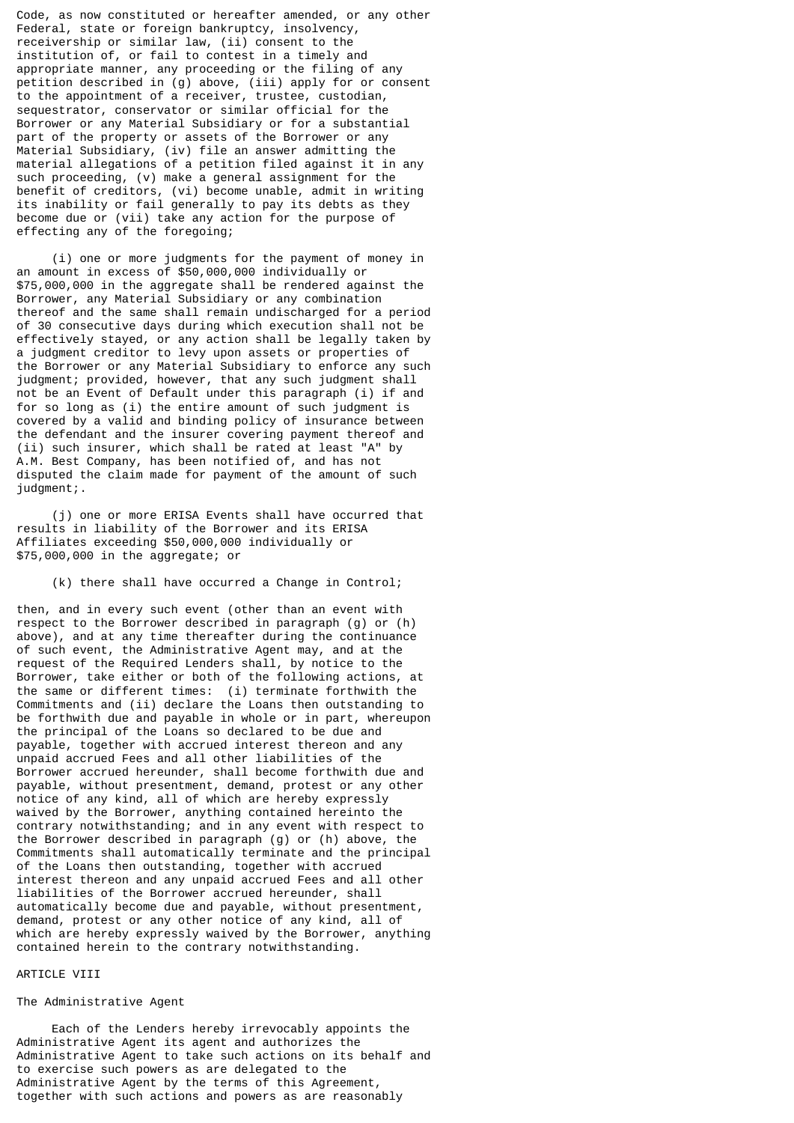Code, as now constituted or hereafter amended, or any other Federal, state or foreign bankruptcy, insolvency, receivership or similar law, (ii) consent to the institution of, or fail to contest in a timely and appropriate manner, any proceeding or the filing of any petition described in (g) above, (iii) apply for or consent to the appointment of a receiver, trustee, custodian, sequestrator, conservator or similar official for the Borrower or any Material Subsidiary or for a substantial part of the property or assets of the Borrower or any Material Subsidiary, (iv) file an answer admitting the material allegations of a petition filed against it in any such proceeding, (v) make a general assignment for the benefit of creditors, (vi) become unable, admit in writing its inability or fail generally to pay its debts as they become due or (vii) take any action for the purpose of effecting any of the foregoing;

 (i) one or more judgments for the payment of money in an amount in excess of \$50,000,000 individually or \$75,000,000 in the aggregate shall be rendered against the Borrower, any Material Subsidiary or any combination thereof and the same shall remain undischarged for a period of 30 consecutive days during which execution shall not be effectively stayed, or any action shall be legally taken by a judgment creditor to levy upon assets or properties of the Borrower or any Material Subsidiary to enforce any such judgment; provided, however, that any such judgment shall not be an Event of Default under this paragraph (i) if and for so long as (i) the entire amount of such judgment is covered by a valid and binding policy of insurance between the defendant and the insurer covering payment thereof and (ii) such insurer, which shall be rated at least "A" by A.M. Best Company, has been notified of, and has not disputed the claim made for payment of the amount of such judgment;.

 (j) one or more ERISA Events shall have occurred that results in liability of the Borrower and its ERISA Affiliates exceeding \$50,000,000 individually or \$75,000,000 in the aggregate; or

(k) there shall have occurred a Change in Control;

then, and in every such event (other than an event with respect to the Borrower described in paragraph (g) or (h) above), and at any time thereafter during the continuance of such event, the Administrative Agent may, and at the request of the Required Lenders shall, by notice to the Borrower, take either or both of the following actions, at the same or different times: (i) terminate forthwith the Commitments and (ii) declare the Loans then outstanding to be forthwith due and payable in whole or in part, whereupon the principal of the Loans so declared to be due and payable, together with accrued interest thereon and any unpaid accrued Fees and all other liabilities of the Borrower accrued hereunder, shall become forthwith due and payable, without presentment, demand, protest or any other notice of any kind, all of which are hereby expressly waived by the Borrower, anything contained hereinto the contrary notwithstanding; and in any event with respect to the Borrower described in paragraph (g) or (h) above, the Commitments shall automatically terminate and the principal of the Loans then outstanding, together with accrued interest thereon and any unpaid accrued Fees and all other liabilities of the Borrower accrued hereunder, shall automatically become due and payable, without presentment, demand, protest or any other notice of any kind, all of which are hereby expressly waived by the Borrower, anything contained herein to the contrary notwithstanding.

## ARTICLE VIII

#### The Administrative Agent

 Each of the Lenders hereby irrevocably appoints the Administrative Agent its agent and authorizes the Administrative Agent to take such actions on its behalf and to exercise such powers as are delegated to the Administrative Agent by the terms of this Agreement, together with such actions and powers as are reasonably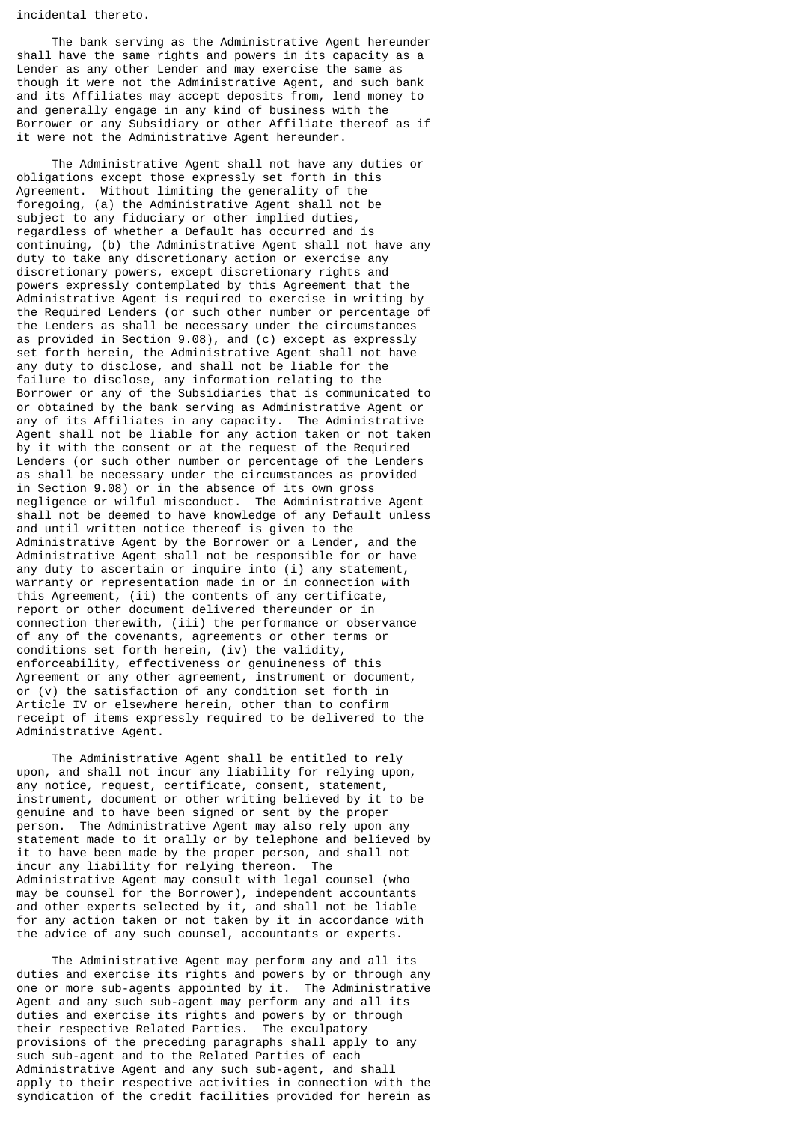#### incidental thereto.

 The bank serving as the Administrative Agent hereunder shall have the same rights and powers in its capacity as a Lender as any other Lender and may exercise the same as though it were not the Administrative Agent, and such bank and its Affiliates may accept deposits from, lend money to and generally engage in any kind of business with the Borrower or any Subsidiary or other Affiliate thereof as if it were not the Administrative Agent hereunder.

 The Administrative Agent shall not have any duties or obligations except those expressly set forth in this Agreement. Without limiting the generality of the foregoing, (a) the Administrative Agent shall not be subject to any fiduciary or other implied duties, regardless of whether a Default has occurred and is continuing, (b) the Administrative Agent shall not have any duty to take any discretionary action or exercise any discretionary powers, except discretionary rights and powers expressly contemplated by this Agreement that the Administrative Agent is required to exercise in writing by the Required Lenders (or such other number or percentage of the Lenders as shall be necessary under the circumstances as provided in Section 9.08), and (c) except as expressly set forth herein, the Administrative Agent shall not have any duty to disclose, and shall not be liable for the failure to disclose, any information relating to the Borrower or any of the Subsidiaries that is communicated to or obtained by the bank serving as Administrative Agent or any of its Affiliates in any capacity. The Administrative Agent shall not be liable for any action taken or not taken by it with the consent or at the request of the Required Lenders (or such other number or percentage of the Lenders as shall be necessary under the circumstances as provided in Section 9.08) or in the absence of its own gross negligence or wilful misconduct. The Administrative Agent shall not be deemed to have knowledge of any Default unless and until written notice thereof is given to the Administrative Agent by the Borrower or a Lender, and the Administrative Agent shall not be responsible for or have any duty to ascertain or inquire into (i) any statement, warranty or representation made in or in connection with this Agreement, (ii) the contents of any certificate, report or other document delivered thereunder or in connection therewith, (iii) the performance or observance of any of the covenants, agreements or other terms or conditions set forth herein, (iv) the validity, enforceability, effectiveness or genuineness of this Agreement or any other agreement, instrument or document, or (v) the satisfaction of any condition set forth in Article IV or elsewhere herein, other than to confirm receipt of items expressly required to be delivered to the Administrative Agent.

 The Administrative Agent shall be entitled to rely upon, and shall not incur any liability for relying upon, any notice, request, certificate, consent, statement, instrument, document or other writing believed by it to be genuine and to have been signed or sent by the proper person. The Administrative Agent may also rely upon any statement made to it orally or by telephone and believed by it to have been made by the proper person, and shall not incur any liability for relying thereon. The Administrative Agent may consult with legal counsel (who may be counsel for the Borrower), independent accountants and other experts selected by it, and shall not be liable for any action taken or not taken by it in accordance with the advice of any such counsel, accountants or experts.

 The Administrative Agent may perform any and all its duties and exercise its rights and powers by or through any one or more sub-agents appointed by it. The Administrative Agent and any such sub-agent may perform any and all its duties and exercise its rights and powers by or through their respective Related Parties. The exculpatory provisions of the preceding paragraphs shall apply to any such sub-agent and to the Related Parties of each Administrative Agent and any such sub-agent, and shall apply to their respective activities in connection with the syndication of the credit facilities provided for herein as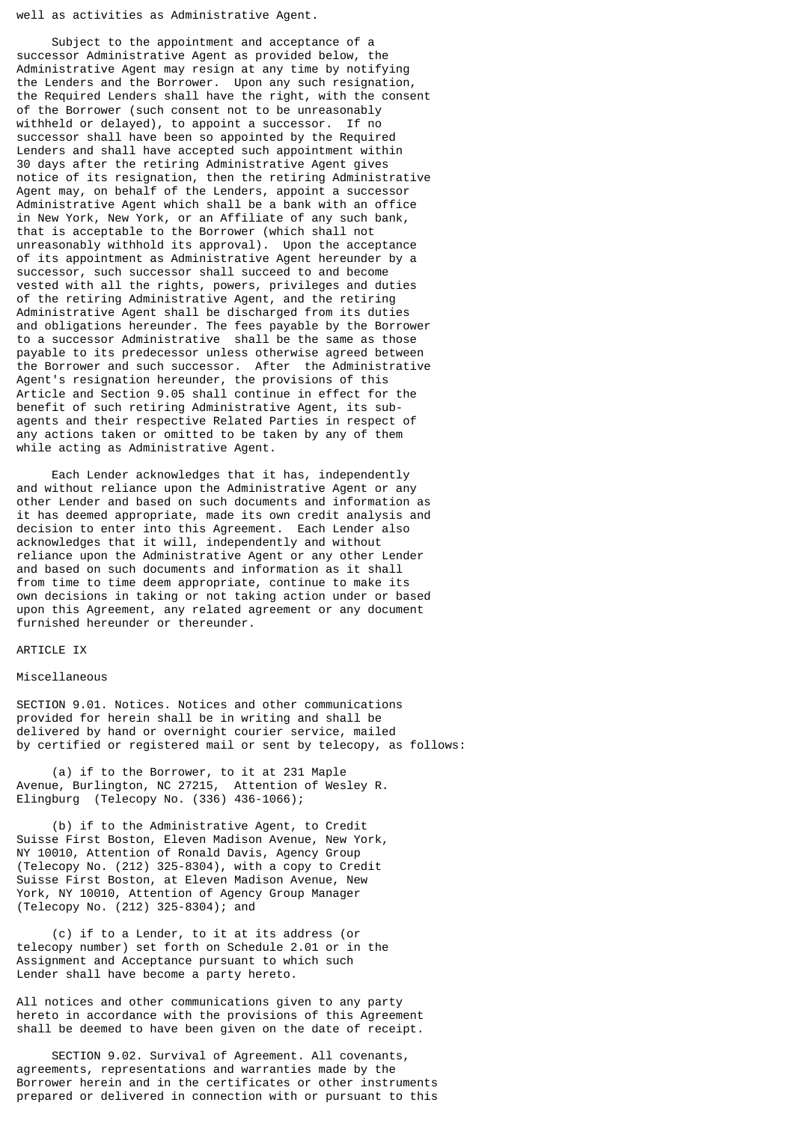## well as activities as Administrative Agent.

 Subject to the appointment and acceptance of a successor Administrative Agent as provided below, the Administrative Agent may resign at any time by notifying the Lenders and the Borrower. Upon any such resignation, the Required Lenders shall have the right, with the consent of the Borrower (such consent not to be unreasonably withheld or delayed), to appoint a successor. If no successor shall have been so appointed by the Required Lenders and shall have accepted such appointment within 30 days after the retiring Administrative Agent gives notice of its resignation, then the retiring Administrative Agent may, on behalf of the Lenders, appoint a successor Administrative Agent which shall be a bank with an office in New York, New York, or an Affiliate of any such bank, that is acceptable to the Borrower (which shall not unreasonably withhold its approval). Upon the acceptance of its appointment as Administrative Agent hereunder by a successor, such successor shall succeed to and become vested with all the rights, powers, privileges and duties of the retiring Administrative Agent, and the retiring Administrative Agent shall be discharged from its duties and obligations hereunder. The fees payable by the Borrower to a successor Administrative shall be the same as those payable to its predecessor unless otherwise agreed between the Borrower and such successor. After the Administrative Agent's resignation hereunder, the provisions of this Article and Section 9.05 shall continue in effect for the benefit of such retiring Administrative Agent, its subagents and their respective Related Parties in respect of any actions taken or omitted to be taken by any of them while acting as Administrative Agent.

 Each Lender acknowledges that it has, independently and without reliance upon the Administrative Agent or any other Lender and based on such documents and information as it has deemed appropriate, made its own credit analysis and decision to enter into this Agreement. Each Lender also acknowledges that it will, independently and without reliance upon the Administrative Agent or any other Lender and based on such documents and information as it shall from time to time deem appropriate, continue to make its own decisions in taking or not taking action under or based upon this Agreement, any related agreement or any document furnished hereunder or thereunder.

## ARTICLE IX

## Miscellaneous

SECTION 9.01. Notices. Notices and other communications provided for herein shall be in writing and shall be delivered by hand or overnight courier service, mailed by certified or registered mail or sent by telecopy, as follows:

 (a) if to the Borrower, to it at 231 Maple Avenue, Burlington, NC 27215, Attention of Wesley R. Elingburg (Telecopy No. (336) 436-1066);

 (b) if to the Administrative Agent, to Credit Suisse First Boston, Eleven Madison Avenue, New York, NY 10010, Attention of Ronald Davis, Agency Group (Telecopy No. (212) 325-8304), with a copy to Credit Suisse First Boston, at Eleven Madison Avenue, New York, NY 10010, Attention of Agency Group Manager (Telecopy No. (212) 325-8304); and

 (c) if to a Lender, to it at its address (or telecopy number) set forth on Schedule 2.01 or in the Assignment and Acceptance pursuant to which such Lender shall have become a party hereto.

All notices and other communications given to any party hereto in accordance with the provisions of this Agreement shall be deemed to have been given on the date of receipt.

 SECTION 9.02. Survival of Agreement. All covenants, agreements, representations and warranties made by the Borrower herein and in the certificates or other instruments prepared or delivered in connection with or pursuant to this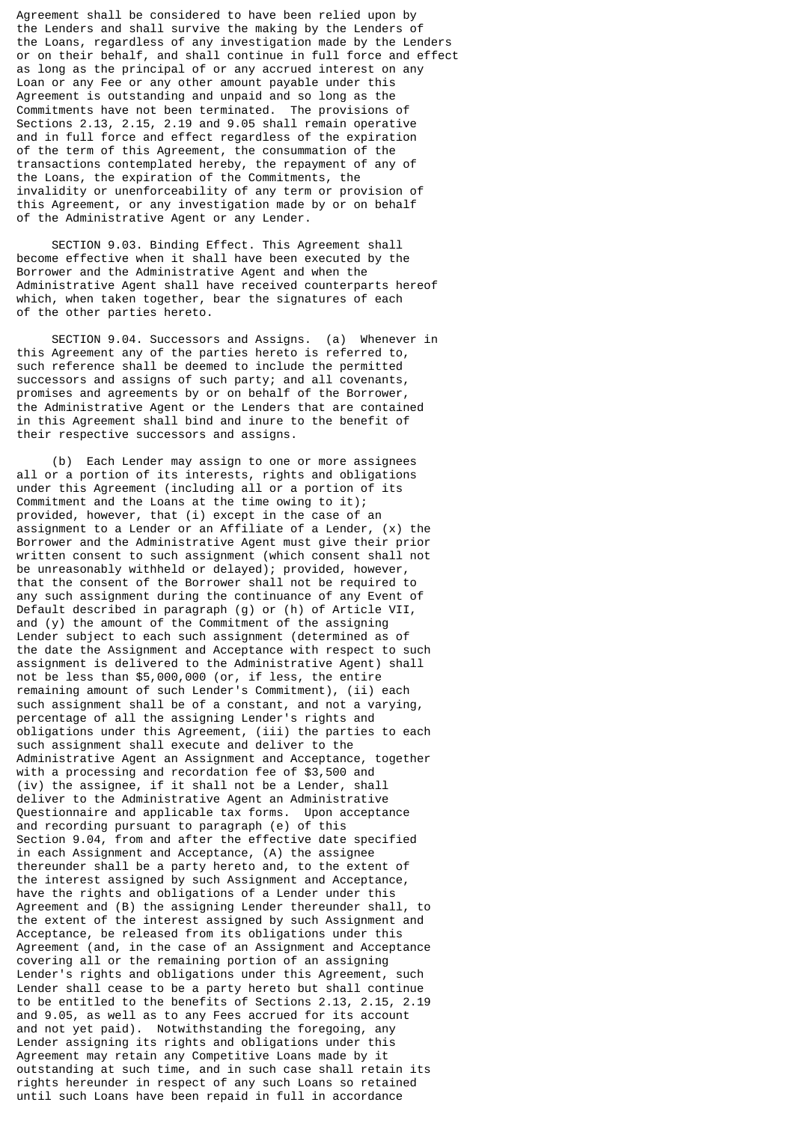Agreement shall be considered to have been relied upon by the Lenders and shall survive the making by the Lenders of the Loans, regardless of any investigation made by the Lenders or on their behalf, and shall continue in full force and effect as long as the principal of or any accrued interest on any Loan or any Fee or any other amount payable under this Agreement is outstanding and unpaid and so long as the Commitments have not been terminated. The provisions of Sections 2.13, 2.15, 2.19 and 9.05 shall remain operative and in full force and effect regardless of the expiration of the term of this Agreement, the consummation of the transactions contemplated hereby, the repayment of any of the Loans, the expiration of the Commitments, the invalidity or unenforceability of any term or provision of this Agreement, or any investigation made by or on behalf of the Administrative Agent or any Lender.

 SECTION 9.03. Binding Effect. This Agreement shall become effective when it shall have been executed by the Borrower and the Administrative Agent and when the Administrative Agent shall have received counterparts hereof which, when taken together, bear the signatures of each of the other parties hereto.

 SECTION 9.04. Successors and Assigns. (a) Whenever in this Agreement any of the parties hereto is referred to, such reference shall be deemed to include the permitted successors and assigns of such party; and all covenants, promises and agreements by or on behalf of the Borrower, the Administrative Agent or the Lenders that are contained in this Agreement shall bind and inure to the benefit of their respective successors and assigns.

 (b) Each Lender may assign to one or more assignees all or a portion of its interests, rights and obligations under this Agreement (including all or a portion of its Commitment and the Loans at the time owing to it); provided, however, that (i) except in the case of an assignment to a Lender or an Affiliate of a Lender, (x) the Borrower and the Administrative Agent must give their prior written consent to such assignment (which consent shall not be unreasonably withheld or delayed); provided, however, that the consent of the Borrower shall not be required to any such assignment during the continuance of any Event of Default described in paragraph (g) or (h) of Article VII, and (y) the amount of the Commitment of the assigning Lender subject to each such assignment (determined as of the date the Assignment and Acceptance with respect to such assignment is delivered to the Administrative Agent) shall not be less than \$5,000,000 (or, if less, the entire remaining amount of such Lender's Commitment), (ii) each such assignment shall be of a constant, and not a varying, percentage of all the assigning Lender's rights and obligations under this Agreement, (iii) the parties to each such assignment shall execute and deliver to the Administrative Agent an Assignment and Acceptance, together with a processing and recordation fee of \$3,500 and (iv) the assignee, if it shall not be a Lender, shall deliver to the Administrative Agent an Administrative Questionnaire and applicable tax forms. Upon acceptance and recording pursuant to paragraph (e) of this Section 9.04, from and after the effective date specified in each Assignment and Acceptance, (A) the assignee thereunder shall be a party hereto and, to the extent of the interest assigned by such Assignment and Acceptance, have the rights and obligations of a Lender under this Agreement and (B) the assigning Lender thereunder shall, to the extent of the interest assigned by such Assignment and Acceptance, be released from its obligations under this Agreement (and, in the case of an Assignment and Acceptance covering all or the remaining portion of an assigning Lender's rights and obligations under this Agreement, such Lender shall cease to be a party hereto but shall continue to be entitled to the benefits of Sections 2.13, 2.15, 2.19 and 9.05, as well as to any Fees accrued for its account and not yet paid). Notwithstanding the foregoing, any Lender assigning its rights and obligations under this Agreement may retain any Competitive Loans made by it outstanding at such time, and in such case shall retain its rights hereunder in respect of any such Loans so retained until such Loans have been repaid in full in accordance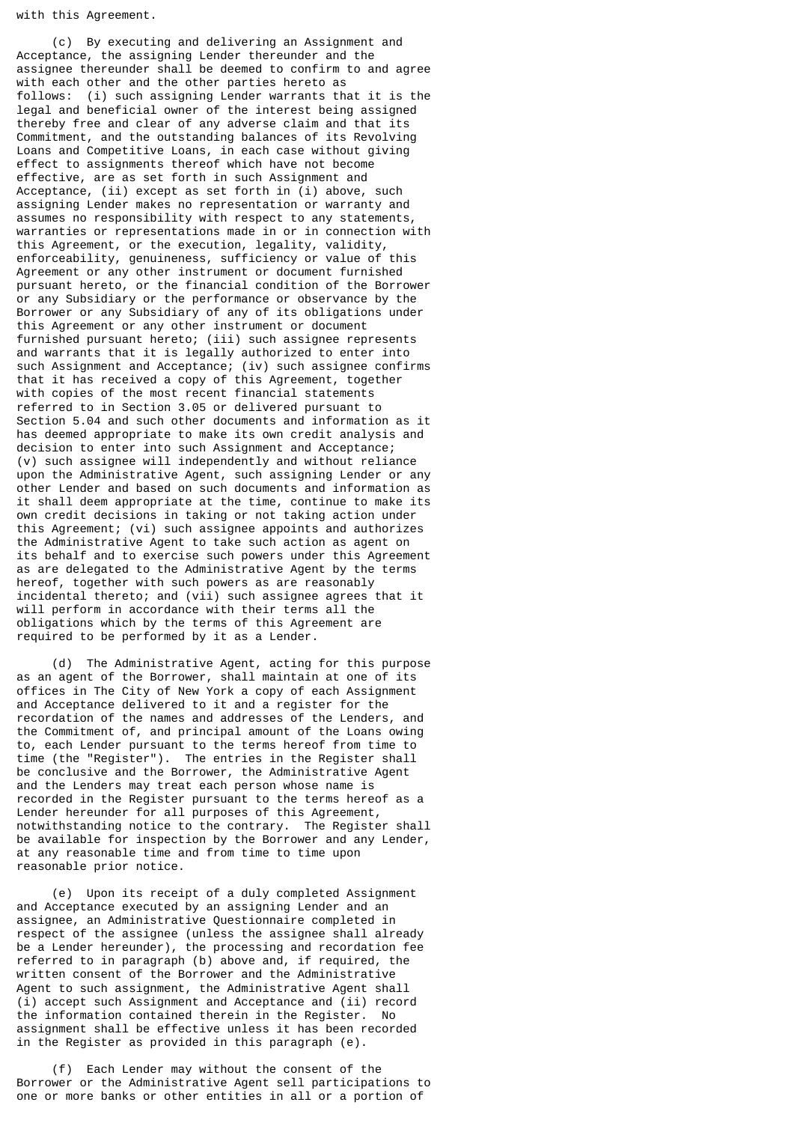with this Agreement.

 (c) By executing and delivering an Assignment and Acceptance, the assigning Lender thereunder and the assignee thereunder shall be deemed to confirm to and agree with each other and the other parties hereto as follows: (i) such assigning Lender warrants that it is the legal and beneficial owner of the interest being assigned thereby free and clear of any adverse claim and that its Commitment, and the outstanding balances of its Revolving Loans and Competitive Loans, in each case without giving effect to assignments thereof which have not become effective, are as set forth in such Assignment and Acceptance, (ii) except as set forth in (i) above, such assigning Lender makes no representation or warranty and assumes no responsibility with respect to any statements, warranties or representations made in or in connection with this Agreement, or the execution, legality, validity, enforceability, genuineness, sufficiency or value of this Agreement or any other instrument or document furnished pursuant hereto, or the financial condition of the Borrower or any Subsidiary or the performance or observance by the Borrower or any Subsidiary of any of its obligations under this Agreement or any other instrument or document furnished pursuant hereto; (iii) such assignee represents and warrants that it is legally authorized to enter into such Assignment and Acceptance; (iv) such assignee confirms that it has received a copy of this Agreement, together with copies of the most recent financial statements referred to in Section 3.05 or delivered pursuant to Section 5.04 and such other documents and information as it has deemed appropriate to make its own credit analysis and decision to enter into such Assignment and Acceptance; (v) such assignee will independently and without reliance upon the Administrative Agent, such assigning Lender or any other Lender and based on such documents and information as it shall deem appropriate at the time, continue to make its own credit decisions in taking or not taking action under this Agreement; (vi) such assignee appoints and authorizes the Administrative Agent to take such action as agent on its behalf and to exercise such powers under this Agreement as are delegated to the Administrative Agent by the terms hereof, together with such powers as are reasonably incidental thereto; and (vii) such assignee agrees that it will perform in accordance with their terms all the obligations which by the terms of this Agreement are required to be performed by it as a Lender.

 (d) The Administrative Agent, acting for this purpose as an agent of the Borrower, shall maintain at one of its offices in The City of New York a copy of each Assignment and Acceptance delivered to it and a register for the recordation of the names and addresses of the Lenders, and the Commitment of, and principal amount of the Loans owing to, each Lender pursuant to the terms hereof from time to time (the "Register"). The entries in the Register shall be conclusive and the Borrower, the Administrative Agent and the Lenders may treat each person whose name is recorded in the Register pursuant to the terms hereof as a Lender hereunder for all purposes of this Agreement, notwithstanding notice to the contrary. The Register shall be available for inspection by the Borrower and any Lender, at any reasonable time and from time to time upon reasonable prior notice.

 (e) Upon its receipt of a duly completed Assignment and Acceptance executed by an assigning Lender and an assignee, an Administrative Questionnaire completed in respect of the assignee (unless the assignee shall already be a Lender hereunder), the processing and recordation fee referred to in paragraph (b) above and, if required, the written consent of the Borrower and the Administrative Agent to such assignment, the Administrative Agent shall (i) accept such Assignment and Acceptance and (ii) record the information contained therein in the Register. No assignment shall be effective unless it has been recorded in the Register as provided in this paragraph (e).

 (f) Each Lender may without the consent of the Borrower or the Administrative Agent sell participations to one or more banks or other entities in all or a portion of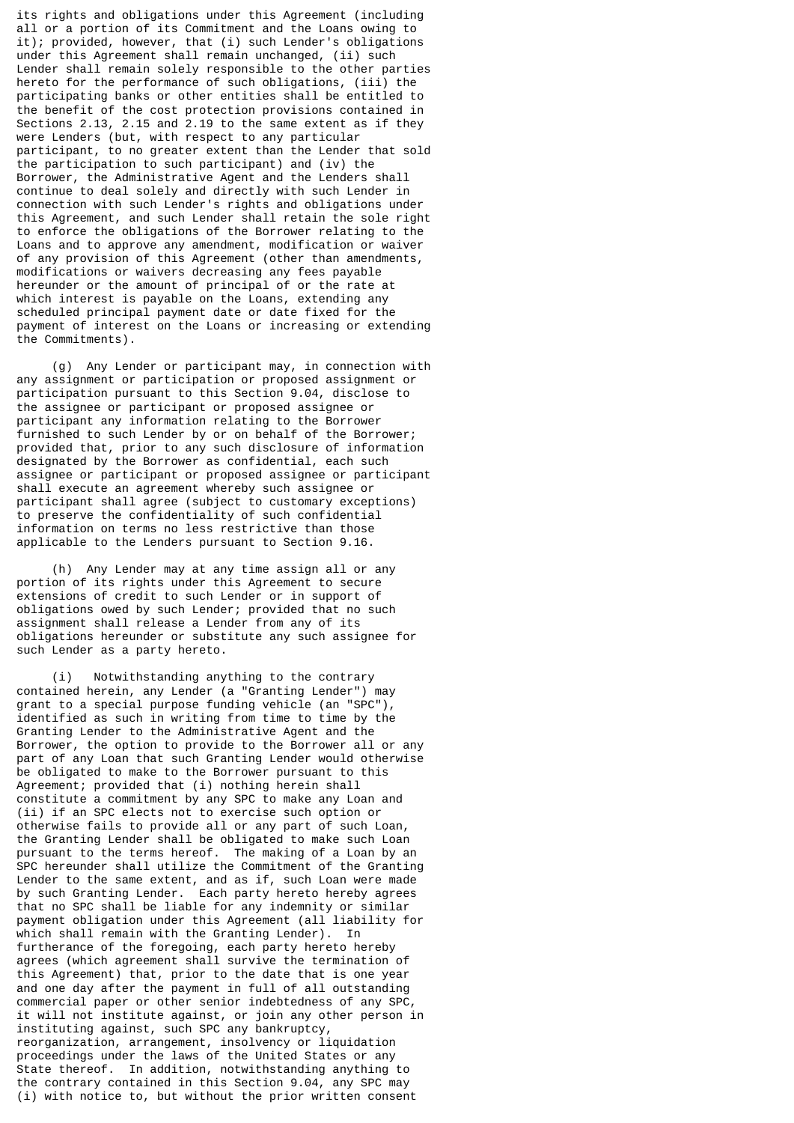its rights and obligations under this Agreement (including all or a portion of its Commitment and the Loans owing to it); provided, however, that (i) such Lender's obligations under this Agreement shall remain unchanged, (ii) such Lender shall remain solely responsible to the other parties hereto for the performance of such obligations, (iii) the participating banks or other entities shall be entitled to the benefit of the cost protection provisions contained in Sections 2.13, 2.15 and 2.19 to the same extent as if they were Lenders (but, with respect to any particular participant, to no greater extent than the Lender that sold the participation to such participant) and (iv) the Borrower, the Administrative Agent and the Lenders shall continue to deal solely and directly with such Lender in connection with such Lender's rights and obligations under this Agreement, and such Lender shall retain the sole right to enforce the obligations of the Borrower relating to the Loans and to approve any amendment, modification or waiver of any provision of this Agreement (other than amendments, modifications or waivers decreasing any fees payable hereunder or the amount of principal of or the rate at which interest is payable on the Loans, extending any scheduled principal payment date or date fixed for the payment of interest on the Loans or increasing or extending the Commitments).

 (g) Any Lender or participant may, in connection with any assignment or participation or proposed assignment or participation pursuant to this Section 9.04, disclose to the assignee or participant or proposed assignee or participant any information relating to the Borrower furnished to such Lender by or on behalf of the Borrower; provided that, prior to any such disclosure of information designated by the Borrower as confidential, each such assignee or participant or proposed assignee or participant shall execute an agreement whereby such assignee or participant shall agree (subject to customary exceptions) to preserve the confidentiality of such confidential information on terms no less restrictive than those applicable to the Lenders pursuant to Section 9.16.

 (h) Any Lender may at any time assign all or any portion of its rights under this Agreement to secure extensions of credit to such Lender or in support of obligations owed by such Lender; provided that no such assignment shall release a Lender from any of its obligations hereunder or substitute any such assignee for such Lender as a party hereto.

 (i) Notwithstanding anything to the contrary contained herein, any Lender (a "Granting Lender") may grant to a special purpose funding vehicle (an "SPC"), identified as such in writing from time to time by the Granting Lender to the Administrative Agent and the Borrower, the option to provide to the Borrower all or any part of any Loan that such Granting Lender would otherwise be obligated to make to the Borrower pursuant to this Agreement; provided that (i) nothing herein shall constitute a commitment by any SPC to make any Loan and (ii) if an SPC elects not to exercise such option or otherwise fails to provide all or any part of such Loan, the Granting Lender shall be obligated to make such Loan pursuant to the terms hereof. The making of a Loan by an SPC hereunder shall utilize the Commitment of the Granting Lender to the same extent, and as if, such Loan were made by such Granting Lender. Each party hereto hereby agrees that no SPC shall be liable for any indemnity or similar payment obligation under this Agreement (all liability for which shall remain with the Granting Lender). In furtherance of the foregoing, each party hereto hereby agrees (which agreement shall survive the termination of this Agreement) that, prior to the date that is one year and one day after the payment in full of all outstanding commercial paper or other senior indebtedness of any SPC, it will not institute against, or join any other person in instituting against, such SPC any bankruptcy, reorganization, arrangement, insolvency or liquidation proceedings under the laws of the United States or any State thereof. In addition, notwithstanding anything to the contrary contained in this Section 9.04, any SPC may (i) with notice to, but without the prior written consent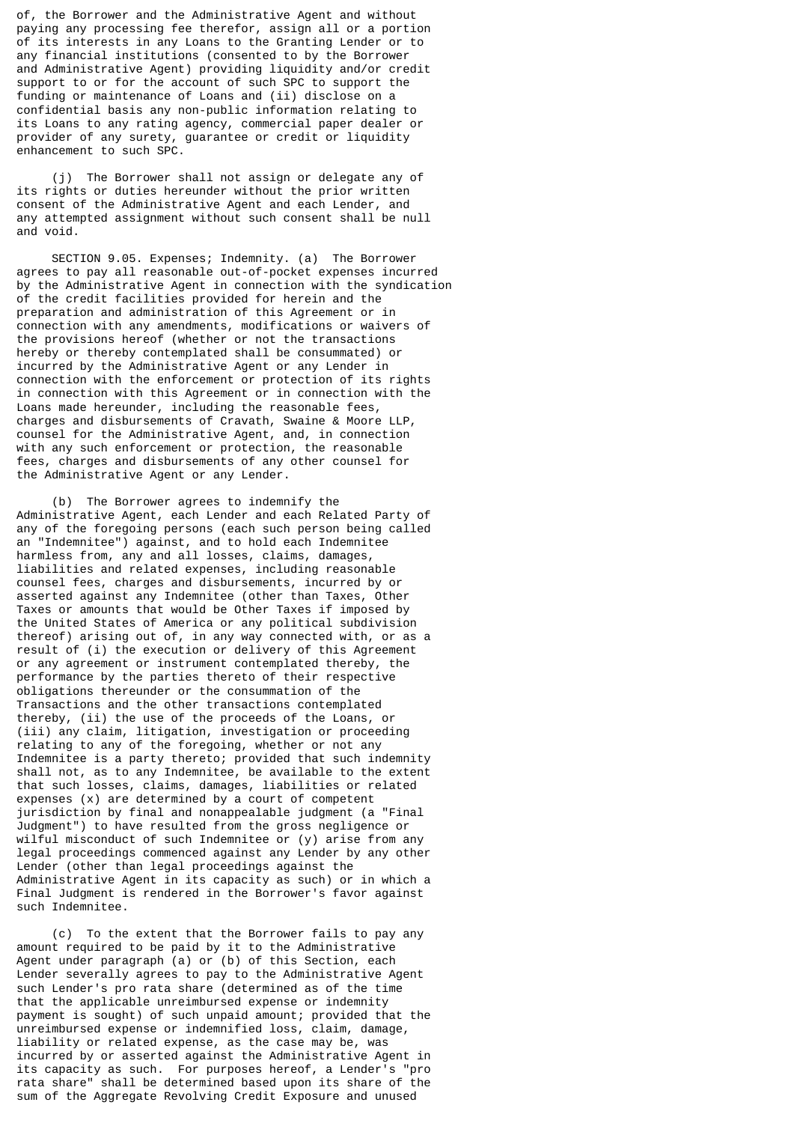of, the Borrower and the Administrative Agent and without paying any processing fee therefor, assign all or a portion of its interests in any Loans to the Granting Lender or to any financial institutions (consented to by the Borrower and Administrative Agent) providing liquidity and/or credit support to or for the account of such SPC to support the funding or maintenance of Loans and (ii) disclose on a confidential basis any non-public information relating to its Loans to any rating agency, commercial paper dealer or provider of any surety, guarantee or credit or liquidity enhancement to such SPC.

 (j) The Borrower shall not assign or delegate any of its rights or duties hereunder without the prior written consent of the Administrative Agent and each Lender, and any attempted assignment without such consent shall be null and void.

 SECTION 9.05. Expenses; Indemnity. (a) The Borrower agrees to pay all reasonable out-of-pocket expenses incurred by the Administrative Agent in connection with the syndication of the credit facilities provided for herein and the preparation and administration of this Agreement or in connection with any amendments, modifications or waivers of the provisions hereof (whether or not the transactions hereby or thereby contemplated shall be consummated) or incurred by the Administrative Agent or any Lender in connection with the enforcement or protection of its rights in connection with this Agreement or in connection with the Loans made hereunder, including the reasonable fees, charges and disbursements of Cravath, Swaine & Moore LLP, counsel for the Administrative Agent, and, in connection with any such enforcement or protection, the reasonable fees, charges and disbursements of any other counsel for the Administrative Agent or any Lender.

 (b) The Borrower agrees to indemnify the Administrative Agent, each Lender and each Related Party of any of the foregoing persons (each such person being called an "Indemnitee") against, and to hold each Indemnitee harmless from, any and all losses, claims, damages, liabilities and related expenses, including reasonable counsel fees, charges and disbursements, incurred by or asserted against any Indemnitee (other than Taxes, Other Taxes or amounts that would be Other Taxes if imposed by the United States of America or any political subdivision thereof) arising out of, in any way connected with, or as a result of (i) the execution or delivery of this Agreement or any agreement or instrument contemplated thereby, the performance by the parties thereto of their respective obligations thereunder or the consummation of the Transactions and the other transactions contemplated thereby, (ii) the use of the proceeds of the Loans, or (iii) any claim, litigation, investigation or proceeding relating to any of the foregoing, whether or not any Indemnitee is a party thereto; provided that such indemnity shall not, as to any Indemnitee, be available to the extent that such losses, claims, damages, liabilities or related expenses (x) are determined by a court of competent jurisdiction by final and nonappealable judgment (a "Final Judgment") to have resulted from the gross negligence or wilful misconduct of such Indemnitee or (y) arise from any legal proceedings commenced against any Lender by any other Lender (other than legal proceedings against the Administrative Agent in its capacity as such) or in which a Final Judgment is rendered in the Borrower's favor against such Indemnitee.

 (c) To the extent that the Borrower fails to pay any amount required to be paid by it to the Administrative Agent under paragraph (a) or (b) of this Section, each Lender severally agrees to pay to the Administrative Agent such Lender's pro rata share (determined as of the time that the applicable unreimbursed expense or indemnity payment is sought) of such unpaid amount; provided that the unreimbursed expense or indemnified loss, claim, damage, liability or related expense, as the case may be, was incurred by or asserted against the Administrative Agent in its capacity as such. For purposes hereof, a Lender's "pro rata share" shall be determined based upon its share of the sum of the Aggregate Revolving Credit Exposure and unused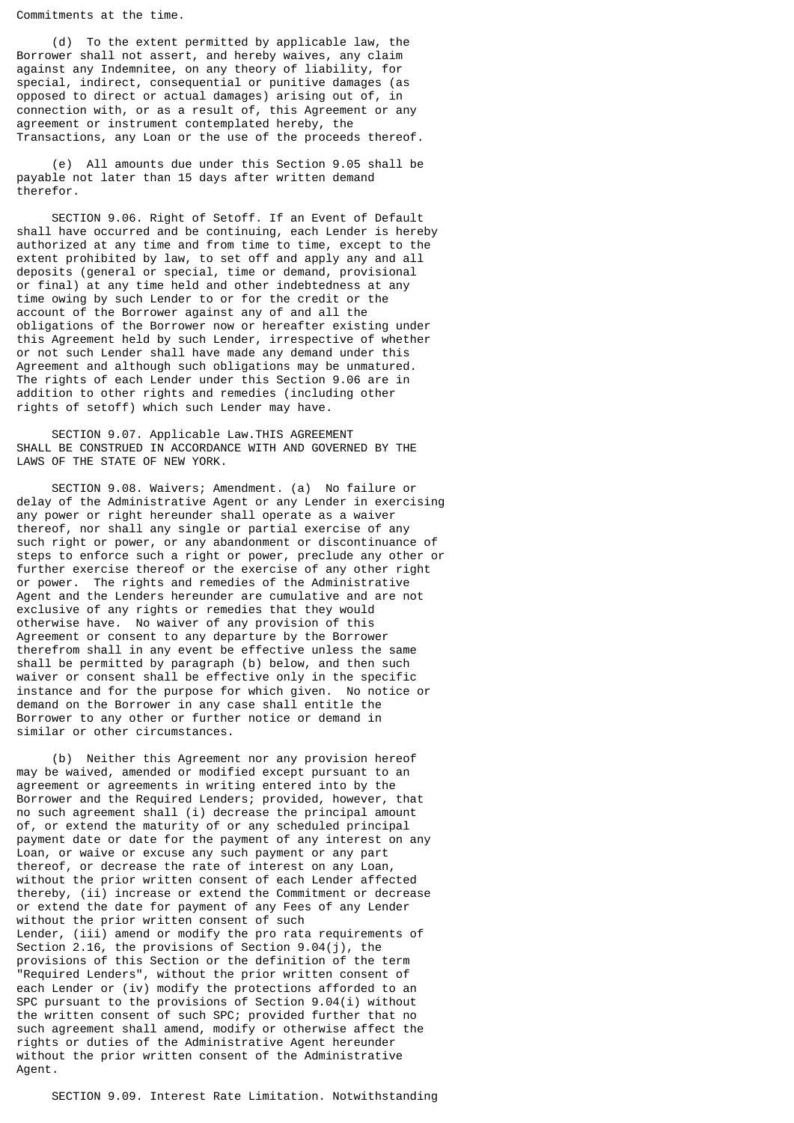Commitments at the time.

 (d) To the extent permitted by applicable law, the Borrower shall not assert, and hereby waives, any claim against any Indemnitee, on any theory of liability, for special, indirect, consequential or punitive damages (as opposed to direct or actual damages) arising out of, in connection with, or as a result of, this Agreement or any agreement or instrument contemplated hereby, the Transactions, any Loan or the use of the proceeds thereof.

 (e) All amounts due under this Section 9.05 shall be payable not later than 15 days after written demand therefor.

 SECTION 9.06. Right of Setoff. If an Event of Default shall have occurred and be continuing, each Lender is hereby authorized at any time and from time to time, except to the extent prohibited by law, to set off and apply any and all deposits (general or special, time or demand, provisional or final) at any time held and other indebtedness at any time owing by such Lender to or for the credit or the account of the Borrower against any of and all the obligations of the Borrower now or hereafter existing under this Agreement held by such Lender, irrespective of whether or not such Lender shall have made any demand under this Agreement and although such obligations may be unmatured. The rights of each Lender under this Section 9.06 are in addition to other rights and remedies (including other rights of setoff) which such Lender may have.

 SECTION 9.07. Applicable Law.THIS AGREEMENT SHALL BE CONSTRUED IN ACCORDANCE WITH AND GOVERNED BY THE LAWS OF THE STATE OF NEW YORK.

 SECTION 9.08. Waivers; Amendment. (a) No failure or delay of the Administrative Agent or any Lender in exercising any power or right hereunder shall operate as a waiver thereof, nor shall any single or partial exercise of any such right or power, or any abandonment or discontinuance of steps to enforce such a right or power, preclude any other or further exercise thereof or the exercise of any other right or power. The rights and remedies of the Administrative Agent and the Lenders hereunder are cumulative and are not exclusive of any rights or remedies that they would otherwise have. No waiver of any provision of this Agreement or consent to any departure by the Borrower therefrom shall in any event be effective unless the same shall be permitted by paragraph (b) below, and then such waiver or consent shall be effective only in the specific instance and for the purpose for which given. No notice or demand on the Borrower in any case shall entitle the Borrower to any other or further notice or demand in similar or other circumstances.

 (b) Neither this Agreement nor any provision hereof may be waived, amended or modified except pursuant to an agreement or agreements in writing entered into by the Borrower and the Required Lenders; provided, however, that no such agreement shall (i) decrease the principal amount of, or extend the maturity of or any scheduled principal payment date or date for the payment of any interest on any Loan, or waive or excuse any such payment or any part thereof, or decrease the rate of interest on any Loan, without the prior written consent of each Lender affected thereby, (ii) increase or extend the Commitment or decrease or extend the date for payment of any Fees of any Lender without the prior written consent of such Lender, (iii) amend or modify the pro rata requirements of Section 2.16, the provisions of Section 9.04(j), the provisions of this Section or the definition of the term "Required Lenders", without the prior written consent of each Lender or (iv) modify the protections afforded to an SPC pursuant to the provisions of Section 9.04(i) without the written consent of such SPC; provided further that no such agreement shall amend, modify or otherwise affect the rights or duties of the Administrative Agent hereunder without the prior written consent of the Administrative Agent.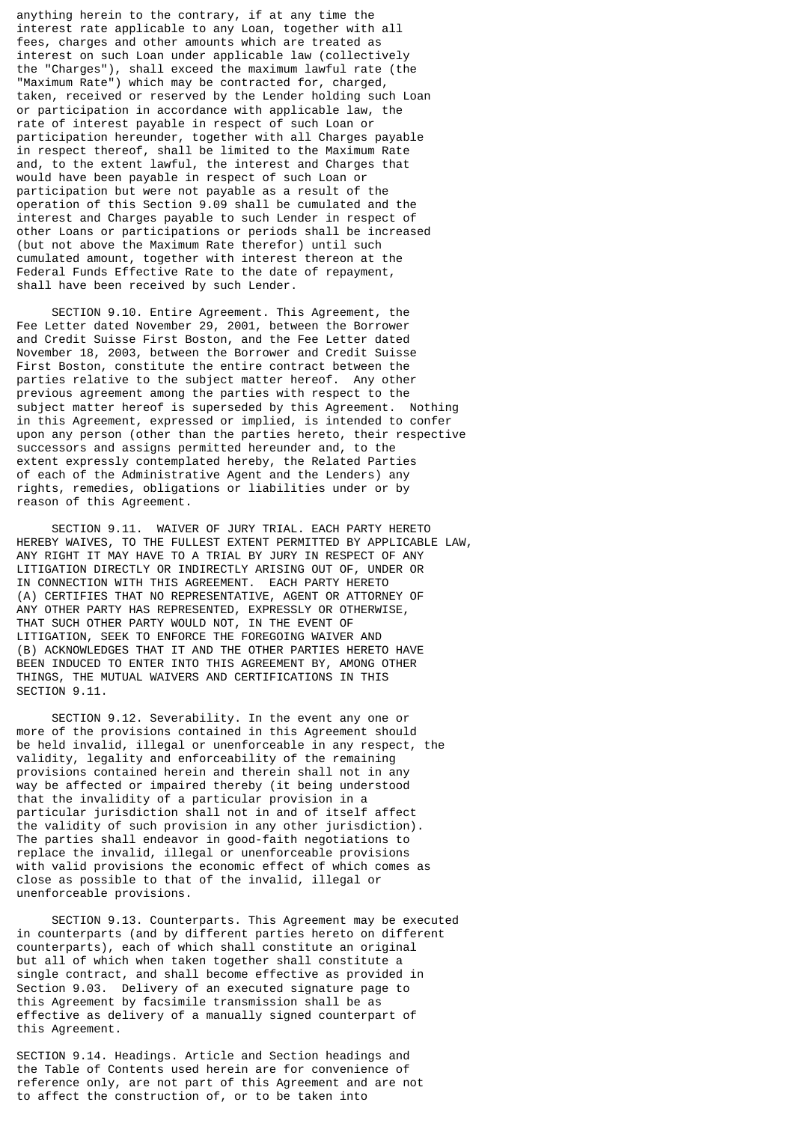anything herein to the contrary, if at any time the interest rate applicable to any Loan, together with all fees, charges and other amounts which are treated as interest on such Loan under applicable law (collectively the "Charges"), shall exceed the maximum lawful rate (the "Maximum Rate") which may be contracted for, charged, taken, received or reserved by the Lender holding such Loan or participation in accordance with applicable law, the rate of interest payable in respect of such Loan or participation hereunder, together with all Charges payable in respect thereof, shall be limited to the Maximum Rate and, to the extent lawful, the interest and Charges that would have been payable in respect of such Loan or participation but were not payable as a result of the operation of this Section 9.09 shall be cumulated and the interest and Charges payable to such Lender in respect of other Loans or participations or periods shall be increased (but not above the Maximum Rate therefor) until such cumulated amount, together with interest thereon at the Federal Funds Effective Rate to the date of repayment, shall have been received by such Lender.

 SECTION 9.10. Entire Agreement. This Agreement, the Fee Letter dated November 29, 2001, between the Borrower and Credit Suisse First Boston, and the Fee Letter dated November 18, 2003, between the Borrower and Credit Suisse First Boston, constitute the entire contract between the parties relative to the subject matter hereof. Any other previous agreement among the parties with respect to the subject matter hereof is superseded by this Agreement. Nothing in this Agreement, expressed or implied, is intended to confer upon any person (other than the parties hereto, their respective successors and assigns permitted hereunder and, to the extent expressly contemplated hereby, the Related Parties of each of the Administrative Agent and the Lenders) any rights, remedies, obligations or liabilities under or by reason of this Agreement.

 SECTION 9.11. WAIVER OF JURY TRIAL. EACH PARTY HERETO HEREBY WAIVES, TO THE FULLEST EXTENT PERMITTED BY APPLICABLE LAW, ANY RIGHT IT MAY HAVE TO A TRIAL BY JURY IN RESPECT OF ANY LITIGATION DIRECTLY OR INDIRECTLY ARISING OUT OF, UNDER OR IN CONNECTION WITH THIS AGREEMENT. EACH PARTY HERETO (A) CERTIFIES THAT NO REPRESENTATIVE, AGENT OR ATTORNEY OF ANY OTHER PARTY HAS REPRESENTED, EXPRESSLY OR OTHERWISE, THAT SUCH OTHER PARTY WOULD NOT, IN THE EVENT OF LITIGATION, SEEK TO ENFORCE THE FOREGOING WAIVER AND (B) ACKNOWLEDGES THAT IT AND THE OTHER PARTIES HERETO HAVE BEEN INDUCED TO ENTER INTO THIS AGREEMENT BY, AMONG OTHER THINGS, THE MUTUAL WAIVERS AND CERTIFICATIONS IN THIS SECTION 9.11.

 SECTION 9.12. Severability. In the event any one or more of the provisions contained in this Agreement should be held invalid, illegal or unenforceable in any respect, the validity, legality and enforceability of the remaining provisions contained herein and therein shall not in any way be affected or impaired thereby (it being understood that the invalidity of a particular provision in a particular jurisdiction shall not in and of itself affect the validity of such provision in any other jurisdiction). The parties shall endeavor in good-faith negotiations to replace the invalid, illegal or unenforceable provisions with valid provisions the economic effect of which comes as close as possible to that of the invalid, illegal or unenforceable provisions.

 SECTION 9.13. Counterparts. This Agreement may be executed in counterparts (and by different parties hereto on different counterparts), each of which shall constitute an original but all of which when taken together shall constitute a single contract, and shall become effective as provided in Section 9.03. Delivery of an executed signature page to this Agreement by facsimile transmission shall be as effective as delivery of a manually signed counterpart of this Agreement.

SECTION 9.14. Headings. Article and Section headings and the Table of Contents used herein are for convenience of reference only, are not part of this Agreement and are not to affect the construction of, or to be taken into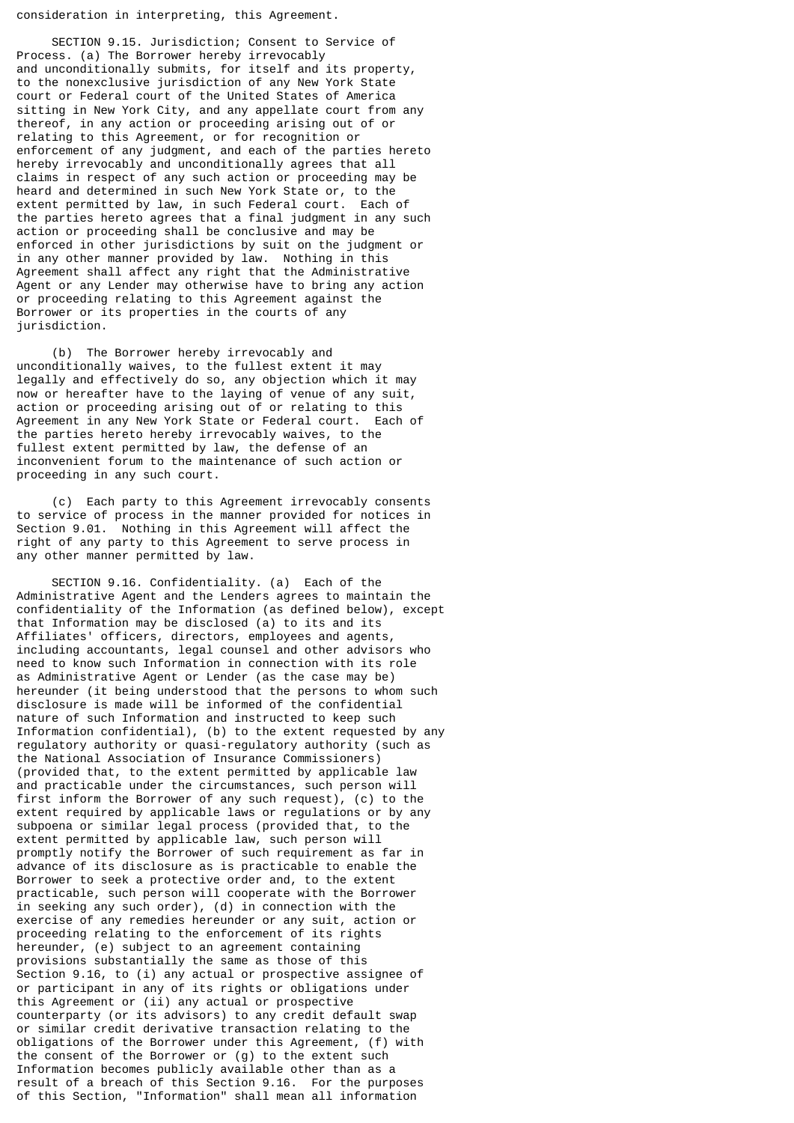consideration in interpreting, this Agreement.

 SECTION 9.15. Jurisdiction; Consent to Service of Process. (a) The Borrower hereby irrevocably and unconditionally submits, for itself and its property, to the nonexclusive jurisdiction of any New York State court or Federal court of the United States of America sitting in New York City, and any appellate court from any thereof, in any action or proceeding arising out of or relating to this Agreement, or for recognition or enforcement of any judgment, and each of the parties hereto hereby irrevocably and unconditionally agrees that all claims in respect of any such action or proceeding may be heard and determined in such New York State or, to the extent permitted by law, in such Federal court. Each of the parties hereto agrees that a final judgment in any such action or proceeding shall be conclusive and may be enforced in other jurisdictions by suit on the judgment or in any other manner provided by law. Nothing in this Agreement shall affect any right that the Administrative Agent or any Lender may otherwise have to bring any action or proceeding relating to this Agreement against the Borrower or its properties in the courts of any jurisdiction.

 (b) The Borrower hereby irrevocably and unconditionally waives, to the fullest extent it may legally and effectively do so, any objection which it may now or hereafter have to the laying of venue of any suit, action or proceeding arising out of or relating to this Agreement in any New York State or Federal court. Each of the parties hereto hereby irrevocably waives, to the fullest extent permitted by law, the defense of an inconvenient forum to the maintenance of such action or proceeding in any such court.

 (c) Each party to this Agreement irrevocably consents to service of process in the manner provided for notices in Section 9.01. Nothing in this Agreement will affect the right of any party to this Agreement to serve process in any other manner permitted by law.

 SECTION 9.16. Confidentiality. (a) Each of the Administrative Agent and the Lenders agrees to maintain the confidentiality of the Information (as defined below), except that Information may be disclosed (a) to its and its Affiliates' officers, directors, employees and agents, including accountants, legal counsel and other advisors who need to know such Information in connection with its role as Administrative Agent or Lender (as the case may be) hereunder (it being understood that the persons to whom such disclosure is made will be informed of the confidential nature of such Information and instructed to keep such Information confidential), (b) to the extent requested by any regulatory authority or quasi-regulatory authority (such as the National Association of Insurance Commissioners) (provided that, to the extent permitted by applicable law and practicable under the circumstances, such person will first inform the Borrower of any such request), (c) to the extent required by applicable laws or regulations or by any subpoena or similar legal process (provided that, to the extent permitted by applicable law, such person will promptly notify the Borrower of such requirement as far in advance of its disclosure as is practicable to enable the Borrower to seek a protective order and, to the extent practicable, such person will cooperate with the Borrower in seeking any such order), (d) in connection with the exercise of any remedies hereunder or any suit, action or proceeding relating to the enforcement of its rights hereunder, (e) subject to an agreement containing provisions substantially the same as those of this Section 9.16, to (i) any actual or prospective assignee of or participant in any of its rights or obligations under this Agreement or (ii) any actual or prospective counterparty (or its advisors) to any credit default swap or similar credit derivative transaction relating to the obligations of the Borrower under this Agreement, (f) with the consent of the Borrower or (g) to the extent such Information becomes publicly available other than as a result of a breach of this Section 9.16. For the purposes of this Section, "Information" shall mean all information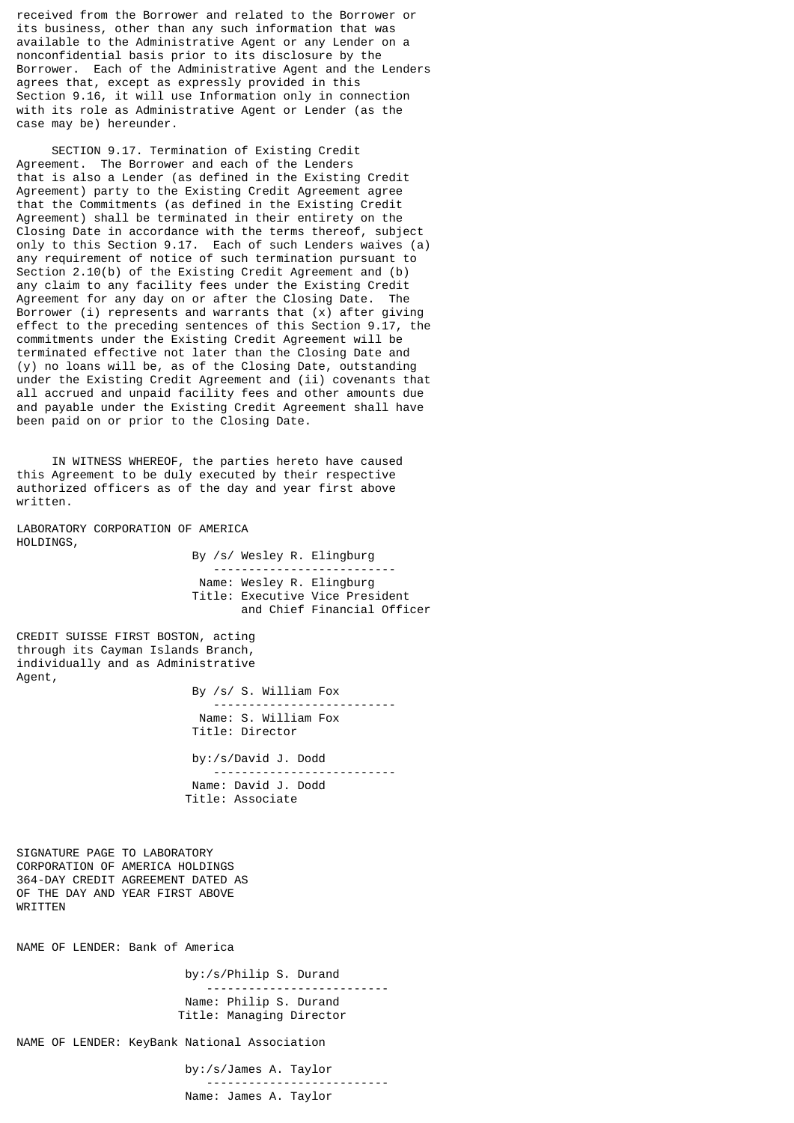received from the Borrower and related to the Borrower or its business, other than any such information that was available to the Administrative Agent or any Lender on a nonconfidential basis prior to its disclosure by the Borrower. Each of the Administrative Agent and the Lenders agrees that, except as expressly provided in this Section 9.16, it will use Information only in connection with its role as Administrative Agent or Lender (as the case may be) hereunder.

 SECTION 9.17. Termination of Existing Credit Agreement. The Borrower and each of the Lenders that is also a Lender (as defined in the Existing Credit Agreement) party to the Existing Credit Agreement agree that the Commitments (as defined in the Existing Credit Agreement) shall be terminated in their entirety on the Closing Date in accordance with the terms thereof, subject only to this Section 9.17. Each of such Lenders waives (a) any requirement of notice of such termination pursuant to Section 2.10(b) of the Existing Credit Agreement and (b) any claim to any facility fees under the Existing Credit Agreement for any day on or after the Closing Date. The Borrower (i) represents and warrants that (x) after giving effect to the preceding sentences of this Section 9.17, the commitments under the Existing Credit Agreement will be terminated effective not later than the Closing Date and (y) no loans will be, as of the Closing Date, outstanding under the Existing Credit Agreement and (ii) covenants that all accrued and unpaid facility fees and other amounts due and payable under the Existing Credit Agreement shall have been paid on or prior to the Closing Date.

 IN WITNESS WHEREOF, the parties hereto have caused this Agreement to be duly executed by their respective authorized officers as of the day and year first above written.

LABORATORY CORPORATION OF AMERICA HOLDINGS,

> By /s/ Wesley R. Elingburg -------------------------- Name: Wesley R. Elingburg Title: Executive Vice President and Chief Financial Officer

CREDIT SUISSE FIRST BOSTON, acting through its Cayman Islands Branch, individually and as Administrative Agent,

> By /s/ S. William Fox -------------------------- Name: S. William Fox Title: Director

 by:/s/David J. Dodd -------------------------- Name: David J. Dodd Title: Associate

SIGNATURE PAGE TO LABORATORY CORPORATION OF AMERICA HOLDINGS 364-DAY CREDIT AGREEMENT DATED AS OF THE DAY AND YEAR FIRST ABOVE WRITTEN

NAME OF LENDER: Bank of America

 by:/s/Philip S. Durand -------------------------- Name: Philip S. Durand Title: Managing Director

NAME OF LENDER: KeyBank National Association

 by:/s/James A. Taylor -------------------------- Name: James A. Taylor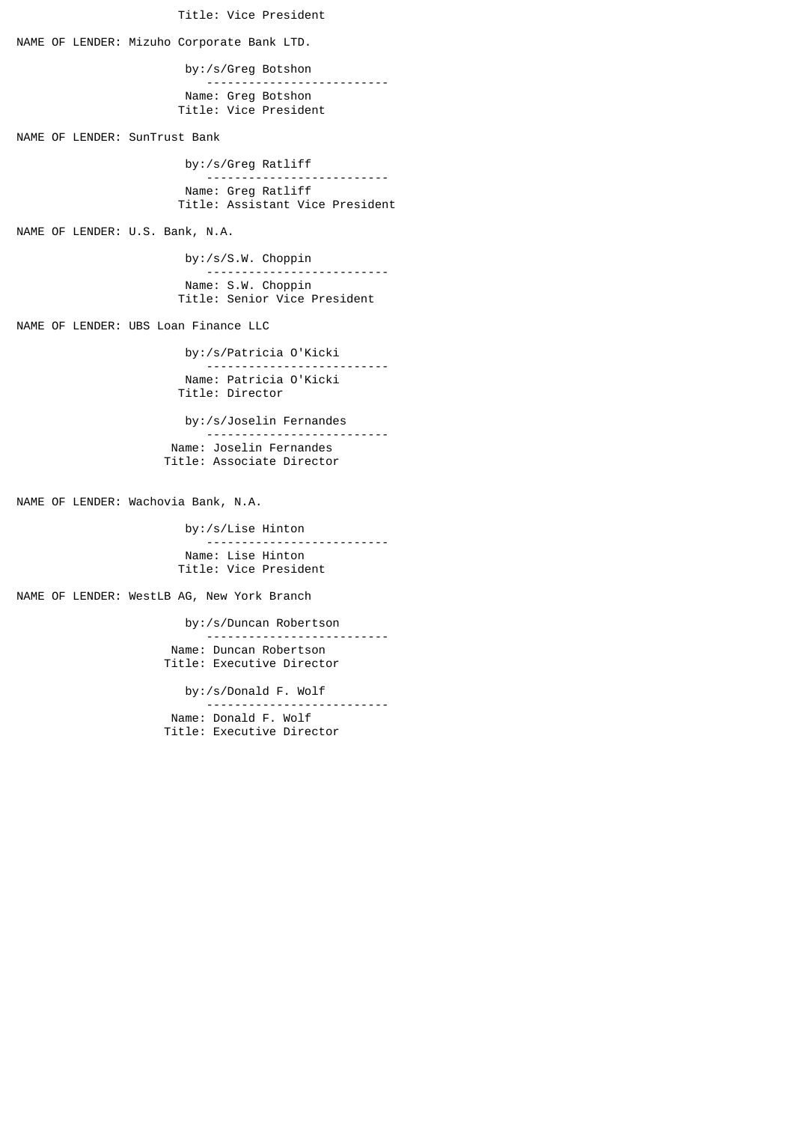Title: Vice President

NAME OF LENDER: Mizuho Corporate Bank LTD.

 by:/s/Greg Botshon -------------------------- Name: Greg Botshon Title: Vice President

NAME OF LENDER: SunTrust Bank

 by:/s/Greg Ratliff -------------------------- Name: Greg Ratliff Title: Assistant Vice President

NAME OF LENDER: U.S. Bank, N.A.

 by:/s/S.W. Choppin -------------------------- Name: S.W. Choppin Title: Senior Vice President

NAME OF LENDER: UBS Loan Finance LLC

 by:/s/Patricia O'Kicki -------------------------- Name: Patricia O'Kicki Title: Director

 by:/s/Joselin Fernandes -------------------------- Name: Joselin Fernandes Title: Associate Director

NAME OF LENDER: Wachovia Bank, N.A.

 by:/s/Lise Hinton -------------------------- Name: Lise Hinton Title: Vice President

NAME OF LENDER: WestLB AG, New York Branch

 by:/s/Duncan Robertson -------------------------- Name: Duncan Robertson Title: Executive Director

 by:/s/Donald F. Wolf -------------------------- Name: Donald F. Wolf Title: Executive Director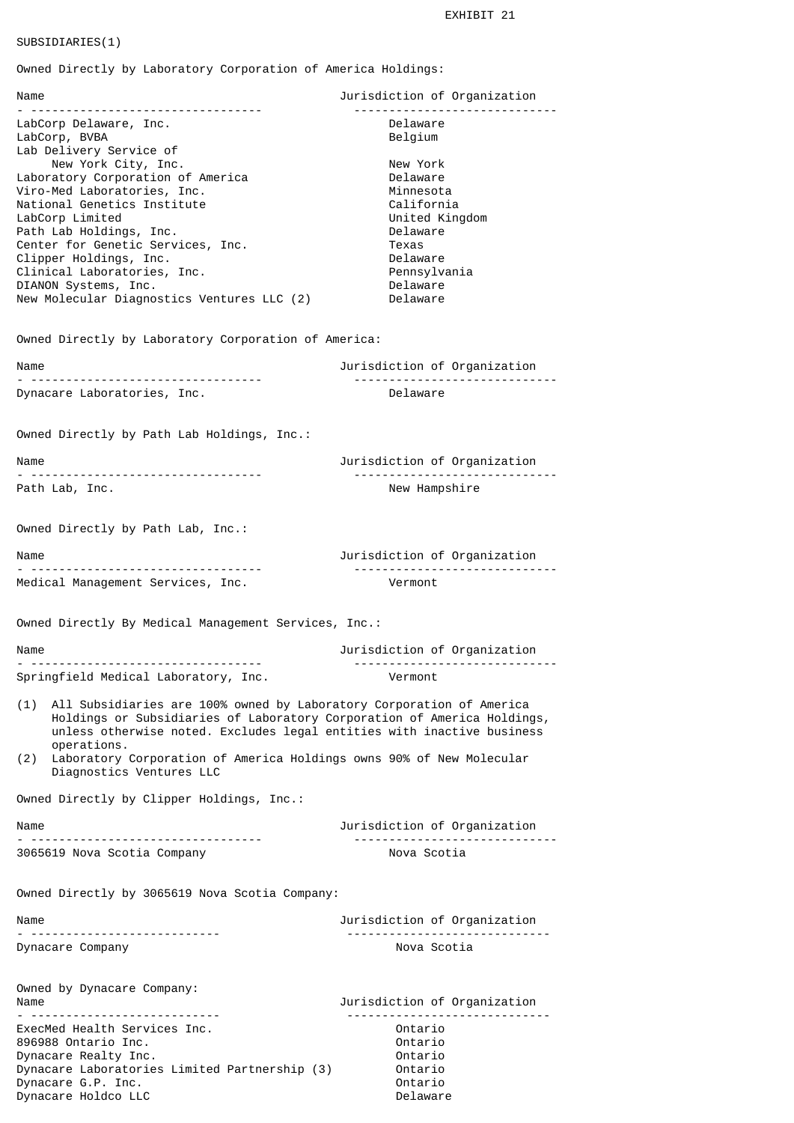# SUBSIDIARIES(1)

Owned Directly by Laboratory Corporation of America Holdings:

| Name                                                                                                                                                                                                                                            | Jurisdiction of Organization                                    |
|-------------------------------------------------------------------------------------------------------------------------------------------------------------------------------------------------------------------------------------------------|-----------------------------------------------------------------|
|                                                                                                                                                                                                                                                 | ---------------                                                 |
| LabCorp Delaware, Inc.<br>LabCorp, BVBA                                                                                                                                                                                                         | Delaware<br>Belgium                                             |
| Lab Delivery Service of                                                                                                                                                                                                                         |                                                                 |
| New York City, Inc.                                                                                                                                                                                                                             | New York<br>Delaware                                            |
| Laboratory Corporation of America<br>Viro-Med Laboratories, Inc.                                                                                                                                                                                | Minnesota                                                       |
| National Genetics Institute                                                                                                                                                                                                                     | California                                                      |
| LabCorp Limited<br>Path Lab Holdings, Inc.                                                                                                                                                                                                      | United Kingdom<br>Delaware                                      |
| Center for Genetic Services, Inc.                                                                                                                                                                                                               | Texas                                                           |
| Clipper Holdings, Inc.                                                                                                                                                                                                                          | Delaware                                                        |
| Clinical Laboratories, Inc.<br>DIANON Systems, Inc.                                                                                                                                                                                             | Pennsylvania<br>Delaware                                        |
| New Molecular Diagnostics Ventures LLC (2)                                                                                                                                                                                                      | Delaware                                                        |
| Owned Directly by Laboratory Corporation of America:                                                                                                                                                                                            |                                                                 |
| Name                                                                                                                                                                                                                                            | Jurisdiction of Organization                                    |
|                                                                                                                                                                                                                                                 |                                                                 |
| Dynacare Laboratories, Inc.                                                                                                                                                                                                                     | Delaware                                                        |
| Owned Directly by Path Lab Holdings, Inc.:                                                                                                                                                                                                      |                                                                 |
| Name<br>-----------------------------------                                                                                                                                                                                                     | Jurisdiction of Organization                                    |
| Path Lab, Inc.                                                                                                                                                                                                                                  | New Hampshire                                                   |
| Owned Directly by Path Lab, Inc.:                                                                                                                                                                                                               |                                                                 |
| Name                                                                                                                                                                                                                                            | Jurisdiction of Organization                                    |
| Medical Management Services, Inc.                                                                                                                                                                                                               | Vermont                                                         |
|                                                                                                                                                                                                                                                 |                                                                 |
| Owned Directly By Medical Management Services, Inc.:                                                                                                                                                                                            |                                                                 |
| Name<br><u></u>                                                                                                                                                                                                                                 | Jurisdiction of Organization<br>------------------------------- |
| Springfield Medical Laboratory, Inc.                                                                                                                                                                                                            | Vermont                                                         |
| All Subsidiaries are 100% owned by Laboratory Corporation of America<br>(1)<br>Holdings or Subsidiaries of Laboratory Corporation of America Holdings,<br>unless otherwise noted. Excludes legal entities with inactive business<br>operations. |                                                                 |
| Laboratory Corporation of America Holdings owns 90% of New Molecular<br>(2)<br>Diagnostics Ventures LLC                                                                                                                                         |                                                                 |
| Owned Directly by Clipper Holdings, Inc.:                                                                                                                                                                                                       |                                                                 |
| Name                                                                                                                                                                                                                                            | Jurisdiction of Organization                                    |
| 3065619 Nova Scotia Company                                                                                                                                                                                                                     | Nova Scotia                                                     |
| Owned Directly by 3065619 Nova Scotia Company:                                                                                                                                                                                                  |                                                                 |
| Name                                                                                                                                                                                                                                            | Jurisdiction of Organization                                    |
| ----------------------------<br>Dynacare Company                                                                                                                                                                                                | Nova Scotia                                                     |
|                                                                                                                                                                                                                                                 |                                                                 |
| Owned by Dynacare Company:<br>Name<br>----------------------------                                                                                                                                                                              | Jurisdiction of Organization                                    |
| ExecMed Health Services Inc.                                                                                                                                                                                                                    | Ontario                                                         |
| 896988 Ontario Inc.                                                                                                                                                                                                                             | Ontario                                                         |
| Dynacare Realty Inc.<br>Dynacare Laboratories Limited Partnership (3)                                                                                                                                                                           | Ontario<br>Ontario                                              |
| Dynacare G.P. Inc.                                                                                                                                                                                                                              | Ontario                                                         |

Dynacare Holdco LLC Delaware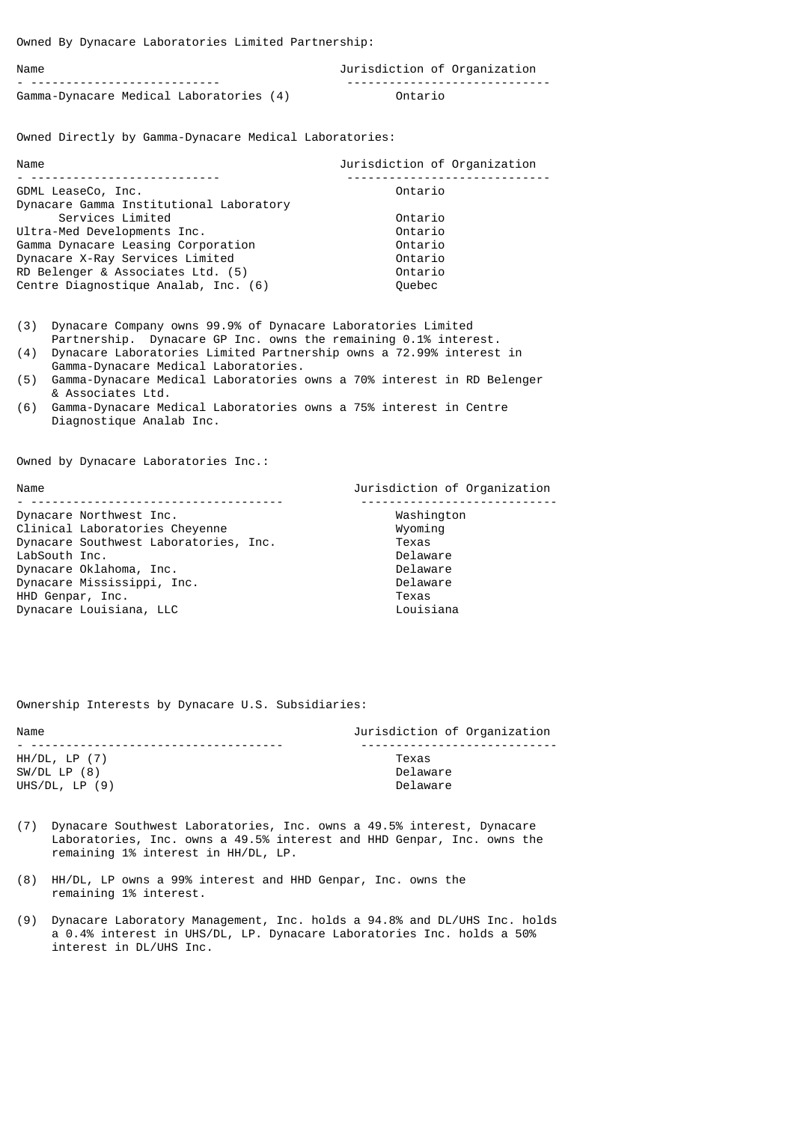Owned By Dynacare Laboratories Limited Partnership:

| Name                                    | Jurisdiction of Organization   |
|-----------------------------------------|--------------------------------|
| - ----------------------------          | ------------------------------ |
| Gamma-Dynacare Medical Laboratories (4) | Ontario                        |

Owned Directly by Gamma-Dynacare Medical Laboratories:

| Name                                    | Jurisdiction of Organization |
|-----------------------------------------|------------------------------|
|                                         |                              |
| GDML LeaseCo, Inc.                      | Ontario                      |
| Dynacare Gamma Institutional Laboratory |                              |
| Services Limited                        | Ontario                      |
| Ultra-Med Developments Inc.             | Ontario                      |
| Gamma Dynacare Leasing Corporation      | Ontario                      |
| Dynacare X-Ray Services Limited         | Ontario                      |
| RD Belenger & Associates Ltd. (5)       | Ontario                      |
| Centre Diagnostique Analab, Inc. (6)    | Quebec                       |

(3) Dynacare Company owns 99.9% of Dynacare Laboratories Limited

- Partnership. Dynacare GP Inc. owns the remaining 0.1% interest. (4) Dynacare Laboratories Limited Partnership owns a 72.99% interest in Gamma-Dynacare Medical Laboratories.
- (5) Gamma-Dynacare Medical Laboratories owns a 70% interest in RD Belenger & Associates Ltd.
- (6) Gamma-Dynacare Medical Laboratories owns a 75% interest in Centre Diagnostique Analab Inc.

Owned by Dynacare Laboratories Inc.:

Name Jurisdiction of Organization - ------------------------------------ ---------------------------- Dynacare Northwest Inc. The contract of the Mashington Clinical Laboratories Cheyenne Wyoming Dynacare Southwest Laboratories, Inc. Texas LabSouth Inc. Delaware Dynacare Oklahoma, Inc. Dynacare Mississippi, Inc. Delaware HHD Genpar, Inc. Texas Dynacare Louisiana, LLC

Ownership Interests by Dynacare U.S. Subsidiaries:

| Name               | Jurisdiction of Organization |
|--------------------|------------------------------|
| $HH/DL$ , $LP(7)$  | Texas                        |
| SW/DL LP (8)       | Delaware                     |
| $UHS/DL$ , $LP(9)$ | Delaware                     |

- (7) Dynacare Southwest Laboratories, Inc. owns a 49.5% interest, Dynacare Laboratories, Inc. owns a 49.5% interest and HHD Genpar, Inc. owns the remaining 1% interest in HH/DL, LP.
- (8) HH/DL, LP owns a 99% interest and HHD Genpar, Inc. owns the remaining 1% interest.
- (9) Dynacare Laboratory Management, Inc. holds a 94.8% and DL/UHS Inc. holds a 0.4% interest in UHS/DL, LP. Dynacare Laboratories Inc. holds a 50% interest in DL/UHS Inc.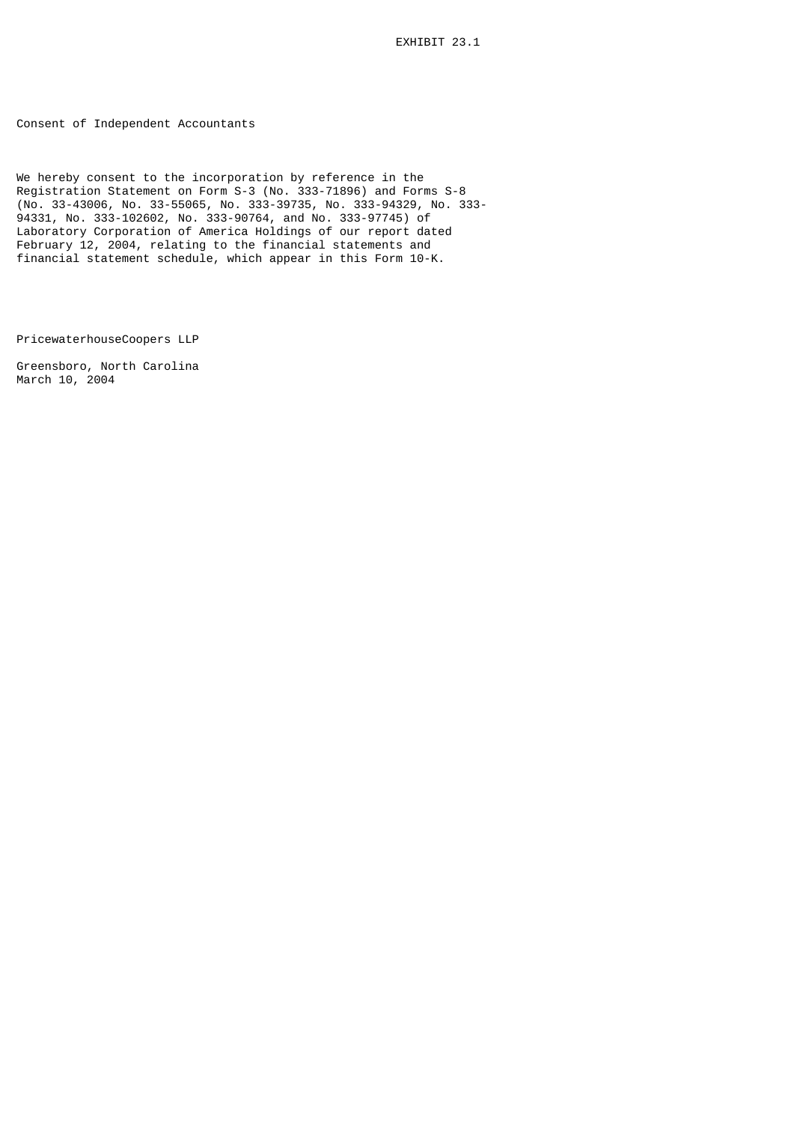Consent of Independent Accountants

We hereby consent to the incorporation by reference in the Registration Statement on Form S-3 (No. 333-71896) and Forms S-8 (No. 33-43006, No. 33-55065, No. 333-39735, No. 333-94329, No. 333- 94331, No. 333-102602, No. 333-90764, and No. 333-97745) of Laboratory Corporation of America Holdings of our report dated February 12, 2004, relating to the financial statements and financial statement schedule, which appear in this Form 10-K.

PricewaterhouseCoopers LLP

Greensboro, North Carolina March 10, 2004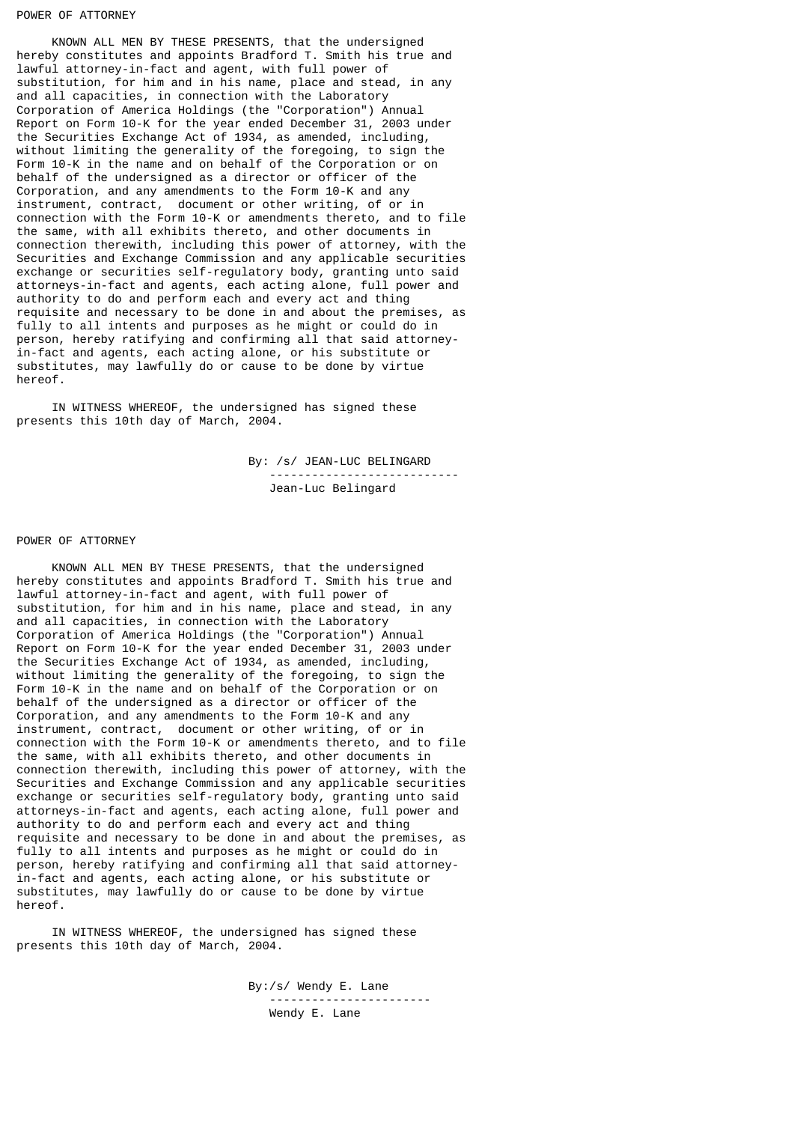#### POWER OF ATTORNEY

 KNOWN ALL MEN BY THESE PRESENTS, that the undersigned hereby constitutes and appoints Bradford T. Smith his true and lawful attorney-in-fact and agent, with full power of substitution, for him and in his name, place and stead, in any and all capacities, in connection with the Laboratory Corporation of America Holdings (the "Corporation") Annual Report on Form 10-K for the year ended December 31, 2003 under the Securities Exchange Act of 1934, as amended, including, without limiting the generality of the foregoing, to sign the Form 10-K in the name and on behalf of the Corporation or on behalf of the undersigned as a director or officer of the Corporation, and any amendments to the Form 10-K and any instrument, contract, document or other writing, of or in connection with the Form 10-K or amendments thereto, and to file the same, with all exhibits thereto, and other documents in connection therewith, including this power of attorney, with the Securities and Exchange Commission and any applicable securities exchange or securities self-regulatory body, granting unto said attorneys-in-fact and agents, each acting alone, full power and authority to do and perform each and every act and thing requisite and necessary to be done in and about the premises, as fully to all intents and purposes as he might or could do in person, hereby ratifying and confirming all that said attorneyin-fact and agents, each acting alone, or his substitute or substitutes, may lawfully do or cause to be done by virtue hereof.

 IN WITNESS WHEREOF, the undersigned has signed these presents this 10th day of March, 2004.

> By: /s/ JEAN-LUC BELINGARD --------------------------- Jean-Luc Belingard

#### POWER OF ATTORNEY

 KNOWN ALL MEN BY THESE PRESENTS, that the undersigned hereby constitutes and appoints Bradford T. Smith his true and lawful attorney-in-fact and agent, with full power of substitution, for him and in his name, place and stead, in any and all capacities, in connection with the Laboratory Corporation of America Holdings (the "Corporation") Annual Report on Form 10-K for the year ended December 31, 2003 under the Securities Exchange Act of 1934, as amended, including, without limiting the generality of the foregoing, to sign the Form 10-K in the name and on behalf of the Corporation or on behalf of the undersigned as a director or officer of the Corporation, and any amendments to the Form 10-K and any instrument, contract, document or other writing, of or in connection with the Form 10-K or amendments thereto, and to file the same, with all exhibits thereto, and other documents in connection therewith, including this power of attorney, with the Securities and Exchange Commission and any applicable securities exchange or securities self-regulatory body, granting unto said attorneys-in-fact and agents, each acting alone, full power and authority to do and perform each and every act and thing requisite and necessary to be done in and about the premises, as fully to all intents and purposes as he might or could do in person, hereby ratifying and confirming all that said attorneyin-fact and agents, each acting alone, or his substitute or substitutes, may lawfully do or cause to be done by virtue hereof.

 IN WITNESS WHEREOF, the undersigned has signed these presents this 10th day of March, 2004.

> By:/s/ Wendy E. Lane ----------------------- Wendy E. Lane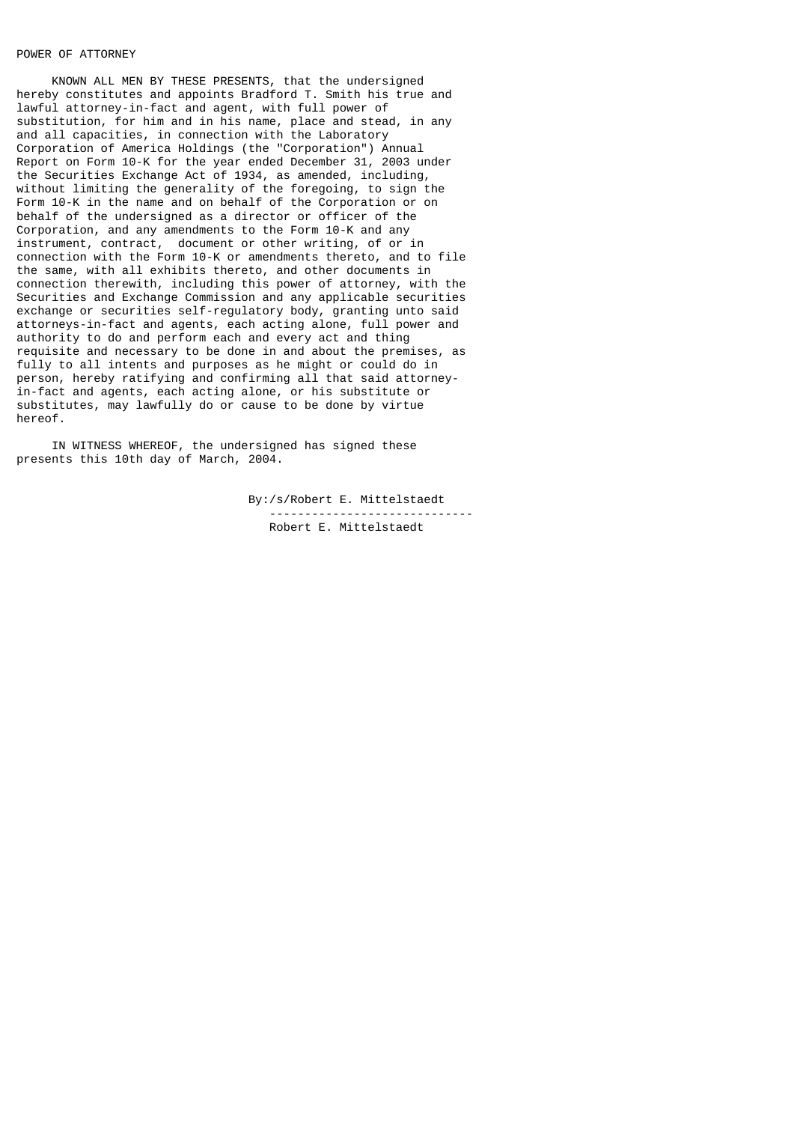## POWER OF ATTORNEY

 KNOWN ALL MEN BY THESE PRESENTS, that the undersigned hereby constitutes and appoints Bradford T. Smith his true and lawful attorney-in-fact and agent, with full power of substitution, for him and in his name, place and stead, in any and all capacities, in connection with the Laboratory Corporation of America Holdings (the "Corporation") Annual Report on Form 10-K for the year ended December 31, 2003 under the Securities Exchange Act of 1934, as amended, including, without limiting the generality of the foregoing, to sign the Form 10-K in the name and on behalf of the Corporation or on behalf of the undersigned as a director or officer of the Corporation, and any amendments to the Form 10-K and any instrument, contract, document or other writing, of or in connection with the Form 10-K or amendments thereto, and to file the same, with all exhibits thereto, and other documents in connection therewith, including this power of attorney, with the Securities and Exchange Commission and any applicable securities exchange or securities self-regulatory body, granting unto said attorneys-in-fact and agents, each acting alone, full power and authority to do and perform each and every act and thing requisite and necessary to be done in and about the premises, as fully to all intents and purposes as he might or could do in person, hereby ratifying and confirming all that said attorneyin-fact and agents, each acting alone, or his substitute or substitutes, may lawfully do or cause to be done by virtue hereof.

 IN WITNESS WHEREOF, the undersigned has signed these presents this 10th day of March, 2004.

> By:/s/Robert E. Mittelstaedt ----------------------------- Robert E. Mittelstaedt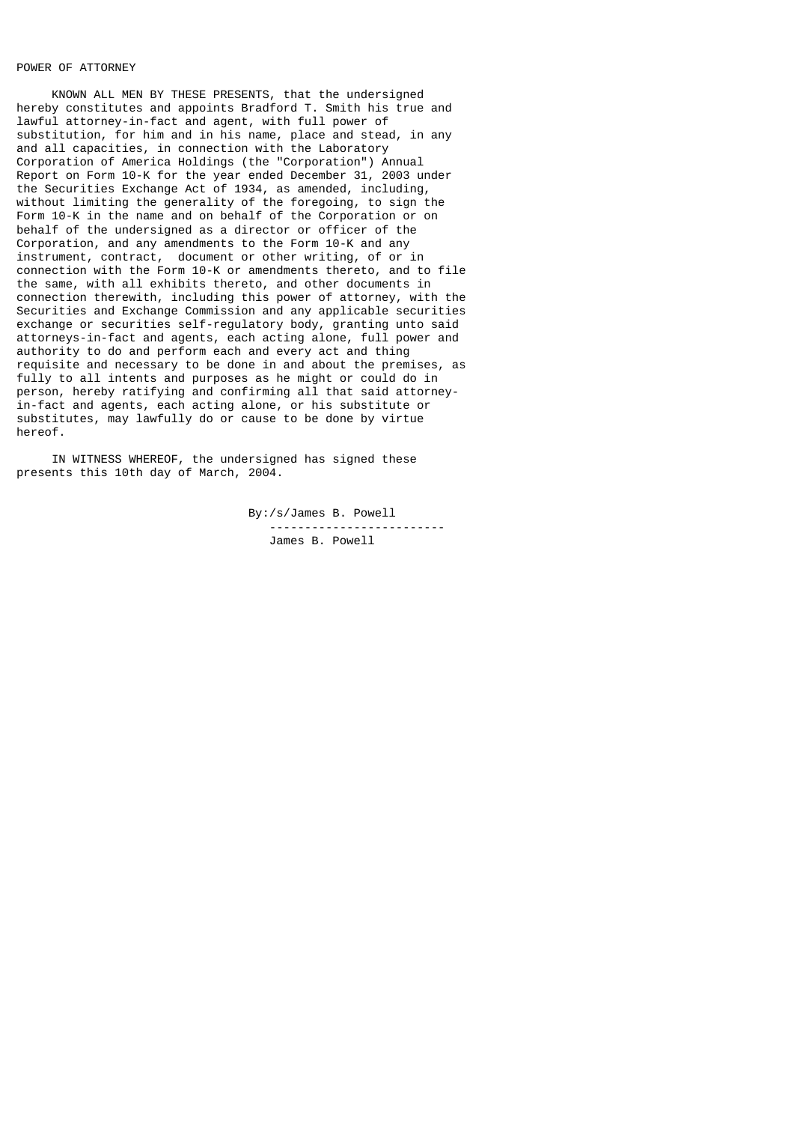## POWER OF ATTORNEY

 KNOWN ALL MEN BY THESE PRESENTS, that the undersigned hereby constitutes and appoints Bradford T. Smith his true and lawful attorney-in-fact and agent, with full power of substitution, for him and in his name, place and stead, in any and all capacities, in connection with the Laboratory Corporation of America Holdings (the "Corporation") Annual Report on Form 10-K for the year ended December 31, 2003 under the Securities Exchange Act of 1934, as amended, including, without limiting the generality of the foregoing, to sign the Form 10-K in the name and on behalf of the Corporation or on behalf of the undersigned as a director or officer of the Corporation, and any amendments to the Form 10-K and any instrument, contract, document or other writing, of or in connection with the Form 10-K or amendments thereto, and to file the same, with all exhibits thereto, and other documents in connection therewith, including this power of attorney, with the Securities and Exchange Commission and any applicable securities exchange or securities self-regulatory body, granting unto said attorneys-in-fact and agents, each acting alone, full power and authority to do and perform each and every act and thing requisite and necessary to be done in and about the premises, as fully to all intents and purposes as he might or could do in person, hereby ratifying and confirming all that said attorneyin-fact and agents, each acting alone, or his substitute or substitutes, may lawfully do or cause to be done by virtue hereof.

 IN WITNESS WHEREOF, the undersigned has signed these presents this 10th day of March, 2004.

 By:/s/James B. Powell ------------------------- James B. Powell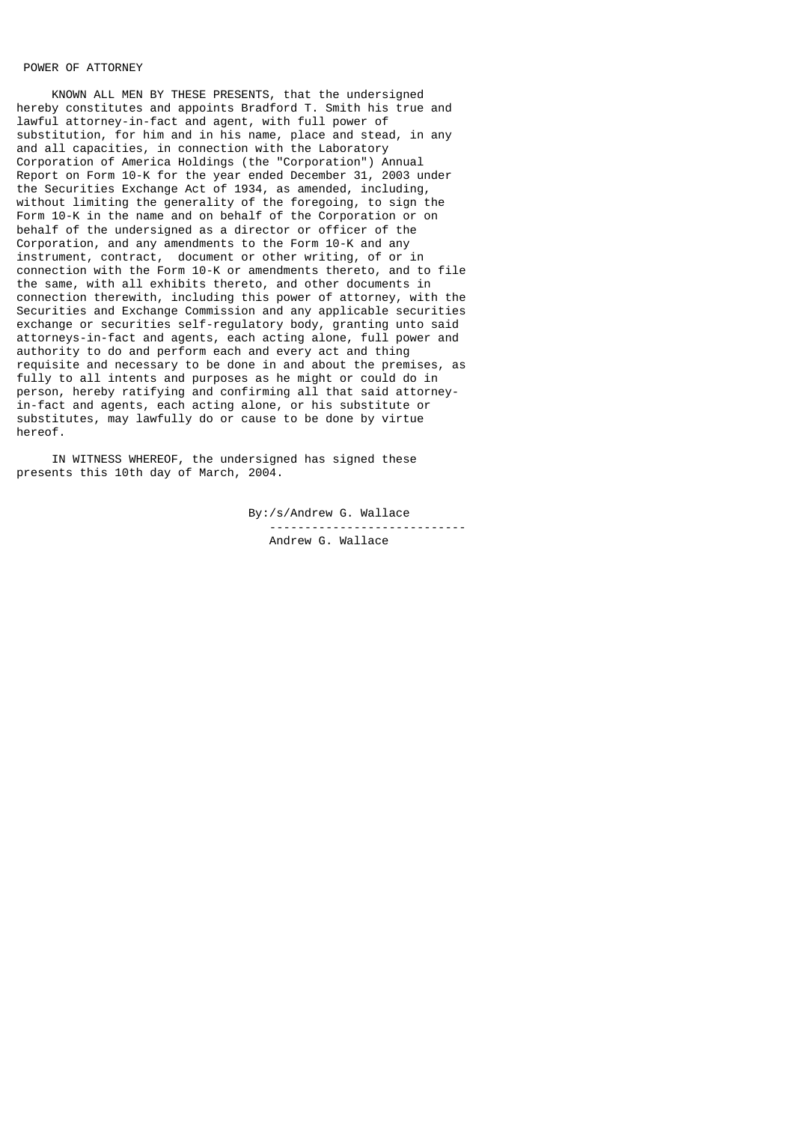## POWER OF ATTORNEY

 KNOWN ALL MEN BY THESE PRESENTS, that the undersigned hereby constitutes and appoints Bradford T. Smith his true and lawful attorney-in-fact and agent, with full power of substitution, for him and in his name, place and stead, in any and all capacities, in connection with the Laboratory Corporation of America Holdings (the "Corporation") Annual Report on Form 10-K for the year ended December 31, 2003 under the Securities Exchange Act of 1934, as amended, including, without limiting the generality of the foregoing, to sign the Form 10-K in the name and on behalf of the Corporation or on behalf of the undersigned as a director or officer of the Corporation, and any amendments to the Form 10-K and any instrument, contract, document or other writing, of or in connection with the Form 10-K or amendments thereto, and to file the same, with all exhibits thereto, and other documents in connection therewith, including this power of attorney, with the Securities and Exchange Commission and any applicable securities exchange or securities self-regulatory body, granting unto said attorneys-in-fact and agents, each acting alone, full power and authority to do and perform each and every act and thing requisite and necessary to be done in and about the premises, as fully to all intents and purposes as he might or could do in person, hereby ratifying and confirming all that said attorneyin-fact and agents, each acting alone, or his substitute or substitutes, may lawfully do or cause to be done by virtue hereof.

 IN WITNESS WHEREOF, the undersigned has signed these presents this 10th day of March, 2004.

> By:/s/Andrew G. Wallace ---------------------------- Andrew G. Wallace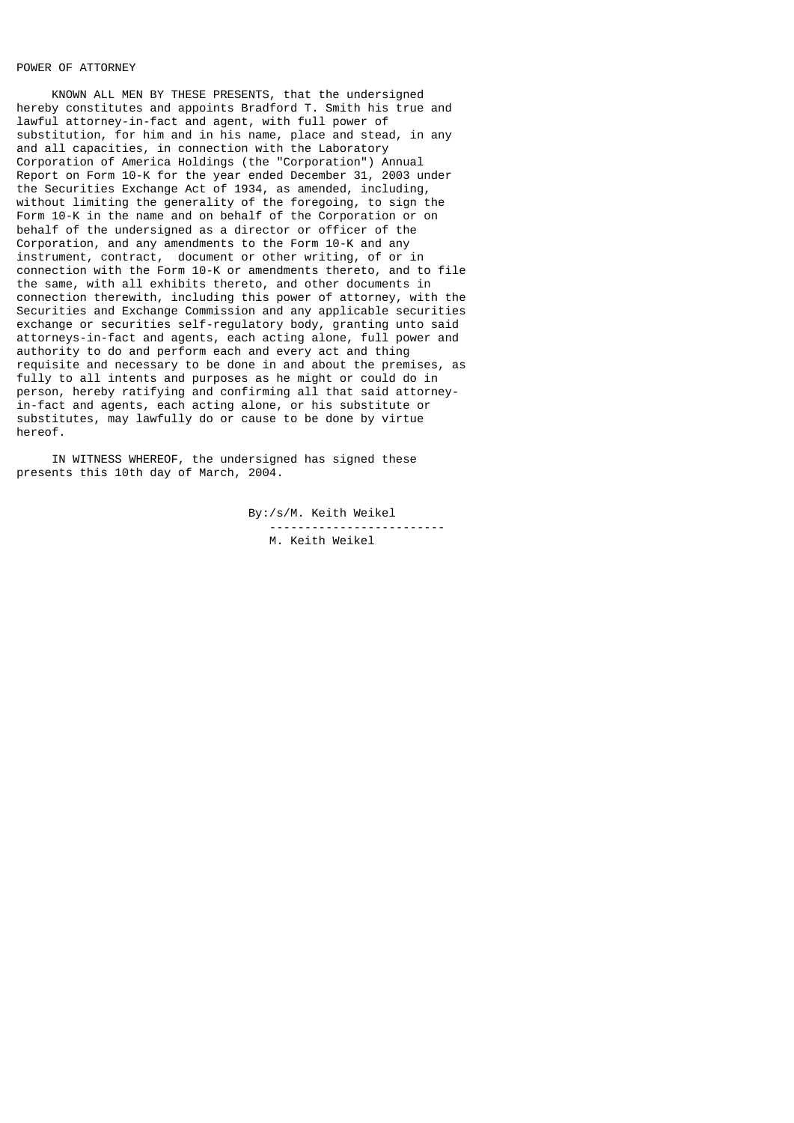## POWER OF ATTORNEY

 KNOWN ALL MEN BY THESE PRESENTS, that the undersigned hereby constitutes and appoints Bradford T. Smith his true and lawful attorney-in-fact and agent, with full power of substitution, for him and in his name, place and stead, in any and all capacities, in connection with the Laboratory Corporation of America Holdings (the "Corporation") Annual Report on Form 10-K for the year ended December 31, 2003 under the Securities Exchange Act of 1934, as amended, including, without limiting the generality of the foregoing, to sign the Form 10-K in the name and on behalf of the Corporation or on behalf of the undersigned as a director or officer of the Corporation, and any amendments to the Form 10-K and any instrument, contract, document or other writing, of or in connection with the Form 10-K or amendments thereto, and to file the same, with all exhibits thereto, and other documents in connection therewith, including this power of attorney, with the Securities and Exchange Commission and any applicable securities exchange or securities self-regulatory body, granting unto said attorneys-in-fact and agents, each acting alone, full power and authority to do and perform each and every act and thing requisite and necessary to be done in and about the premises, as fully to all intents and purposes as he might or could do in person, hereby ratifying and confirming all that said attorneyin-fact and agents, each acting alone, or his substitute or substitutes, may lawfully do or cause to be done by virtue hereof.

 IN WITNESS WHEREOF, the undersigned has signed these presents this 10th day of March, 2004.

 By:/s/M. Keith Weikel ------------------------- M. Keith Weikel